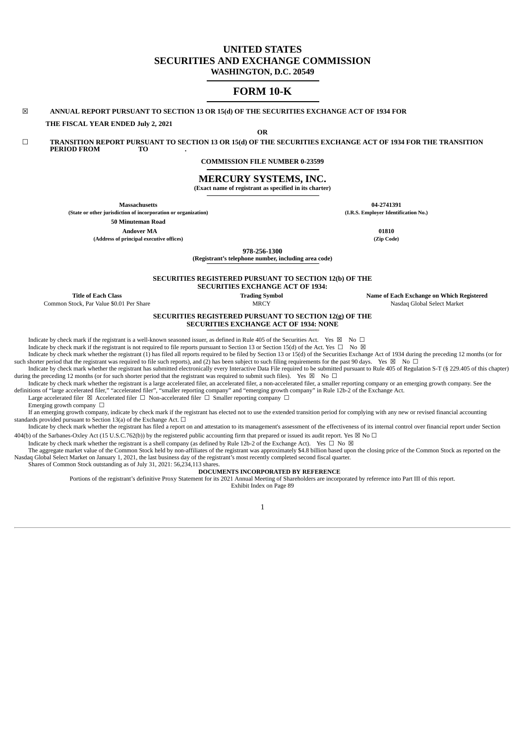# **UNITED STATES SECURITIES AND EXCHANGE COMMISSION WASHINGTON, D.C. 20549**

# **FORM 10-K**

# ☒ **ANNUAL REPORT PURSUANT TO SECTION 13 OR 15(d) OF THE SECURITIES EXCHANGE ACT OF 1934 FOR**

**THE FISCAL YEAR ENDED July 2, 2021**

**OR**

☐ **TRANSITION REPORT PURSUANT TO SECTION 13 OR 15(d) OF THE SECURITIES EXCHANGE ACT OF 1934 FOR THE TRANSITION PERIOD FROM** 

**COMMISSION FILE NUMBER 0-23599**

# **MERCURY SYSTEMS, INC.**

**(Exact name of registrant as specified in its charter)**

**Massachusetts 04-2741391**

**(State or other jurisdiction of incorporation or organization) (I.R.S. Employer Identification No.)**

**50 Minuteman Road**

**Andover MA 01810 (Address of principal executive offices) (Zip Code)**

**978-256-1300**

**(Registrant's telephone number, including area code)**

**SECURITIES REGISTERED PURSUANT TO SECTION 12(b) OF THE SECURITIES EXCHANGE ACT OF 1934:**

**Title of Each Class Trading Symbol Name of Each Exchange on Which Registered** Common Stock, Par Value \$0.01 Per Share MRCY Nasdaq Global Select Market Market Market Market Market Market Market

> **SECURITIES REGISTERED PURSUANT TO SECTION 12(g) OF THE SECURITIES EXCHANGE ACT OF 1934: NONE**

Indicate by check mark if the registrant is a well-known seasoned issuer, as defined in Rule 405 of the Securities Act. Yes  $\boxtimes$  No  $\Box$ 

Indicate by check mark if the registrant is not required to file reports pursuant to Section 13 or Section 15(d) of the Act. Yes  $\Box$  No  $\boxtimes$ 

Indicate by check mark whether the registrant (1) has filed all reports required to be filed by Section 13 or 15(d) of the Securities Exchange Act of 1934 during the preceding 12 months (or for

such shorter period that the registrant was required to file such reports), and (2) has been subject to such filing requirements for the past 90 days. Yes  $\boxtimes$  No  $\Box$ Indicate by check mark whether the registrant has submitted electronically every Interactive Data File required to be submitted pursuant to Rule 405 of Regulation S-T (§ 229.405 of this chapter)

during the preceding 12 months (or for such shorter period that the registrant was required to submit such files). Yes  $\boxtimes$  No  $\Box$ 

Indicate by check mark whether the registrant is a large accelerated filer, an accelerated filer, a non-accelerated filer, a smaller reporting company or an emerging growth company. See the effinitions of "large accelerate

Large accelerated filer  $\boxtimes$  Accelerated filer  $\Box$  Non-accelerated filer  $\Box$  Smaller reporting company  $\Box$ 

Emerging growth company  $\Box$ 

If an emerging growth company, indicate by check mark if the registrant has elected not to use the extended transition period for complying with any new or revised financial accounting standards provided pursuant to Section 13(a) of the Exchange Act.  $\Box$ 

Indicate by check mark whether the registrant has filed a report on and attestation to its management's assessment of the effectiveness of its internal control over financial report under Section 404(b) of the Sarbanes-Oxley Act (15 U.S.C.762(b)) by the registered public accounting firm that prepared or issued its audit report. Yes  $\boxtimes$  No  $\Box$ 

Indicate by check mark whether the registrant is a shell company (as defined by Rule 12b-2 of the Exchange Act). Yes  $\Box$  No  $\boxtimes$ 

The aggregate market value of the Common Stock held by non-affiliates of the registrant was approximately \$4.8 billion based upon the closing price of the Common Stock as reported on the Nasdaq Global Select Market on January 1, 2021, the last business day of the registrant's most recently completed second fiscal quarter. Shares of Common Stock outstanding as of July 31, 2021: 56,234,113 shares.

**DOCUMENTS INCORPORATED BY REFERENCE**

<span id="page-0-0"></span>Portions of the registrant's definitive Proxy Statement for its 2021 Annual Meeting of Shareholders are incorporated by reference into Part III of this report. Exhibit Index on Page 89

1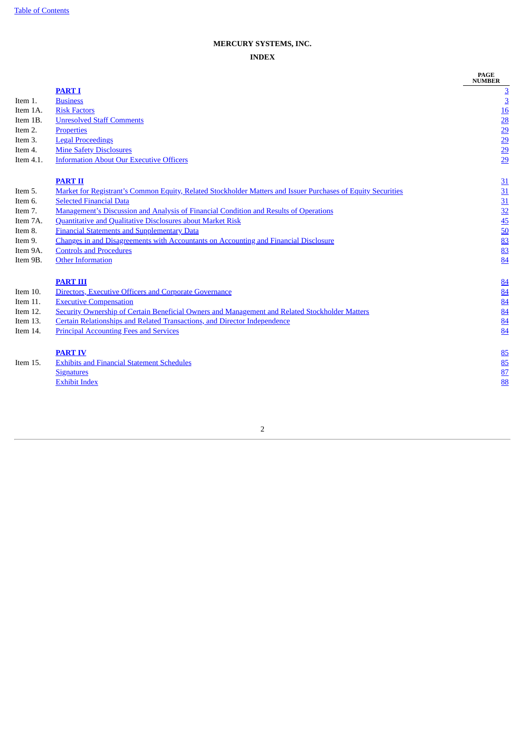# **MERCURY SYSTEMS, INC. INDEX**

<span id="page-1-0"></span>

|           |                                                                                                              | PAGE<br><b>NUMBER</b>                                           |
|-----------|--------------------------------------------------------------------------------------------------------------|-----------------------------------------------------------------|
|           | <b>PART I</b>                                                                                                | $\overline{3}$                                                  |
| Item 1.   | <b>Business</b>                                                                                              |                                                                 |
| Item 1A.  | <b>Risk Factors</b>                                                                                          | $\frac{3}{16}$ $\frac{28}{29}$                                  |
| Item 1B.  | <b>Unresolved Staff Comments</b>                                                                             |                                                                 |
| Item 2.   | <b>Properties</b>                                                                                            |                                                                 |
| Item 3.   | <b>Legal Proceedings</b>                                                                                     |                                                                 |
| Item 4.   | <b>Mine Safety Disclosures</b>                                                                               |                                                                 |
| Item 4.1. | <b>Information About Our Executive Officers</b>                                                              | $\frac{29}{29}$                                                 |
|           | <b>PART II</b>                                                                                               | $\overline{31}$                                                 |
| Item 5.   | Market for Registrant's Common Equity, Related Stockholder Matters and Issuer Purchases of Equity Securities |                                                                 |
| Item 6.   | <b>Selected Financial Data</b>                                                                               |                                                                 |
| Item 7.   | Management's Discussion and Analysis of Financial Condition and Results of Operations                        |                                                                 |
| Item 7A.  | Quantitative and Qualitative Disclosures about Market Risk                                                   |                                                                 |
| Item 8.   | <b>Financial Statements and Supplementary Data</b>                                                           |                                                                 |
| Item 9.   | <b>Changes in and Disagreements with Accountants on Accounting and Financial Disclosure</b>                  | $\frac{31}{31}$ $\frac{32}{45}$ $\frac{45}{60}$ $\frac{83}{83}$ |
| Item 9A.  | <b>Controls and Procedures</b>                                                                               |                                                                 |
| Item 9B.  | <b>Other Information</b>                                                                                     | 84                                                              |
|           | <b>PART III</b>                                                                                              | 84                                                              |
| Item 10.  | Directors, Executive Officers and Corporate Governance                                                       |                                                                 |
| Item 11.  | <b>Executive Compensation</b>                                                                                | $\frac{84}{84}$ $\frac{84}{84}$                                 |
| Item 12.  | Security Ownership of Certain Beneficial Owners and Management and Related Stockholder Matters               |                                                                 |
| Item 13.  | <b>Certain Relationships and Related Transactions, and Director Independence</b>                             |                                                                 |
| Item 14.  | <b>Principal Accounting Fees and Services</b>                                                                | 84                                                              |
|           | <b>PART IV</b>                                                                                               |                                                                 |
| Item 15.  | <b>Exhibits and Financial Statement Schedules</b>                                                            | $\frac{85}{85}$                                                 |
|           | <b>Signatures</b>                                                                                            |                                                                 |
|           | <b>Exhibit Index</b>                                                                                         | 88                                                              |
|           |                                                                                                              |                                                                 |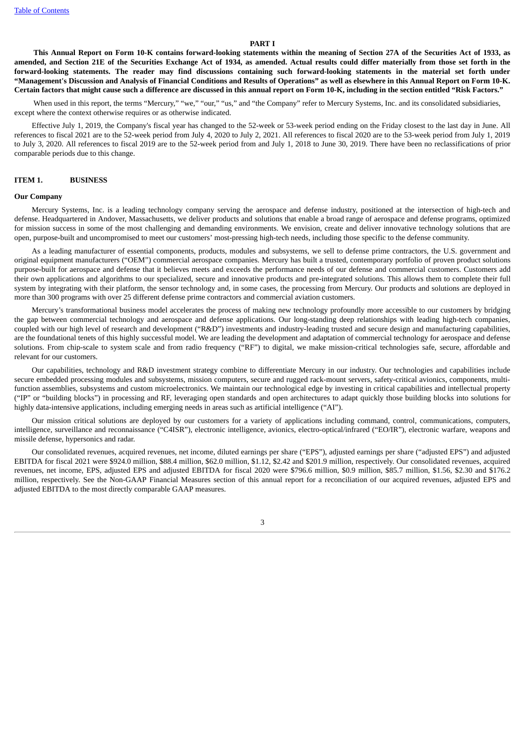#### **PART I**

This Annual Report on Form 10-K contains forward-looking statements within the meaning of Section 27A of the Securities Act of 1933, as amended, and Section 21E of the Securities Exchange Act of 1934, as amended. Actual results could differ materially from those set forth in the forward-looking statements. The reader may find discussions containing such forward-looking statements in the material set forth under "Management's Discussion and Analysis of Financial Conditions and Results of Operations" as well as elsewhere in this Annual Report on Form 10-K. Certain factors that might cause such a difference are discussed in this annual report on Form 10-K, including in the section entitled "Risk Factors."

When used in this report, the terms "Mercury," "we," "our," "us," and "the Company" refer to Mercury Systems, Inc. and its consolidated subsidiaries, except where the context otherwise requires or as otherwise indicated.

Effective July 1, 2019, the Company's fiscal year has changed to the 52-week or 53-week period ending on the Friday closest to the last day in June. All references to fiscal 2021 are to the 52-week period from July 4, 2020 to July 2, 2021. All references to fiscal 2020 are to the 53-week period from July 1, 2019 to July 3, 2020. All references to fiscal 2019 are to the 52-week period from and July 1, 2018 to June 30, 2019. There have been no reclassifications of prior comparable periods due to this change.

# <span id="page-2-0"></span>**ITEM 1. BUSINESS**

#### **Our Company**

Mercury Systems, Inc. is a leading technology company serving the aerospace and defense industry, positioned at the intersection of high-tech and defense. Headquartered in Andover, Massachusetts, we deliver products and solutions that enable a broad range of aerospace and defense programs, optimized for mission success in some of the most challenging and demanding environments. We envision, create and deliver innovative technology solutions that are open, purpose-built and uncompromised to meet our customers' most-pressing high-tech needs, including those specific to the defense community.

As a leading manufacturer of essential components, products, modules and subsystems, we sell to defense prime contractors, the U.S. government and original equipment manufacturers ("OEM") commercial aerospace companies. Mercury has built a trusted, contemporary portfolio of proven product solutions purpose-built for aerospace and defense that it believes meets and exceeds the performance needs of our defense and commercial customers. Customers add their own applications and algorithms to our specialized, secure and innovative products and pre-integrated solutions. This allows them to complete their full system by integrating with their platform, the sensor technology and, in some cases, the processing from Mercury. Our products and solutions are deployed in more than 300 programs with over 25 different defense prime contractors and commercial aviation customers.

Mercury's transformational business model accelerates the process of making new technology profoundly more accessible to our customers by bridging the gap between commercial technology and aerospace and defense applications. Our long-standing deep relationships with leading high-tech companies, coupled with our high level of research and development ("R&D") investments and industry-leading trusted and secure design and manufacturing capabilities, are the foundational tenets of this highly successful model. We are leading the development and adaptation of commercial technology for aerospace and defense solutions. From chip-scale to system scale and from radio frequency ("RF") to digital, we make mission-critical technologies safe, secure, affordable and relevant for our customers.

Our capabilities, technology and R&D investment strategy combine to differentiate Mercury in our industry. Our technologies and capabilities include secure embedded processing modules and subsystems, mission computers, secure and rugged rack-mount servers, safety-critical avionics, components, multifunction assemblies, subsystems and custom microelectronics. We maintain our technological edge by investing in critical capabilities and intellectual property ("IP" or "building blocks") in processing and RF, leveraging open standards and open architectures to adapt quickly those building blocks into solutions for highly data-intensive applications, including emerging needs in areas such as artificial intelligence ("AI").

Our mission critical solutions are deployed by our customers for a variety of applications including command, control, communications, computers, intelligence, surveillance and reconnaissance ("C4ISR"), electronic intelligence, avionics, electro-optical/infrared ("EO/IR"), electronic warfare, weapons and missile defense, hypersonics and radar.

Our consolidated revenues, acquired revenues, net income, diluted earnings per share ("EPS"), adjusted earnings per share ("adjusted EPS") and adjusted EBITDA for fiscal 2021 were \$924.0 million, \$88.4 million, \$62.0 million, \$1.12, \$2.42 and \$201.9 million, respectively. Our consolidated revenues, acquired revenues, net income, EPS, adjusted EPS and adjusted EBITDA for fiscal 2020 were \$796.6 million, \$0.9 million, \$85.7 million, \$1.56, \$2.30 and \$176.2 million, respectively. See the Non-GAAP Financial Measures section of this annual report for a reconciliation of our acquired revenues, adjusted EPS and adjusted EBITDA to the most directly comparable GAAP measures.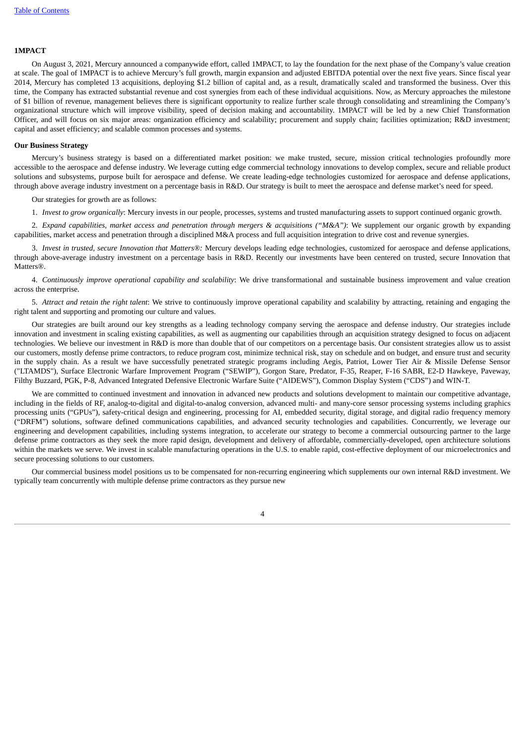# **1MPACT**

On August 3, 2021, Mercury announced a companywide effort, called 1MPACT, to lay the foundation for the next phase of the Company's value creation at scale. The goal of 1MPACT is to achieve Mercury's full growth, margin expansion and adjusted EBITDA potential over the next five years. Since fiscal year 2014, Mercury has completed 13 acquisitions, deploying \$1.2 billion of capital and, as a result, dramatically scaled and transformed the business. Over this time, the Company has extracted substantial revenue and cost synergies from each of these individual acquisitions. Now, as Mercury approaches the milestone of \$1 billion of revenue, management believes there is significant opportunity to realize further scale through consolidating and streamlining the Company's organizational structure which will improve visibility, speed of decision making and accountability. 1MPACT will be led by a new Chief Transformation Officer, and will focus on six major areas: organization efficiency and scalability; procurement and supply chain; facilities optimization; R&D investment; capital and asset efficiency; and scalable common processes and systems.

#### **Our Business Strategy**

Mercury's business strategy is based on a differentiated market position: we make trusted, secure, mission critical technologies profoundly more accessible to the aerospace and defense industry. We leverage cutting edge commercial technology innovations to develop complex, secure and reliable product solutions and subsystems, purpose built for aerospace and defense. We create leading-edge technologies customized for aerospace and defense applications, through above average industry investment on a percentage basis in R&D. Our strategy is built to meet the aerospace and defense market's need for speed.

Our strategies for growth are as follows:

1. *Invest to grow organically*: Mercury invests in our people, processes, systems and trusted manufacturing assets to support continued organic growth.

2. *Expand capabilities, market access and penetration through mergers & acquisitions ("M&A")*: We supplement our organic growth by expanding capabilities, market access and penetration through a disciplined M&A process and full acquisition integration to drive cost and revenue synergies.

3. *Invest in trusted, secure Innovation that Matters®:* Mercury develops leading edge technologies, customized for aerospace and defense applications, through above-average industry investment on a percentage basis in R&D. Recently our investments have been centered on trusted, secure Innovation that Matters®.

4. *Continuously improve operational capability and scalability*: We drive transformational and sustainable business improvement and value creation across the enterprise.

5. *Attract and retain the right talent*: We strive to continuously improve operational capability and scalability by attracting, retaining and engaging the right talent and supporting and promoting our culture and values.

Our strategies are built around our key strengths as a leading technology company serving the aerospace and defense industry. Our strategies include innovation and investment in scaling existing capabilities, as well as augmenting our capabilities through an acquisition strategy designed to focus on adjacent technologies. We believe our investment in R&D is more than double that of our competitors on a percentage basis. Our consistent strategies allow us to assist our customers, mostly defense prime contractors, to reduce program cost, minimize technical risk, stay on schedule and on budget, and ensure trust and security in the supply chain. As a result we have successfully penetrated strategic programs including Aegis, Patriot, Lower Tier Air & Missile Defense Sensor ("LTAMDS"), Surface Electronic Warfare Improvement Program ("SEWIP"), Gorgon Stare, Predator, F-35, Reaper, F-16 SABR, E2-D Hawkeye, Paveway, Filthy Buzzard, PGK, P-8, Advanced Integrated Defensive Electronic Warfare Suite ("AIDEWS"), Common Display System ("CDS") and WIN-T.

We are committed to continued investment and innovation in advanced new products and solutions development to maintain our competitive advantage, including in the fields of RF, analog-to-digital and digital-to-analog conversion, advanced multi- and many-core sensor processing systems including graphics processing units ("GPUs"), safety-critical design and engineering, processing for AI, embedded security, digital storage, and digital radio frequency memory ("DRFM") solutions, software defined communications capabilities, and advanced security technologies and capabilities. Concurrently, we leverage our engineering and development capabilities, including systems integration, to accelerate our strategy to become a commercial outsourcing partner to the large defense prime contractors as they seek the more rapid design, development and delivery of affordable, commercially-developed, open architecture solutions within the markets we serve. We invest in scalable manufacturing operations in the U.S. to enable rapid, cost-effective deployment of our microelectronics and secure processing solutions to our customers.

Our commercial business model positions us to be compensated for non-recurring engineering which supplements our own internal R&D investment. We typically team concurrently with multiple defense prime contractors as they pursue new

4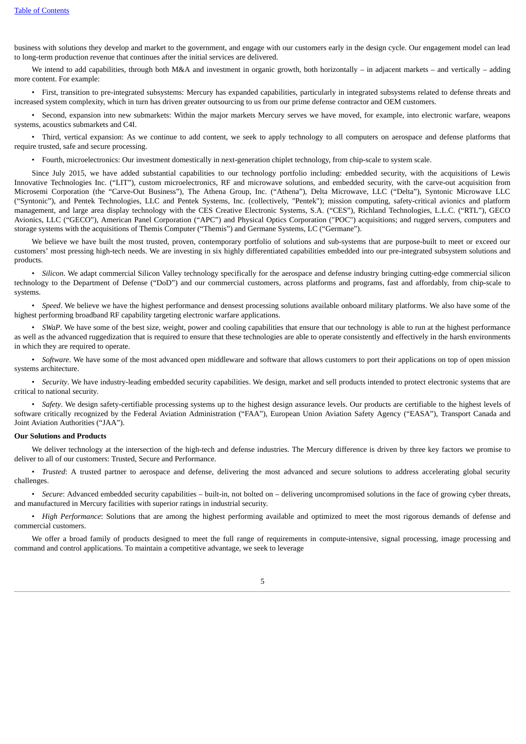business with solutions they develop and market to the government, and engage with our customers early in the design cycle. Our engagement model can lead to long-term production revenue that continues after the initial services are delivered.

We intend to add capabilities, through both M&A and investment in organic growth, both horizontally – in adjacent markets – and vertically – adding more content. For example:

• First, transition to pre-integrated subsystems: Mercury has expanded capabilities, particularly in integrated subsystems related to defense threats and increased system complexity, which in turn has driven greater outsourcing to us from our prime defense contractor and OEM customers.

• Second, expansion into new submarkets: Within the major markets Mercury serves we have moved, for example, into electronic warfare, weapons systems, acoustics submarkets and C4I.

• Third, vertical expansion: As we continue to add content, we seek to apply technology to all computers on aerospace and defense platforms that require trusted, safe and secure processing.

• Fourth, microelectronics: Our investment domestically in next-generation chiplet technology, from chip-scale to system scale.

Since July 2015, we have added substantial capabilities to our technology portfolio including: embedded security, with the acquisitions of Lewis Innovative Technologies Inc. ("LIT"), custom microelectronics, RF and microwave solutions, and embedded security, with the carve-out acquisition from Microsemi Corporation (the "Carve-Out Business"), The Athena Group, Inc. ("Athena"), Delta Microwave, LLC ("Delta"), Syntonic Microwave LLC ("Syntonic"), and Pentek Technologies, LLC and Pentek Systems, Inc. (collectively, "Pentek"); mission computing, safety-critical avionics and platform management, and large area display technology with the CES Creative Electronic Systems, S.A. ("CES"), Richland Technologies, L.L.C. ("RTL"), GECO Avionics, LLC ("GECO"), American Panel Corporation ("APC") and Physical Optics Corporation ("POC") acquisitions; and rugged servers, computers and storage systems with the acquisitions of Themis Computer ("Themis") and Germane Systems, LC ("Germane").

We believe we have built the most trusted, proven, contemporary portfolio of solutions and sub-systems that are purpose-built to meet or exceed our customers' most pressing high-tech needs. We are investing in six highly differentiated capabilities embedded into our pre-integrated subsystem solutions and products.

• *Silicon*. We adapt commercial Silicon Valley technology specifically for the aerospace and defense industry bringing cutting-edge commercial silicon technology to the Department of Defense ("DoD") and our commercial customers, across platforms and programs, fast and affordably, from chip-scale to systems.

• *Speed*. We believe we have the highest performance and densest processing solutions available onboard military platforms. We also have some of the highest performing broadband RF capability targeting electronic warfare applications.

• *SWaP*. We have some of the best size, weight, power and cooling capabilities that ensure that our technology is able to run at the highest performance as well as the advanced ruggedization that is required to ensure that these technologies are able to operate consistently and effectively in the harsh environments in which they are required to operate.

• *Software*. We have some of the most advanced open middleware and software that allows customers to port their applications on top of open mission systems architecture.

• *Security*. We have industry-leading embedded security capabilities. We design, market and sell products intended to protect electronic systems that are critical to national security.

• *Safety*. We design safety-certifiable processing systems up to the highest design assurance levels. Our products are certifiable to the highest levels of software critically recognized by the Federal Aviation Administration ("FAA"), European Union Aviation Safety Agency ("EASA"), Transport Canada and Joint Aviation Authorities ("JAA").

### **Our Solutions and Products**

We deliver technology at the intersection of the high-tech and defense industries. The Mercury difference is driven by three key factors we promise to deliver to all of our customers: Trusted, Secure and Performance.

• *Trusted*: A trusted partner to aerospace and defense, delivering the most advanced and secure solutions to address accelerating global security challenges.

• *Secure*: Advanced embedded security capabilities – built-in, not bolted on – delivering uncompromised solutions in the face of growing cyber threats, and manufactured in Mercury facilities with superior ratings in industrial security.

• *High Performance*: Solutions that are among the highest performing available and optimized to meet the most rigorous demands of defense and commercial customers.

We offer a broad family of products designed to meet the full range of requirements in compute-intensive, signal processing, image processing and command and control applications. To maintain a competitive advantage, we seek to leverage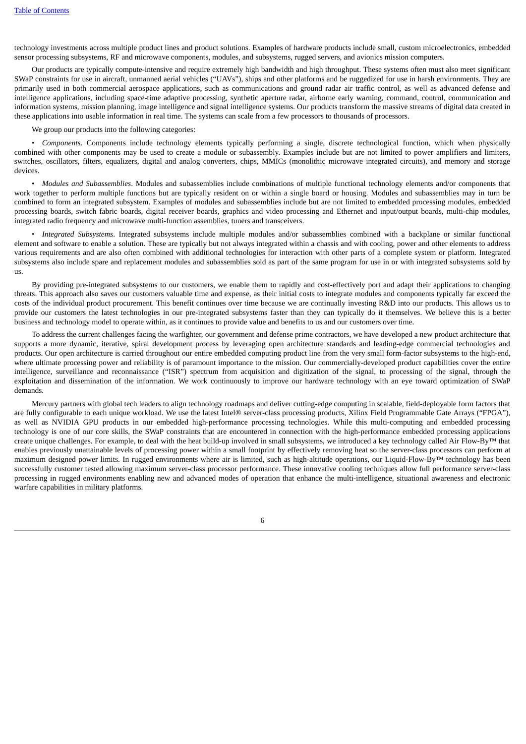technology investments across multiple product lines and product solutions. Examples of hardware products include small, custom microelectronics, embedded sensor processing subsystems, RF and microwave components, modules, and subsystems, rugged servers, and avionics mission computers.

Our products are typically compute-intensive and require extremely high bandwidth and high throughput. These systems often must also meet significant SWaP constraints for use in aircraft, unmanned aerial vehicles ("UAVs"), ships and other platforms and be ruggedized for use in harsh environments. They are primarily used in both commercial aerospace applications, such as communications and ground radar air traffic control, as well as advanced defense and intelligence applications, including space-time adaptive processing, synthetic aperture radar, airborne early warning, command, control, communication and information systems, mission planning, image intelligence and signal intelligence systems. Our products transform the massive streams of digital data created in these applications into usable information in real time. The systems can scale from a few processors to thousands of processors.

We group our products into the following categories:

• *Components*. Components include technology elements typically performing a single, discrete technological function, which when physically combined with other components may be used to create a module or subassembly. Examples include but are not limited to power amplifiers and limiters, switches, oscillators, filters, equalizers, digital and analog converters, chips, MMICs (monolithic microwave integrated circuits), and memory and storage devices.

• *Modules and Subassemblies*. Modules and subassemblies include combinations of multiple functional technology elements and/or components that work together to perform multiple functions but are typically resident on or within a single board or housing. Modules and subassemblies may in turn be combined to form an integrated subsystem. Examples of modules and subassemblies include but are not limited to embedded processing modules, embedded processing boards, switch fabric boards, digital receiver boards, graphics and video processing and Ethernet and input/output boards, multi-chip modules, integrated radio frequency and microwave multi-function assemblies, tuners and transceivers.

• *Integrated Subsystems*. Integrated subsystems include multiple modules and/or subassemblies combined with a backplane or similar functional element and software to enable a solution. These are typically but not always integrated within a chassis and with cooling, power and other elements to address various requirements and are also often combined with additional technologies for interaction with other parts of a complete system or platform. Integrated subsystems also include spare and replacement modules and subassemblies sold as part of the same program for use in or with integrated subsystems sold by us.

By providing pre-integrated subsystems to our customers, we enable them to rapidly and cost-effectively port and adapt their applications to changing threats. This approach also saves our customers valuable time and expense, as their initial costs to integrate modules and components typically far exceed the costs of the individual product procurement. This benefit continues over time because we are continually investing R&D into our products. This allows us to provide our customers the latest technologies in our pre-integrated subsystems faster than they can typically do it themselves. We believe this is a better business and technology model to operate within, as it continues to provide value and benefits to us and our customers over time.

To address the current challenges facing the warfighter, our government and defense prime contractors, we have developed a new product architecture that supports a more dynamic, iterative, spiral development process by leveraging open architecture standards and leading-edge commercial technologies and products. Our open architecture is carried throughout our entire embedded computing product line from the very small form-factor subsystems to the high-end, where ultimate processing power and reliability is of paramount importance to the mission. Our commercially-developed product capabilities cover the entire intelligence, surveillance and reconnaissance ("ISR") spectrum from acquisition and digitization of the signal, to processing of the signal, through the exploitation and dissemination of the information. We work continuously to improve our hardware technology with an eye toward optimization of SWaP demands.

Mercury partners with global tech leaders to align technology roadmaps and deliver cutting-edge computing in scalable, field-deployable form factors that are fully configurable to each unique workload. We use the latest Intel® server-class processing products, Xilinx Field Programmable Gate Arrays ("FPGA"), as well as NVIDIA GPU products in our embedded high-performance processing technologies. While this multi-computing and embedded processing technology is one of our core skills, the SWaP constraints that are encountered in connection with the high-performance embedded processing applications create unique challenges. For example, to deal with the heat build-up involved in small subsystems, we introduced a key technology called Air Flow-By<sup>TM</sup> that enables previously unattainable levels of processing power within a small footprint by effectively removing heat so the server-class processors can perform at maximum designed power limits. In rugged environments where air is limited, such as high-altitude operations, our Liquid-Flow-By™ technology has been successfully customer tested allowing maximum server-class processor performance. These innovative cooling techniques allow full performance server-class processing in rugged environments enabling new and advanced modes of operation that enhance the multi-intelligence, situational awareness and electronic warfare capabilities in military platforms.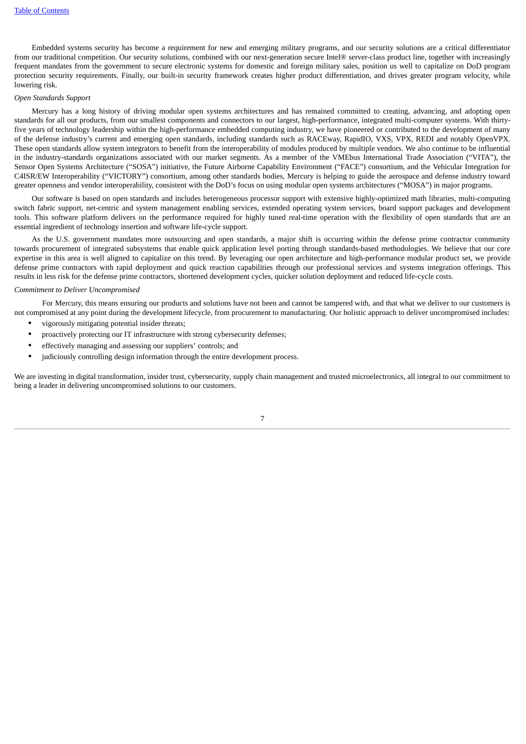Embedded systems security has become a requirement for new and emerging military programs, and our security solutions are a critical differentiator from our traditional competition. Our security solutions, combined with our next-generation secure Intel® server-class product line, together with increasingly frequent mandates from the government to secure electronic systems for domestic and foreign military sales, position us well to capitalize on DoD program protection security requirements. Finally, our built-in security framework creates higher product differentiation, and drives greater program velocity, while lowering risk.

### *Open Standards Support*

Mercury has a long history of driving modular open systems architectures and has remained committed to creating, advancing, and adopting open standards for all our products, from our smallest components and connectors to our largest, high-performance, integrated multi-computer systems. With thirtyfive years of technology leadership within the high-performance embedded computing industry, we have pioneered or contributed to the development of many of the defense industry's current and emerging open standards, including standards such as RACEway, RapidIO, VXS, VPX, REDI and notably OpenVPX. These open standards allow system integrators to benefit from the interoperability of modules produced by multiple vendors. We also continue to be influential in the industry-standards organizations associated with our market segments. As a member of the VMEbus International Trade Association ("VITA"), the Sensor Open Systems Architecture ("SOSA") initiative, the Future Airborne Capability Environment ("FACE") consortium, and the Vehicular Integration for C4ISR/EW Interoperability ("VICTORY") consortium, among other standards bodies, Mercury is helping to guide the aerospace and defense industry toward greater openness and vendor interoperability, consistent with the DoD's focus on using modular open systems architectures ("MOSA") in major programs.

Our software is based on open standards and includes heterogeneous processor support with extensive highly-optimized math libraries, multi-computing switch fabric support, net-centric and system management enabling services, extended operating system services, board support packages and development tools. This software platform delivers on the performance required for highly tuned real-time operation with the flexibility of open standards that are an essential ingredient of technology insertion and software life-cycle support.

As the U.S. government mandates more outsourcing and open standards, a major shift is occurring within the defense prime contractor community towards procurement of integrated subsystems that enable quick application level porting through standards-based methodologies. We believe that our core expertise in this area is well aligned to capitalize on this trend. By leveraging our open architecture and high-performance modular product set, we provide defense prime contractors with rapid deployment and quick reaction capabilities through our professional services and systems integration offerings. This results in less risk for the defense prime contractors, shortened development cycles, quicker solution deployment and reduced life-cycle costs.

#### *Commitment to Deliver Uncompromised*

For Mercury, this means ensuring our products and solutions have not been and cannot be tampered with, and that what we deliver to our customers is not compromised at any point during the development lifecycle, from procurement to manufacturing. Our holistic approach to deliver uncompromised includes:

- vigorously mitigating potential insider threats;
- proactively protecting our IT infrastructure with strong cybersecurity defenses;
- effectively managing and assessing our suppliers' controls; and
- judiciously controlling design information through the entire development process.

We are investing in digital transformation, insider trust, cybersecurity, supply chain management and trusted microelectronics, all integral to our commitment to being a leader in delivering uncompromised solutions to our customers.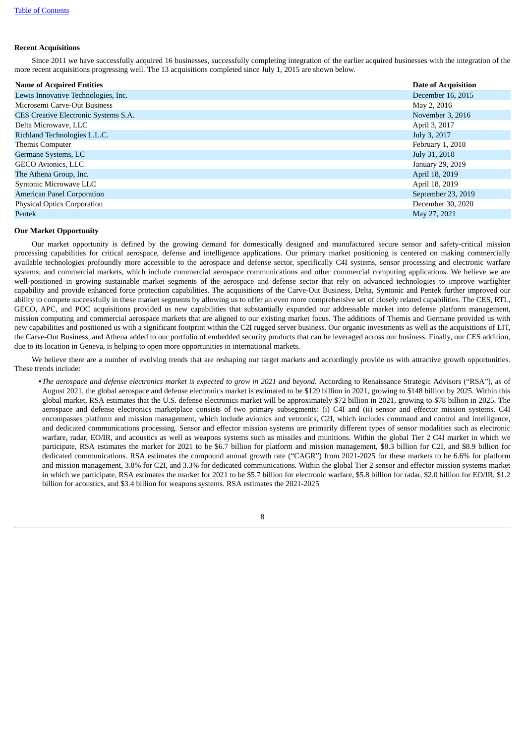# **Recent Acquisitions**

Since 2011 we have successfully acquired 16 businesses, successfully completing integration of the earlier acquired businesses with the integration of the more recent acquisitions progressing well. The 13 acquisitions completed since July 1, 2015 are shown below.

| <b>Name of Acquired Entities</b>     | <b>Date of Acquisition</b> |
|--------------------------------------|----------------------------|
| Lewis Innovative Technologies, Inc.  | December 16, 2015          |
| Microsemi Carve-Out Business         | May 2, 2016                |
| CES Creative Electronic Systems S.A. | November 3, 2016           |
| Delta Microwave, LLC                 | April 3, 2017              |
| Richland Technologies L.L.C.         | July 3, 2017               |
| <b>Themis Computer</b>               | February 1, 2018           |
| Germane Systems, LC                  | July 31, 2018              |
| GECO Avionics, LLC                   | January 29, 2019           |
| The Athena Group, Inc.               | April 18, 2019             |
| Syntonic Microwave LLC               | April 18, 2019             |
| <b>American Panel Corporation</b>    | September 23, 2019         |
| <b>Physical Optics Corporation</b>   | December 30, 2020          |
| Pentek                               | May 27, 2021               |
|                                      |                            |

# **Our Market Opportunity**

Our market opportunity is defined by the growing demand for domestically designed and manufactured secure sensor and safety-critical mission processing capabilities for critical aerospace, defense and intelligence applications. Our primary market positioning is centered on making commercially available technologies profoundly more accessible to the aerospace and defense sector, specifically C4I systems, sensor processing and electronic warfare systems; and commercial markets, which include commercial aerospace communications and other commercial computing applications. We believe we are well-positioned in growing sustainable market segments of the aerospace and defense sector that rely on advanced technologies to improve warfighter capability and provide enhanced force protection capabilities. The acquisitions of the Carve-Out Business, Delta, Syntonic and Pentek further improved our ability to compete successfully in these market segments by allowing us to offer an even more comprehensive set of closely related capabilities. The CES, RTL, GECO, APC, and POC acquisitions provided us new capabilities that substantially expanded our addressable market into defense platform management, mission computing and commercial aerospace markets that are aligned to our existing market focus. The additions of Themis and Germane provided us with new capabilities and positioned us with a significant footprint within the C2I rugged server business. Our organic investments as well as the acquisitions of LIT, the Carve-Out Business, and Athena added to our portfolio of embedded security products that can be leveraged across our business. Finally, our CES addition, due to its location in Geneva, is helping to open more opportunities in international markets.

We believe there are a number of evolving trends that are reshaping our target markets and accordingly provide us with attractive growth opportunities. These trends include:

• The aerospace and defense electronics market is expected to grow in 2021 and beyond. According to Renaissance Strategic Advisors ("RSA"), as of August 2021, the global aerospace and defense electronics market is estimated to be \$129 billion in 2021, growing to \$148 billion by 2025. Within this global market, RSA estimates that the U.S. defense electronics market will be approximately \$72 billion in 2021, growing to \$78 billion in 2025. The aerospace and defense electronics marketplace consists of two primary subsegments: (i) C4I and (ii) sensor and effector mission systems. C4I encompasses platform and mission management, which include avionics and vetronics, C2I, which includes command and control and intelligence, and dedicated communications processing. Sensor and effector mission systems are primarily different types of sensor modalities such as electronic warfare, radar, EO/IR, and acoustics as well as weapons systems such as missiles and munitions. Within the global Tier 2 C4I market in which we participate, RSA estimates the market for 2021 to be \$6.7 billion for platform and mission management, \$8.3 billion for C2I, and \$8.9 billion for dedicated communications. RSA estimates the compound annual growth rate ("CAGR") from 2021-2025 for these markets to be 6.6% for platform and mission management, 3.8% for C2I, and 3.3% for dedicated communications. Within the global Tier 2 sensor and effector mission systems market in which we participate, RSA estimates the market for 2021 to be \$5.7 billion for electronic warfare, \$5.8 billion for radar, \$2.0 billion for EO/IR, \$1.2 billion for acoustics, and \$3.4 billion for weapons systems. RSA estimates the 2021-2025

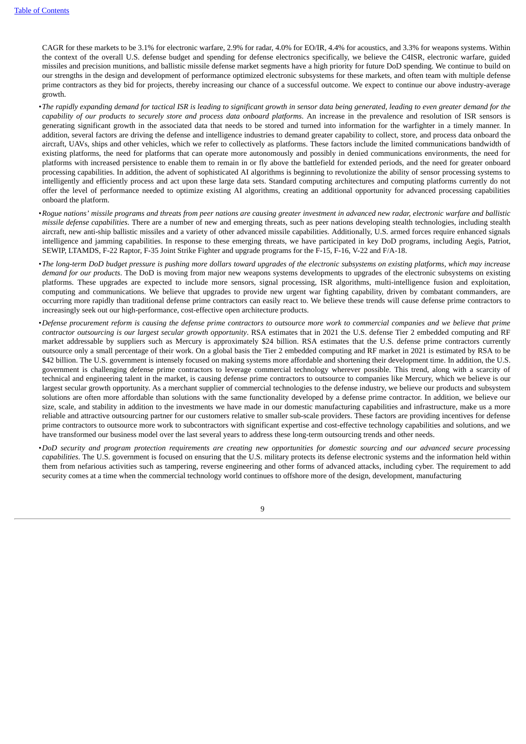CAGR for these markets to be 3.1% for electronic warfare, 2.9% for radar, 4.0% for EO/IR, 4.4% for acoustics, and 3.3% for weapons systems. Within the context of the overall U.S. defense budget and spending for defense electronics specifically, we believe the C4ISR, electronic warfare, guided missiles and precision munitions, and ballistic missile defense market segments have a high priority for future DoD spending. We continue to build on our strengths in the design and development of performance optimized electronic subsystems for these markets, and often team with multiple defense prime contractors as they bid for projects, thereby increasing our chance of a successful outcome. We expect to continue our above industry-average growth.

- •The rapidly expandina demand for tactical ISR is leadina to sianificant arowth in sensor data beina aenerated, leadina to even areater demand for the capability of our products to securely store and process data onboard platforms. An increase in the prevalence and resolution of ISR sensors is generating significant growth in the associated data that needs to be stored and turned into information for the warfighter in a timely manner. In addition, several factors are driving the defense and intelligence industries to demand greater capability to collect, store, and process data onboard the aircraft, UAVs, ships and other vehicles, which we refer to collectively as platforms. These factors include the limited communications bandwidth of existing platforms, the need for platforms that can operate more autonomously and possibly in denied communications environments, the need for platforms with increased persistence to enable them to remain in or fly above the battlefield for extended periods, and the need for greater onboard processing capabilities. In addition, the advent of sophisticated AI algorithms is beginning to revolutionize the ability of sensor processing systems to intelligently and efficiently process and act upon these large data sets. Standard computing architectures and computing platforms currently do not offer the level of performance needed to optimize existing AI algorithms, creating an additional opportunity for advanced processing capabilities onboard the platform.
- •Roque nations' missile programs and threats from peer nations are causing greater investment in advanced new radar, electronic warfare and ballistic *missile defense capabilities*. There are a number of new and emerging threats, such as peer nations developing stealth technologies, including stealth aircraft, new anti-ship ballistic missiles and a variety of other advanced missile capabilities. Additionally, U.S. armed forces require enhanced signals intelligence and jamming capabilities. In response to these emerging threats, we have participated in key DoD programs, including Aegis, Patriot, SEWIP, LTAMDS, F-22 Raptor, F-35 Joint Strike Fighter and upgrade programs for the F-15, F-16, V-22 and F/A-18.
- The long-term DoD budget pressure is pushing more dollars toward upgrades of the electronic subsystems on existing platforms, which may increase *demand for our products*. The DoD is moving from major new weapons systems developments to upgrades of the electronic subsystems on existing platforms. These upgrades are expected to include more sensors, signal processing, ISR algorithms, multi-intelligence fusion and exploitation, computing and communications. We believe that upgrades to provide new urgent war fighting capability, driven by combatant commanders, are occurring more rapidly than traditional defense prime contractors can easily react to. We believe these trends will cause defense prime contractors to increasingly seek out our high-performance, cost-effective open architecture products.
- •Defense procurement reform is causing the defense prime contractors to outsource more work to commercial companies and we believe that prime *contractor outsourcing is our largest secular growth opportunity*. RSA estimates that in 2021 the U.S. defense Tier 2 embedded computing and RF market addressable by suppliers such as Mercury is approximately \$24 billion. RSA estimates that the U.S. defense prime contractors currently outsource only a small percentage of their work. On a global basis the Tier 2 embedded computing and RF market in 2021 is estimated by RSA to be \$42 billion. The U.S. government is intensely focused on making systems more affordable and shortening their development time. In addition, the U.S. government is challenging defense prime contractors to leverage commercial technology wherever possible. This trend, along with a scarcity of technical and engineering talent in the market, is causing defense prime contractors to outsource to companies like Mercury, which we believe is our largest secular growth opportunity. As a merchant supplier of commercial technologies to the defense industry, we believe our products and subsystem solutions are often more affordable than solutions with the same functionality developed by a defense prime contractor. In addition, we believe our size, scale, and stability in addition to the investments we have made in our domestic manufacturing capabilities and infrastructure, make us a more reliable and attractive outsourcing partner for our customers relative to smaller sub-scale providers. These factors are providing incentives for defense prime contractors to outsource more work to subcontractors with significant expertise and cost-effective technology capabilities and solutions, and we have transformed our business model over the last several years to address these long-term outsourcing trends and other needs.
- •DoD security and program protection requirements are creating new opportunities for domestic sourcing and our advanced secure processing *capabilities*. The U.S. government is focused on ensuring that the U.S. military protects its defense electronic systems and the information held within them from nefarious activities such as tampering, reverse engineering and other forms of advanced attacks, including cyber. The requirement to add security comes at a time when the commercial technology world continues to offshore more of the design, development, manufacturing

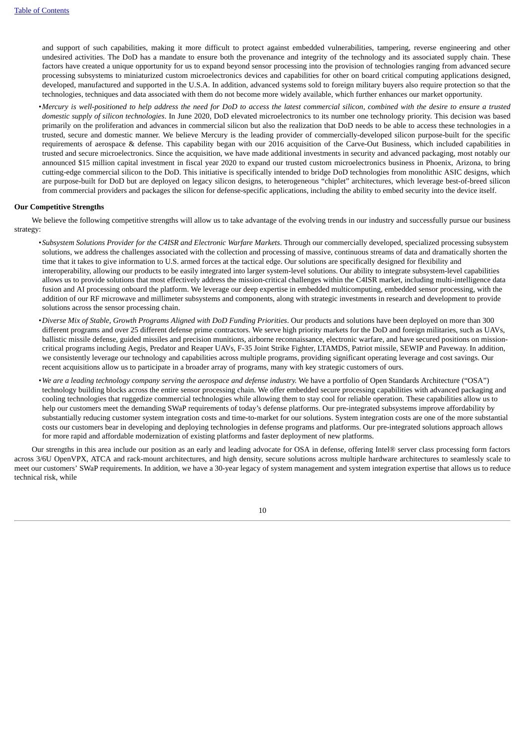and support of such capabilities, making it more difficult to protect against embedded vulnerabilities, tampering, reverse engineering and other undesired activities. The DoD has a mandate to ensure both the provenance and integrity of the technology and its associated supply chain. These factors have created a unique opportunity for us to expand beyond sensor processing into the provision of technologies ranging from advanced secure processing subsystems to miniaturized custom microelectronics devices and capabilities for other on board critical computing applications designed, developed, manufactured and supported in the U.S.A. In addition, advanced systems sold to foreign military buyers also require protection so that the technologies, techniques and data associated with them do not become more widely available, which further enhances our market opportunity.

 $\cdot$ Mercury is well-positioned to help address the need for DoD to access the latest commercial silicon, combined with the desire to ensure a trusted *domestic supply of silicon technologies*. In June 2020, DoD elevated microelectronics to its number one technology priority. This decision was based primarily on the proliferation and advances in commercial silicon but also the realization that DoD needs to be able to access these technologies in a trusted, secure and domestic manner. We believe Mercury is the leading provider of commercially-developed silicon purpose-built for the specific requirements of aerospace & defense. This capability began with our 2016 acquisition of the Carve-Out Business, which included capabilities in trusted and secure microelectronics. Since the acquisition, we have made additional investments in security and advanced packaging, most notably our announced \$15 million capital investment in fiscal year 2020 to expand our trusted custom microelectronics business in Phoenix, Arizona, to bring cutting-edge commercial silicon to the DoD. This initiative is specifically intended to bridge DoD technologies from monolithic ASIC designs, which are purpose-built for DoD but are deployed on legacy silicon designs, to heterogeneous "chiplet" architectures, which leverage best-of-breed silicon from commercial providers and packages the silicon for defense-specific applications, including the ability to embed security into the device itself.

#### **Our Competitive Strengths**

We believe the following competitive strengths will allow us to take advantage of the evolving trends in our industry and successfully pursue our business strategy:

- •*Subsystem Solutions Provider for the C4ISR and Electronic Warfare Markets*. Through our commercially developed, specialized processing subsystem solutions, we address the challenges associated with the collection and processing of massive, continuous streams of data and dramatically shorten the time that it takes to give information to U.S. armed forces at the tactical edge. Our solutions are specifically designed for flexibility and interoperability, allowing our products to be easily integrated into larger system-level solutions. Our ability to integrate subsystem-level capabilities allows us to provide solutions that most effectively address the mission-critical challenges within the C4ISR market, including multi-intelligence data fusion and AI processing onboard the platform. We leverage our deep expertise in embedded multicomputing, embedded sensor processing, with the addition of our RF microwave and millimeter subsystems and components, along with strategic investments in research and development to provide solutions across the sensor processing chain.
- •*Diverse Mix of Stable, Growth Programs Aligned with DoD Funding Priorities*. Our products and solutions have been deployed on more than 300 different programs and over 25 different defense prime contractors. We serve high priority markets for the DoD and foreign militaries, such as UAVs, ballistic missile defense, guided missiles and precision munitions, airborne reconnaissance, electronic warfare, and have secured positions on missioncritical programs including Aegis, Predator and Reaper UAVs, F-35 Joint Strike Fighter, LTAMDS, Patriot missile, SEWIP and Paveway. In addition, we consistently leverage our technology and capabilities across multiple programs, providing significant operating leverage and cost savings. Our recent acquisitions allow us to participate in a broader array of programs, many with key strategic customers of ours.
- •*We are a leading technology company serving the aerospace and defense industry.* We have a portfolio of Open Standards Architecture ("OSA") technology building blocks across the entire sensor processing chain. We offer embedded secure processing capabilities with advanced packaging and cooling technologies that ruggedize commercial technologies while allowing them to stay cool for reliable operation. These capabilities allow us to help our customers meet the demanding SWaP requirements of today's defense platforms. Our pre-integrated subsystems improve affordability by substantially reducing customer system integration costs and time-to-market for our solutions. System integration costs are one of the more substantial costs our customers bear in developing and deploying technologies in defense programs and platforms. Our pre-integrated solutions approach allows for more rapid and affordable modernization of existing platforms and faster deployment of new platforms.

Our strengths in this area include our position as an early and leading advocate for OSA in defense, offering Intel® server class processing form factors across 3/6U OpenVPX, ATCA and rack-mount architectures, and high density, secure solutions across multiple hardware architectures to seamlessly scale to meet our customers' SWaP requirements. In addition, we have a 30-year legacy of system management and system integration expertise that allows us to reduce technical risk, while

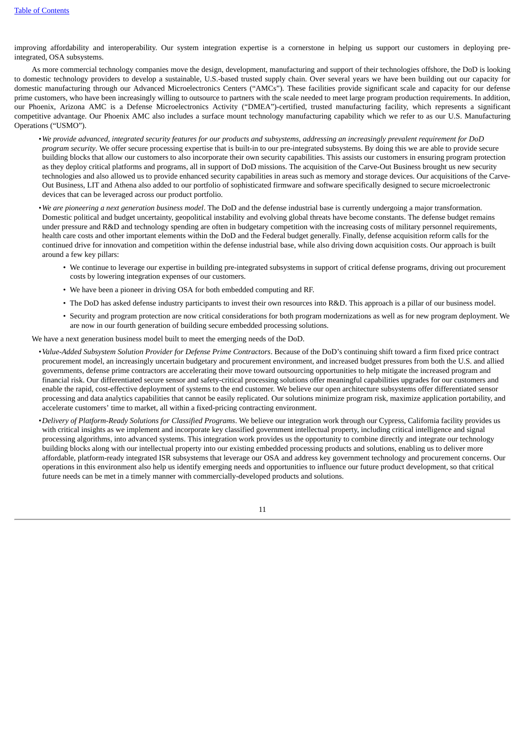improving affordability and interoperability. Our system integration expertise is a cornerstone in helping us support our customers in deploying preintegrated, OSA subsystems.

As more commercial technology companies move the design, development, manufacturing and support of their technologies offshore, the DoD is looking to domestic technology providers to develop a sustainable, U.S.-based trusted supply chain. Over several years we have been building out our capacity for domestic manufacturing through our Advanced Microelectronics Centers ("AMCs"). These facilities provide significant scale and capacity for our defense prime customers, who have been increasingly willing to outsource to partners with the scale needed to meet large program production requirements. In addition, our Phoenix, Arizona AMC is a Defense Microelectronics Activity ("DMEA")-certified, trusted manufacturing facility, which represents a significant competitive advantage. Our Phoenix AMC also includes a surface mount technology manufacturing capability which we refer to as our U.S. Manufacturing Operations ("USMO").

- We provide advanced, integrated security features for our products and subsystems, addressing an increasingly prevalent requirement for DoD *program security*. We offer secure processing expertise that is built-in to our pre-integrated subsystems. By doing this we are able to provide secure building blocks that allow our customers to also incorporate their own security capabilities. This assists our customers in ensuring program protection as they deploy critical platforms and programs, all in support of DoD missions. The acquisition of the Carve-Out Business brought us new security technologies and also allowed us to provide enhanced security capabilities in areas such as memory and storage devices. Our acquisitions of the Carve-Out Business, LIT and Athena also added to our portfolio of sophisticated firmware and software specifically designed to secure microelectronic devices that can be leveraged across our product portfolio.
- •*We are pioneering a next generation business model*. The DoD and the defense industrial base is currently undergoing a major transformation. Domestic political and budget uncertainty, geopolitical instability and evolving global threats have become constants. The defense budget remains under pressure and R&D and technology spending are often in budgetary competition with the increasing costs of military personnel requirements, health care costs and other important elements within the DoD and the Federal budget generally. Finally, defense acquisition reform calls for the continued drive for innovation and competition within the defense industrial base, while also driving down acquisition costs. Our approach is built around a few key pillars:
	- We continue to leverage our expertise in building pre-integrated subsystems in support of critical defense programs, driving out procurement costs by lowering integration expenses of our customers.
	- We have been a pioneer in driving OSA for both embedded computing and RF.
	- The DoD has asked defense industry participants to invest their own resources into R&D. This approach is a pillar of our business model.
	- Security and program protection are now critical considerations for both program modernizations as well as for new program deployment. We are now in our fourth generation of building secure embedded processing solutions.

We have a next generation business model built to meet the emerging needs of the DoD.

- •*Value-Added Subsystem Solution Provider for Defense Prime Contractors*. Because of the DoD's continuing shift toward a firm fixed price contract procurement model, an increasingly uncertain budgetary and procurement environment, and increased budget pressures from both the U.S. and allied governments, defense prime contractors are accelerating their move toward outsourcing opportunities to help mitigate the increased program and financial risk. Our differentiated secure sensor and safety-critical processing solutions offer meaningful capabilities upgrades for our customers and enable the rapid, cost-effective deployment of systems to the end customer. We believe our open architecture subsystems offer differentiated sensor processing and data analytics capabilities that cannot be easily replicated. Our solutions minimize program risk, maximize application portability, and accelerate customers' time to market, all within a fixed-pricing contracting environment.
- •*Delivery of Platform-Ready Solutions for Classified Programs*. We believe our integration work through our Cypress, California facility provides us with critical insights as we implement and incorporate key classified government intellectual property, including critical intelligence and signal processing algorithms, into advanced systems. This integration work provides us the opportunity to combine directly and integrate our technology building blocks along with our intellectual property into our existing embedded processing products and solutions, enabling us to deliver more affordable, platform-ready integrated ISR subsystems that leverage our OSA and address key government technology and procurement concerns. Our operations in this environment also help us identify emerging needs and opportunities to influence our future product development, so that critical future needs can be met in a timely manner with commercially-developed products and solutions.

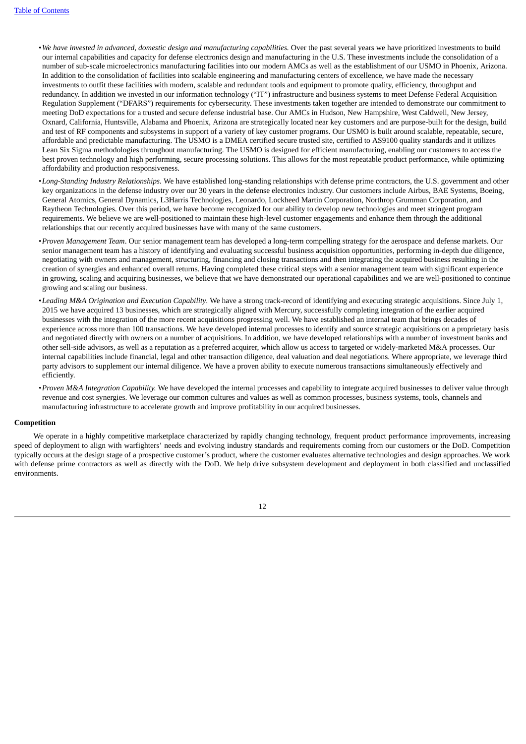- •*We have invested in advanced, domestic design and manufacturing capabilities.* Over the past several years we have prioritized investments to build our internal capabilities and capacity for defense electronics design and manufacturing in the U.S. These investments include the consolidation of a number of sub-scale microelectronics manufacturing facilities into our modern AMCs as well as the establishment of our USMO in Phoenix, Arizona. In addition to the consolidation of facilities into scalable engineering and manufacturing centers of excellence, we have made the necessary investments to outfit these facilities with modern, scalable and redundant tools and equipment to promote quality, efficiency, throughput and redundancy. In addition we invested in our information technology ("IT") infrastructure and business systems to meet Defense Federal Acquisition Regulation Supplement ("DFARS") requirements for cybersecurity. These investments taken together are intended to demonstrate our commitment to meeting DoD expectations for a trusted and secure defense industrial base. Our AMCs in Hudson, New Hampshire, West Caldwell, New Jersey, Oxnard, California, Huntsville, Alabama and Phoenix, Arizona are strategically located near key customers and are purpose-built for the design, build and test of RF components and subsystems in support of a variety of key customer programs. Our USMO is built around scalable, repeatable, secure, affordable and predictable manufacturing. The USMO is a DMEA certified secure trusted site, certified to AS9100 quality standards and it utilizes Lean Six Sigma methodologies throughout manufacturing. The USMO is designed for efficient manufacturing, enabling our customers to access the best proven technology and high performing, secure processing solutions. This allows for the most repeatable product performance, while optimizing affordability and production responsiveness.
- •*Long-Standing Industry Relationships.* We have established long-standing relationships with defense prime contractors, the U.S. government and other key organizations in the defense industry over our 30 years in the defense electronics industry. Our customers include Airbus, BAE Systems, Boeing, General Atomics, General Dynamics, L3Harris Technologies, Leonardo, Lockheed Martin Corporation, Northrop Grumman Corporation, and Raytheon Technologies. Over this period, we have become recognized for our ability to develop new technologies and meet stringent program requirements. We believe we are well-positioned to maintain these high-level customer engagements and enhance them through the additional relationships that our recently acquired businesses have with many of the same customers.
- •*Proven Management Team*. Our senior management team has developed a long-term compelling strategy for the aerospace and defense markets. Our senior management team has a history of identifying and evaluating successful business acquisition opportunities, performing in-depth due diligence, negotiating with owners and management, structuring, financing and closing transactions and then integrating the acquired business resulting in the creation of synergies and enhanced overall returns. Having completed these critical steps with a senior management team with significant experience in growing, scaling and acquiring businesses, we believe that we have demonstrated our operational capabilities and we are well-positioned to continue growing and scaling our business.
- •*Leading M&A Origination and Execution Capability*. We have a strong track-record of identifying and executing strategic acquisitions. Since July 1, 2015 we have acquired 13 businesses, which are strategically aligned with Mercury, successfully completing integration of the earlier acquired businesses with the integration of the more recent acquisitions progressing well. We have established an internal team that brings decades of experience across more than 100 transactions. We have developed internal processes to identify and source strategic acquisitions on a proprietary basis and negotiated directly with owners on a number of acquisitions. In addition, we have developed relationships with a number of investment banks and other sell-side advisors, as well as a reputation as a preferred acquirer, which allow us access to targeted or widely-marketed M&A processes. Our internal capabilities include financial, legal and other transaction diligence, deal valuation and deal negotiations. Where appropriate, we leverage third party advisors to supplement our internal diligence. We have a proven ability to execute numerous transactions simultaneously effectively and efficiently.
- •*Proven M&A Integration Capability.* We have developed the internal processes and capability to integrate acquired businesses to deliver value through revenue and cost synergies. We leverage our common cultures and values as well as common processes, business systems, tools, channels and manufacturing infrastructure to accelerate growth and improve profitability in our acquired businesses.

# **Competition**

We operate in a highly competitive marketplace characterized by rapidly changing technology, frequent product performance improvements, increasing speed of deployment to align with warfighters' needs and evolving industry standards and requirements coming from our customers or the DoD. Competition typically occurs at the design stage of a prospective customer's product, where the customer evaluates alternative technologies and design approaches. We work with defense prime contractors as well as directly with the DoD. We help drive subsystem development and deployment in both classified and unclassified environments.

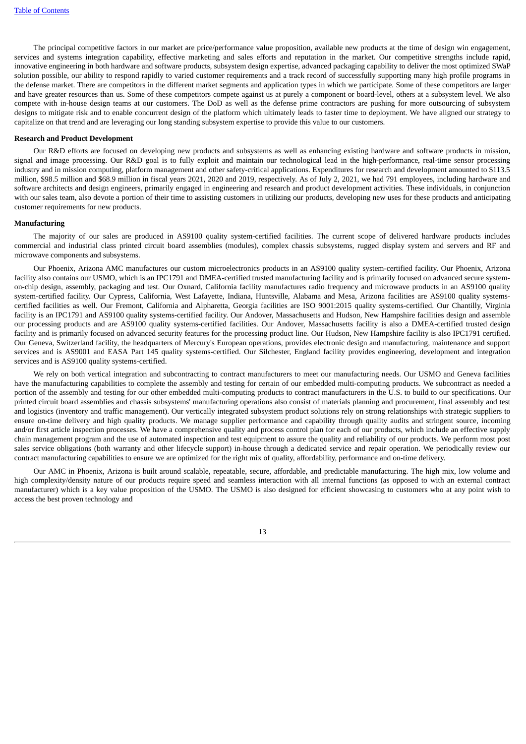The principal competitive factors in our market are price/performance value proposition, available new products at the time of design win engagement, services and systems integration capability, effective marketing and sales efforts and reputation in the market. Our competitive strengths include rapid, innovative engineering in both hardware and software products, subsystem design expertise, advanced packaging capability to deliver the most optimized SWaP solution possible, our ability to respond rapidly to varied customer requirements and a track record of successfully supporting many high profile programs in the defense market. There are competitors in the different market segments and application types in which we participate. Some of these competitors are larger and have greater resources than us. Some of these competitors compete against us at purely a component or board-level, others at a subsystem level. We also compete with in-house design teams at our customers. The DoD as well as the defense prime contractors are pushing for more outsourcing of subsystem designs to mitigate risk and to enable concurrent design of the platform which ultimately leads to faster time to deployment. We have aligned our strategy to capitalize on that trend and are leveraging our long standing subsystem expertise to provide this value to our customers.

#### **Research and Product Development**

Our R&D efforts are focused on developing new products and subsystems as well as enhancing existing hardware and software products in mission, signal and image processing. Our R&D goal is to fully exploit and maintain our technological lead in the high-performance, real-time sensor processing industry and in mission computing, platform management and other safety-critical applications. Expenditures for research and development amounted to \$113.5 million, \$98.5 million and \$68.9 million in fiscal years 2021, 2020 and 2019, respectively. As of July 2, 2021, we had 791 employees, including hardware and software architects and design engineers, primarily engaged in engineering and research and product development activities. These individuals, in conjunction with our sales team, also devote a portion of their time to assisting customers in utilizing our products, developing new uses for these products and anticipating customer requirements for new products.

#### **Manufacturing**

The majority of our sales are produced in AS9100 quality system-certified facilities. The current scope of delivered hardware products includes commercial and industrial class printed circuit board assemblies (modules), complex chassis subsystems, rugged display system and servers and RF and microwave components and subsystems.

Our Phoenix, Arizona AMC manufactures our custom microelectronics products in an AS9100 quality system-certified facility. Our Phoenix, Arizona facility also contains our USMO, which is an IPC1791 and DMEA-certified trusted manufacturing facility and is primarily focused on advanced secure systemon-chip design, assembly, packaging and test. Our Oxnard, California facility manufactures radio frequency and microwave products in an AS9100 quality system-certified facility. Our Cypress, California, West Lafayette, Indiana, Huntsville, Alabama and Mesa, Arizona facilities are AS9100 quality systemscertified facilities as well. Our Fremont, California and Alpharetta, Georgia facilities are ISO 9001:2015 quality systems-certified. Our Chantilly, Virginia facility is an IPC1791 and AS9100 quality systems-certified facility. Our Andover, Massachusetts and Hudson, New Hampshire facilities design and assemble our processing products and are AS9100 quality systems-certified facilities. Our Andover, Massachusetts facility is also a DMEA-certified trusted design facility and is primarily focused on advanced security features for the processing product line. Our Hudson, New Hampshire facility is also IPC1791 certified. Our Geneva, Switzerland facility, the headquarters of Mercury's European operations, provides electronic design and manufacturing, maintenance and support services and is AS9001 and EASA Part 145 quality systems-certified. Our Silchester, England facility provides engineering, development and integration services and is AS9100 quality systems-certified.

We rely on both vertical integration and subcontracting to contract manufacturers to meet our manufacturing needs. Our USMO and Geneva facilities have the manufacturing capabilities to complete the assembly and testing for certain of our embedded multi-computing products. We subcontract as needed a portion of the assembly and testing for our other embedded multi-computing products to contract manufacturers in the U.S. to build to our specifications. Our printed circuit board assemblies and chassis subsystems' manufacturing operations also consist of materials planning and procurement, final assembly and test and logistics (inventory and traffic management). Our vertically integrated subsystem product solutions rely on strong relationships with strategic suppliers to ensure on-time delivery and high quality products. We manage supplier performance and capability through quality audits and stringent source, incoming and/or first article inspection processes. We have a comprehensive quality and process control plan for each of our products, which include an effective supply chain management program and the use of automated inspection and test equipment to assure the quality and reliability of our products. We perform most post sales service obligations (both warranty and other lifecycle support) in-house through a dedicated service and repair operation. We periodically review our contract manufacturing capabilities to ensure we are optimized for the right mix of quality, affordability, performance and on-time delivery.

Our AMC in Phoenix, Arizona is built around scalable, repeatable, secure, affordable, and predictable manufacturing. The high mix, low volume and high complexity/density nature of our products require speed and seamless interaction with all internal functions (as opposed to with an external contract manufacturer) which is a key value proposition of the USMO. The USMO is also designed for efficient showcasing to customers who at any point wish to access the best proven technology and

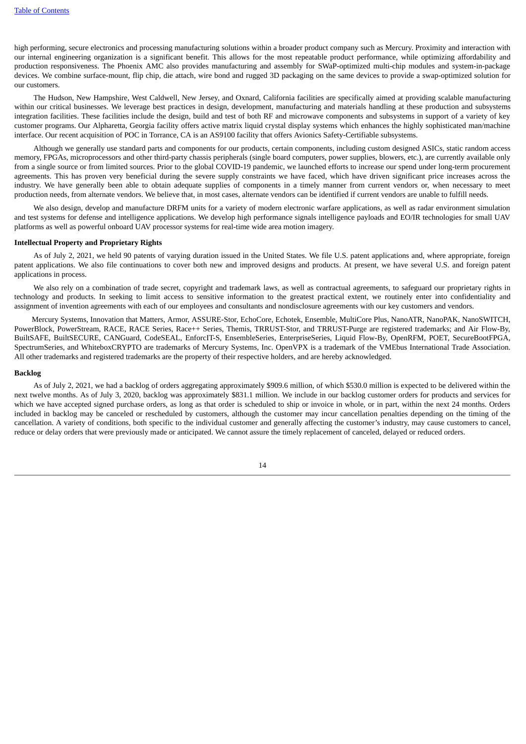high performing, secure electronics and processing manufacturing solutions within a broader product company such as Mercury. Proximity and interaction with our internal engineering organization is a significant benefit. This allows for the most repeatable product performance, while optimizing affordability and production responsiveness. The Phoenix AMC also provides manufacturing and assembly for SWaP-optimized multi-chip modules and system-in-package devices. We combine surface-mount, flip chip, die attach, wire bond and rugged 3D packaging on the same devices to provide a swap-optimized solution for our customers.

The Hudson, New Hampshire, West Caldwell, New Jersey, and Oxnard, California facilities are specifically aimed at providing scalable manufacturing within our critical businesses. We leverage best practices in design, development, manufacturing and materials handling at these production and subsystems integration facilities. These facilities include the design, build and test of both RF and microwave components and subsystems in support of a variety of key customer programs. Our Alpharetta, Georgia facility offers active matrix liquid crystal display systems which enhances the highly sophisticated man/machine interface. Our recent acquisition of POC in Torrance, CA is an AS9100 facility that offers Avionics Safety-Certifiable subsystems.

Although we generally use standard parts and components for our products, certain components, including custom designed ASICs, static random access memory, FPGAs, microprocessors and other third-party chassis peripherals (single board computers, power supplies, blowers, etc.), are currently available only from a single source or from limited sources. Prior to the global COVID-19 pandemic, we launched efforts to increase our spend under long-term procurement agreements. This has proven very beneficial during the severe supply constraints we have faced, which have driven significant price increases across the industry. We have generally been able to obtain adequate supplies of components in a timely manner from current vendors or, when necessary to meet production needs, from alternate vendors. We believe that, in most cases, alternate vendors can be identified if current vendors are unable to fulfill needs.

We also design, develop and manufacture DRFM units for a variety of modern electronic warfare applications, as well as radar environment simulation and test systems for defense and intelligence applications. We develop high performance signals intelligence payloads and EO/IR technologies for small UAV platforms as well as powerful onboard UAV processor systems for real-time wide area motion imagery.

#### **Intellectual Property and Proprietary Rights**

As of July 2, 2021, we held 90 patents of varying duration issued in the United States. We file U.S. patent applications and, where appropriate, foreign patent applications. We also file continuations to cover both new and improved designs and products. At present, we have several U.S. and foreign patent applications in process.

We also rely on a combination of trade secret, copyright and trademark laws, as well as contractual agreements, to safeguard our proprietary rights in technology and products. In seeking to limit access to sensitive information to the greatest practical extent, we routinely enter into confidentiality and assignment of invention agreements with each of our employees and consultants and nondisclosure agreements with our key customers and vendors.

Mercury Systems, Innovation that Matters, Armor, ASSURE-Stor, EchoCore, Echotek, Ensemble, MultiCore Plus, NanoATR, NanoPAK, NanoSWITCH, PowerBlock, PowerStream, RACE, RACE Series, Race++ Series, Themis, TRRUST-Stor, and TRRUST-Purge are registered trademarks; and Air Flow-By, BuiltSAFE, BuiltSECURE, CANGuard, CodeSEAL, EnforcIT-S, EnsembleSeries, EnterpriseSeries, Liquid Flow-By, OpenRFM, POET, SecureBootFPGA, SpectrumSeries, and WhiteboxCRYPTO are trademarks of Mercury Systems, Inc. OpenVPX is a trademark of the VMEbus International Trade Association. All other trademarks and registered trademarks are the property of their respective holders, and are hereby acknowledged.

### **Backlog**

As of July 2, 2021, we had a backlog of orders aggregating approximately \$909.6 million, of which \$530.0 million is expected to be delivered within the next twelve months. As of July 3, 2020, backlog was approximately \$831.1 million. We include in our backlog customer orders for products and services for which we have accepted signed purchase orders, as long as that order is scheduled to ship or invoice in whole, or in part, within the next 24 months. Orders included in backlog may be canceled or rescheduled by customers, although the customer may incur cancellation penalties depending on the timing of the cancellation. A variety of conditions, both specific to the individual customer and generally affecting the customer's industry, may cause customers to cancel, reduce or delay orders that were previously made or anticipated. We cannot assure the timely replacement of canceled, delayed or reduced orders.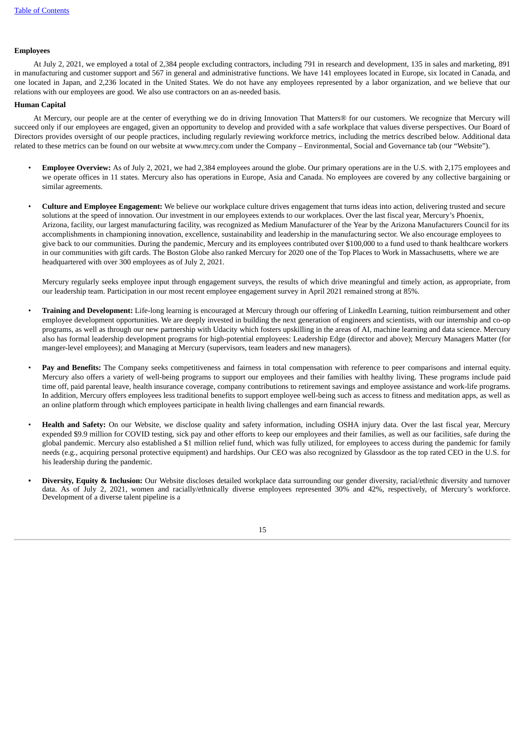# **Employees**

At July 2, 2021, we employed a total of 2,384 people excluding contractors, including 791 in research and development, 135 in sales and marketing, 891 in manufacturing and customer support and 567 in general and administrative functions. We have 141 employees located in Europe, six located in Canada, and one located in Japan, and 2,236 located in the United States. We do not have any employees represented by a labor organization, and we believe that our relations with our employees are good. We also use contractors on an as-needed basis.

# **Human Capital**

At Mercury, our people are at the center of everything we do in driving Innovation That Matters® for our customers. We recognize that Mercury will succeed only if our employees are engaged, given an opportunity to develop and provided with a safe workplace that values diverse perspectives. Our Board of Directors provides oversight of our people practices, including regularly reviewing workforce metrics, including the metrics described below. Additional data related to these metrics can be found on our website at www.mrcy.com under the Company – Environmental, Social and Governance tab (our "Website").

- **Employee Overview:** As of July 2, 2021, we had 2,384 employees around the globe. Our primary operations are in the U.S. with 2,175 employees and we operate offices in 11 states. Mercury also has operations in Europe, Asia and Canada. No employees are covered by any collective bargaining or similar agreements.
- **Culture and Employee Engagement:** We believe our workplace culture drives engagement that turns ideas into action, delivering trusted and secure solutions at the speed of innovation. Our investment in our employees extends to our workplaces. Over the last fiscal year, Mercury's Phoenix, Arizona, facility, our largest manufacturing facility, was recognized as Medium Manufacturer of the Year by the Arizona Manufacturers Council for its accomplishments in championing innovation, excellence, sustainability and leadership in the manufacturing sector. We also encourage employees to give back to our communities. During the pandemic, Mercury and its employees contributed over \$100,000 to a fund used to thank healthcare workers in our communities with gift cards. The Boston Globe also ranked Mercury for 2020 one of the Top Places to Work in Massachusetts, where we are headquartered with over 300 employees as of July 2, 2021.

Mercury regularly seeks employee input through engagement surveys, the results of which drive meaningful and timely action, as appropriate, from our leadership team. Participation in our most recent employee engagement survey in April 2021 remained strong at 85%.

- **Training and Development:** Life-long learning is encouraged at Mercury through our offering of LinkedIn Learning, tuition reimbursement and other employee development opportunities. We are deeply invested in building the next generation of engineers and scientists, with our internship and co-op programs, as well as through our new partnership with Udacity which fosters upskilling in the areas of AI, machine learning and data science. Mercury also has formal leadership development programs for high-potential employees: Leadership Edge (director and above); Mercury Managers Matter (for manger-level employees); and Managing at Mercury (supervisors, team leaders and new managers).
- Pay and Benefits: The Company seeks competitiveness and fairness in total compensation with reference to peer comparisons and internal equity. Mercury also offers a variety of well-being programs to support our employees and their families with healthy living. These programs include paid time off, paid parental leave, health insurance coverage, company contributions to retirement savings and employee assistance and work-life programs. In addition, Mercury offers employees less traditional benefits to support employee well-being such as access to fitness and meditation apps, as well as an online platform through which employees participate in health living challenges and earn financial rewards.
- **Health and Safety:** On our Website, we disclose quality and safety information, including OSHA injury data. Over the last fiscal year, Mercury expended \$9.9 million for COVID testing, sick pay and other efforts to keep our employees and their families, as well as our facilities, safe during the global pandemic. Mercury also established a \$1 million relief fund, which was fully utilized, for employees to access during the pandemic for family needs (e.g., acquiring personal protective equipment) and hardships. Our CEO was also recognized by Glassdoor as the top rated CEO in the U.S. for his leadership during the pandemic.
- **Diversity, Equity & Inclusion:** Our Website discloses detailed workplace data surrounding our gender diversity, racial/ethnic diversity and turnover data. As of July 2, 2021, women and racially/ethnically diverse employees represented 30% and 42%, respectively, of Mercury's workforce. Development of a diverse talent pipeline is a

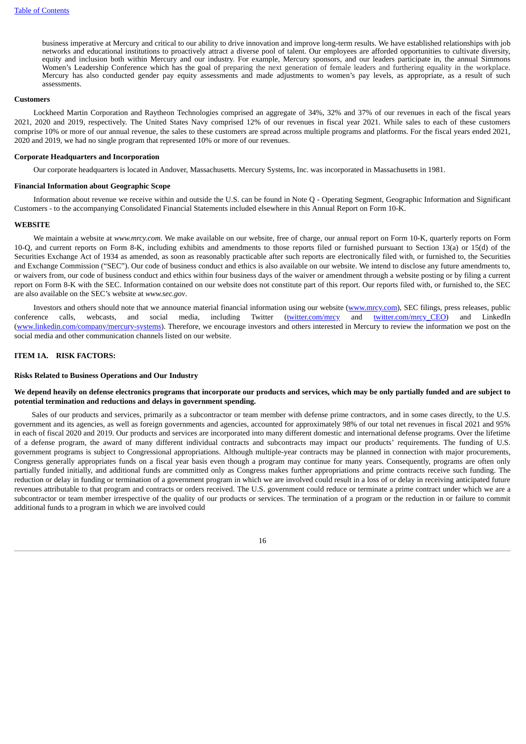business imperative at Mercury and critical to our ability to drive innovation and improve long-term results. We have established relationships with job networks and educational institutions to proactively attract a diverse pool of talent. Our employees are afforded opportunities to cultivate diversity, equity and inclusion both within Mercury and our industry. For example, Mercury sponsors, and our leaders participate in, the annual Simmons Women's Leadership Conference which has the goal of preparing the next generation of female leaders and furthering equality in the workplace. Mercury has also conducted gender pay equity assessments and made adjustments to women's pay levels, as appropriate, as a result of such assessments.

### **Customers**

Lockheed Martin Corporation and Raytheon Technologies comprised an aggregate of 34%, 32% and 37% of our revenues in each of the fiscal years 2021, 2020 and 2019, respectively. The United States Navy comprised 12% of our revenues in fiscal year 2021. While sales to each of these customers comprise 10% or more of our annual revenue, the sales to these customers are spread across multiple programs and platforms. For the fiscal years ended 2021, 2020 and 2019, we had no single program that represented 10% or more of our revenues.

#### **Corporate Headquarters and Incorporation**

Our corporate headquarters is located in Andover, Massachusetts. Mercury Systems, Inc. was incorporated in Massachusetts in 1981.

#### **Financial Information about Geographic Scope**

Information about revenue we receive within and outside the U.S. can be found in Note Q - Operating Segment, Geographic Information and Significant Customers - to the accompanying Consolidated Financial Statements included elsewhere in this Annual Report on Form 10-K.

#### **WEBSITE**

We maintain a website at *www.mrcy.com*. We make available on our website, free of charge, our annual report on Form 10-K, quarterly reports on Form 10-Q, and current reports on Form 8-K, including exhibits and amendments to those reports filed or furnished pursuant to Section 13(a) or 15(d) of the Securities Exchange Act of 1934 as amended, as soon as reasonably practicable after such reports are electronically filed with, or furnished to, the Securities and Exchange Commission ("SEC"). Our code of business conduct and ethics is also available on our website. We intend to disclose any future amendments to, or waivers from, our code of business conduct and ethics within four business days of the waiver or amendment through a website posting or by filing a current report on Form 8-K with the SEC. Information contained on our website does not constitute part of this report. Our reports filed with, or furnished to, the SEC are also available on the SEC's website at *www.sec.gov*.

Investors and others should note that we announce material financial information using our website (www.mrcy.com), SEC filings, press releases, public conference calls, webcasts, and social media, including Twitter (twitter.com/mrcy and twitter.com/mrcy\_CEO) and LinkedIn (www.linkedin.com/company/mercury-systems). Therefore, we encourage investors and others interested in Mercury to review the information we post on the social media and other communication channels listed on our website.

# <span id="page-15-0"></span>**ITEM 1A. RISK FACTORS:**

### **Risks Related to Business Operations and Our Industry**

# We depend heavily on defense electronics programs that incorporate our products and services, which may be only partially funded and are subject to **potential termination and reductions and delays in government spending.**

Sales of our products and services, primarily as a subcontractor or team member with defense prime contractors, and in some cases directly, to the U.S. government and its agencies, as well as foreign governments and agencies, accounted for approximately 98% of our total net revenues in fiscal 2021 and 95% in each of fiscal 2020 and 2019. Our products and services are incorporated into many different domestic and international defense programs. Over the lifetime of a defense program, the award of many different individual contracts and subcontracts may impact our products' requirements. The funding of U.S. government programs is subject to Congressional appropriations. Although multiple-year contracts may be planned in connection with major procurements, Congress generally appropriates funds on a fiscal year basis even though a program may continue for many years. Consequently, programs are often only partially funded initially, and additional funds are committed only as Congress makes further appropriations and prime contracts receive such funding. The reduction or delay in funding or termination of a government program in which we are involved could result in a loss of or delay in receiving anticipated future revenues attributable to that program and contracts or orders received. The U.S. government could reduce or terminate a prime contract under which we are a subcontractor or team member irrespective of the quality of our products or services. The termination of a program or the reduction in or failure to commit additional funds to a program in which we are involved could

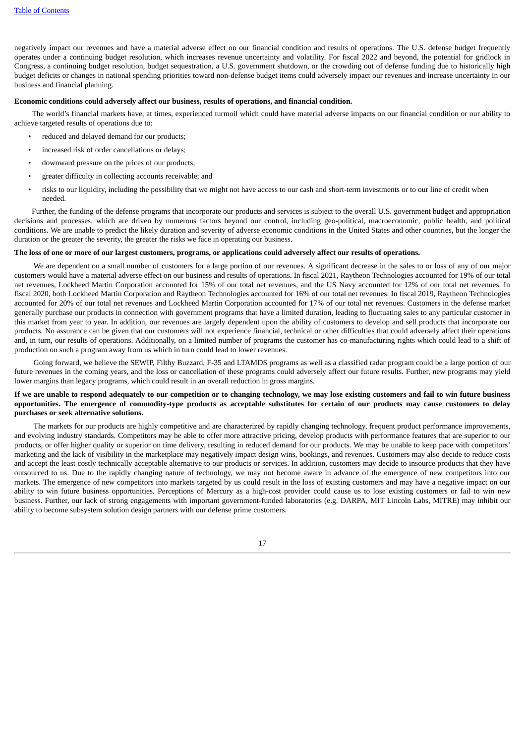negatively impact our revenues and have a material adverse effect on our financial condition and results of operations. The U.S. defense budget frequently operates under a continuing budget resolution, which increases revenue uncertainty and volatility. For fiscal 2022 and beyond, the potential for gridlock in Congress, a continuing budget resolution, budget sequestration, a U.S. government shutdown, or the crowding out of defense funding due to historically high budget deficits or changes in national spending priorities toward non-defense budget items could adversely impact our revenues and increase uncertainty in our business and financial planning.

# **Economic conditions could adversely affect our business, results of operations, and financial condition.**

The world's financial markets have, at times, experienced turmoil which could have material adverse impacts on our financial condition or our ability to achieve targeted results of operations due to:

- reduced and delayed demand for our products;
- increased risk of order cancellations or delays;
- downward pressure on the prices of our products;
- greater difficulty in collecting accounts receivable; and
- risks to our liquidity, including the possibility that we might not have access to our cash and short-term investments or to our line of credit when needed.

Further, the funding of the defense programs that incorporate our products and services is subject to the overall U.S. government budget and appropriation decisions and processes, which are driven by numerous factors beyond our control, including geo-political, macroeconomic, public health, and political conditions. We are unable to predict the likely duration and severity of adverse economic conditions in the United States and other countries, but the longer the duration or the greater the severity, the greater the risks we face in operating our business.

### The loss of one or more of our largest customers, programs, or applications could adversely affect our results of operations.

We are dependent on a small number of customers for a large portion of our revenues. A significant decrease in the sales to or loss of any of our major customers would have a material adverse effect on our business and results of operations. In fiscal 2021, Raytheon Technologies accounted for 19% of our total net revenues, Lockheed Martin Corporation accounted for 15% of our total net revenues, and the US Navy accounted for 12% of our total net revenues. In fiscal 2020, both Lockheed Martin Corporation and Raytheon Technologies accounted for 16% of our total net revenues. In fiscal 2019, Raytheon Technologies accounted for 20% of our total net revenues and Lockheed Martin Corporation accounted for 17% of our total net revenues. Customers in the defense market generally purchase our products in connection with government programs that have a limited duration, leading to fluctuating sales to any particular customer in this market from year to year. In addition, our revenues are largely dependent upon the ability of customers to develop and sell products that incorporate our products. No assurance can be given that our customers will not experience financial, technical or other difficulties that could adversely affect their operations and, in turn, our results of operations. Additionally, on a limited number of programs the customer has co-manufacturing rights which could lead to a shift of production on such a program away from us which in turn could lead to lower revenues.

Going forward, we believe the SEWIP, Filthy Buzzard, F-35 and LTAMDS programs as well as a classified radar program could be a large portion of our future revenues in the coming years, and the loss or cancellation of these programs could adversely affect our future results. Further, new programs may yield lower margins than legacy programs, which could result in an overall reduction in gross margins.

# If we are unable to respond adequately to our competition or to changing technology, we may lose existing customers and fail to win future business opportunities. The emergence of commodity-type products as acceptable substitutes for certain of our products may cause customers to delay **purchases or seek alternative solutions.**

The markets for our products are highly competitive and are characterized by rapidly changing technology, frequent product performance improvements, and evolving industry standards. Competitors may be able to offer more attractive pricing, develop products with performance features that are superior to our products, or offer higher quality or superior on time delivery, resulting in reduced demand for our products. We may be unable to keep pace with competitors' marketing and the lack of visibility in the marketplace may negatively impact design wins, bookings, and revenues. Customers may also decide to reduce costs and accept the least costly technically acceptable alternative to our products or services. In addition, customers may decide to insource products that they have outsourced to us. Due to the rapidly changing nature of technology, we may not become aware in advance of the emergence of new competitors into our markets. The emergence of new competitors into markets targeted by us could result in the loss of existing customers and may have a negative impact on our ability to win future business opportunities. Perceptions of Mercury as a high-cost provider could cause us to lose existing customers or fail to win new business. Further, our lack of strong engagements with important government-funded laboratories (e.g. DARPA, MIT Lincoln Labs, MITRE) may inhibit our ability to become subsystem solution design partners with our defense prime customers.

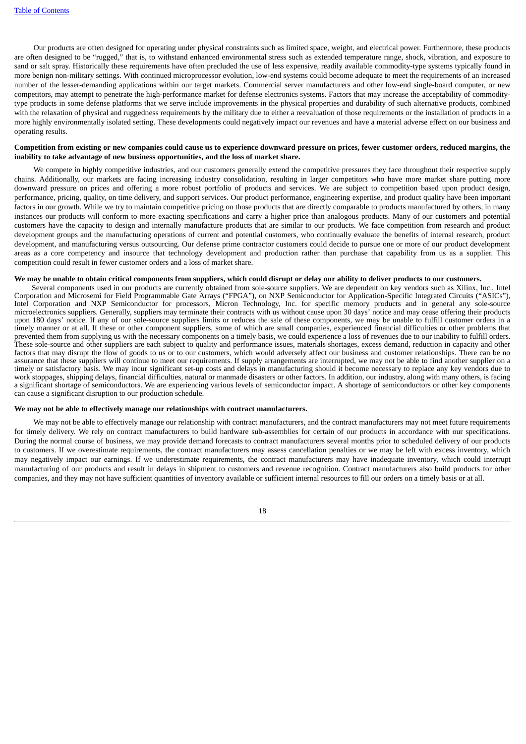Our products are often designed for operating under physical constraints such as limited space, weight, and electrical power. Furthermore, these products are often designed to be "rugged," that is, to withstand enhanced environmental stress such as extended temperature range, shock, vibration, and exposure to sand or salt spray. Historically these requirements have often precluded the use of less expensive, readily available commodity-type systems typically found in more benign non-military settings. With continued microprocessor evolution, low-end systems could become adequate to meet the requirements of an increased number of the lesser-demanding applications within our target markets. Commercial server manufacturers and other low-end single-board computer, or new competitors, may attempt to penetrate the high-performance market for defense electronics systems. Factors that may increase the acceptability of commoditytype products in some defense platforms that we serve include improvements in the physical properties and durability of such alternative products, combined with the relaxation of physical and ruggedness requirements by the military due to either a reevaluation of those requirements or the installation of products in a more highly environmentally isolated setting. These developments could negatively impact our revenues and have a material adverse effect on our business and operating results.

# Competition from existing or new companies could cause us to experience downward pressure on prices, fewer customer orders, reduced margins, the **inability to take advantage of new business opportunities, and the loss of market share.**

We compete in highly competitive industries, and our customers generally extend the competitive pressures they face throughout their respective supply chains. Additionally, our markets are facing increasing industry consolidation, resulting in larger competitors who have more market share putting more downward pressure on prices and offering a more robust portfolio of products and services. We are subject to competition based upon product design, performance, pricing, quality, on time delivery, and support services. Our product performance, engineering expertise, and product quality have been important factors in our growth. While we try to maintain competitive pricing on those products that are directly comparable to products manufactured by others, in many instances our products will conform to more exacting specifications and carry a higher price than analogous products. Many of our customers and potential customers have the capacity to design and internally manufacture products that are similar to our products. We face competition from research and product development groups and the manufacturing operations of current and potential customers, who continually evaluate the benefits of internal research, product development, and manufacturing versus outsourcing. Our defense prime contractor customers could decide to pursue one or more of our product development areas as a core competency and insource that technology development and production rather than purchase that capability from us as a supplier. This competition could result in fewer customer orders and a loss of market share.

#### We may be unable to obtain critical components from suppliers, which could disrupt or delay our ability to deliver products to our customers.

Several components used in our products are currently obtained from sole-source suppliers. We are dependent on key vendors such as Xilinx, Inc., Intel Corporation and Microsemi for Field Programmable Gate Arrays ("FPGA"), on NXP Semiconductor for Application-Specific Integrated Circuits ("ASICs"), Intel Corporation and NXP Semiconductor for processors, Micron Technology, Inc. for specific memory products and in general any sole-source microelectronics suppliers. Generally, suppliers may terminate their contracts with us without cause upon 30 days' notice and may cease offering their products upon 180 days' notice. If any of our sole-source suppliers limits or reduces the sale of these components, we may be unable to fulfill customer orders in a timely manner or at all. If these or other component suppliers, some of which are small companies, experienced financial difficulties or other problems that prevented them from supplying us with the necessary components on a timely basis, we could experience a loss of revenues due to our inability to fulfill orders. These sole-source and other suppliers are each subject to quality and performance issues, materials shortages, excess demand, reduction in capacity and other factors that may disrupt the flow of goods to us or to our customers, which would adversely affect our business and customer relationships. There can be no assurance that these suppliers will continue to meet our requirements. If supply arrangements are interrupted, we may not be able to find another supplier on a timely or satisfactory basis. We may incur significant set-up costs and delays in manufacturing should it become necessary to replace any key vendors due to work stoppages, shipping delays, financial difficulties, natural or manmade disasters or other factors. In addition, our industry, along with many others, is facing a significant shortage of semiconductors. We are experiencing various levels of semiconductor impact. A shortage of semiconductors or other key components can cause a significant disruption to our production schedule.

# **We may not be able to effectively manage our relationships with contract manufacturers.**

We may not be able to effectively manage our relationship with contract manufacturers, and the contract manufacturers may not meet future requirements for timely delivery. We rely on contract manufacturers to build hardware sub-assemblies for certain of our products in accordance with our specifications. During the normal course of business, we may provide demand forecasts to contract manufacturers several months prior to scheduled delivery of our products to customers. If we overestimate requirements, the contract manufacturers may assess cancellation penalties or we may be left with excess inventory, which may negatively impact our earnings. If we underestimate requirements, the contract manufacturers may have inadequate inventory, which could interrupt manufacturing of our products and result in delays in shipment to customers and revenue recognition. Contract manufacturers also build products for other companies, and they may not have sufficient quantities of inventory available or sufficient internal resources to fill our orders on a timely basis or at all.

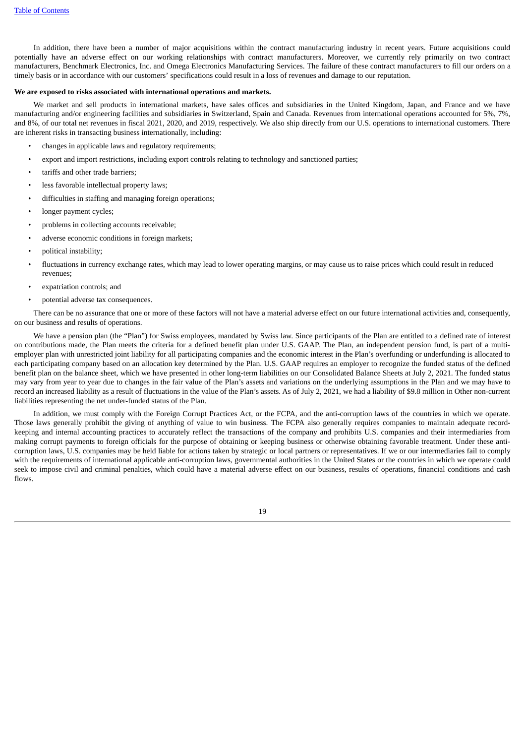In addition, there have been a number of major acquisitions within the contract manufacturing industry in recent years. Future acquisitions could potentially have an adverse effect on our working relationships with contract manufacturers. Moreover, we currently rely primarily on two contract manufacturers, Benchmark Electronics, Inc. and Omega Electronics Manufacturing Services. The failure of these contract manufacturers to fill our orders on a timely basis or in accordance with our customers' specifications could result in a loss of revenues and damage to our reputation.

# **We are exposed to risks associated with international operations and markets.**

We market and sell products in international markets, have sales offices and subsidiaries in the United Kingdom, Japan, and France and we have manufacturing and/or engineering facilities and subsidiaries in Switzerland, Spain and Canada. Revenues from international operations accounted for 5%, 7%, and 8%, of our total net revenues in fiscal 2021, 2020, and 2019, respectively. We also ship directly from our U.S. operations to international customers. There are inherent risks in transacting business internationally, including:

- changes in applicable laws and regulatory requirements;
- export and import restrictions, including export controls relating to technology and sanctioned parties;
- tariffs and other trade barriers;
- less favorable intellectual property laws;
- difficulties in staffing and managing foreign operations;
- longer payment cycles;
- problems in collecting accounts receivable;
- adverse economic conditions in foreign markets:
- political instability;
- fluctuations in currency exchange rates, which may lead to lower operating margins, or may cause us to raise prices which could result in reduced revenues;
- expatriation controls; and
- potential adverse tax consequences.

There can be no assurance that one or more of these factors will not have a material adverse effect on our future international activities and, consequently, on our business and results of operations.

We have a pension plan (the "Plan") for Swiss employees, mandated by Swiss law. Since participants of the Plan are entitled to a defined rate of interest on contributions made, the Plan meets the criteria for a defined benefit plan under U.S. GAAP. The Plan, an independent pension fund, is part of a multiemployer plan with unrestricted joint liability for all participating companies and the economic interest in the Plan's overfunding or underfunding is allocated to each participating company based on an allocation key determined by the Plan. U.S. GAAP requires an employer to recognize the funded status of the defined benefit plan on the balance sheet, which we have presented in other long-term liabilities on our Consolidated Balance Sheets at July 2, 2021. The funded status may vary from year to year due to changes in the fair value of the Plan's assets and variations on the underlying assumptions in the Plan and we may have to record an increased liability as a result of fluctuations in the value of the Plan's assets. As of July 2, 2021, we had a liability of \$9.8 million in Other non-current liabilities representing the net under-funded status of the Plan.

In addition, we must comply with the Foreign Corrupt Practices Act, or the FCPA, and the anti-corruption laws of the countries in which we operate. Those laws generally prohibit the giving of anything of value to win business. The FCPA also generally requires companies to maintain adequate recordkeeping and internal accounting practices to accurately reflect the transactions of the company and prohibits U.S. companies and their intermediaries from making corrupt payments to foreign officials for the purpose of obtaining or keeping business or otherwise obtaining favorable treatment. Under these anticorruption laws, U.S. companies may be held liable for actions taken by strategic or local partners or representatives. If we or our intermediaries fail to comply with the requirements of international applicable anti-corruption laws, governmental authorities in the United States or the countries in which we operate could seek to impose civil and criminal penalties, which could have a material adverse effect on our business, results of operations, financial conditions and cash flows.

19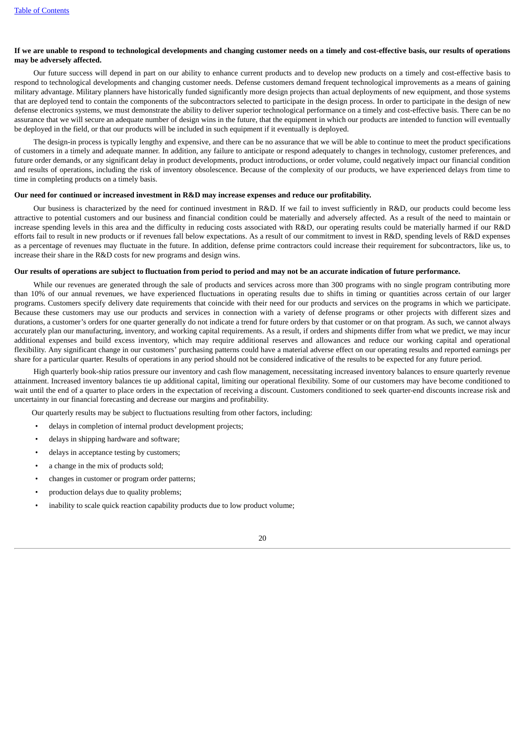# If we are unable to respond to technological developments and changing customer needs on a timely and cost-effective basis, our results of operations **may be adversely affected.**

Our future success will depend in part on our ability to enhance current products and to develop new products on a timely and cost-effective basis to respond to technological developments and changing customer needs. Defense customers demand frequent technological improvements as a means of gaining military advantage. Military planners have historically funded significantly more design projects than actual deployments of new equipment, and those systems that are deployed tend to contain the components of the subcontractors selected to participate in the design process. In order to participate in the design of new defense electronics systems, we must demonstrate the ability to deliver superior technological performance on a timely and cost-effective basis. There can be no assurance that we will secure an adequate number of design wins in the future, that the equipment in which our products are intended to function will eventually be deployed in the field, or that our products will be included in such equipment if it eventually is deployed.

The design-in process is typically lengthy and expensive, and there can be no assurance that we will be able to continue to meet the product specifications of customers in a timely and adequate manner. In addition, any failure to anticipate or respond adequately to changes in technology, customer preferences, and future order demands, or any significant delay in product developments, product introductions, or order volume, could negatively impact our financial condition and results of operations, including the risk of inventory obsolescence. Because of the complexity of our products, we have experienced delays from time to time in completing products on a timely basis.

### **Our need for continued or increased investment in R&D may increase expenses and reduce our profitability.**

Our business is characterized by the need for continued investment in R&D. If we fail to invest sufficiently in R&D, our products could become less attractive to potential customers and our business and financial condition could be materially and adversely affected. As a result of the need to maintain or increase spending levels in this area and the difficulty in reducing costs associated with R&D, our operating results could be materially harmed if our R&D efforts fail to result in new products or if revenues fall below expectations. As a result of our commitment to invest in R&D, spending levels of R&D expenses as a percentage of revenues may fluctuate in the future. In addition, defense prime contractors could increase their requirement for subcontractors, like us, to increase their share in the R&D costs for new programs and design wins.

#### Our results of operations are subject to fluctuation from period to period and may not be an accurate indication of future performance.

While our revenues are generated through the sale of products and services across more than 300 programs with no single program contributing more than 10% of our annual revenues, we have experienced fluctuations in operating results due to shifts in timing or quantities across certain of our larger programs. Customers specify delivery date requirements that coincide with their need for our products and services on the programs in which we participate. Because these customers may use our products and services in connection with a variety of defense programs or other projects with different sizes and durations, a customer's orders for one quarter generally do not indicate a trend for future orders by that customer or on that program. As such, we cannot always accurately plan our manufacturing, inventory, and working capital requirements. As a result, if orders and shipments differ from what we predict, we may incur additional expenses and build excess inventory, which may require additional reserves and allowances and reduce our working capital and operational flexibility. Any significant change in our customers' purchasing patterns could have a material adverse effect on our operating results and reported earnings per share for a particular quarter. Results of operations in any period should not be considered indicative of the results to be expected for any future period.

High quarterly book-ship ratios pressure our inventory and cash flow management, necessitating increased inventory balances to ensure quarterly revenue attainment. Increased inventory balances tie up additional capital, limiting our operational flexibility. Some of our customers may have become conditioned to wait until the end of a quarter to place orders in the expectation of receiving a discount. Customers conditioned to seek quarter-end discounts increase risk and uncertainty in our financial forecasting and decrease our margins and profitability.

Our quarterly results may be subject to fluctuations resulting from other factors, including:

- delays in completion of internal product development projects;
- delays in shipping hardware and software;
- delays in acceptance testing by customers;
- a change in the mix of products sold;
- changes in customer or program order patterns;
- production delays due to quality problems;
- inability to scale quick reaction capability products due to low product volume;

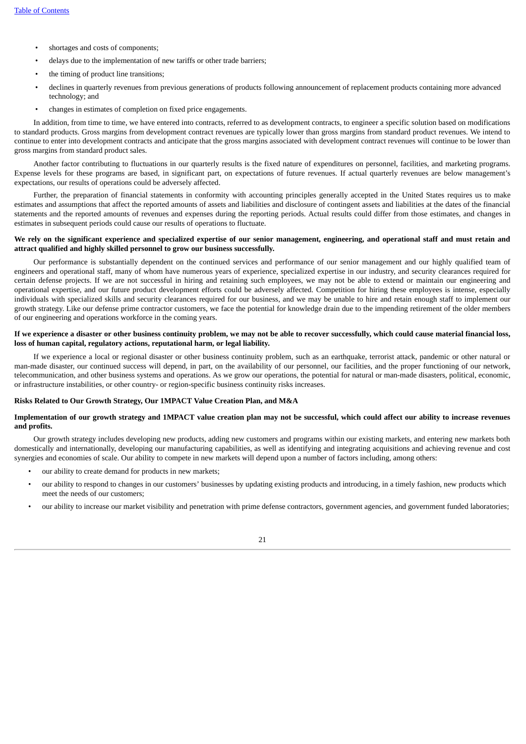- shortages and costs of components;
- delays due to the implementation of new tariffs or other trade barriers;
- the timing of product line transitions:
- declines in quarterly revenues from previous generations of products following announcement of replacement products containing more advanced technology; and
- changes in estimates of completion on fixed price engagements.

In addition, from time to time, we have entered into contracts, referred to as development contracts, to engineer a specific solution based on modifications to standard products. Gross margins from development contract revenues are typically lower than gross margins from standard product revenues. We intend to continue to enter into development contracts and anticipate that the gross margins associated with development contract revenues will continue to be lower than gross margins from standard product sales.

Another factor contributing to fluctuations in our quarterly results is the fixed nature of expenditures on personnel, facilities, and marketing programs. Expense levels for these programs are based, in significant part, on expectations of future revenues. If actual quarterly revenues are below management's expectations, our results of operations could be adversely affected.

Further, the preparation of financial statements in conformity with accounting principles generally accepted in the United States requires us to make estimates and assumptions that affect the reported amounts of assets and liabilities and disclosure of contingent assets and liabilities at the dates of the financial statements and the reported amounts of revenues and expenses during the reporting periods. Actual results could differ from those estimates, and changes in estimates in subsequent periods could cause our results of operations to fluctuate.

# We rely on the significant experience and specialized expertise of our senior management, engineering, and operational staff and must retain and **attract qualified and highly skilled personnel to grow our business successfully.**

Our performance is substantially dependent on the continued services and performance of our senior management and our highly qualified team of engineers and operational staff, many of whom have numerous years of experience, specialized expertise in our industry, and security clearances required for certain defense projects. If we are not successful in hiring and retaining such employees, we may not be able to extend or maintain our engineering and operational expertise, and our future product development efforts could be adversely affected. Competition for hiring these employees is intense, especially individuals with specialized skills and security clearances required for our business, and we may be unable to hire and retain enough staff to implement our growth strategy. Like our defense prime contractor customers, we face the potential for knowledge drain due to the impending retirement of the older members of our engineering and operations workforce in the coming years.

# If we experience a disaster or other business continuity problem, we may not be able to recover successfully, which could cause material financial loss, **loss of human capital, regulatory actions, reputational harm, or legal liability.**

If we experience a local or regional disaster or other business continuity problem, such as an earthquake, terrorist attack, pandemic or other natural or man-made disaster, our continued success will depend, in part, on the availability of our personnel, our facilities, and the proper functioning of our network, telecommunication, and other business systems and operations. As we grow our operations, the potential for natural or man-made disasters, political, economic, or infrastructure instabilities, or other country- or region-specific business continuity risks increases.

# **Risks Related to Our Growth Strategy, Our 1MPACT Value Creation Plan, and M&A**

# Implementation of our growth strategy and 1MPACT value creation plan may not be successful, which could affect our ability to increase revenues **and profits.**

Our growth strategy includes developing new products, adding new customers and programs within our existing markets, and entering new markets both domestically and internationally, developing our manufacturing capabilities, as well as identifying and integrating acquisitions and achieving revenue and cost synergies and economies of scale. Our ability to compete in new markets will depend upon a number of factors including, among others:

- our ability to create demand for products in new markets;
- our ability to respond to changes in our customers' businesses by updating existing products and introducing, in a timely fashion, new products which meet the needs of our customers;
- our ability to increase our market visibility and penetration with prime defense contractors, government agencies, and government funded laboratories;

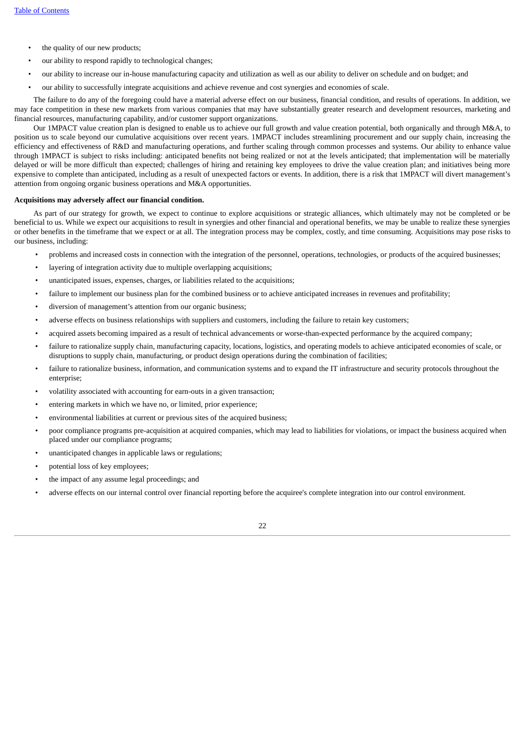- the quality of our new products;
- our ability to respond rapidly to technological changes;
- our ability to increase our in-house manufacturing capacity and utilization as well as our ability to deliver on schedule and on budget; and
- our ability to successfully integrate acquisitions and achieve revenue and cost synergies and economies of scale.

The failure to do any of the foregoing could have a material adverse effect on our business, financial condition, and results of operations. In addition, we may face competition in these new markets from various companies that may have substantially greater research and development resources, marketing and financial resources, manufacturing capability, and/or customer support organizations.

Our 1MPACT value creation plan is designed to enable us to achieve our full growth and value creation potential, both organically and through M&A, to position us to scale beyond our cumulative acquisitions over recent years. 1MPACT includes streamlining procurement and our supply chain, increasing the efficiency and effectiveness of R&D and manufacturing operations, and further scaling through common processes and systems. Our ability to enhance value through 1MPACT is subject to risks including: anticipated benefits not being realized or not at the levels anticipated; that implementation will be materially delayed or will be more difficult than expected; challenges of hiring and retaining key employees to drive the value creation plan; and initiatives being more expensive to complete than anticipated, including as a result of unexpected factors or events. In addition, there is a risk that 1MPACT will divert management's attention from ongoing organic business operations and M&A opportunities.

### **Acquisitions may adversely affect our financial condition.**

As part of our strategy for growth, we expect to continue to explore acquisitions or strategic alliances, which ultimately may not be completed or be beneficial to us. While we expect our acquisitions to result in synergies and other financial and operational benefits, we may be unable to realize these synergies or other benefits in the timeframe that we expect or at all. The integration process may be complex, costly, and time consuming. Acquisitions may pose risks to our business, including:

- problems and increased costs in connection with the integration of the personnel, operations, technologies, or products of the acquired businesses;
- layering of integration activity due to multiple overlapping acquisitions:
- unanticipated issues, expenses, charges, or liabilities related to the acquisitions;
- failure to implement our business plan for the combined business or to achieve anticipated increases in revenues and profitability;
- diversion of management's attention from our organic business;
- adverse effects on business relationships with suppliers and customers, including the failure to retain key customers;
- acquired assets becoming impaired as a result of technical advancements or worse-than-expected performance by the acquired company;
- failure to rationalize supply chain, manufacturing capacity, locations, logistics, and operating models to achieve anticipated economies of scale, or disruptions to supply chain, manufacturing, or product design operations during the combination of facilities;
- failure to rationalize business, information, and communication systems and to expand the IT infrastructure and security protocols throughout the enterprise;
- volatility associated with accounting for earn-outs in a given transaction;
- entering markets in which we have no, or limited, prior experience;
- environmental liabilities at current or previous sites of the acquired business;
- poor compliance programs pre-acquisition at acquired companies, which may lead to liabilities for violations, or impact the business acquired when placed under our compliance programs;
- unanticipated changes in applicable laws or regulations;
- potential loss of key employees;
- the impact of any assume legal proceedings; and
- adverse effects on our internal control over financial reporting before the acquiree's complete integration into our control environment.

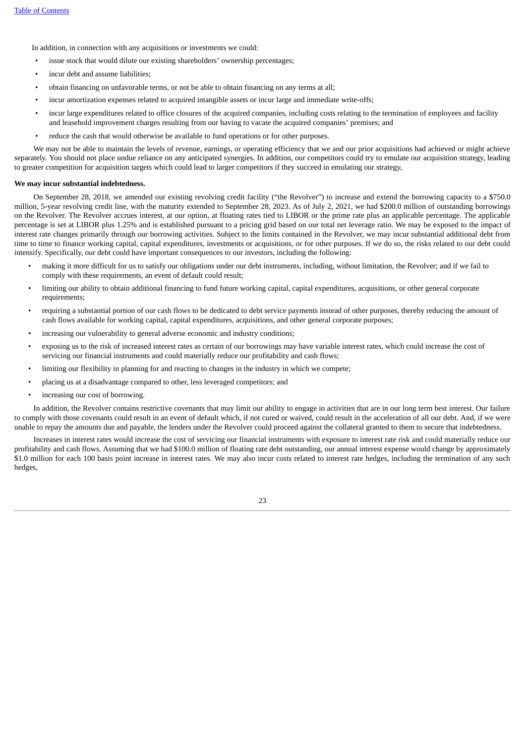In addition, in connection with any acquisitions or investments we could:

- issue stock that would dilute our existing shareholders' ownership percentages;
- incur debt and assume liabilities:
- obtain financing on unfavorable terms, or not be able to obtain financing on any terms at all;
- incur amortization expenses related to acquired intangible assets or incur large and immediate write-offs;
- incur large expenditures related to office closures of the acquired companies, including costs relating to the termination of employees and facility and leasehold improvement charges resulting from our having to vacate the acquired companies' premises; and
- reduce the cash that would otherwise be available to fund operations or for other purposes.

We may not be able to maintain the levels of revenue, earnings, or operating efficiency that we and our prior acquisitions had achieved or might achieve separately. You should not place undue reliance on any anticipated synergies. In addition, our competitors could try to emulate our acquisition strategy, leading to greater competition for acquisition targets which could lead to larger competitors if they succeed in emulating our strategy,

## **We may incur substantial indebtedness.**

On September 28, 2018, we amended our existing revolving credit facility ("the Revolver") to increase and extend the borrowing capacity to a \$750.0 million, 5-year revolving credit line, with the maturity extended to September 28, 2023. As of July 2, 2021, we had \$200.0 million of outstanding borrowings on the Revolver. The Revolver accrues interest, at our option, at floating rates tied to LIBOR or the prime rate plus an applicable percentage. The applicable percentage is set at LIBOR plus 1.25% and is established pursuant to a pricing grid based on our total net leverage ratio. We may be exposed to the impact of interest rate changes primarily through our borrowing activities. Subject to the limits contained in the Revolver, we may incur substantial additional debt from time to time to finance working capital, capital expenditures, investments or acquisitions, or for other purposes. If we do so, the risks related to our debt could intensify. Specifically, our debt could have important consequences to our investors, including the following:

- making it more difficult for us to satisfy our obligations under our debt instruments, including, without limitation, the Revolver; and if we fail to comply with these requirements, an event of default could result;
- limiting our ability to obtain additional financing to fund future working capital, capital expenditures, acquisitions, or other general corporate requirements;
- requiring a substantial portion of our cash flows to be dedicated to debt service payments instead of other purposes, thereby reducing the amount of cash flows available for working capital, capital expenditures, acquisitions, and other general corporate purposes;
- increasing our vulnerability to general adverse economic and industry conditions;
- exposing us to the risk of increased interest rates as certain of our borrowings may have variable interest rates, which could increase the cost of servicing our financial instruments and could materially reduce our profitability and cash flows;
- limiting our flexibility in planning for and reacting to changes in the industry in which we compete;
- placing us at a disadvantage compared to other, less leveraged competitors; and
- increasing our cost of borrowing.

In addition, the Revolver contains restrictive covenants that may limit our ability to engage in activities that are in our long term best interest. Our failure to comply with those covenants could result in an event of default which, if not cured or waived, could result in the acceleration of all our debt. And, if we were unable to repay the amounts due and payable, the lenders under the Revolver could proceed against the collateral granted to them to secure that indebtedness.

Increases in interest rates would increase the cost of servicing our financial instruments with exposure to interest rate risk and could materially reduce our profitability and cash flows. Assuming that we had \$100.0 million of floating rate debt outstanding, our annual interest expense would change by approximately \$1.0 million for each 100 basis point increase in interest rates. We may also incur costs related to interest rate hedges, including the termination of any such hedges,

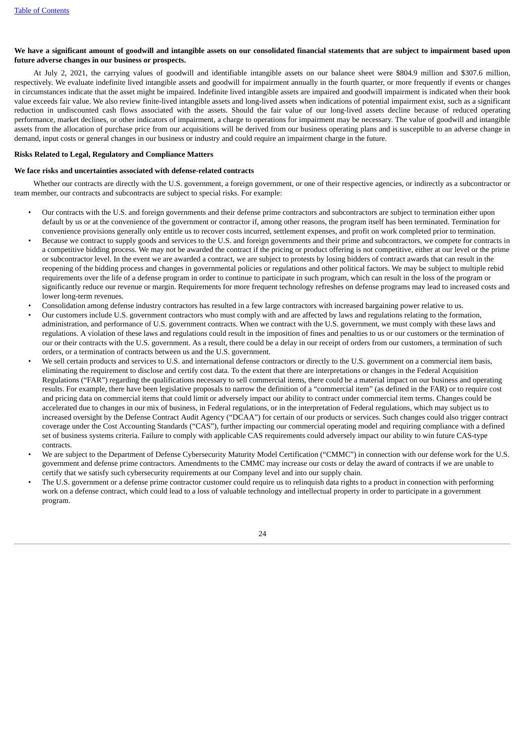# We have a significant amount of goodwill and intangible assets on our consolidated financial statements that are subject to impairment based upon **future adverse changes in our business or prospects.**

At July 2, 2021, the carrying values of goodwill and identifiable intangible assets on our balance sheet were \$804.9 million and \$307.6 million, respectively. We evaluate indefinite lived intangible assets and goodwill for impairment annually in the fourth quarter, or more frequently if events or changes in circumstances indicate that the asset might be impaired. Indefinite lived intangible assets are impaired and goodwill impairment is indicated when their book value exceeds fair value. We also review finite-lived intangible assets and long-lived assets when indications of potential impairment exist, such as a significant reduction in undiscounted cash flows associated with the assets. Should the fair value of our long-lived assets decline because of reduced operating performance, market declines, or other indicators of impairment, a charge to operations for impairment may be necessary. The value of goodwill and intangible assets from the allocation of purchase price from our acquisitions will be derived from our business operating plans and is susceptible to an adverse change in demand, input costs or general changes in our business or industry and could require an impairment charge in the future.

# **Risks Related to Legal, Regulatory and Compliance Matters**

# **We face risks and uncertainties associated with defense-related contracts**

Whether our contracts are directly with the U.S. government, a foreign government, or one of their respective agencies, or indirectly as a subcontractor or team member, our contracts and subcontracts are subject to special risks. For example:

- Our contracts with the U.S. and foreign governments and their defense prime contractors and subcontractors are subject to termination either upon default by us or at the convenience of the government or contractor if, among other reasons, the program itself has been terminated. Termination for convenience provisions generally only entitle us to recover costs incurred, settlement expenses, and profit on work completed prior to termination.
- Because we contract to supply goods and services to the U.S. and foreign governments and their prime and subcontractors, we compete for contracts in a competitive bidding process. We may not be awarded the contract if the pricing or product offering is not competitive, either at our level or the prime or subcontractor level. In the event we are awarded a contract, we are subject to protests by losing bidders of contract awards that can result in the reopening of the bidding process and changes in governmental policies or regulations and other political factors. We may be subject to multiple rebid requirements over the life of a defense program in order to continue to participate in such program, which can result in the loss of the program or significantly reduce our revenue or margin. Requirements for more frequent technology refreshes on defense programs may lead to increased costs and lower long-term revenues.
- Consolidation among defense industry contractors has resulted in a few large contractors with increased bargaining power relative to us.
- Our customers include U.S. government contractors who must comply with and are affected by laws and regulations relating to the formation, administration, and performance of U.S. government contracts. When we contract with the U.S. government, we must comply with these laws and regulations. A violation of these laws and regulations could result in the imposition of fines and penalties to us or our customers or the termination of our or their contracts with the U.S. government. As a result, there could be a delay in our receipt of orders from our customers, a termination of such orders, or a termination of contracts between us and the U.S. government.
- We sell certain products and services to U.S. and international defense contractors or directly to the U.S. government on a commercial item basis, eliminating the requirement to disclose and certify cost data. To the extent that there are interpretations or changes in the Federal Acquisition Regulations ("FAR") regarding the qualifications necessary to sell commercial items, there could be a material impact on our business and operating results. For example, there have been legislative proposals to narrow the definition of a "commercial item" (as defined in the FAR) or to require cost and pricing data on commercial items that could limit or adversely impact our ability to contract under commercial item terms. Changes could be accelerated due to changes in our mix of business, in Federal regulations, or in the interpretation of Federal regulations, which may subject us to increased oversight by the Defense Contract Audit Agency ("DCAA") for certain of our products or services. Such changes could also trigger contract coverage under the Cost Accounting Standards ("CAS"), further impacting our commercial operating model and requiring compliance with a defined set of business systems criteria. Failure to comply with applicable CAS requirements could adversely impact our ability to win future CAS-type contracts.
- We are subject to the Department of Defense Cybersecurity Maturity Model Certification ("CMMC") in connection with our defense work for the U.S. government and defense prime contractors. Amendments to the CMMC may increase our costs or delay the award of contracts if we are unable to certify that we satisfy such cybersecurity requirements at our Company level and into our supply chain.
- The U.S. government or a defense prime contractor customer could require us to relinquish data rights to a product in connection with performing work on a defense contract, which could lead to a loss of valuable technology and intellectual property in order to participate in a government program.

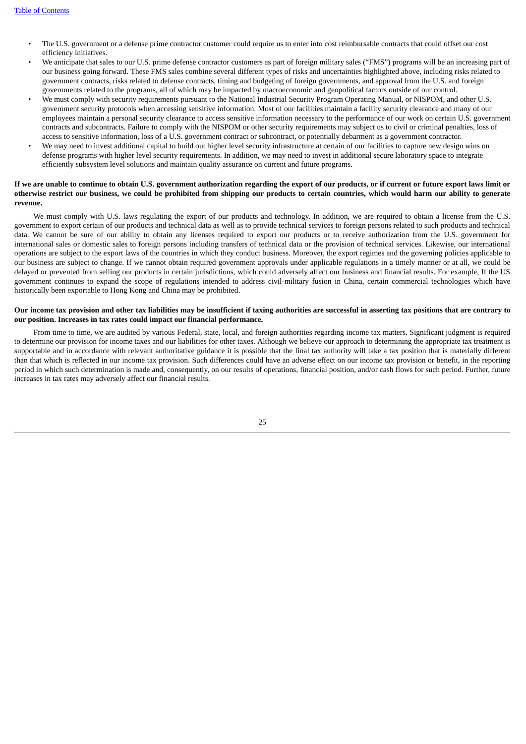- The U.S. government or a defense prime contractor customer could require us to enter into cost reimbursable contracts that could offset our cost efficiency initiatives.
- We anticipate that sales to our U.S. prime defense contractor customers as part of foreign military sales ("FMS") programs will be an increasing part of our business going forward. These FMS sales combine several different types of risks and uncertainties highlighted above, including risks related to government contracts, risks related to defense contracts, timing and budgeting of foreign governments, and approval from the U.S. and foreign governments related to the programs, all of which may be impacted by macroeconomic and geopolitical factors outside of our control.
- We must comply with security requirements pursuant to the National Industrial Security Program Operating Manual, or NISPOM, and other U.S. government security protocols when accessing sensitive information. Most of our facilities maintain a facility security clearance and many of our employees maintain a personal security clearance to access sensitive information necessary to the performance of our work on certain U.S. government contracts and subcontracts. Failure to comply with the NISPOM or other security requirements may subject us to civil or criminal penalties, loss of access to sensitive information, loss of a U.S. government contract or subcontract, or potentially debarment as a government contractor.
- We may need to invest additional capital to build out higher level security infrastructure at certain of our facilities to capture new design wins on defense programs with higher level security requirements. In addition, we may need to invest in additional secure laboratory space to integrate efficiently subsystem level solutions and maintain quality assurance on current and future programs.

# If we are unable to continue to obtain U.S. government authorization regarding the export of our products, or if current or future export laws limit or otherwise restrict our business, we could be prohibited from shipping our products to certain countries, which would harm our ability to generate **revenue.**

We must comply with U.S. laws regulating the export of our products and technology. In addition, we are required to obtain a license from the U.S. government to export certain of our products and technical data as well as to provide technical services to foreign persons related to such products and technical data. We cannot be sure of our ability to obtain any licenses required to export our products or to receive authorization from the U.S. government for international sales or domestic sales to foreign persons including transfers of technical data or the provision of technical services. Likewise, our international operations are subject to the export laws of the countries in which they conduct business. Moreover, the export regimes and the governing policies applicable to our business are subject to change. If we cannot obtain required government approvals under applicable regulations in a timely manner or at all, we could be delayed or prevented from selling our products in certain jurisdictions, which could adversely affect our business and financial results. For example, If the US government continues to expand the scope of regulations intended to address civil-military fusion in China, certain commercial technologies which have historically been exportable to Hong Kong and China may be prohibited.

# Our income tax provision and other tax liabilities may be insufficient if taxing authorities are successful in asserting tax positions that are contrary to **our position. Increases in tax rates could impact our financial performance.**

From time to time, we are audited by various Federal, state, local, and foreign authorities regarding income tax matters. Significant judgment is required to determine our provision for income taxes and our liabilities for other taxes. Although we believe our approach to determining the appropriate tax treatment is supportable and in accordance with relevant authoritative guidance it is possible that the final tax authority will take a tax position that is materially different than that which is reflected in our income tax provision. Such differences could have an adverse effect on our income tax provision or benefit, in the reporting period in which such determination is made and, consequently, on our results of operations, financial position, and/or cash flows for such period. Further, future increases in tax rates may adversely affect our financial results.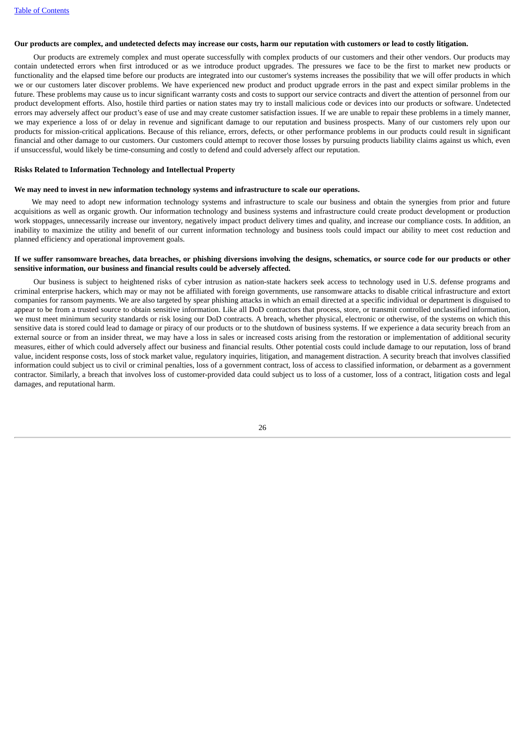#### Our products are complex, and undetected defects may increase our costs, harm our reputation with customers or lead to costly litigation.

Our products are extremely complex and must operate successfully with complex products of our customers and their other vendors. Our products may contain undetected errors when first introduced or as we introduce product upgrades. The pressures we face to be the first to market new products or functionality and the elapsed time before our products are integrated into our customer's systems increases the possibility that we will offer products in which we or our customers later discover problems. We have experienced new product and product upgrade errors in the past and expect similar problems in the future. These problems may cause us to incur significant warranty costs and costs to support our service contracts and divert the attention of personnel from our product development efforts. Also, hostile third parties or nation states may try to install malicious code or devices into our products or software. Undetected errors may adversely affect our product's ease of use and may create customer satisfaction issues. If we are unable to repair these problems in a timely manner, we may experience a loss of or delay in revenue and significant damage to our reputation and business prospects. Many of our customers rely upon our products for mission-critical applications. Because of this reliance, errors, defects, or other performance problems in our products could result in significant financial and other damage to our customers. Our customers could attempt to recover those losses by pursuing products liability claims against us which, even if unsuccessful, would likely be time-consuming and costly to defend and could adversely affect our reputation.

#### **Risks Related to Information Technology and Intellectual Property**

#### **We may need to invest in new information technology systems and infrastructure to scale our operations.**

We may need to adopt new information technology systems and infrastructure to scale our business and obtain the synergies from prior and future acquisitions as well as organic growth. Our information technology and business systems and infrastructure could create product development or production work stoppages, unnecessarily increase our inventory, negatively impact product delivery times and quality, and increase our compliance costs. In addition, an inability to maximize the utility and benefit of our current information technology and business tools could impact our ability to meet cost reduction and planned efficiency and operational improvement goals.

## If we suffer ransomware breaches, data breaches, or phishing diversions involving the designs, schematics, or source code for our products or other **sensitive information, our business and financial results could be adversely affected.**

Our business is subject to heightened risks of cyber intrusion as nation-state hackers seek access to technology used in U.S. defense programs and criminal enterprise hackers, which may or may not be affiliated with foreign governments, use ransomware attacks to disable critical infrastructure and extort companies for ransom payments. We are also targeted by spear phishing attacks in which an email directed at a specific individual or department is disguised to appear to be from a trusted source to obtain sensitive information. Like all DoD contractors that process, store, or transmit controlled unclassified information, we must meet minimum security standards or risk losing our DoD contracts. A breach, whether physical, electronic or otherwise, of the systems on which this sensitive data is stored could lead to damage or piracy of our products or to the shutdown of business systems. If we experience a data security breach from an external source or from an insider threat, we may have a loss in sales or increased costs arising from the restoration or implementation of additional security measures, either of which could adversely affect our business and financial results. Other potential costs could include damage to our reputation, loss of brand value, incident response costs, loss of stock market value, regulatory inquiries, litigation, and management distraction. A security breach that involves classified information could subject us to civil or criminal penalties, loss of a government contract, loss of access to classified information, or debarment as a government contractor. Similarly, a breach that involves loss of customer-provided data could subject us to loss of a customer, loss of a contract, litigation costs and legal damages, and reputational harm.

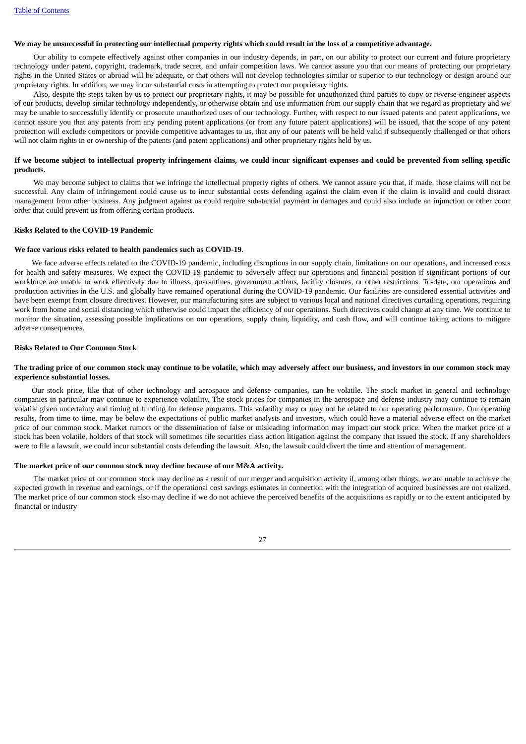### We may be unsuccessful in protecting our intellectual property rights which could result in the loss of a competitive advantage.

Our ability to compete effectively against other companies in our industry depends, in part, on our ability to protect our current and future proprietary technology under patent, copyright, trademark, trade secret, and unfair competition laws. We cannot assure you that our means of protecting our proprietary rights in the United States or abroad will be adequate, or that others will not develop technologies similar or superior to our technology or design around our proprietary rights. In addition, we may incur substantial costs in attempting to protect our proprietary rights.

Also, despite the steps taken by us to protect our proprietary rights, it may be possible for unauthorized third parties to copy or reverse-engineer aspects of our products, develop similar technology independently, or otherwise obtain and use information from our supply chain that we regard as proprietary and we may be unable to successfully identify or prosecute unauthorized uses of our technology. Further, with respect to our issued patents and patent applications, we cannot assure you that any patents from any pending patent applications (or from any future patent applications) will be issued, that the scope of any patent protection will exclude competitors or provide competitive advantages to us, that any of our patents will be held valid if subsequently challenged or that others will not claim rights in or ownership of the patents (and patent applications) and other proprietary rights held by us.

# If we become subject to intellectual property infringement claims, we could incur significant expenses and could be prevented from selling specific **products.**

We may become subject to claims that we infringe the intellectual property rights of others. We cannot assure you that, if made, these claims will not be successful. Any claim of infringement could cause us to incur substantial costs defending against the claim even if the claim is invalid and could distract management from other business. Any judgment against us could require substantial payment in damages and could also include an injunction or other court order that could prevent us from offering certain products.

#### **Risks Related to the COVID-19 Pandemic**

### **We face various risks related to health pandemics such as COVID-19**.

We face adverse effects related to the COVID-19 pandemic, including disruptions in our supply chain, limitations on our operations, and increased costs for health and safety measures. We expect the COVID-19 pandemic to adversely affect our operations and financial position if significant portions of our workforce are unable to work effectively due to illness, quarantines, government actions, facility closures, or other restrictions. To-date, our operations and production activities in the U.S. and globally have remained operational during the COVID-19 pandemic. Our facilities are considered essential activities and have been exempt from closure directives. However, our manufacturing sites are subject to various local and national directives curtailing operations, requiring work from home and social distancing which otherwise could impact the efficiency of our operations. Such directives could change at any time. We continue to monitor the situation, assessing possible implications on our operations, supply chain, liquidity, and cash flow, and will continue taking actions to mitigate adverse consequences.

#### **Risks Related to Our Common Stock**

### The trading price of our common stock may continue to be volatile, which may adversely affect our business, and investors in our common stock may **experience substantial losses.**

Our stock price, like that of other technology and aerospace and defense companies, can be volatile. The stock market in general and technology companies in particular may continue to experience volatility. The stock prices for companies in the aerospace and defense industry may continue to remain volatile given uncertainty and timing of funding for defense programs. This volatility may or may not be related to our operating performance. Our operating results, from time to time, may be below the expectations of public market analysts and investors, which could have a material adverse effect on the market price of our common stock. Market rumors or the dissemination of false or misleading information may impact our stock price. When the market price of a stock has been volatile, holders of that stock will sometimes file securities class action litigation against the company that issued the stock. If any shareholders were to file a lawsuit, we could incur substantial costs defending the lawsuit. Also, the lawsuit could divert the time and attention of management.

### **The market price of our common stock may decline because of our M&A activity.**

The market price of our common stock may decline as a result of our merger and acquisition activity if, among other things, we are unable to achieve the expected growth in revenue and earnings, or if the operational cost savings estimates in connection with the integration of acquired businesses are not realized. The market price of our common stock also may decline if we do not achieve the perceived benefits of the acquisitions as rapidly or to the extent anticipated by financial or industry

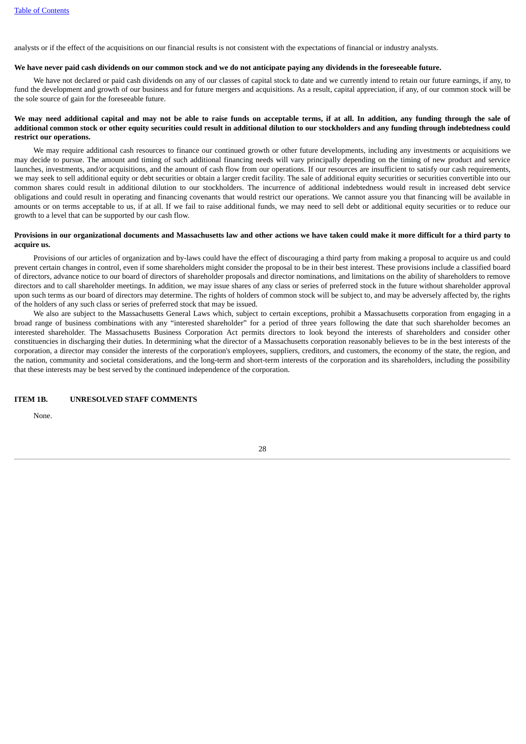analysts or if the effect of the acquisitions on our financial results is not consistent with the expectations of financial or industry analysts.

### We have never paid cash dividends on our common stock and we do not anticipate paying any dividends in the foreseeable future.

We have not declared or paid cash dividends on any of our classes of capital stock to date and we currently intend to retain our future earnings, if any, to fund the development and growth of our business and for future mergers and acquisitions. As a result, capital appreciation, if any, of our common stock will be the sole source of gain for the foreseeable future.

# We may need additional capital and may not be able to raise funds on acceptable terms, if at all. In addition, any funding through the sale of additional common stock or other equity securities could result in additional dilution to our stockholders and any funding through indebtedness could **restrict our operations.**

We may require additional cash resources to finance our continued growth or other future developments, including any investments or acquisitions we may decide to pursue. The amount and timing of such additional financing needs will vary principally depending on the timing of new product and service launches, investments, and/or acquisitions, and the amount of cash flow from our operations. If our resources are insufficient to satisfy our cash requirements, we may seek to sell additional equity or debt securities or obtain a larger credit facility. The sale of additional equity securities or securities convertible into our common shares could result in additional dilution to our stockholders. The incurrence of additional indebtedness would result in increased debt service obligations and could result in operating and financing covenants that would restrict our operations. We cannot assure you that financing will be available in amounts or on terms acceptable to us, if at all. If we fail to raise additional funds, we may need to sell debt or additional equity securities or to reduce our growth to a level that can be supported by our cash flow.

# Provisions in our organizational documents and Massachusetts law and other actions we have taken could make it more difficult for a third party to **acquire us.**

Provisions of our articles of organization and by-laws could have the effect of discouraging a third party from making a proposal to acquire us and could prevent certain changes in control, even if some shareholders might consider the proposal to be in their best interest. These provisions include a classified board of directors, advance notice to our board of directors of shareholder proposals and director nominations, and limitations on the ability of shareholders to remove directors and to call shareholder meetings. In addition, we may issue shares of any class or series of preferred stock in the future without shareholder approval upon such terms as our board of directors may determine. The rights of holders of common stock will be subject to, and may be adversely affected by, the rights of the holders of any such class or series of preferred stock that may be issued.

We also are subject to the Massachusetts General Laws which, subject to certain exceptions, prohibit a Massachusetts corporation from engaging in a broad range of business combinations with any "interested shareholder" for a period of three years following the date that such shareholder becomes an interested shareholder. The Massachusetts Business Corporation Act permits directors to look beyond the interests of shareholders and consider other constituencies in discharging their duties. In determining what the director of a Massachusetts corporation reasonably believes to be in the best interests of the corporation, a director may consider the interests of the corporation's employees, suppliers, creditors, and customers, the economy of the state, the region, and the nation, community and societal considerations, and the long-term and short-term interests of the corporation and its shareholders, including the possibility that these interests may be best served by the continued independence of the corporation.

# <span id="page-27-0"></span>**ITEM 1B. UNRESOLVED STAFF COMMENTS**

<span id="page-27-1"></span>None.

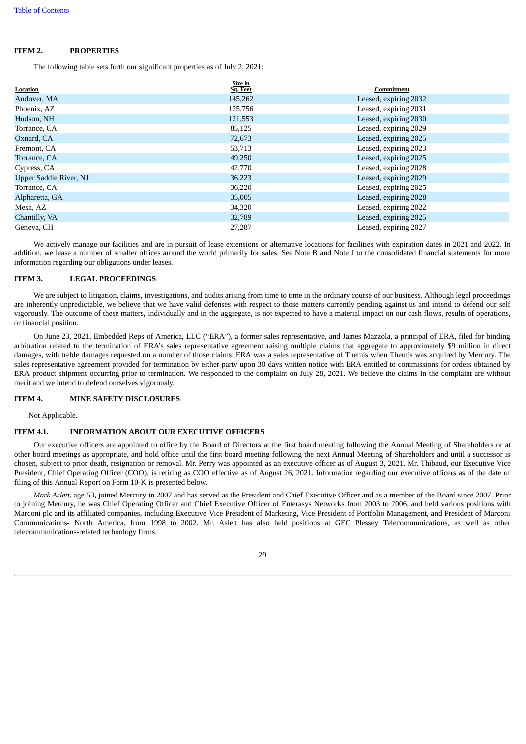# **ITEM 2. PROPERTIES**

The following table sets forth our significant properties as of July 2, 2021:

| Location               | Size in<br>Sq. Feet | Commitment            |
|------------------------|---------------------|-----------------------|
| Andover, MA            | 145,262             | Leased, expiring 2032 |
| Phoenix, AZ            | 125,756             | Leased, expiring 2031 |
| Hudson, NH             | 121,553             | Leased, expiring 2030 |
| Torrance, CA           | 85,125              | Leased, expiring 2029 |
| Oxnard, CA             | 72,673              | Leased, expiring 2025 |
| Fremont, CA            | 53,713              | Leased, expiring 2023 |
| Torrance, CA           | 49,250              | Leased, expiring 2025 |
| Cypress, CA            | 42,770              | Leased, expiring 2028 |
| Upper Saddle River, NJ | 36,223              | Leased, expiring 2029 |
| Torrance, CA           | 36,220              | Leased, expiring 2025 |
| Alpharetta, GA         | 35,005              | Leased, expiring 2028 |
| Mesa, AZ               | 34,320              | Leased, expiring 2022 |
| Chantilly, VA          | 32,789              | Leased, expiring 2025 |
| Geneva, CH             | 27,287              | Leased, expiring 2027 |

We actively manage our facilities and are in pursuit of lease extensions or alternative locations for facilities with expiration dates in 2021 and 2022. In addition, we lease a number of smaller offices around the world primarily for sales. See Note B and Note J to the consolidated financial statements for more information regarding our obligations under leases.

# <span id="page-28-0"></span>**ITEM 3. LEGAL PROCEEDINGS**

We are subject to litigation, claims, investigations, and audits arising from time to time in the ordinary course of our business. Although legal proceedings are inherently unpredictable, we believe that we have valid defenses with respect to those matters currently pending against us and intend to defend our self vigorously. The outcome of these matters, individually and in the aggregate, is not expected to have a material impact on our cash flows, results of operations, or financial position.

On June 23, 2021, Embedded Reps of America, LLC ("ERA"), a former sales representative, and James Mazzola, a principal of ERA, filed for binding arbitration related to the termination of ERA's sales representative agreement raising multiple claims that aggregate to approximately \$9 million in direct damages, with treble damages requested on a number of those claims. ERA was a sales representative of Themis when Themis was acquired by Mercury. The sales representative agreement provided for termination by either party upon 30 days written notice with ERA entitled to commissions for orders obtained by ERA product shipment occurring prior to termination. We responded to the complaint on July 28, 2021. We believe the claims in the complaint are without merit and we intend to defend ourselves vigorously.

### <span id="page-28-1"></span>**ITEM 4. MINE SAFETY DISCLOSURES**

Not Applicable.

# <span id="page-28-2"></span>**ITEM 4.1. INFORMATION ABOUT OUR EXECUTIVE OFFICERS**

Our executive officers are appointed to office by the Board of Directors at the first board meeting following the Annual Meeting of Shareholders or at other board meetings as appropriate, and hold office until the first board meeting following the next Annual Meeting of Shareholders and until a successor is chosen, subject to prior death, resignation or removal. Mr. Perry was appointed as an executive officer as of August 3, 2021. Mr. Thibaud, our Executive Vice President, Chief Operating Officer (COO), is retiring as COO effective as of August 26, 2021. Information regarding our executive officers as of the date of filing of this Annual Report on Form 10-K is presented below.

*Mark Aslett*, age 53, joined Mercury in 2007 and has served as the President and Chief Executive Officer and as a member of the Board since 2007. Prior to joining Mercury, he was Chief Operating Officer and Chief Executive Officer of Enterasys Networks from 2003 to 2006, and held various positions with Marconi plc and its affiliated companies, including Executive Vice President of Marketing, Vice President of Portfolio Management, and President of Marconi Communications- North America, from 1998 to 2002. Mr. Aslett has also held positions at GEC Plessey Telecommunications, as well as other telecommunications-related technology firms.

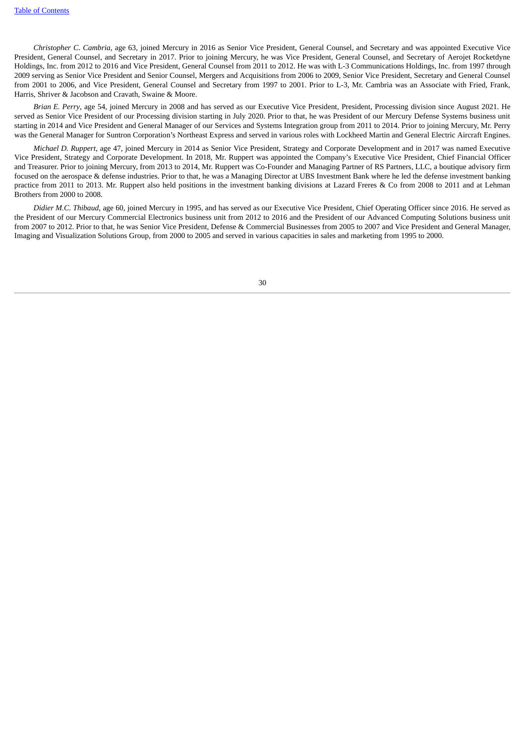*Christopher C. Cambria*, age 63, joined Mercury in 2016 as Senior Vice President, General Counsel, and Secretary and was appointed Executive Vice President, General Counsel, and Secretary in 2017. Prior to joining Mercury, he was Vice President, General Counsel, and Secretary of Aerojet Rocketdyne Holdings, Inc. from 2012 to 2016 and Vice President, General Counsel from 2011 to 2012. He was with L-3 Communications Holdings, Inc. from 1997 through 2009 serving as Senior Vice President and Senior Counsel, Mergers and Acquisitions from 2006 to 2009, Senior Vice President, Secretary and General Counsel from 2001 to 2006, and Vice President, General Counsel and Secretary from 1997 to 2001. Prior to L-3, Mr. Cambria was an Associate with Fried, Frank, Harris, Shriver & Jacobson and Cravath, Swaine & Moore.

*Brian E. Perry*, age 54, joined Mercury in 2008 and has served as our Executive Vice President, President, Processing division since August 2021. He served as Senior Vice President of our Processing division starting in July 2020. Prior to that, he was President of our Mercury Defense Systems business unit starting in 2014 and Vice President and General Manager of our Services and Systems Integration group from 2011 to 2014. Prior to joining Mercury, Mr. Perry was the General Manager for Suntron Corporation's Northeast Express and served in various roles with Lockheed Martin and General Electric Aircraft Engines.

*Michael D. Ruppert*, age 47, joined Mercury in 2014 as Senior Vice President, Strategy and Corporate Development and in 2017 was named Executive Vice President, Strategy and Corporate Development. In 2018, Mr. Ruppert was appointed the Company's Executive Vice President, Chief Financial Officer and Treasurer. Prior to joining Mercury, from 2013 to 2014, Mr. Ruppert was Co-Founder and Managing Partner of RS Partners, LLC, a boutique advisory firm focused on the aerospace & defense industries. Prior to that, he was a Managing Director at UBS Investment Bank where he led the defense investment banking practice from 2011 to 2013. Mr. Ruppert also held positions in the investment banking divisions at Lazard Freres & Co from 2008 to 2011 and at Lehman Brothers from 2000 to 2008.

<span id="page-29-0"></span>*Didier M.C. Thibaud*, age 60, joined Mercury in 1995, and has served as our Executive Vice President, Chief Operating Officer since 2016. He served as the President of our Mercury Commercial Electronics business unit from 2012 to 2016 and the President of our Advanced Computing Solutions business unit from 2007 to 2012. Prior to that, he was Senior Vice President, Defense & Commercial Businesses from 2005 to 2007 and Vice President and General Manager, Imaging and Visualization Solutions Group, from 2000 to 2005 and served in various capacities in sales and marketing from 1995 to 2000.

30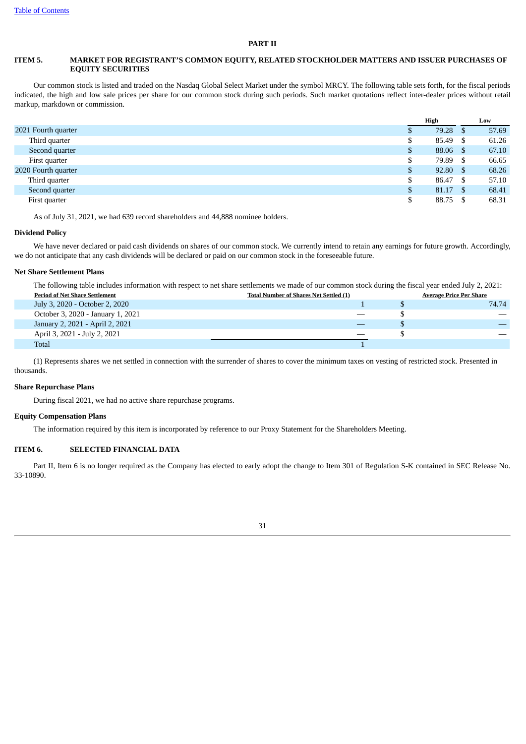# **PART II**

# <span id="page-30-0"></span>**ITEM 5. MARKET FOR REGISTRANT'S COMMON EQUITY, RELATED STOCKHOLDER MATTERS AND ISSUER PURCHASES OF EQUITY SECURITIES**

Our common stock is listed and traded on the Nasdaq Global Select Market under the symbol MRCY. The following table sets forth, for the fiscal periods indicated, the high and low sale prices per share for our common stock during such periods. Such market quotations reflect inter-dealer prices without retail markup, markdown or commission.

|                     |    | High     |   | Low   |  |
|---------------------|----|----------|---|-------|--|
| 2021 Fourth quarter |    | 79.28    | S | 57.69 |  |
| Third quarter       | \$ | 85.49 \$ |   | 61.26 |  |
| Second quarter      | S  | 88.06 \$ |   | 67.10 |  |
| First quarter       | \$ | 79.89 \$ |   | 66.65 |  |
| 2020 Fourth quarter | \$ | 92.80 \$ |   | 68.26 |  |
| Third quarter       | \$ | 86.47 \$ |   | 57.10 |  |
| Second quarter      | S  | 81.17 \$ |   | 68.41 |  |
| First quarter       | \$ | 88.75 \$ |   | 68.31 |  |

As of July 31, 2021, we had 639 record shareholders and 44,888 nominee holders.

# **Dividend Policy**

We have never declared or paid cash dividends on shares of our common stock. We currently intend to retain any earnings for future growth. Accordingly, we do not anticipate that any cash dividends will be declared or paid on our common stock in the foreseeable future.

### **Net Share Settlement Plans**

The following table includes information with respect to net share settlements we made of our common stock during the fiscal year ended July 2, 2021:

| <b>Period of Net Share Settlement</b> | <b>Total Number of Shares Net Settled (1)</b> | Average Price Per Share |       |  |
|---------------------------------------|-----------------------------------------------|-------------------------|-------|--|
| July 3, 2020 - October 2, 2020        |                                               |                         | 74.74 |  |
| October 3, 2020 - January 1, 2021     |                                               |                         |       |  |
| January 2, 2021 - April 2, 2021       |                                               |                         |       |  |
| April 3, 2021 - July 2, 2021          |                                               |                         |       |  |
| <b>Total</b>                          |                                               |                         |       |  |

(1) Represents shares we net settled in connection with the surrender of shares to cover the minimum taxes on vesting of restricted stock. Presented in thousands.

# **Share Repurchase Plans**

During fiscal 2021, we had no active share repurchase programs.

# **Equity Compensation Plans**

<span id="page-30-1"></span>The information required by this item is incorporated by reference to our Proxy Statement for the Shareholders Meeting.

# **ITEM 6. SELECTED FINANCIAL DATA**

<span id="page-30-2"></span>Part II, Item 6 is no longer required as the Company has elected to early adopt the change to Item 301 of Regulation S-K contained in SEC Release No. 33-10890.

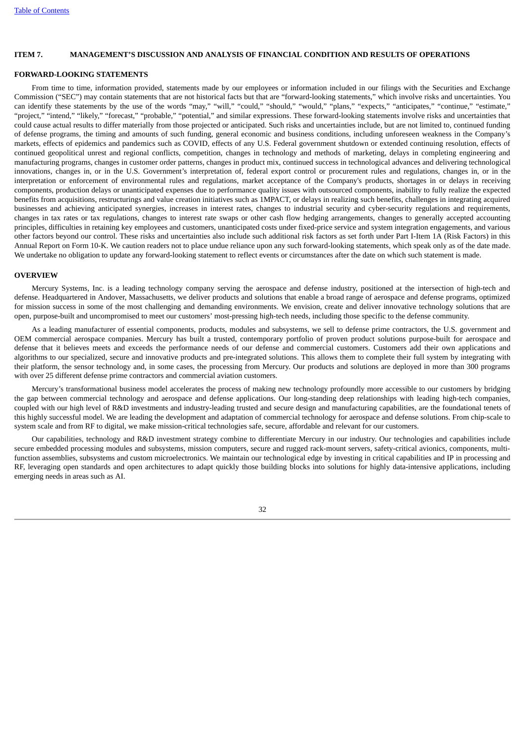# **ITEM 7. MANAGEMENT'S DISCUSSION AND ANALYSIS OF FINANCIAL CONDITION AND RESULTS OF OPERATIONS**

### **FORWARD-LOOKING STATEMENTS**

From time to time, information provided, statements made by our employees or information included in our filings with the Securities and Exchange Commission ("SEC") may contain statements that are not historical facts but that are "forward-looking statements," which involve risks and uncertainties. You can identify these statements by the use of the words "may," "will," "could," "should," "would," "plans," "expects," "anticipates," "continue," "estimate," "project," "intend," "likely," "forecast," "probable," "potential," and similar expressions. These forward-looking statements involve risks and uncertainties that could cause actual results to differ materially from those projected or anticipated. Such risks and uncertainties include, but are not limited to, continued funding of defense programs, the timing and amounts of such funding, general economic and business conditions, including unforeseen weakness in the Company's markets, effects of epidemics and pandemics such as COVID, effects of any U.S. Federal government shutdown or extended continuing resolution, effects of continued geopolitical unrest and regional conflicts, competition, changes in technology and methods of marketing, delays in completing engineering and manufacturing programs, changes in customer order patterns, changes in product mix, continued success in technological advances and delivering technological innovations, changes in, or in the U.S. Government's interpretation of, federal export control or procurement rules and regulations, changes in, or in the interpretation or enforcement of environmental rules and regulations, market acceptance of the Company's products, shortages in or delays in receiving components, production delays or unanticipated expenses due to performance quality issues with outsourced components, inability to fully realize the expected benefits from acquisitions, restructurings and value creation initiatives such as 1MPACT, or delays in realizing such benefits, challenges in integrating acquired businesses and achieving anticipated synergies, increases in interest rates, changes to industrial security and cyber-security regulations and requirements, changes in tax rates or tax regulations, changes to interest rate swaps or other cash flow hedging arrangements, changes to generally accepted accounting principles, difficulties in retaining key employees and customers, unanticipated costs under fixed-price service and system integration engagements, and various other factors beyond our control. These risks and uncertainties also include such additional risk factors as set forth under Part I-Item 1A (Risk Factors) in this Annual Report on Form 10-K. We caution readers not to place undue reliance upon any such forward-looking statements, which speak only as of the date made. We undertake no obligation to update any forward-looking statement to reflect events or circumstances after the date on which such statement is made.

### **OVERVIEW**

Mercury Systems, Inc. is a leading technology company serving the aerospace and defense industry, positioned at the intersection of high-tech and defense. Headquartered in Andover, Massachusetts, we deliver products and solutions that enable a broad range of aerospace and defense programs, optimized for mission success in some of the most challenging and demanding environments. We envision, create and deliver innovative technology solutions that are open, purpose-built and uncompromised to meet our customers' most-pressing high-tech needs, including those specific to the defense community.

As a leading manufacturer of essential components, products, modules and subsystems, we sell to defense prime contractors, the U.S. government and OEM commercial aerospace companies. Mercury has built a trusted, contemporary portfolio of proven product solutions purpose-built for aerospace and defense that it believes meets and exceeds the performance needs of our defense and commercial customers. Customers add their own applications and algorithms to our specialized, secure and innovative products and pre-integrated solutions. This allows them to complete their full system by integrating with their platform, the sensor technology and, in some cases, the processing from Mercury. Our products and solutions are deployed in more than 300 programs with over 25 different defense prime contractors and commercial aviation customers.

Mercury's transformational business model accelerates the process of making new technology profoundly more accessible to our customers by bridging the gap between commercial technology and aerospace and defense applications. Our long-standing deep relationships with leading high-tech companies, coupled with our high level of R&D investments and industry-leading trusted and secure design and manufacturing capabilities, are the foundational tenets of this highly successful model. We are leading the development and adaptation of commercial technology for aerospace and defense solutions. From chip-scale to system scale and from RF to digital, we make mission-critical technologies safe, secure, affordable and relevant for our customers.

Our capabilities, technology and R&D investment strategy combine to differentiate Mercury in our industry. Our technologies and capabilities include secure embedded processing modules and subsystems, mission computers, secure and rugged rack-mount servers, safety-critical avionics, components, multifunction assemblies, subsystems and custom microelectronics. We maintain our technological edge by investing in critical capabilities and IP in processing and RF, leveraging open standards and open architectures to adapt quickly those building blocks into solutions for highly data-intensive applications, including emerging needs in areas such as AI.

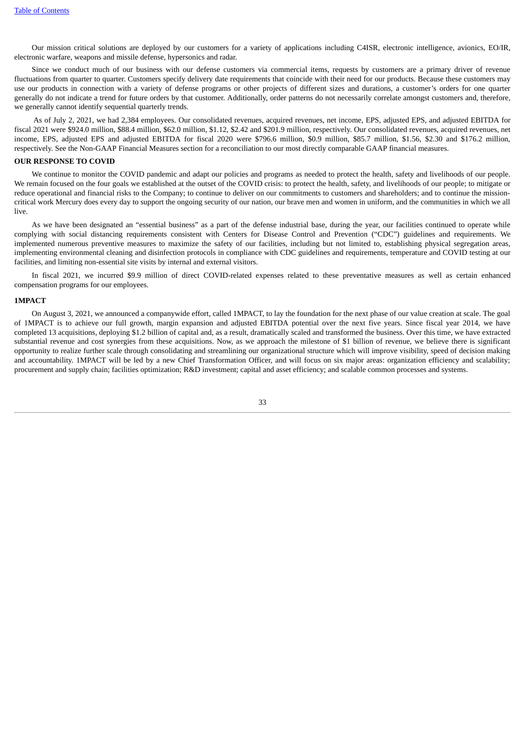Our mission critical solutions are deployed by our customers for a variety of applications including C4ISR, electronic intelligence, avionics, EO/IR, electronic warfare, weapons and missile defense, hypersonics and radar.

Since we conduct much of our business with our defense customers via commercial items, requests by customers are a primary driver of revenue fluctuations from quarter to quarter. Customers specify delivery date requirements that coincide with their need for our products. Because these customers may use our products in connection with a variety of defense programs or other projects of different sizes and durations, a customer's orders for one quarter generally do not indicate a trend for future orders by that customer. Additionally, order patterns do not necessarily correlate amongst customers and, therefore, we generally cannot identify sequential quarterly trends.

As of July 2, 2021, we had 2,384 employees. Our consolidated revenues, acquired revenues, net income, EPS, adjusted EPS, and adjusted EBITDA for fiscal 2021 were \$924.0 million, \$88.4 million, \$62.0 million, \$1.12, \$2.42 and \$201.9 million, respectively. Our consolidated revenues, acquired revenues, net income, EPS, adjusted EPS and adjusted EBITDA for fiscal 2020 were \$796.6 million, \$0.9 million, \$85.7 million, \$1.56, \$2.30 and \$176.2 million, respectively. See the Non-GAAP Financial Measures section for a reconciliation to our most directly comparable GAAP financial measures.

# **OUR RESPONSE TO COVID**

We continue to monitor the COVID pandemic and adapt our policies and programs as needed to protect the health, safety and livelihoods of our people. We remain focused on the four goals we established at the outset of the COVID crisis: to protect the health, safety, and livelihoods of our people; to mitigate or reduce operational and financial risks to the Company; to continue to deliver on our commitments to customers and shareholders; and to continue the missioncritical work Mercury does every day to support the ongoing security of our nation, our brave men and women in uniform, and the communities in which we all live.

As we have been designated an "essential business" as a part of the defense industrial base, during the year, our facilities continued to operate while complying with social distancing requirements consistent with Centers for Disease Control and Prevention ("CDC") guidelines and requirements. We implemented numerous preventive measures to maximize the safety of our facilities, including but not limited to, establishing physical segregation areas, implementing environmental cleaning and disinfection protocols in compliance with CDC guidelines and requirements, temperature and COVID testing at our facilities, and limiting non-essential site visits by internal and external visitors.

In fiscal 2021, we incurred \$9.9 million of direct COVID-related expenses related to these preventative measures as well as certain enhanced compensation programs for our employees.

#### **1MPACT**

On August 3, 2021, we announced a companywide effort, called 1MPACT, to lay the foundation for the next phase of our value creation at scale. The goal of 1MPACT is to achieve our full growth, margin expansion and adjusted EBITDA potential over the next five years. Since fiscal year 2014, we have completed 13 acquisitions, deploying \$1.2 billion of capital and, as a result, dramatically scaled and transformed the business. Over this time, we have extracted substantial revenue and cost synergies from these acquisitions. Now, as we approach the milestone of \$1 billion of revenue, we believe there is significant opportunity to realize further scale through consolidating and streamlining our organizational structure which will improve visibility, speed of decision making and accountability. 1MPACT will be led by a new Chief Transformation Officer, and will focus on six major areas: organization efficiency and scalability; procurement and supply chain; facilities optimization; R&D investment; capital and asset efficiency; and scalable common processes and systems.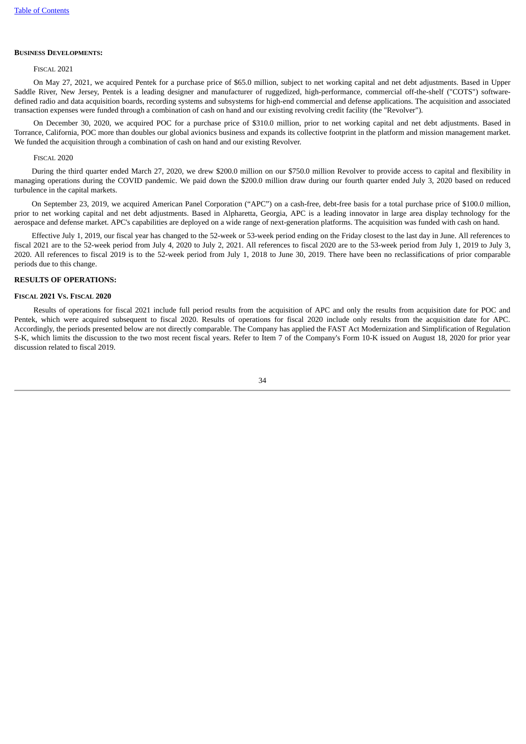# **BUSINESS DEVELOPMENTS:**

# FISCAL 2021

On May 27, 2021, we acquired Pentek for a purchase price of \$65.0 million, subject to net working capital and net debt adjustments. Based in Upper Saddle River, New Jersey, Pentek is a leading designer and manufacturer of ruggedized, high-performance, commercial off-the-shelf ("COTS") softwaredefined radio and data acquisition boards, recording systems and subsystems for high-end commercial and defense applications. The acquisition and associated transaction expenses were funded through a combination of cash on hand and our existing revolving credit facility (the "Revolver").

On December 30, 2020, we acquired POC for a purchase price of \$310.0 million, prior to net working capital and net debt adjustments. Based in Torrance, California, POC more than doubles our global avionics business and expands its collective footprint in the platform and mission management market. We funded the acquisition through a combination of cash on hand and our existing Revolver.

### FISCAL 2020

During the third quarter ended March 27, 2020, we drew \$200.0 million on our \$750.0 million Revolver to provide access to capital and flexibility in managing operations during the COVID pandemic. We paid down the \$200.0 million draw during our fourth quarter ended July 3, 2020 based on reduced turbulence in the capital markets.

On September 23, 2019, we acquired American Panel Corporation ("APC") on a cash-free, debt-free basis for a total purchase price of \$100.0 million, prior to net working capital and net debt adjustments. Based in Alpharetta, Georgia, APC is a leading innovator in large area display technology for the aerospace and defense market. APC's capabilities are deployed on a wide range of next-generation platforms. The acquisition was funded with cash on hand.

Effective July 1, 2019, our fiscal year has changed to the 52-week or 53-week period ending on the Friday closest to the last day in June. All references to fiscal 2021 are to the 52-week period from July 4, 2020 to July 2, 2021. All references to fiscal 2020 are to the 53-week period from July 1, 2019 to July 3, 2020. All references to fiscal 2019 is to the 52-week period from July 1, 2018 to June 30, 2019. There have been no reclassifications of prior comparable periods due to this change.

# **RESULTS OF OPERATIONS:**

# **FISCAL 2021 VS. FISCAL 2020**

Results of operations for fiscal 2021 include full period results from the acquisition of APC and only the results from acquisition date for POC and Pentek, which were acquired subsequent to fiscal 2020. Results of operations for fiscal 2020 include only results from the acquisition date for APC. Accordingly, the periods presented below are not directly comparable. The Company has applied the FAST Act Modernization and Simplification of Regulation S-K, which limits the discussion to the two most recent fiscal years. Refer to Item 7 of the Company's Form 10-K issued on August 18, 2020 for prior year discussion related to fiscal 2019.

34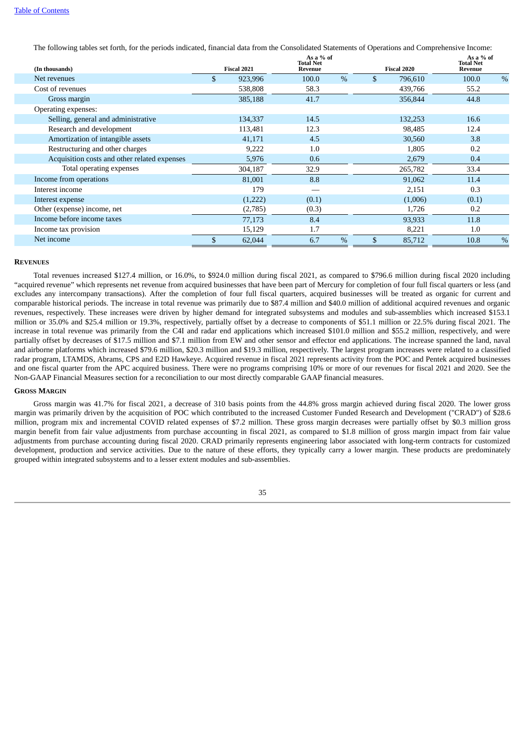The following tables set forth, for the periods indicated, financial data from the Consolidated Statements of Operations and Comprehensive Income:

| (In thousands)                               |  | <b>Fiscal 2021</b> | As a % of<br><b>Total Net</b><br>Revenue |      | <b>Fiscal 2020</b> | As a % of<br><b>Total Net</b><br>Revenue |      |
|----------------------------------------------|--|--------------------|------------------------------------------|------|--------------------|------------------------------------------|------|
| Net revenues                                 |  | 923,996            | 100.0                                    | $\%$ | \$<br>796,610      | 100.0                                    | $\%$ |
| Cost of revenues                             |  | 538,808            | 58.3                                     |      | 439,766            | 55.2                                     |      |
| Gross margin                                 |  | 385,188            | 41.7                                     |      | 356,844            | 44.8                                     |      |
| Operating expenses:                          |  |                    |                                          |      |                    |                                          |      |
| Selling, general and administrative          |  | 134,337            | 14.5                                     |      | 132,253            | 16.6                                     |      |
| Research and development                     |  | 113,481            | 12.3                                     |      | 98,485             | 12.4                                     |      |
| Amortization of intangible assets            |  | 41,171             | 4.5                                      |      | 30,560             | 3.8                                      |      |
| Restructuring and other charges              |  | 9,222              | 1.0                                      |      | 1,805              | 0.2                                      |      |
| Acquisition costs and other related expenses |  | 5,976              | 0.6                                      |      | 2,679              | 0.4                                      |      |
| Total operating expenses                     |  | 304,187            | 32.9                                     |      | 265,782            | 33.4                                     |      |
| Income from operations                       |  | 81,001             | 8.8                                      |      | 91,062             | 11.4                                     |      |
| Interest income                              |  | 179                |                                          |      | 2,151              | 0.3                                      |      |
| Interest expense                             |  | (1,222)            | (0.1)                                    |      | (1,006)            | (0.1)                                    |      |
| Other (expense) income, net                  |  | (2,785)            | (0.3)                                    |      | 1,726              | 0.2                                      |      |
| Income before income taxes                   |  | 77,173             | 8.4                                      |      | 93,933             | 11.8                                     |      |
| Income tax provision                         |  | 15,129             | 1.7                                      |      | 8,221              | 1.0                                      |      |
| Net income                                   |  | 62,044             | 6.7                                      | $\%$ | \$<br>85,712       | 10.8                                     | $\%$ |

### **REVENUES**

Total revenues increased \$127.4 million, or 16.0%, to \$924.0 million during fiscal 2021, as compared to \$796.6 million during fiscal 2020 including "acquired revenue" which represents net revenue from acquired businesses that have been part of Mercury for completion of four full fiscal quarters or less (and excludes any intercompany transactions). After the completion of four full fiscal quarters, acquired businesses will be treated as organic for current and comparable historical periods. The increase in total revenue was primarily due to \$87.4 million and \$40.0 million of additional acquired revenues and organic revenues, respectively. These increases were driven by higher demand for integrated subsystems and modules and sub-assemblies which increased \$153.1 million or 35.0% and \$25.4 million or 19.3%, respectively, partially offset by a decrease to components of \$51.1 million or 22.5% during fiscal 2021. The increase in total revenue was primarily from the C4I and radar end applications which increased \$101.0 million and \$55.2 million, respectively, and were partially offset by decreases of \$17.5 million and \$7.1 million from EW and other sensor and effector end applications. The increase spanned the land, naval and airborne platforms which increased \$79.6 million, \$20.3 million and \$19.3 million, respectively. The largest program increases were related to a classified radar program, LTAMDS, Abrams, CPS and E2D Hawkeye. Acquired revenue in fiscal 2021 represents activity from the POC and Pentek acquired businesses and one fiscal quarter from the APC acquired business. There were no programs comprising 10% or more of our revenues for fiscal 2021 and 2020. See the Non-GAAP Financial Measures section for a reconciliation to our most directly comparable GAAP financial measures.

#### **GROSS MARGIN**

Gross margin was 41.7% for fiscal 2021, a decrease of 310 basis points from the 44.8% gross margin achieved during fiscal 2020. The lower gross margin was primarily driven by the acquisition of POC which contributed to the increased Customer Funded Research and Development ("CRAD") of \$28.6 million, program mix and incremental COVID related expenses of \$7.2 million. These gross margin decreases were partially offset by \$0.3 million gross margin benefit from fair value adjustments from purchase accounting in fiscal 2021, as compared to \$1.8 million of gross margin impact from fair value adjustments from purchase accounting during fiscal 2020. CRAD primarily represents engineering labor associated with long-term contracts for customized development, production and service activities. Due to the nature of these efforts, they typically carry a lower margin. These products are predominately grouped within integrated subsystems and to a lesser extent modules and sub-assemblies.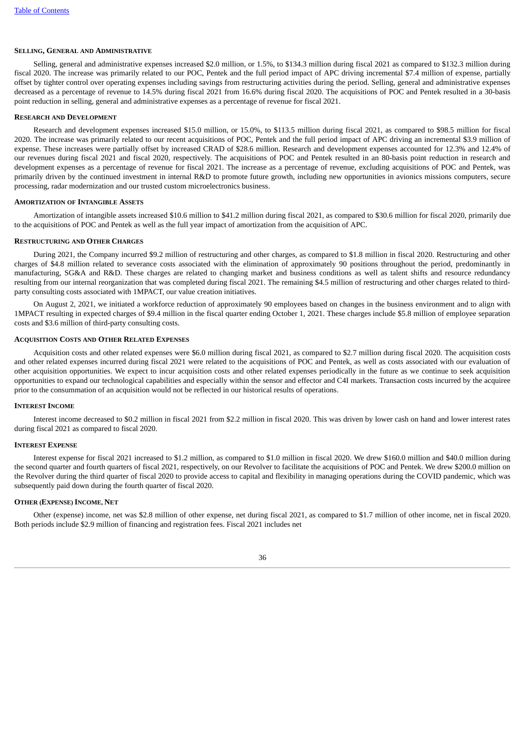#### **SELLING, GENERAL AND ADMINISTRATIVE**

Selling, general and administrative expenses increased \$2.0 million, or 1.5%, to \$134.3 million during fiscal 2021 as compared to \$132.3 million during fiscal 2020. The increase was primarily related to our POC, Pentek and the full period impact of APC driving incremental \$7.4 million of expense, partially offset by tighter control over operating expenses including savings from restructuring activities during the period. Selling, general and administrative expenses decreased as a percentage of revenue to 14.5% during fiscal 2021 from 16.6% during fiscal 2020. The acquisitions of POC and Pentek resulted in a 30-basis point reduction in selling, general and administrative expenses as a percentage of revenue for fiscal 2021.

### **RESEARCH AND DEVELOPMENT**

Research and development expenses increased \$15.0 million, or 15.0%, to \$113.5 million during fiscal 2021, as compared to \$98.5 million for fiscal 2020. The increase was primarily related to our recent acquisitions of POC, Pentek and the full period impact of APC driving an incremental \$3.9 million of expense. These increases were partially offset by increased CRAD of \$28.6 million. Research and development expenses accounted for 12.3% and 12.4% of our revenues during fiscal 2021 and fiscal 2020, respectively. The acquisitions of POC and Pentek resulted in an 80-basis point reduction in research and development expenses as a percentage of revenue for fiscal 2021. The increase as a percentage of revenue, excluding acquisitions of POC and Pentek, was primarily driven by the continued investment in internal R&D to promote future growth, including new opportunities in avionics missions computers, secure processing, radar modernization and our trusted custom microelectronics business.

#### **AMORTIZATION OF INTANGIBLE ASSETS**

Amortization of intangible assets increased \$10.6 million to \$41.2 million during fiscal 2021, as compared to \$30.6 million for fiscal 2020, primarily due to the acquisitions of POC and Pentek as well as the full year impact of amortization from the acquisition of APC.

### **RESTRUCTURING AND OTHER CHARGES**

During 2021, the Company incurred \$9.2 million of restructuring and other charges, as compared to \$1.8 million in fiscal 2020. Restructuring and other charges of \$4.8 million related to severance costs associated with the elimination of approximately 90 positions throughout the period, predominantly in manufacturing, SG&A and R&D. These charges are related to changing market and business conditions as well as talent shifts and resource redundancy resulting from our internal reorganization that was completed during fiscal 2021. The remaining \$4.5 million of restructuring and other charges related to thirdparty consulting costs associated with 1MPACT, our value creation initiatives.

On August 2, 2021, we initiated a workforce reduction of approximately 90 employees based on changes in the business environment and to align with 1MPACT resulting in expected charges of \$9.4 million in the fiscal quarter ending October 1, 2021. These charges include \$5.8 million of employee separation costs and \$3.6 million of third-party consulting costs.

### **ACQUISITION COSTS AND OTHER RELATED EXPENSES**

Acquisition costs and other related expenses were \$6.0 million during fiscal 2021, as compared to \$2.7 million during fiscal 2020. The acquisition costs and other related expenses incurred during fiscal 2021 were related to the acquisitions of POC and Pentek, as well as costs associated with our evaluation of other acquisition opportunities. We expect to incur acquisition costs and other related expenses periodically in the future as we continue to seek acquisition opportunities to expand our technological capabilities and especially within the sensor and effector and C4I markets. Transaction costs incurred by the acquiree prior to the consummation of an acquisition would not be reflected in our historical results of operations.

### **INTEREST INCOME**

Interest income decreased to \$0.2 million in fiscal 2021 from \$2.2 million in fiscal 2020. This was driven by lower cash on hand and lower interest rates during fiscal 2021 as compared to fiscal 2020.

#### **INTEREST EXPENSE**

Interest expense for fiscal 2021 increased to \$1.2 million, as compared to \$1.0 million in fiscal 2020. We drew \$160.0 million and \$40.0 million during the second quarter and fourth quarters of fiscal 2021, respectively, on our Revolver to facilitate the acquisitions of POC and Pentek. We drew \$200.0 million on the Revolver during the third quarter of fiscal 2020 to provide access to capital and flexibility in managing operations during the COVID pandemic, which was subsequently paid down during the fourth quarter of fiscal 2020.

# **OTHER (EXPENSE) INCOME, NET**

Other (expense) income, net was \$2.8 million of other expense, net during fiscal 2021, as compared to \$1.7 million of other income, net in fiscal 2020. Both periods include \$2.9 million of financing and registration fees. Fiscal 2021 includes net

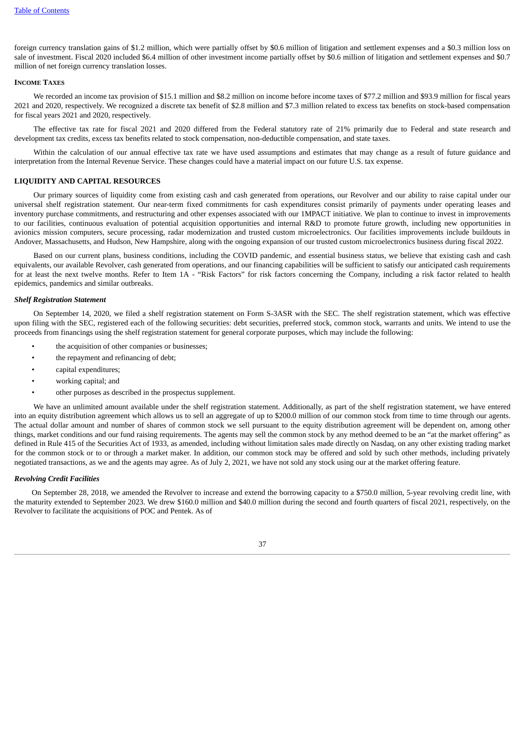foreign currency translation gains of \$1.2 million, which were partially offset by \$0.6 million of litigation and settlement expenses and a \$0.3 million loss on sale of investment. Fiscal 2020 included \$6.4 million of other investment income partially offset by \$0.6 million of litigation and settlement expenses and \$0.7 million of net foreign currency translation losses.

#### **INCOME TAXES**

We recorded an income tax provision of \$15.1 million and \$8.2 million on income before income taxes of \$77.2 million and \$93.9 million for fiscal years 2021 and 2020, respectively. We recognized a discrete tax benefit of \$2.8 million and \$7.3 million related to excess tax benefits on stock-based compensation for fiscal years 2021 and 2020, respectively.

The effective tax rate for fiscal 2021 and 2020 differed from the Federal statutory rate of 21% primarily due to Federal and state research and development tax credits, excess tax benefits related to stock compensation, non-deductible compensation, and state taxes.

Within the calculation of our annual effective tax rate we have used assumptions and estimates that may change as a result of future guidance and interpretation from the Internal Revenue Service. These changes could have a material impact on our future U.S. tax expense.

## **LIQUIDITY AND CAPITAL RESOURCES**

Our primary sources of liquidity come from existing cash and cash generated from operations, our Revolver and our ability to raise capital under our universal shelf registration statement. Our near-term fixed commitments for cash expenditures consist primarily of payments under operating leases and inventory purchase commitments, and restructuring and other expenses associated with our 1MPACT initiative. We plan to continue to invest in improvements to our facilities, continuous evaluation of potential acquisition opportunities and internal R&D to promote future growth, including new opportunities in avionics mission computers, secure processing, radar modernization and trusted custom microelectronics. Our facilities improvements include buildouts in Andover, Massachusetts, and Hudson, New Hampshire, along with the ongoing expansion of our trusted custom microelectronics business during fiscal 2022.

Based on our current plans, business conditions, including the COVID pandemic, and essential business status, we believe that existing cash and cash equivalents, our available Revolver, cash generated from operations, and our financing capabilities will be sufficient to satisfy our anticipated cash requirements for at least the next twelve months. Refer to Item 1A - "Risk Factors" for risk factors concerning the Company, including a risk factor related to health epidemics, pandemics and similar outbreaks.

#### *Shelf Registration Statement*

On September 14, 2020, we filed a shelf registration statement on Form S-3ASR with the SEC. The shelf registration statement, which was effective upon filing with the SEC, registered each of the following securities: debt securities, preferred stock, common stock, warrants and units. We intend to use the proceeds from financings using the shelf registration statement for general corporate purposes, which may include the following:

- the acquisition of other companies or businesses;
- the repayment and refinancing of debt;
- capital expenditures;
- working capital; and
- other purposes as described in the prospectus supplement.

We have an unlimited amount available under the shelf registration statement. Additionally, as part of the shelf registration statement, we have entered into an equity distribution agreement which allows us to sell an aggregate of up to \$200.0 million of our common stock from time to time through our agents. The actual dollar amount and number of shares of common stock we sell pursuant to the equity distribution agreement will be dependent on, among other things, market conditions and our fund raising requirements. The agents may sell the common stock by any method deemed to be an "at the market offering" as defined in Rule 415 of the Securities Act of 1933, as amended, including without limitation sales made directly on Nasdaq, on any other existing trading market for the common stock or to or through a market maker. In addition, our common stock may be offered and sold by such other methods, including privately negotiated transactions, as we and the agents may agree. As of July 2, 2021, we have not sold any stock using our at the market offering feature.

## *Revolving Credit Facilities*

On September 28, 2018, we amended the Revolver to increase and extend the borrowing capacity to a \$750.0 million, 5-year revolving credit line, with the maturity extended to September 2023. We drew \$160.0 million and \$40.0 million during the second and fourth quarters of fiscal 2021, respectively, on the Revolver to facilitate the acquisitions of POC and Pentek. As of

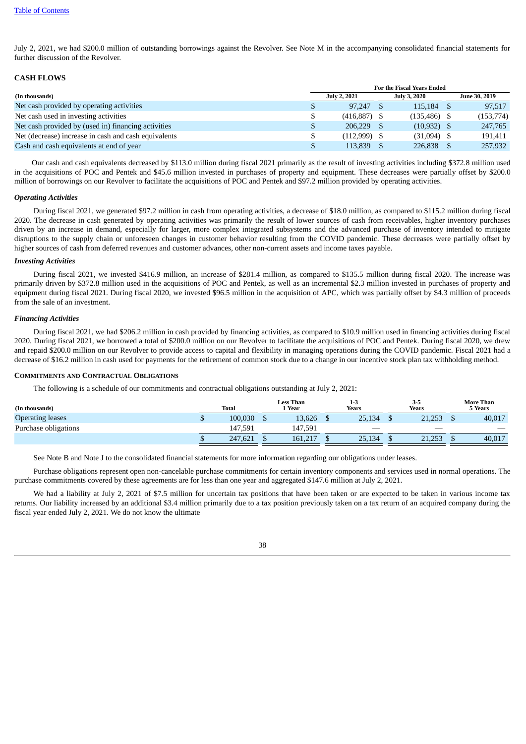July 2, 2021, we had \$200.0 million of outstanding borrowings against the Revolver. See Note M in the accompanying consolidated financial statements for further discussion of the Revolver.

# **CASH FLOWS**

| (In thousands)                                       |  | <b>July 2, 2021</b> | <b>July 3, 2020</b> |      | <b>June 30, 2019</b> |
|------------------------------------------------------|--|---------------------|---------------------|------|----------------------|
| Net cash provided by operating activities            |  | 97.247              | 115,184             | - \$ | 97.517               |
| Net cash used in investing activities                |  | (416.887)           | $(135, 486)$ \$     |      | (153, 774)           |
| Net cash provided by (used in) financing activities  |  | 206,229             | $(10,932)$ \$       |      | 247,765              |
| Net (decrease) increase in cash and cash equivalents |  | (112,999)           | $(31,094)$ \$       |      | 191.411              |
| Cash and cash equivalents at end of year             |  | 113,839             | 226,838             |      | 257,932              |

Our cash and cash equivalents decreased by \$113.0 million during fiscal 2021 primarily as the result of investing activities including \$372.8 million used in the acquisitions of POC and Pentek and \$45.6 million invested in purchases of property and equipment. These decreases were partially offset by \$200.0 million of borrowings on our Revolver to facilitate the acquisitions of POC and Pentek and \$97.2 million provided by operating activities.

#### *Operating Activities*

During fiscal 2021, we generated \$97.2 million in cash from operating activities, a decrease of \$18.0 million, as compared to \$115.2 million during fiscal 2020. The decrease in cash generated by operating activities was primarily the result of lower sources of cash from receivables, higher inventory purchases driven by an increase in demand, especially for larger, more complex integrated subsystems and the advanced purchase of inventory intended to mitigate disruptions to the supply chain or unforeseen changes in customer behavior resulting from the COVID pandemic. These decreases were partially offset by higher sources of cash from deferred revenues and customer advances, other non-current assets and income taxes payable.

#### *Investing Activities*

During fiscal 2021, we invested \$416.9 million, an increase of \$281.4 million, as compared to \$135.5 million during fiscal 2020. The increase was primarily driven by \$372.8 million used in the acquisitions of POC and Pentek, as well as an incremental \$2.3 million invested in purchases of property and equipment during fiscal 2021. During fiscal 2020, we invested \$96.5 million in the acquisition of APC, which was partially offset by \$4.3 million of proceeds from the sale of an investment.

### *Financing Activities*

During fiscal 2021, we had \$206.2 million in cash provided by financing activities, as compared to \$10.9 million used in financing activities during fiscal 2020. During fiscal 2021, we borrowed a total of \$200.0 million on our Revolver to facilitate the acquisitions of POC and Pentek. During fiscal 2020, we drew and repaid \$200.0 million on our Revolver to provide access to capital and flexibility in managing operations during the COVID pandemic. Fiscal 2021 had a decrease of \$16.2 million in cash used for payments for the retirement of common stock due to a change in our incentive stock plan tax withholding method.

#### **COMMITMENTS AND CONTRACTUAL OBLIGATIONS**

The following is a schedule of our commitments and contractual obligations outstanding at July 2, 2021:

| (In thousands)          |   | Total   | <b>Less Than</b><br>Year | 1-3<br>Years | $3 - 5$<br>Years  | <b>More Than</b><br>5 Years |
|-------------------------|---|---------|--------------------------|--------------|-------------------|-----------------------------|
| <b>Operating leases</b> | Ψ | 100,030 | 13,626                   | 25,134       | 21,253            | 40,017                      |
| Purchase obligations    |   | 147,591 | 147.591                  |              | $\qquad \qquad -$ | $\hspace{0.05cm}$           |
|                         |   | 247,621 | 161,217                  | 25,134       | 21,253            | 40,017                      |

See Note B and Note J to the consolidated financial statements for more information regarding our obligations under leases.

Purchase obligations represent open non-cancelable purchase commitments for certain inventory components and services used in normal operations. The purchase commitments covered by these agreements are for less than one year and aggregated \$147.6 million at July 2, 2021.

We had a liability at July 2, 2021 of \$7.5 million for uncertain tax positions that have been taken or are expected to be taken in various income tax returns. Our liability increased by an additional \$3.4 million primarily due to a tax position previously taken on a tax return of an acquired company during the fiscal year ended July 2, 2021. We do not know the ultimate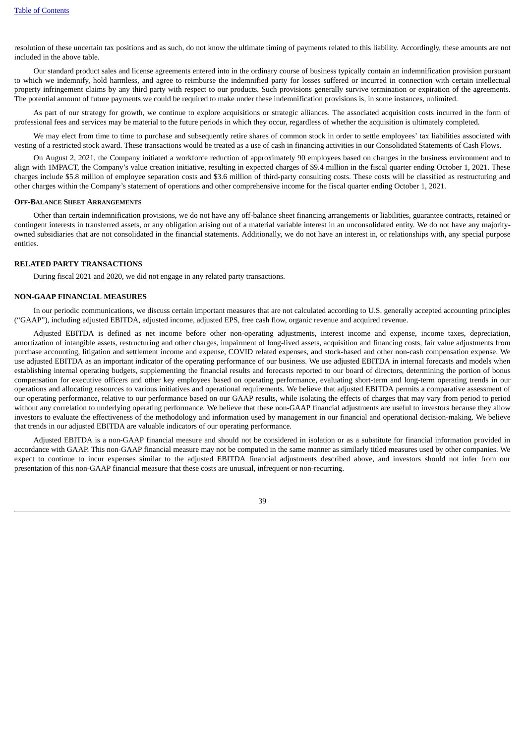resolution of these uncertain tax positions and as such, do not know the ultimate timing of payments related to this liability. Accordingly, these amounts are not included in the above table.

Our standard product sales and license agreements entered into in the ordinary course of business typically contain an indemnification provision pursuant to which we indemnify, hold harmless, and agree to reimburse the indemnified party for losses suffered or incurred in connection with certain intellectual property infringement claims by any third party with respect to our products. Such provisions generally survive termination or expiration of the agreements. The potential amount of future payments we could be required to make under these indemnification provisions is, in some instances, unlimited.

As part of our strategy for growth, we continue to explore acquisitions or strategic alliances. The associated acquisition costs incurred in the form of professional fees and services may be material to the future periods in which they occur, regardless of whether the acquisition is ultimately completed.

We may elect from time to time to purchase and subsequently retire shares of common stock in order to settle employees' tax liabilities associated with vesting of a restricted stock award. These transactions would be treated as a use of cash in financing activities in our Consolidated Statements of Cash Flows.

On August 2, 2021, the Company initiated a workforce reduction of approximately 90 employees based on changes in the business environment and to align with 1MPACT, the Company's value creation initiative, resulting in expected charges of \$9.4 million in the fiscal quarter ending October 1, 2021. These charges include \$5.8 million of employee separation costs and \$3.6 million of third-party consulting costs. These costs will be classified as restructuring and other charges within the Company's statement of operations and other comprehensive income for the fiscal quarter ending October 1, 2021.

#### **OFF-BALANCE SHEET ARRANGEMENTS**

Other than certain indemnification provisions, we do not have any off-balance sheet financing arrangements or liabilities, guarantee contracts, retained or contingent interests in transferred assets, or any obligation arising out of a material variable interest in an unconsolidated entity. We do not have any majorityowned subsidiaries that are not consolidated in the financial statements. Additionally, we do not have an interest in, or relationships with, any special purpose entities.

#### **RELATED PARTY TRANSACTIONS**

During fiscal 2021 and 2020, we did not engage in any related party transactions.

#### **NON-GAAP FINANCIAL MEASURES**

In our periodic communications, we discuss certain important measures that are not calculated according to U.S. generally accepted accounting principles ("GAAP"), including adjusted EBITDA, adjusted income, adjusted EPS, free cash flow, organic revenue and acquired revenue.

Adjusted EBITDA is defined as net income before other non-operating adjustments, interest income and expense, income taxes, depreciation, amortization of intangible assets, restructuring and other charges, impairment of long-lived assets, acquisition and financing costs, fair value adjustments from purchase accounting, litigation and settlement income and expense, COVID related expenses, and stock-based and other non-cash compensation expense. We use adjusted EBITDA as an important indicator of the operating performance of our business. We use adjusted EBITDA in internal forecasts and models when establishing internal operating budgets, supplementing the financial results and forecasts reported to our board of directors, determining the portion of bonus compensation for executive officers and other key employees based on operating performance, evaluating short-term and long-term operating trends in our operations and allocating resources to various initiatives and operational requirements. We believe that adjusted EBITDA permits a comparative assessment of our operating performance, relative to our performance based on our GAAP results, while isolating the effects of charges that may vary from period to period without any correlation to underlying operating performance. We believe that these non-GAAP financial adjustments are useful to investors because they allow investors to evaluate the effectiveness of the methodology and information used by management in our financial and operational decision-making. We believe that trends in our adjusted EBITDA are valuable indicators of our operating performance.

Adjusted EBITDA is a non-GAAP financial measure and should not be considered in isolation or as a substitute for financial information provided in accordance with GAAP. This non-GAAP financial measure may not be computed in the same manner as similarly titled measures used by other companies. We expect to continue to incur expenses similar to the adjusted EBITDA financial adjustments described above, and investors should not infer from our presentation of this non-GAAP financial measure that these costs are unusual, infrequent or non-recurring.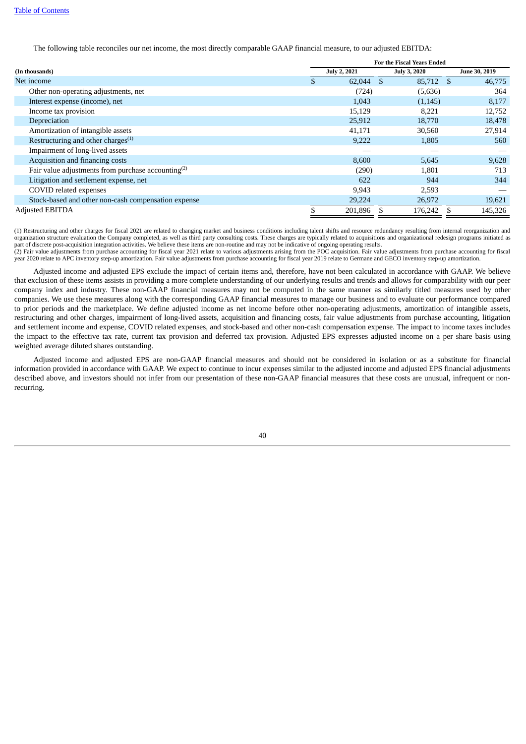The following table reconciles our net income, the most directly comparable GAAP financial measure, to our adjusted EBITDA:

|                                                                | <b>For the Fiscal Years Ended</b> |                     |               |  |  |  |  |  |  |
|----------------------------------------------------------------|-----------------------------------|---------------------|---------------|--|--|--|--|--|--|
| (In thousands)                                                 | <b>July 2, 2021</b>               | <b>July 3, 2020</b> | June 30, 2019 |  |  |  |  |  |  |
| Net income                                                     | 62,044                            | 85,712 \$<br>-S     | 46,775        |  |  |  |  |  |  |
| Other non-operating adjustments, net                           | (724)                             | (5,636)             | 364           |  |  |  |  |  |  |
| Interest expense (income), net                                 | 1,043                             | (1, 145)            | 8,177         |  |  |  |  |  |  |
| Income tax provision                                           | 15,129                            | 8,221               | 12,752        |  |  |  |  |  |  |
| Depreciation                                                   | 25,912                            | 18,770              | 18,478        |  |  |  |  |  |  |
| Amortization of intangible assets                              | 41,171                            | 30,560              | 27,914        |  |  |  |  |  |  |
| Restructuring and other charges $(1)$                          | 9,222                             | 1,805               | 560           |  |  |  |  |  |  |
| Impairment of long-lived assets                                |                                   |                     |               |  |  |  |  |  |  |
| Acquisition and financing costs                                | 8,600                             | 5,645               | 9,628         |  |  |  |  |  |  |
| Fair value adjustments from purchase accounting <sup>(2)</sup> | (290)                             | 1,801               | 713           |  |  |  |  |  |  |
| Litigation and settlement expense, net                         | 622                               | 944                 | 344           |  |  |  |  |  |  |
| COVID related expenses                                         | 9,943                             | 2,593               |               |  |  |  |  |  |  |
| Stock-based and other non-cash compensation expense            | 29,224                            | 26,972              | 19,621        |  |  |  |  |  |  |
| <b>Adjusted EBITDA</b>                                         | 201,896                           | 176.242             | 145,326       |  |  |  |  |  |  |

(1) Restructuring and other charges for fiscal 2021 are related to changing market and business conditions including talent shifts and resource redundancy resulting from internal reorganization and organization structure evaluation the Company completed, as well as third party consulting costs. These charges are typically related to acquisitions and organizational redesign programs initiated as part of discrete post-acquisition integration activities. We believe these items are non-routine and may not be indicative of ongoing operating results.

(2) Fair value adjustments from purchase accounting for fiscal year 2021 relate to various adjustments arising from the POC acquisition. Fair value adjustments from purchase accounting for fiscal year 2020 relate to APC inventory step-up amortization. Fair value adjustments from purchase accounting for fiscal year 2019 relate to Germane and GECO inventory step-up amortization.

Adjusted income and adjusted EPS exclude the impact of certain items and, therefore, have not been calculated in accordance with GAAP. We believe that exclusion of these items assists in providing a more complete understanding of our underlying results and trends and allows for comparability with our peer company index and industry. These non-GAAP financial measures may not be computed in the same manner as similarly titled measures used by other companies. We use these measures along with the corresponding GAAP financial measures to manage our business and to evaluate our performance compared to prior periods and the marketplace. We define adjusted income as net income before other non-operating adjustments, amortization of intangible assets, restructuring and other charges, impairment of long-lived assets, acquisition and financing costs, fair value adjustments from purchase accounting, litigation and settlement income and expense, COVID related expenses, and stock-based and other non-cash compensation expense. The impact to income taxes includes the impact to the effective tax rate, current tax provision and deferred tax provision. Adjusted EPS expresses adjusted income on a per share basis using weighted average diluted shares outstanding.

Adjusted income and adjusted EPS are non-GAAP financial measures and should not be considered in isolation or as a substitute for financial information provided in accordance with GAAP. We expect to continue to incur expenses similar to the adjusted income and adjusted EPS financial adjustments described above, and investors should not infer from our presentation of these non-GAAP financial measures that these costs are unusual, infrequent or nonrecurring.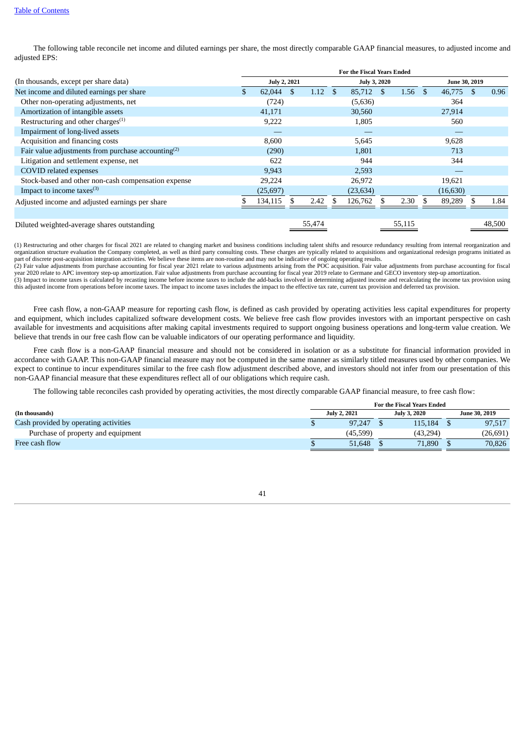The following table reconcile net income and diluted earnings per share, the most directly comparable GAAP financial measures, to adjusted income and adjusted EPS:

|                                                       | For the Fiscal Years Ended |                     |              |        |    |                     |  |        |               |           |               |        |  |
|-------------------------------------------------------|----------------------------|---------------------|--------------|--------|----|---------------------|--|--------|---------------|-----------|---------------|--------|--|
| (In thousands, except per share data)                 |                            | <b>July 2, 2021</b> |              |        |    | <b>July 3, 2020</b> |  |        |               |           | June 30, 2019 |        |  |
| Net income and diluted earnings per share             |                            | 62.044              | $\mathbf{s}$ | 1.12   | S. | 85,712 \$           |  | 1.56   | <sup>\$</sup> | 46,775    | \$            | 0.96   |  |
| Other non-operating adjustments, net                  |                            | (724)               |              |        |    | (5,636)             |  |        |               | 364       |               |        |  |
| Amortization of intangible assets                     |                            | 41,171              |              |        |    | 30,560              |  |        |               | 27,914    |               |        |  |
| Restructuring and other charges $(1)$                 |                            | 9,222               |              |        |    | 1,805               |  |        |               | 560       |               |        |  |
| Impairment of long-lived assets                       |                            |                     |              |        |    |                     |  |        |               |           |               |        |  |
| Acquisition and financing costs                       |                            | 8,600               |              |        |    | 5,645               |  |        |               | 9,628     |               |        |  |
| Fair value adjustments from purchase accounting $(2)$ |                            | (290)               |              |        |    | 1,801               |  |        |               | 713       |               |        |  |
| Litigation and settlement expense, net                |                            | 622                 |              |        |    | 944                 |  |        |               | 344       |               |        |  |
| COVID related expenses                                |                            | 9,943               |              |        |    | 2,593               |  |        |               |           |               |        |  |
| Stock-based and other non-cash compensation expense   |                            | 29,224              |              |        |    | 26,972              |  |        |               | 19,621    |               |        |  |
| Impact to income taxes $(3)$                          |                            | (25, 697)           |              |        |    | (23, 634)           |  |        |               | (16, 630) |               |        |  |
| Adjusted income and adjusted earnings per share       |                            | 134,115             |              | 2.42   | \$ | 126,762             |  | 2.30   | \$            | 89,289    |               | 1.84   |  |
|                                                       |                            |                     |              |        |    |                     |  |        |               |           |               |        |  |
| Diluted weighted-average shares outstanding           |                            |                     |              | 55,474 |    |                     |  | 55,115 |               |           |               | 48,500 |  |

(1) Restructuring and other charges for fiscal 2021 are related to changing market and business conditions including talent shifts and resource redundancy resulting from internal reorganization and organization structure evaluation the Company completed, as well as third party consulting costs. These charges are typically related to acquisitions and organizational redesign programs initiated as part of discrete post-acquisition integration activities. We believe these items are non-routine and may not be indicative of ongoing operating results.

(2) Fair value adjustments from purchase accounting for fiscal year 2021 relate to various adjustments arising from the POC acquisition. Fair value adjustments from purchase accounting for fiscal year 2020 relate to APC inventory step-up amortization. Fair value adjustments from purchase accounting for fiscal year 2019 relate to Germane and GECO inventory step-up amortization.

(3) Impact to income taxes is calculated by recasting income before income taxes to include the add-backs involved in determining adjusted income and recalculating the income tax provision using this adjusted income from operations before income taxes. The impact to income taxes includes the impact to the effective tax rate, current tax provision and deferred tax provision.

Free cash flow, a non-GAAP measure for reporting cash flow, is defined as cash provided by operating activities less capital expenditures for property and equipment, which includes capitalized software development costs. We believe free cash flow provides investors with an important perspective on cash available for investments and acquisitions after making capital investments required to support ongoing business operations and long-term value creation. We believe that trends in our free cash flow can be valuable indicators of our operating performance and liquidity.

Free cash flow is a non-GAAP financial measure and should not be considered in isolation or as a substitute for financial information provided in accordance with GAAP. This non-GAAP financial measure may not be computed in the same manner as similarly titled measures used by other companies. We expect to continue to incur expenditures similar to the free cash flow adjustment described above, and investors should not infer from our presentation of this non-GAAP financial measure that these expenditures reflect all of our obligations which require cash.

The following table reconciles cash provided by operating activities, the most directly comparable GAAP financial measure, to free cash flow:

|                                       | For the Fiscal Years Ended |                     |  |                     |  |                      |  |  |  |  |  |
|---------------------------------------|----------------------------|---------------------|--|---------------------|--|----------------------|--|--|--|--|--|
| (In thousands)                        |                            | <b>July 2, 2021</b> |  | <b>July 3, 2020</b> |  | <b>June 30, 2019</b> |  |  |  |  |  |
| Cash provided by operating activities |                            | 97.247              |  | 115,184             |  | 97,517               |  |  |  |  |  |
| Purchase of property and equipment    |                            | (45,599)            |  | (43,294)            |  | (26,691)             |  |  |  |  |  |
| Free cash flow                        |                            | 51.648              |  | 71,890              |  | 70,826               |  |  |  |  |  |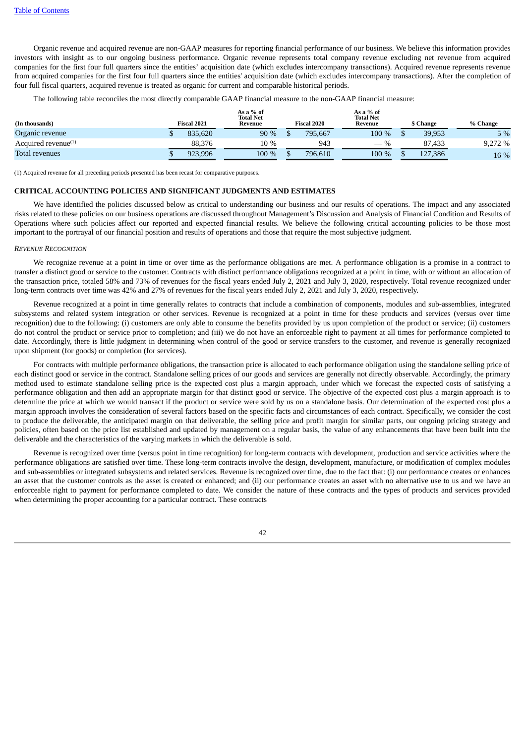Organic revenue and acquired revenue are non-GAAP measures for reporting financial performance of our business. We believe this information provides investors with insight as to our ongoing business performance. Organic revenue represents total company revenue excluding net revenue from acquired companies for the first four full quarters since the entities' acquisition date (which excludes intercompany transactions). Acquired revenue represents revenue from acquired companies for the first four full quarters since the entities' acquisition date (which excludes intercompany transactions). After the completion of four full fiscal quarters, acquired revenue is treated as organic for current and comparable historical periods.

The following table reconciles the most directly comparable GAAP financial measure to the non-GAAP financial measure:

| (In thousands)         | <b>Fiscal 2021</b> | As a % of<br><b>Total Net</b><br>Revenue | <b>Fiscal 2020</b> | As a % of<br><b>Total Net</b><br>Revenue | \$ Change | % Change |
|------------------------|--------------------|------------------------------------------|--------------------|------------------------------------------|-----------|----------|
| Organic revenue        | 835,620            | 90 %                                     | 795.667            | 100 %                                    | 39,953    | $5\%$    |
| Acquired revenue $(1)$ | 88.376             | $10\%$                                   | 943                | $\%$<br>$\hspace{0.1mm}-\hspace{0.1mm}$  | 87.433    | 9,272%   |
| Total revenues         | 923.996            | 100 %                                    | 796.610            | 100 %                                    | 127,386   | 16 %     |

(1) Acquired revenue for all preceding periods presented has been recast for comparative purposes.

# **CRITICAL ACCOUNTING POLICIES AND SIGNIFICANT JUDGMENTS AND ESTIMATES**

We have identified the policies discussed below as critical to understanding our business and our results of operations. The impact and any associated risks related to these policies on our business operations are discussed throughout Management's Discussion and Analysis of Financial Condition and Results of Operations where such policies affect our reported and expected financial results. We believe the following critical accounting policies to be those most important to the portrayal of our financial position and results of operations and those that require the most subjective judgment.

## *REVENUE RECOGNITION*

We recognize revenue at a point in time or over time as the performance obligations are met. A performance obligation is a promise in a contract to transfer a distinct good or service to the customer. Contracts with distinct performance obligations recognized at a point in time, with or without an allocation of the transaction price, totaled 58% and 73% of revenues for the fiscal years ended July 2, 2021 and July 3, 2020, respectively. Total revenue recognized under long-term contracts over time was 42% and 27% of revenues for the fiscal years ended July 2, 2021 and July 3, 2020, respectively.

Revenue recognized at a point in time generally relates to contracts that include a combination of components, modules and sub-assemblies, integrated subsystems and related system integration or other services. Revenue is recognized at a point in time for these products and services (versus over time recognition) due to the following: (i) customers are only able to consume the benefits provided by us upon completion of the product or service; (ii) customers do not control the product or service prior to completion; and (iii) we do not have an enforceable right to payment at all times for performance completed to date. Accordingly, there is little judgment in determining when control of the good or service transfers to the customer, and revenue is generally recognized upon shipment (for goods) or completion (for services).

For contracts with multiple performance obligations, the transaction price is allocated to each performance obligation using the standalone selling price of each distinct good or service in the contract. Standalone selling prices of our goods and services are generally not directly observable. Accordingly, the primary method used to estimate standalone selling price is the expected cost plus a margin approach, under which we forecast the expected costs of satisfying a performance obligation and then add an appropriate margin for that distinct good or service. The objective of the expected cost plus a margin approach is to determine the price at which we would transact if the product or service were sold by us on a standalone basis. Our determination of the expected cost plus a margin approach involves the consideration of several factors based on the specific facts and circumstances of each contract. Specifically, we consider the cost to produce the deliverable, the anticipated margin on that deliverable, the selling price and profit margin for similar parts, our ongoing pricing strategy and policies, often based on the price list established and updated by management on a regular basis, the value of any enhancements that have been built into the deliverable and the characteristics of the varying markets in which the deliverable is sold.

Revenue is recognized over time (versus point in time recognition) for long-term contracts with development, production and service activities where the performance obligations are satisfied over time. These long-term contracts involve the design, development, manufacture, or modification of complex modules and sub-assemblies or integrated subsystems and related services. Revenue is recognized over time, due to the fact that: (i) our performance creates or enhances an asset that the customer controls as the asset is created or enhanced; and (ii) our performance creates an asset with no alternative use to us and we have an enforceable right to payment for performance completed to date. We consider the nature of these contracts and the types of products and services provided when determining the proper accounting for a particular contract. These contracts

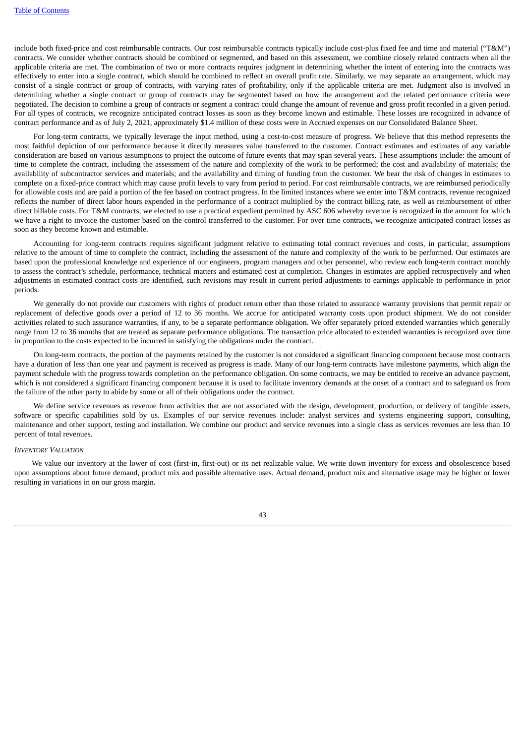include both fixed-price and cost reimbursable contracts. Our cost reimbursable contracts typically include cost-plus fixed fee and time and material ("T&M") contracts. We consider whether contracts should be combined or segmented, and based on this assessment, we combine closely related contracts when all the applicable criteria are met. The combination of two or more contracts requires judgment in determining whether the intent of entering into the contracts was effectively to enter into a single contract, which should be combined to reflect an overall profit rate. Similarly, we may separate an arrangement, which may consist of a single contract or group of contracts, with varying rates of profitability, only if the applicable criteria are met. Judgment also is involved in determining whether a single contract or group of contracts may be segmented based on how the arrangement and the related performance criteria were negotiated. The decision to combine a group of contracts or segment a contract could change the amount of revenue and gross profit recorded in a given period. For all types of contracts, we recognize anticipated contract losses as soon as they become known and estimable. These losses are recognized in advance of contract performance and as of July 2, 2021, approximately \$1.4 million of these costs were in Accrued expenses on our Consolidated Balance Sheet.

For long-term contracts, we typically leverage the input method, using a cost-to-cost measure of progress. We believe that this method represents the most faithful depiction of our performance because it directly measures value transferred to the customer. Contract estimates and estimates of any variable consideration are based on various assumptions to project the outcome of future events that may span several years. These assumptions include: the amount of time to complete the contract, including the assessment of the nature and complexity of the work to be performed; the cost and availability of materials; the availability of subcontractor services and materials; and the availability and timing of funding from the customer. We bear the risk of changes in estimates to complete on a fixed-price contract which may cause profit levels to vary from period to period. For cost reimbursable contracts, we are reimbursed periodically for allowable costs and are paid a portion of the fee based on contract progress. In the limited instances where we enter into T&M contracts, revenue recognized reflects the number of direct labor hours expended in the performance of a contract multiplied by the contract billing rate, as well as reimbursement of other direct billable costs. For T&M contracts, we elected to use a practical expedient permitted by ASC 606 whereby revenue is recognized in the amount for which we have a right to invoice the customer based on the control transferred to the customer. For over time contracts, we recognize anticipated contract losses as soon as they become known and estimable.

Accounting for long-term contracts requires significant judgment relative to estimating total contract revenues and costs, in particular, assumptions relative to the amount of time to complete the contract, including the assessment of the nature and complexity of the work to be performed. Our estimates are based upon the professional knowledge and experience of our engineers, program managers and other personnel, who review each long-term contract monthly to assess the contract's schedule, performance, technical matters and estimated cost at completion. Changes in estimates are applied retrospectively and when adjustments in estimated contract costs are identified, such revisions may result in current period adjustments to earnings applicable to performance in prior periods.

We generally do not provide our customers with rights of product return other than those related to assurance warranty provisions that permit repair or replacement of defective goods over a period of 12 to 36 months. We accrue for anticipated warranty costs upon product shipment. We do not consider activities related to such assurance warranties, if any, to be a separate performance obligation. We offer separately priced extended warranties which generally range from 12 to 36 months that are treated as separate performance obligations. The transaction price allocated to extended warranties is recognized over time in proportion to the costs expected to be incurred in satisfying the obligations under the contract.

On long-term contracts, the portion of the payments retained by the customer is not considered a significant financing component because most contracts have a duration of less than one year and payment is received as progress is made. Many of our long-term contracts have milestone payments, which align the payment schedule with the progress towards completion on the performance obligation. On some contracts, we may be entitled to receive an advance payment, which is not considered a significant financing component because it is used to facilitate inventory demands at the onset of a contract and to safeguard us from the failure of the other party to abide by some or all of their obligations under the contract.

We define service revenues as revenue from activities that are not associated with the design, development, production, or delivery of tangible assets, software or specific capabilities sold by us. Examples of our service revenues include: analyst services and systems engineering support, consulting, maintenance and other support, testing and installation. We combine our product and service revenues into a single class as services revenues are less than 10 percent of total revenues.

#### *INVENTORY VALUATION*

We value our inventory at the lower of cost (first-in, first-out) or its net realizable value. We write down inventory for excess and obsolescence based upon assumptions about future demand, product mix and possible alternative uses. Actual demand, product mix and alternative usage may be higher or lower resulting in variations in on our gross margin.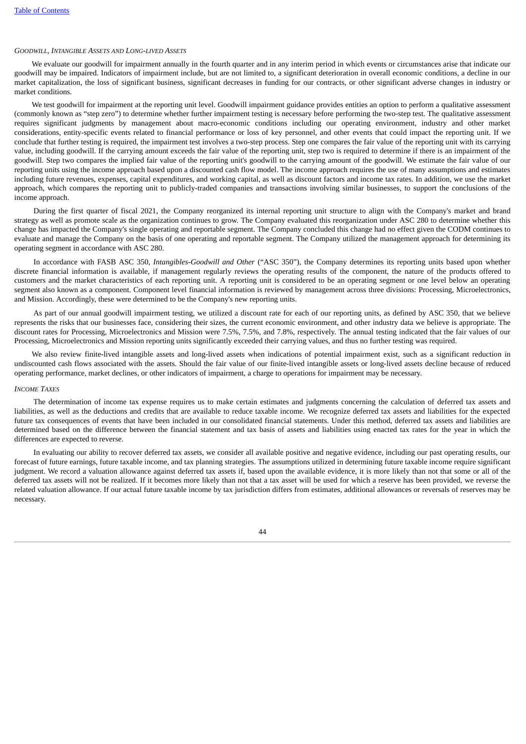#### *GOODWILL, INTANGIBLE ASSETS AND LONG-LIVED ASSETS*

We evaluate our goodwill for impairment annually in the fourth quarter and in any interim period in which events or circumstances arise that indicate our goodwill may be impaired. Indicators of impairment include, but are not limited to, a significant deterioration in overall economic conditions, a decline in our market capitalization, the loss of significant business, significant decreases in funding for our contracts, or other significant adverse changes in industry or market conditions.

We test goodwill for impairment at the reporting unit level. Goodwill impairment guidance provides entities an option to perform a qualitative assessment (commonly known as "step zero") to determine whether further impairment testing is necessary before performing the two-step test. The qualitative assessment requires significant judgments by management about macro-economic conditions including our operating environment, industry and other market considerations, entity-specific events related to financial performance or loss of key personnel, and other events that could impact the reporting unit. If we conclude that further testing is required, the impairment test involves a two-step process. Step one compares the fair value of the reporting unit with its carrying value, including goodwill. If the carrying amount exceeds the fair value of the reporting unit, step two is required to determine if there is an impairment of the goodwill. Step two compares the implied fair value of the reporting unit's goodwill to the carrying amount of the goodwill. We estimate the fair value of our reporting units using the income approach based upon a discounted cash flow model. The income approach requires the use of many assumptions and estimates including future revenues, expenses, capital expenditures, and working capital, as well as discount factors and income tax rates. In addition, we use the market approach, which compares the reporting unit to publicly-traded companies and transactions involving similar businesses, to support the conclusions of the income approach.

During the first quarter of fiscal 2021, the Company reorganized its internal reporting unit structure to align with the Company's market and brand strategy as well as promote scale as the organization continues to grow. The Company evaluated this reorganization under ASC 280 to determine whether this change has impacted the Company's single operating and reportable segment. The Company concluded this change had no effect given the CODM continues to evaluate and manage the Company on the basis of one operating and reportable segment. The Company utilized the management approach for determining its operating segment in accordance with ASC 280.

In accordance with FASB ASC 350, *Intangibles-Goodwill and Other* ("ASC 350"), the Company determines its reporting units based upon whether discrete financial information is available, if management regularly reviews the operating results of the component, the nature of the products offered to customers and the market characteristics of each reporting unit. A reporting unit is considered to be an operating segment or one level below an operating segment also known as a component. Component level financial information is reviewed by management across three divisions: Processing, Microelectronics, and Mission. Accordingly, these were determined to be the Company's new reporting units.

As part of our annual goodwill impairment testing, we utilized a discount rate for each of our reporting units, as defined by ASC 350, that we believe represents the risks that our businesses face, considering their sizes, the current economic environment, and other industry data we believe is appropriate. The discount rates for Processing, Microelectronics and Mission were 7.5%, 7.5%, and 7.8%, respectively. The annual testing indicated that the fair values of our Processing, Microelectronics and Mission reporting units significantly exceeded their carrying values, and thus no further testing was required.

We also review finite-lived intangible assets and long-lived assets when indications of potential impairment exist, such as a significant reduction in undiscounted cash flows associated with the assets. Should the fair value of our finite-lived intangible assets or long-lived assets decline because of reduced operating performance, market declines, or other indicators of impairment, a charge to operations for impairment may be necessary.

#### *INCOME TAXES*

The determination of income tax expense requires us to make certain estimates and judgments concerning the calculation of deferred tax assets and liabilities, as well as the deductions and credits that are available to reduce taxable income. We recognize deferred tax assets and liabilities for the expected future tax consequences of events that have been included in our consolidated financial statements. Under this method, deferred tax assets and liabilities are determined based on the difference between the financial statement and tax basis of assets and liabilities using enacted tax rates for the year in which the differences are expected to reverse.

In evaluating our ability to recover deferred tax assets, we consider all available positive and negative evidence, including our past operating results, our forecast of future earnings, future taxable income, and tax planning strategies. The assumptions utilized in determining future taxable income require significant judgment. We record a valuation allowance against deferred tax assets if, based upon the available evidence, it is more likely than not that some or all of the deferred tax assets will not be realized. If it becomes more likely than not that a tax asset will be used for which a reserve has been provided, we reverse the related valuation allowance. If our actual future taxable income by tax jurisdiction differs from estimates, additional allowances or reversals of reserves may be necessary.

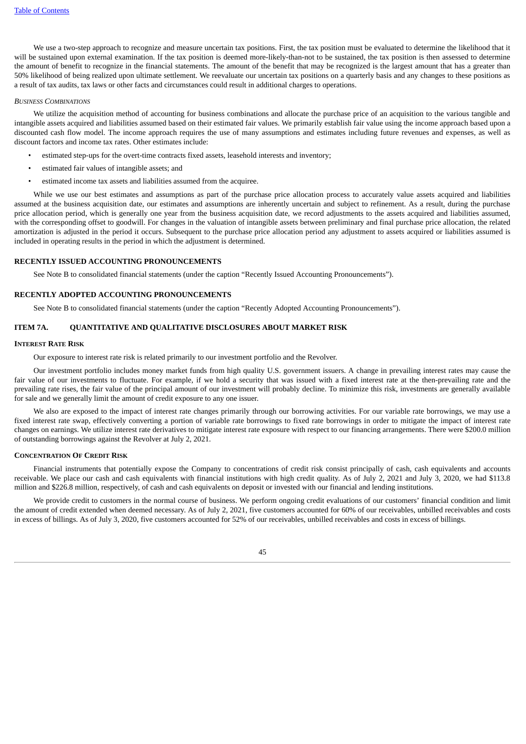We use a two-step approach to recognize and measure uncertain tax positions. First, the tax position must be evaluated to determine the likelihood that it will be sustained upon external examination. If the tax position is deemed more-likely-than-not to be sustained, the tax position is then assessed to determine the amount of benefit to recognize in the financial statements. The amount of the benefit that may be recognized is the largest amount that has a greater than 50% likelihood of being realized upon ultimate settlement. We reevaluate our uncertain tax positions on a quarterly basis and any changes to these positions as a result of tax audits, tax laws or other facts and circumstances could result in additional charges to operations.

#### *BUSINESS COMBINATIONS*

We utilize the acquisition method of accounting for business combinations and allocate the purchase price of an acquisition to the various tangible and intangible assets acquired and liabilities assumed based on their estimated fair values. We primarily establish fair value using the income approach based upon a discounted cash flow model. The income approach requires the use of many assumptions and estimates including future revenues and expenses, as well as discount factors and income tax rates. Other estimates include:

- estimated step-ups for the overt-time contracts fixed assets, leasehold interests and inventory;
- estimated fair values of intangible assets; and
- estimated income tax assets and liabilities assumed from the acquiree.

While we use our best estimates and assumptions as part of the purchase price allocation process to accurately value assets acquired and liabilities assumed at the business acquisition date, our estimates and assumptions are inherently uncertain and subject to refinement. As a result, during the purchase price allocation period, which is generally one year from the business acquisition date, we record adjustments to the assets acquired and liabilities assumed, with the corresponding offset to goodwill. For changes in the valuation of intangible assets between preliminary and final purchase price allocation, the related amortization is adjusted in the period it occurs. Subsequent to the purchase price allocation period any adjustment to assets acquired or liabilities assumed is included in operating results in the period in which the adjustment is determined.

#### **RECENTLY ISSUED ACCOUNTING PRONOUNCEMENTS**

See Note B to consolidated financial statements (under the caption "Recently Issued Accounting Pronouncements").

## **RECENTLY ADOPTED ACCOUNTING PRONOUNCEMENTS**

See Note B to consolidated financial statements (under the caption "Recently Adopted Accounting Pronouncements").

# **ITEM 7A. QUANTITATIVE AND QUALITATIVE DISCLOSURES ABOUT MARKET RISK**

### **INTEREST RATE RISK**

Our exposure to interest rate risk is related primarily to our investment portfolio and the Revolver.

Our investment portfolio includes money market funds from high quality U.S. government issuers. A change in prevailing interest rates may cause the fair value of our investments to fluctuate. For example, if we hold a security that was issued with a fixed interest rate at the then-prevailing rate and the prevailing rate rises, the fair value of the principal amount of our investment will probably decline. To minimize this risk, investments are generally available for sale and we generally limit the amount of credit exposure to any one issuer.

We also are exposed to the impact of interest rate changes primarily through our borrowing activities. For our variable rate borrowings, we may use a fixed interest rate swap, effectively converting a portion of variable rate borrowings to fixed rate borrowings in order to mitigate the impact of interest rate changes on earnings. We utilize interest rate derivatives to mitigate interest rate exposure with respect to our financing arrangements. There were \$200.0 million of outstanding borrowings against the Revolver at July 2, 2021.

#### **CONCENTRATION OF CREDIT RISK**

Financial instruments that potentially expose the Company to concentrations of credit risk consist principally of cash, cash equivalents and accounts receivable. We place our cash and cash equivalents with financial institutions with high credit quality. As of July 2, 2021 and July 3, 2020, we had \$113.8 million and \$226.8 million, respectively, of cash and cash equivalents on deposit or invested with our financial and lending institutions.

We provide credit to customers in the normal course of business. We perform ongoing credit evaluations of our customers' financial condition and limit the amount of credit extended when deemed necessary. As of July 2, 2021, five customers accounted for 60% of our receivables, unbilled receivables and costs in excess of billings. As of July 3, 2020, five customers accounted for 52% of our receivables, unbilled receivables and costs in excess of billings.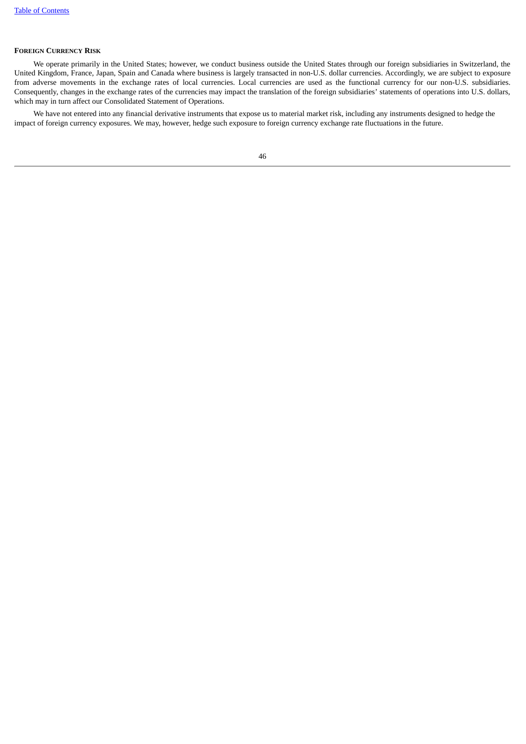## **FOREIGN CURRENCY RISK**

We operate primarily in the United States; however, we conduct business outside the United States through our foreign subsidiaries in Switzerland, the United Kingdom, France, Japan, Spain and Canada where business is largely transacted in non-U.S. dollar currencies. Accordingly, we are subject to exposure from adverse movements in the exchange rates of local currencies. Local currencies are used as the functional currency for our non-U.S. subsidiaries. Consequently, changes in the exchange rates of the currencies may impact the translation of the foreign subsidiaries' statements of operations into U.S. dollars, which may in turn affect our Consolidated Statement of Operations.

We have not entered into any financial derivative instruments that expose us to material market risk, including any instruments designed to hedge the impact of foreign currency exposures. We may, however, hedge such exposure to foreign currency exchange rate fluctuations in the future.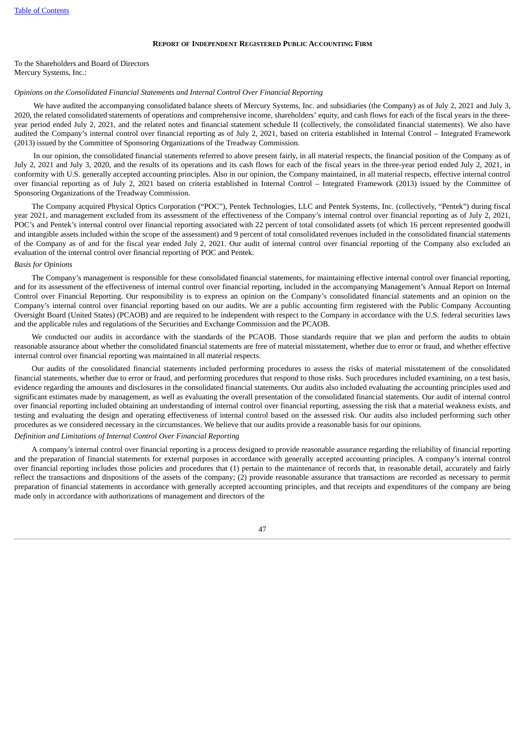#### **REPORT OF INDEPENDENT REGISTERED PUBLIC ACCOUNTING FIRM**

To the Shareholders and Board of Directors Mercury Systems, Inc.:

*Opinions on the Consolidated Financial Statements and Internal Control Over Financial Reporting*

We have audited the accompanying consolidated balance sheets of Mercury Systems, Inc. and subsidiaries (the Company) as of July 2, 2021 and July 3, 2020, the related consolidated statements of operations and comprehensive income, shareholders' equity, and cash flows for each of the fiscal years in the threeyear period ended July 2, 2021, and the related notes and financial statement schedule II (collectively, the consolidated financial statements). We also have audited the Company's internal control over financial reporting as of July 2, 2021, based on criteria established in Internal Control – Integrated Framework (2013) issued by the Committee of Sponsoring Organizations of the Treadway Commission.

In our opinion, the consolidated financial statements referred to above present fairly, in all material respects, the financial position of the Company as of July 2, 2021 and July 3, 2020, and the results of its operations and its cash flows for each of the fiscal years in the three-year period ended July 2, 2021, in conformity with U.S. generally accepted accounting principles. Also in our opinion, the Company maintained, in all material respects, effective internal control over financial reporting as of July 2, 2021 based on criteria established in Internal Control – Integrated Framework (2013) issued by the Committee of Sponsoring Organizations of the Treadway Commission.

The Company acquired Physical Optics Corporation ("POC"), Pentek Technologies, LLC and Pentek Systems, Inc. (collectively, "Pentek") during fiscal year 2021, and management excluded from its assessment of the effectiveness of the Company's internal control over financial reporting as of July 2, 2021, POC's and Pentek's internal control over financial reporting associated with 22 percent of total consolidated assets (of which 16 percent represented goodwill and intangible assets included within the scope of the assessment) and 9 percent of total consolidated revenues included in the consolidated financial statements of the Company as of and for the fiscal year ended July 2, 2021. Our audit of internal control over financial reporting of the Company also excluded an evaluation of the internal control over financial reporting of POC and Pentek.

## *Basis for Opinions*

The Company's management is responsible for these consolidated financial statements, for maintaining effective internal control over financial reporting, and for its assessment of the effectiveness of internal control over financial reporting, included in the accompanying Management's Annual Report on Internal Control over Financial Reporting. Our responsibility is to express an opinion on the Company's consolidated financial statements and an opinion on the Company's internal control over financial reporting based on our audits. We are a public accounting firm registered with the Public Company Accounting Oversight Board (United States) (PCAOB) and are required to be independent with respect to the Company in accordance with the U.S. federal securities laws and the applicable rules and regulations of the Securities and Exchange Commission and the PCAOB.

We conducted our audits in accordance with the standards of the PCAOB. Those standards require that we plan and perform the audits to obtain reasonable assurance about whether the consolidated financial statements are free of material misstatement, whether due to error or fraud, and whether effective internal control over financial reporting was maintained in all material respects.

Our audits of the consolidated financial statements included performing procedures to assess the risks of material misstatement of the consolidated financial statements, whether due to error or fraud, and performing procedures that respond to those risks. Such procedures included examining, on a test basis, evidence regarding the amounts and disclosures in the consolidated financial statements. Our audits also included evaluating the accounting principles used and significant estimates made by management, as well as evaluating the overall presentation of the consolidated financial statements. Our audit of internal control over financial reporting included obtaining an understanding of internal control over financial reporting, assessing the risk that a material weakness exists, and testing and evaluating the design and operating effectiveness of internal control based on the assessed risk. Our audits also included performing such other procedures as we considered necessary in the circumstances. We believe that our audits provide a reasonable basis for our opinions.

# *Definition and Limitations of Internal Control Over Financial Reporting*

A company's internal control over financial reporting is a process designed to provide reasonable assurance regarding the reliability of financial reporting and the preparation of financial statements for external purposes in accordance with generally accepted accounting principles. A company's internal control over financial reporting includes those policies and procedures that (1) pertain to the maintenance of records that, in reasonable detail, accurately and fairly reflect the transactions and dispositions of the assets of the company; (2) provide reasonable assurance that transactions are recorded as necessary to permit preparation of financial statements in accordance with generally accepted accounting principles, and that receipts and expenditures of the company are being made only in accordance with authorizations of management and directors of the

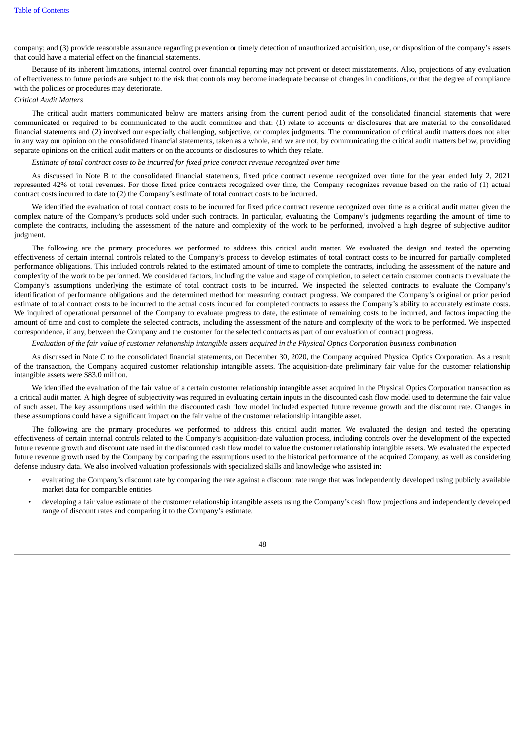company; and (3) provide reasonable assurance regarding prevention or timely detection of unauthorized acquisition, use, or disposition of the company's assets that could have a material effect on the financial statements.

Because of its inherent limitations, internal control over financial reporting may not prevent or detect misstatements. Also, projections of any evaluation of effectiveness to future periods are subject to the risk that controls may become inadequate because of changes in conditions, or that the degree of compliance with the policies or procedures may deteriorate.

## *Critical Audit Matters*

The critical audit matters communicated below are matters arising from the current period audit of the consolidated financial statements that were communicated or required to be communicated to the audit committee and that: (1) relate to accounts or disclosures that are material to the consolidated financial statements and (2) involved our especially challenging, subjective, or complex judgments. The communication of critical audit matters does not alter in any way our opinion on the consolidated financial statements, taken as a whole, and we are not, by communicating the critical audit matters below, providing separate opinions on the critical audit matters or on the accounts or disclosures to which they relate.

#### *Estimate of total contract costs to be incurred for fixed price contract revenue recognized over time*

As discussed in Note B to the consolidated financial statements, fixed price contract revenue recognized over time for the year ended July 2, 2021 represented 42% of total revenues. For those fixed price contracts recognized over time, the Company recognizes revenue based on the ratio of (1) actual contract costs incurred to date to (2) the Company's estimate of total contract costs to be incurred.

We identified the evaluation of total contract costs to be incurred for fixed price contract revenue recognized over time as a critical audit matter given the complex nature of the Company's products sold under such contracts. In particular, evaluating the Company's judgments regarding the amount of time to complete the contracts, including the assessment of the nature and complexity of the work to be performed, involved a high degree of subjective auditor judgment.

The following are the primary procedures we performed to address this critical audit matter. We evaluated the design and tested the operating effectiveness of certain internal controls related to the Company's process to develop estimates of total contract costs to be incurred for partially completed performance obligations. This included controls related to the estimated amount of time to complete the contracts, including the assessment of the nature and complexity of the work to be performed. We considered factors, including the value and stage of completion, to select certain customer contracts to evaluate the Company's assumptions underlying the estimate of total contract costs to be incurred. We inspected the selected contracts to evaluate the Company's identification of performance obligations and the determined method for measuring contract progress. We compared the Company's original or prior period estimate of total contract costs to be incurred to the actual costs incurred for completed contracts to assess the Company's ability to accurately estimate costs. We inquired of operational personnel of the Company to evaluate progress to date, the estimate of remaining costs to be incurred, and factors impacting the amount of time and cost to complete the selected contracts, including the assessment of the nature and complexity of the work to be performed. We inspected correspondence, if any, between the Company and the customer for the selected contracts as part of our evaluation of contract progress.

Evaluation of the fair value of customer relationship intangible assets acquired in the Physical Optics Corporation business combination

As discussed in Note C to the consolidated financial statements, on December 30, 2020, the Company acquired Physical Optics Corporation. As a result of the transaction, the Company acquired customer relationship intangible assets. The acquisition-date preliminary fair value for the customer relationship intangible assets were \$83.0 million.

We identified the evaluation of the fair value of a certain customer relationship intangible asset acquired in the Physical Optics Corporation transaction as a critical audit matter. A high degree of subjectivity was required in evaluating certain inputs in the discounted cash flow model used to determine the fair value of such asset. The key assumptions used within the discounted cash flow model included expected future revenue growth and the discount rate. Changes in these assumptions could have a significant impact on the fair value of the customer relationship intangible asset.

The following are the primary procedures we performed to address this critical audit matter. We evaluated the design and tested the operating effectiveness of certain internal controls related to the Company's acquisition-date valuation process, including controls over the development of the expected future revenue growth and discount rate used in the discounted cash flow model to value the customer relationship intangible assets. We evaluated the expected future revenue growth used by the Company by comparing the assumptions used to the historical performance of the acquired Company, as well as considering defense industry data. We also involved valuation professionals with specialized skills and knowledge who assisted in:

- evaluating the Company's discount rate by comparing the rate against a discount rate range that was independently developed using publicly available market data for comparable entities
- developing a fair value estimate of the customer relationship intangible assets using the Company's cash flow projections and independently developed range of discount rates and comparing it to the Company's estimate.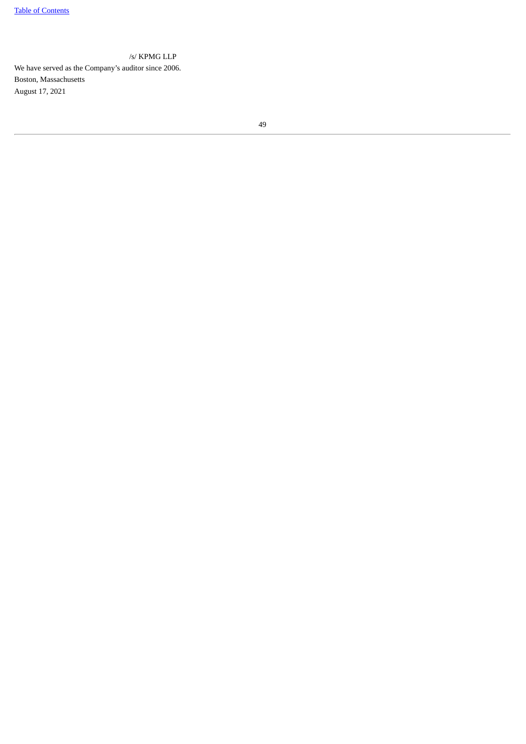/s/ KPMG LLP

We have served as the Company's auditor since 2006. Boston, Massachusetts August 17, 2021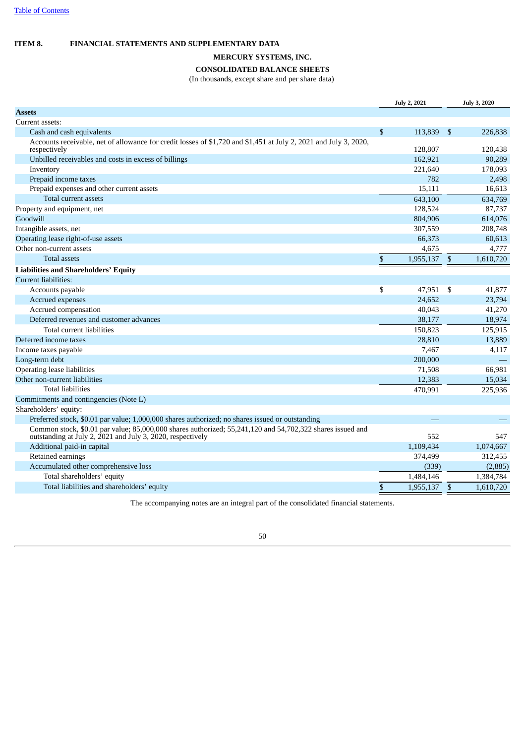# **ITEM 8. FINANCIAL STATEMENTS AND SUPPLEMENTARY DATA**

# **MERCURY SYSTEMS, INC.**

# **CONSOLIDATED BALANCE SHEETS**

(In thousands, except share and per share data)

|                                                                                                                                                                         |                           | <b>July 2, 2021</b> |                | <b>July 3, 2020</b> |
|-------------------------------------------------------------------------------------------------------------------------------------------------------------------------|---------------------------|---------------------|----------------|---------------------|
| <b>Assets</b>                                                                                                                                                           |                           |                     |                |                     |
| Current assets:                                                                                                                                                         |                           |                     |                |                     |
| Cash and cash equivalents                                                                                                                                               | \$                        | 113,839             | -\$            | 226,838             |
| Accounts receivable, net of allowance for credit losses of \$1,720 and \$1,451 at July 2, 2021 and July 3, 2020,<br>respectively                                        |                           | 128,807             |                | 120,438             |
| Unbilled receivables and costs in excess of billings                                                                                                                    |                           | 162,921             |                | 90,289              |
| Inventory                                                                                                                                                               |                           | 221,640             |                | 178,093             |
| Prepaid income taxes                                                                                                                                                    |                           | 782                 |                | 2,498               |
| Prepaid expenses and other current assets                                                                                                                               |                           | 15,111              |                | 16,613              |
| Total current assets                                                                                                                                                    |                           | 643,100             |                | 634,769             |
| Property and equipment, net                                                                                                                                             |                           | 128,524             |                | 87,737              |
| Goodwill                                                                                                                                                                |                           | 804,906             |                | 614,076             |
| Intangible assets, net                                                                                                                                                  |                           | 307,559             |                | 208,748             |
| Operating lease right-of-use assets                                                                                                                                     |                           | 66,373              |                | 60,613              |
| Other non-current assets                                                                                                                                                |                           | 4,675               |                | 4,777               |
| <b>Total assets</b>                                                                                                                                                     | $\boldsymbol{\mathsf{S}}$ | 1,955,137           | $\mathfrak{s}$ | 1,610,720           |
| <b>Liabilities and Shareholders' Equity</b>                                                                                                                             |                           |                     |                |                     |
| Current liabilities:                                                                                                                                                    |                           |                     |                |                     |
| Accounts payable                                                                                                                                                        | \$                        | 47,951              | \$             | 41,877              |
| Accrued expenses                                                                                                                                                        |                           | 24,652              |                | 23,794              |
| Accrued compensation                                                                                                                                                    |                           | 40,043              |                | 41,270              |
| Deferred revenues and customer advances                                                                                                                                 |                           | 38,177              |                | 18,974              |
| Total current liabilities                                                                                                                                               |                           | 150,823             |                | 125,915             |
| Deferred income taxes                                                                                                                                                   |                           | 28,810              |                | 13,889              |
| Income taxes payable                                                                                                                                                    |                           | 7,467               |                | 4,117               |
| Long-term debt                                                                                                                                                          |                           | 200,000             |                |                     |
| Operating lease liabilities                                                                                                                                             |                           | 71,508              |                | 66,981              |
| Other non-current liabilities                                                                                                                                           |                           | 12,383              |                | 15,034              |
| <b>Total liabilities</b>                                                                                                                                                |                           | 470,991             |                | 225,936             |
| Commitments and contingencies (Note L)                                                                                                                                  |                           |                     |                |                     |
| Shareholders' equity:                                                                                                                                                   |                           |                     |                |                     |
| Preferred stock, \$0.01 par value; 1,000,000 shares authorized; no shares issued or outstanding                                                                         |                           |                     |                |                     |
| Common stock, \$0.01 par value; 85,000,000 shares authorized; 55,241,120 and 54,702,322 shares issued and<br>outstanding at July 2, 2021 and July 3, 2020, respectively |                           | 552                 |                | 547                 |
| Additional paid-in capital                                                                                                                                              |                           | 1,109,434           |                | 1,074,667           |
| Retained earnings                                                                                                                                                       |                           | 374,499             |                | 312,455             |
| Accumulated other comprehensive loss                                                                                                                                    |                           | (339)               |                | (2,885)             |
| Total shareholders' equity                                                                                                                                              |                           | 1,484,146           |                | 1,384,784           |
| Total liabilities and shareholders' equity                                                                                                                              | \$                        | 1,955,137           | $\mathfrak{s}$ | 1,610,720           |

The accompanying notes are an integral part of the consolidated financial statements.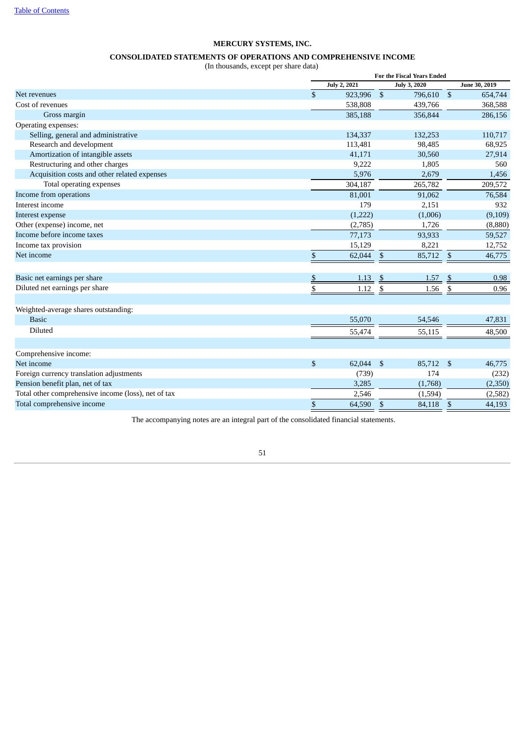# **CONSOLIDATED STATEMENTS OF OPERATIONS AND COMPREHENSIVE INCOME**

(In thousands, except per share data)

|                                                     |                          |                     |                           | For the Fiscal Years Ended |                           |               |
|-----------------------------------------------------|--------------------------|---------------------|---------------------------|----------------------------|---------------------------|---------------|
|                                                     |                          | <b>July 2, 2021</b> |                           | <b>July 3, 2020</b>        |                           | June 30, 2019 |
| Net revenues                                        | \$                       | 923,996             | $\mathsf{\$}$             | 796,610                    | $\sqrt{2}$                | 654,744       |
| Cost of revenues                                    |                          | 538,808             |                           | 439,766                    |                           | 368,588       |
| Gross margin                                        |                          | 385,188             |                           | 356,844                    |                           | 286,156       |
| Operating expenses:                                 |                          |                     |                           |                            |                           |               |
| Selling, general and administrative                 |                          | 134,337             |                           | 132,253                    |                           | 110,717       |
| Research and development                            |                          | 113,481             |                           | 98,485                     |                           | 68,925        |
| Amortization of intangible assets                   |                          | 41,171              |                           | 30,560                     |                           | 27,914        |
| Restructuring and other charges                     |                          | 9,222               |                           | 1,805                      |                           | 560           |
| Acquisition costs and other related expenses        |                          | 5,976               |                           | 2,679                      |                           | 1,456         |
| Total operating expenses                            |                          | 304,187             |                           | 265,782                    |                           | 209,572       |
| Income from operations                              |                          | 81,001              |                           | 91,062                     |                           | 76,584        |
| Interest income                                     |                          | 179                 |                           | 2,151                      |                           | 932           |
| Interest expense                                    |                          | (1, 222)            |                           | (1,006)                    |                           | (9,109)       |
| Other (expense) income, net                         |                          | (2,785)             |                           | 1,726                      |                           | (8,880)       |
| Income before income taxes                          |                          | 77,173              |                           | 93,933                     |                           | 59,527        |
| Income tax provision                                |                          | 15,129              |                           | 8,221                      |                           | 12,752        |
| Net income                                          | \$                       | 62,044              | \$                        | 85,712                     | $\boldsymbol{\mathsf{S}}$ | 46,775        |
|                                                     |                          |                     |                           |                            |                           |               |
| Basic net earnings per share                        | $\overline{\mathcal{C}}$ | 1.13                | $\overline{v}$            | 1.57                       | \$                        | 0.98          |
| Diluted net earnings per share                      | \$                       | 1.12                | \$                        | 1.56                       | \$                        | 0.96          |
| Weighted-average shares outstanding:                |                          |                     |                           |                            |                           |               |
| <b>Basic</b>                                        |                          | 55,070              |                           | 54,546                     |                           | 47,831        |
| Diluted                                             |                          | 55,474              |                           | 55,115                     |                           | 48,500        |
|                                                     |                          |                     |                           |                            |                           |               |
| Comprehensive income:                               |                          |                     |                           |                            |                           |               |
| Net income                                          | $\mathbb{S}$             | 62,044              | $\boldsymbol{\mathsf{S}}$ | 85,712                     | $\mathfrak{S}$            | 46,775        |
| Foreign currency translation adjustments            |                          | (739)               |                           | 174                        |                           | (232)         |
| Pension benefit plan, net of tax                    |                          | 3,285               |                           | (1,768)                    |                           | (2,350)       |
| Total other comprehensive income (loss), net of tax |                          | 2,546               |                           | (1,594)                    |                           | (2,582)       |
| Total comprehensive income                          | \$                       | 64,590              | \$                        | 84,118                     | $\boldsymbol{\mathsf{S}}$ | 44,193        |

The accompanying notes are an integral part of the consolidated financial statements.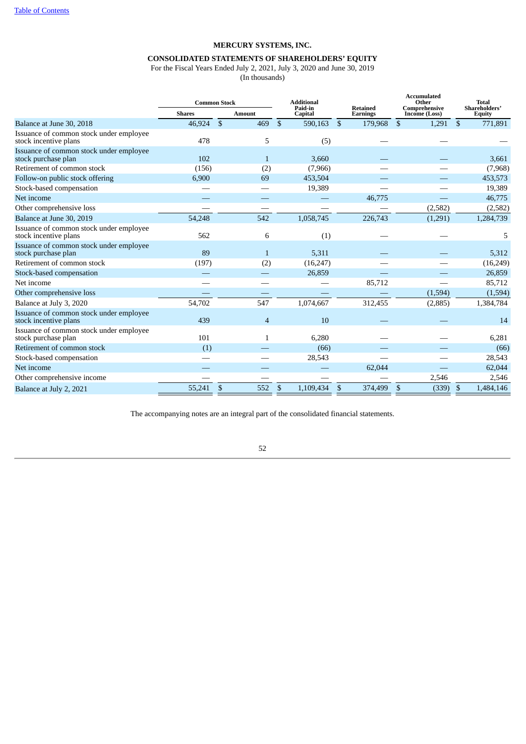# **CONSOLIDATED STATEMENTS OF SHAREHOLDERS' EQUITY**

For the Fiscal Years Ended July 2, 2021, July 3, 2020 and June 30, 2019

(In thousands)

|                                                                  | <b>Common Stock</b> |                | <b>Additional</b><br>Paid-in |    | <b>Retained</b> |               | <b>Accumulated</b><br>Other<br>Comprehensive | <b>Total</b><br>Shareholders' |
|------------------------------------------------------------------|---------------------|----------------|------------------------------|----|-----------------|---------------|----------------------------------------------|-------------------------------|
|                                                                  | <b>Shares</b>       | Amount         | Capital                      |    | <b>Earnings</b> |               | Income (Loss)                                | <b>Equity</b>                 |
| Balance at June 30, 2018                                         | 46,924              | \$<br>469      | \$<br>590,163                | \$ | 179,968         | \$            | 1,291                                        | \$<br>771,891                 |
| Issuance of common stock under employee<br>stock incentive plans | 478                 | 5              | (5)                          |    |                 |               |                                              |                               |
| Issuance of common stock under employee<br>stock purchase plan   | 102                 | $\mathbf{1}$   | 3,660                        |    |                 |               |                                              | 3,661                         |
| Retirement of common stock                                       | (156)               | (2)            | (7,966)                      |    |                 |               |                                              | (7,968)                       |
| Follow-on public stock offering                                  | 6,900               | 69             | 453,504                      |    |                 |               |                                              | 453,573                       |
| Stock-based compensation                                         |                     |                | 19,389                       |    |                 |               |                                              | 19,389                        |
| Net income                                                       |                     |                |                              |    | 46,775          |               |                                              | 46,775                        |
| Other comprehensive loss                                         |                     |                |                              |    |                 |               | (2,582)                                      | (2,582)                       |
| Balance at June 30, 2019                                         | 54.248              | 542            | 1,058,745                    |    | 226,743         |               | (1,291)                                      | 1,284,739                     |
| Issuance of common stock under employee<br>stock incentive plans | 562                 | 6              | (1)                          |    |                 |               |                                              | 5                             |
| Issuance of common stock under employee<br>stock purchase plan   | 89                  | $\mathbf{1}$   | 5,311                        |    |                 |               |                                              | 5,312                         |
| Retirement of common stock                                       | (197)               | (2)            | (16, 247)                    |    |                 |               |                                              | (16, 249)                     |
| Stock-based compensation                                         |                     |                | 26,859                       |    |                 |               |                                              | 26,859                        |
| Net income                                                       |                     |                |                              |    | 85,712          |               |                                              | 85,712                        |
| Other comprehensive loss                                         |                     |                |                              |    |                 |               | (1,594)                                      | (1,594)                       |
| Balance at July 3, 2020                                          | 54,702              | 547            | 1,074,667                    |    | 312,455         |               | (2,885)                                      | 1,384,784                     |
| Issuance of common stock under employee<br>stock incentive plans | 439                 | $\overline{4}$ | 10                           |    |                 |               |                                              | 14                            |
| Issuance of common stock under employee<br>stock purchase plan   | 101                 | 1              | 6,280                        |    |                 |               |                                              | 6,281                         |
| Retirement of common stock                                       | (1)                 |                | (66)                         |    |                 |               |                                              | (66)                          |
| Stock-based compensation                                         |                     |                | 28,543                       |    |                 |               |                                              | 28,543                        |
| Net income                                                       |                     |                |                              |    | 62,044          |               |                                              | 62,044                        |
| Other comprehensive income                                       |                     |                |                              |    |                 |               | 2,546                                        | 2,546                         |
| Balance at July 2, 2021                                          | 55,241              | \$<br>552      | \$<br>1,109,434              | \$ | 374,499         | $\mathcal{S}$ | (339)                                        | \$<br>1,484,146               |

The accompanying notes are an integral part of the consolidated financial statements.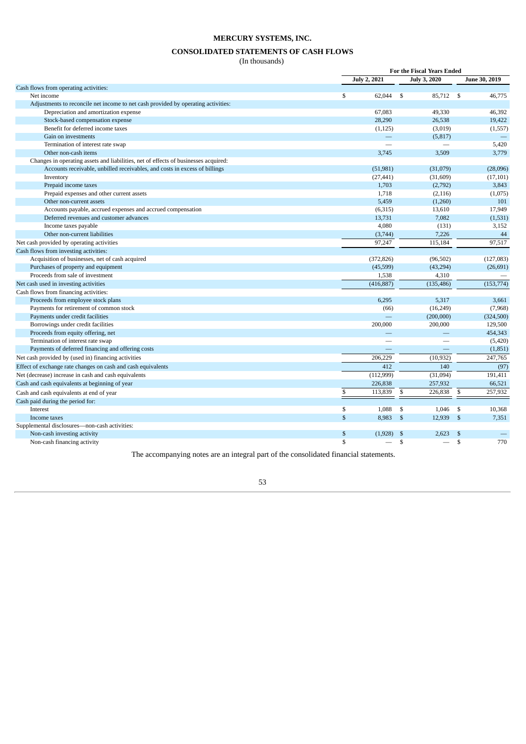# **CONSOLIDATED STATEMENTS OF CASH FLOWS**

(In thousands)

|                                                                                     |              | <b>For the Fiscal Years Ended</b> |                     |                          |          |                      |  |  |
|-------------------------------------------------------------------------------------|--------------|-----------------------------------|---------------------|--------------------------|----------|----------------------|--|--|
|                                                                                     |              | <b>July 2, 2021</b>               | <b>July 3, 2020</b> |                          |          | <b>June 30, 2019</b> |  |  |
| Cash flows from operating activities:                                               |              |                                   |                     |                          |          |                      |  |  |
| Net income                                                                          | \$           | 62,044                            | \$                  | 85,712 \$                |          | 46,775               |  |  |
| Adjustments to reconcile net income to net cash provided by operating activities:   |              |                                   |                     |                          |          |                      |  |  |
| Depreciation and amortization expense                                               |              | 67,083                            |                     | 49,330                   |          | 46,392               |  |  |
| Stock-based compensation expense                                                    |              | 28,290                            |                     | 26,538                   |          | 19,422               |  |  |
| Benefit for deferred income taxes                                                   |              | (1, 125)                          |                     | (3,019)                  |          | (1,557)              |  |  |
| Gain on investments                                                                 |              |                                   |                     | (5, 817)                 |          |                      |  |  |
| Termination of interest rate swap                                                   |              |                                   |                     |                          |          | 5,420                |  |  |
| Other non-cash items                                                                |              | 3,745                             |                     | 3,509                    |          | 3,779                |  |  |
| Changes in operating assets and liabilities, net of effects of businesses acquired: |              |                                   |                     |                          |          |                      |  |  |
| Accounts receivable, unbilled receivables, and costs in excess of billings          |              | (51, 981)                         |                     | (31,079)                 |          | (28,096)             |  |  |
| Inventory                                                                           |              | (27, 441)                         |                     | (31,609)                 |          | (17, 101)            |  |  |
| Prepaid income taxes                                                                |              | 1,703                             |                     | (2,792)                  |          | 3,843                |  |  |
| Prepaid expenses and other current assets                                           |              | 1,718                             |                     | (2,116)                  |          | (1,075)              |  |  |
| Other non-current assets                                                            |              | 5.459                             |                     | (1,260)                  |          | 101                  |  |  |
| Accounts payable, accrued expenses and accrued compensation                         |              | (6,315)                           |                     | 13,610                   |          | 17,949               |  |  |
| Deferred revenues and customer advances                                             |              | 13,731                            |                     | 7,082                    |          | (1,531)              |  |  |
| Income taxes payable                                                                |              | 4,080                             |                     | (131)                    |          | 3,152                |  |  |
| Other non-current liabilities                                                       |              | (3,744)                           |                     | 7,226                    |          | 44                   |  |  |
| Net cash provided by operating activities                                           |              | 97,247                            |                     | 115,184                  |          | 97,517               |  |  |
| Cash flows from investing activities:                                               |              |                                   |                     |                          |          |                      |  |  |
| Acquisition of businesses, net of cash acquired                                     |              | (372, 826)                        |                     | (96, 502)                |          | (127,083)            |  |  |
| Purchases of property and equipment                                                 |              | (45,599)                          |                     | (43, 294)                |          | (26, 691)            |  |  |
| Proceeds from sale of investment                                                    |              | 1,538                             |                     | 4,310                    |          |                      |  |  |
| Net cash used in investing activities                                               |              | (416, 887)                        |                     | (135, 486)               |          | (153, 774)           |  |  |
| Cash flows from financing activities:                                               |              |                                   |                     |                          |          |                      |  |  |
| Proceeds from employee stock plans                                                  |              | 6,295                             |                     | 5,317                    |          | 3,661                |  |  |
| Payments for retirement of common stock                                             |              | (66)                              |                     | (16, 249)                |          | (7,968)              |  |  |
| Payments under credit facilities                                                    |              |                                   |                     | (200,000)                |          | (324,500)            |  |  |
| Borrowings under credit facilities                                                  |              | 200,000                           |                     | 200,000                  |          | 129,500              |  |  |
| Proceeds from equity offering, net                                                  |              |                                   |                     | $\overline{\phantom{m}}$ |          | 454,343              |  |  |
| Termination of interest rate swap                                                   |              |                                   |                     |                          |          | (5, 420)             |  |  |
| Payments of deferred financing and offering costs                                   |              |                                   |                     |                          |          | (1,851)              |  |  |
| Net cash provided by (used in) financing activities                                 |              | 206,229                           |                     | (10, 932)                |          | 247,765              |  |  |
| Effect of exchange rate changes on cash and cash equivalents                        |              | 412                               |                     | 140                      |          | (97)                 |  |  |
| Net (decrease) increase in cash and cash equivalents                                |              | (112,999)                         |                     | (31,094)                 |          | 191.411              |  |  |
| Cash and cash equivalents at beginning of year                                      |              | 226,838                           |                     | 257,932                  |          | 66,521               |  |  |
|                                                                                     | \$           | 113,839                           | \$                  | 226,838                  | \$       | 257,932              |  |  |
| Cash and cash equivalents at end of year                                            |              |                                   |                     |                          |          |                      |  |  |
| Cash paid during the period for:                                                    | \$           |                                   |                     |                          |          |                      |  |  |
| Interest                                                                            | $\mathbb{S}$ | 1,088<br>8.983                    | \$<br>$\mathbb{S}$  | 1,046<br>12,939          | \$<br>\$ | 10,368<br>7,351      |  |  |
| Income taxes                                                                        |              |                                   |                     |                          |          |                      |  |  |
| Supplemental disclosures-non-cash activities:                                       |              |                                   | $\mathfrak{s}$      | 2,623                    | \$       |                      |  |  |
| Non-cash investing activity                                                         | \$<br>\$     | (1,928)                           | \$                  |                          | \$       |                      |  |  |
| Non-cash financing activity                                                         |              |                                   |                     |                          |          | 770                  |  |  |

The accompanying notes are an integral part of the consolidated financial statements.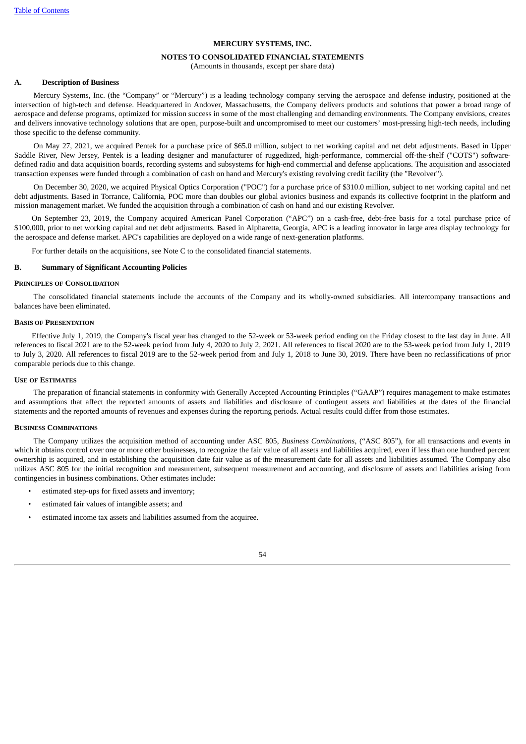## **NOTES TO CONSOLIDATED FINANCIAL STATEMENTS**

(Amounts in thousands, except per share data)

# **A. Description of Business**

Mercury Systems, Inc. (the "Company" or "Mercury") is a leading technology company serving the aerospace and defense industry, positioned at the intersection of high-tech and defense. Headquartered in Andover, Massachusetts, the Company delivers products and solutions that power a broad range of aerospace and defense programs, optimized for mission success in some of the most challenging and demanding environments. The Company envisions, creates and delivers innovative technology solutions that are open, purpose-built and uncompromised to meet our customers' most-pressing high-tech needs, including those specific to the defense community.

On May 27, 2021, we acquired Pentek for a purchase price of \$65.0 million, subject to net working capital and net debt adjustments. Based in Upper Saddle River, New Jersey, Pentek is a leading designer and manufacturer of ruggedized, high-performance, commercial off-the-shelf ("COTS") softwaredefined radio and data acquisition boards, recording systems and subsystems for high-end commercial and defense applications. The acquisition and associated transaction expenses were funded through a combination of cash on hand and Mercury's existing revolving credit facility (the "Revolver").

On December 30, 2020, we acquired Physical Optics Corporation ("POC") for a purchase price of \$310.0 million, subject to net working capital and net debt adjustments. Based in Torrance, California, POC more than doubles our global avionics business and expands its collective footprint in the platform and mission management market. We funded the acquisition through a combination of cash on hand and our existing Revolver.

On September 23, 2019, the Company acquired American Panel Corporation ("APC") on a cash-free, debt-free basis for a total purchase price of \$100,000, prior to net working capital and net debt adjustments. Based in Alpharetta, Georgia, APC is a leading innovator in large area display technology for the aerospace and defense market. APC's capabilities are deployed on a wide range of next-generation platforms.

For further details on the acquisitions, see Note C to the consolidated financial statements.

## **B. Summary of Significant Accounting Policies**

#### **PRINCIPLES OF CONSOLIDATION**

The consolidated financial statements include the accounts of the Company and its wholly-owned subsidiaries. All intercompany transactions and balances have been eliminated.

### **BASIS OF PRESENTATION**

Effective July 1, 2019, the Company's fiscal year has changed to the 52-week or 53-week period ending on the Friday closest to the last day in June. All references to fiscal 2021 are to the 52-week period from July 4, 2020 to July 2, 2021. All references to fiscal 2020 are to the 53-week period from July 1, 2019 to July 3, 2020. All references to fiscal 2019 are to the 52-week period from and July 1, 2018 to June 30, 2019. There have been no reclassifications of prior comparable periods due to this change.

#### **USE OF ESTIMATES**

The preparation of financial statements in conformity with Generally Accepted Accounting Principles ("GAAP") requires management to make estimates and assumptions that affect the reported amounts of assets and liabilities and disclosure of contingent assets and liabilities at the dates of the financial statements and the reported amounts of revenues and expenses during the reporting periods. Actual results could differ from those estimates.

### **BUSINESS COMBINATIONS**

The Company utilizes the acquisition method of accounting under ASC 805, *Business Combinations,* ("ASC 805"), for all transactions and events in which it obtains control over one or more other businesses, to recognize the fair value of all assets and liabilities acquired, even if less than one hundred percent ownership is acquired, and in establishing the acquisition date fair value as of the measurement date for all assets and liabilities assumed. The Company also utilizes ASC 805 for the initial recognition and measurement, subsequent measurement and accounting, and disclosure of assets and liabilities arising from contingencies in business combinations. Other estimates include:

- estimated step-ups for fixed assets and inventory;
- estimated fair values of intangible assets; and
- estimated income tax assets and liabilities assumed from the acquiree.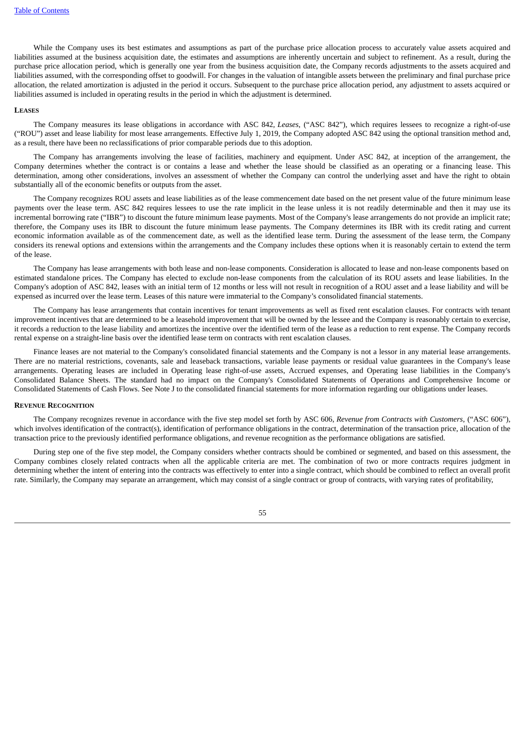While the Company uses its best estimates and assumptions as part of the purchase price allocation process to accurately value assets acquired and liabilities assumed at the business acquisition date, the estimates and assumptions are inherently uncertain and subject to refinement. As a result, during the purchase price allocation period, which is generally one year from the business acquisition date, the Company records adjustments to the assets acquired and liabilities assumed, with the corresponding offset to goodwill. For changes in the valuation of intangible assets between the preliminary and final purchase price allocation, the related amortization is adjusted in the period it occurs. Subsequent to the purchase price allocation period, any adjustment to assets acquired or liabilities assumed is included in operating results in the period in which the adjustment is determined.

#### **LEASES**

The Company measures its lease obligations in accordance with ASC 842, *Leases*, ("ASC 842"), which requires lessees to recognize a right-of-use ("ROU") asset and lease liability for most lease arrangements. Effective July 1, 2019, the Company adopted ASC 842 using the optional transition method and, as a result, there have been no reclassifications of prior comparable periods due to this adoption.

The Company has arrangements involving the lease of facilities, machinery and equipment. Under ASC 842, at inception of the arrangement, the Company determines whether the contract is or contains a lease and whether the lease should be classified as an operating or a financing lease. This determination, among other considerations, involves an assessment of whether the Company can control the underlying asset and have the right to obtain substantially all of the economic benefits or outputs from the asset.

The Company recognizes ROU assets and lease liabilities as of the lease commencement date based on the net present value of the future minimum lease payments over the lease term. ASC 842 requires lessees to use the rate implicit in the lease unless it is not readily determinable and then it may use its incremental borrowing rate ("IBR") to discount the future minimum lease payments. Most of the Company's lease arrangements do not provide an implicit rate; therefore, the Company uses its IBR to discount the future minimum lease payments. The Company determines its IBR with its credit rating and current economic information available as of the commencement date, as well as the identified lease term. During the assessment of the lease term, the Company considers its renewal options and extensions within the arrangements and the Company includes these options when it is reasonably certain to extend the term of the lease.

The Company has lease arrangements with both lease and non-lease components. Consideration is allocated to lease and non-lease components based on estimated standalone prices. The Company has elected to exclude non-lease components from the calculation of its ROU assets and lease liabilities. In the Company's adoption of ASC 842, leases with an initial term of 12 months or less will not result in recognition of a ROU asset and a lease liability and will be expensed as incurred over the lease term. Leases of this nature were immaterial to the Company's consolidated financial statements.

The Company has lease arrangements that contain incentives for tenant improvements as well as fixed rent escalation clauses. For contracts with tenant improvement incentives that are determined to be a leasehold improvement that will be owned by the lessee and the Company is reasonably certain to exercise, it records a reduction to the lease liability and amortizes the incentive over the identified term of the lease as a reduction to rent expense. The Company records rental expense on a straight-line basis over the identified lease term on contracts with rent escalation clauses.

Finance leases are not material to the Company's consolidated financial statements and the Company is not a lessor in any material lease arrangements. There are no material restrictions, covenants, sale and leaseback transactions, variable lease payments or residual value guarantees in the Company's lease arrangements. Operating leases are included in Operating lease right-of-use assets, Accrued expenses, and Operating lease liabilities in the Company's Consolidated Balance Sheets. The standard had no impact on the Company's Consolidated Statements of Operations and Comprehensive Income or Consolidated Statements of Cash Flows. See Note J to the consolidated financial statements for more information regarding our obligations under leases.

#### **REVENUE RECOGNITION**

The Company recognizes revenue in accordance with the five step model set forth by ASC 606, *Revenue from Contracts with Customers*, ("ASC 606"), which involves identification of the contract(s), identification of performance obligations in the contract, determination of the transaction price, allocation of the transaction price to the previously identified performance obligations, and revenue recognition as the performance obligations are satisfied.

During step one of the five step model, the Company considers whether contracts should be combined or segmented, and based on this assessment, the Company combines closely related contracts when all the applicable criteria are met. The combination of two or more contracts requires judgment in determining whether the intent of entering into the contracts was effectively to enter into a single contract, which should be combined to reflect an overall profit rate. Similarly, the Company may separate an arrangement, which may consist of a single contract or group of contracts, with varying rates of profitability,

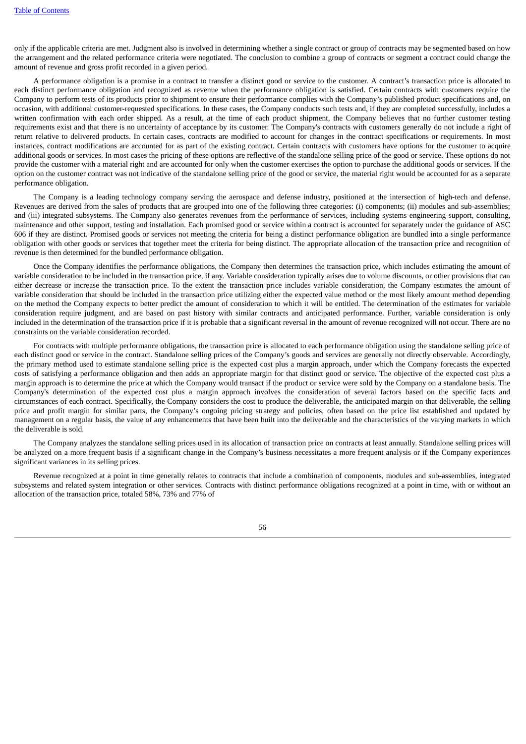only if the applicable criteria are met. Judgment also is involved in determining whether a single contract or group of contracts may be segmented based on how the arrangement and the related performance criteria were negotiated. The conclusion to combine a group of contracts or segment a contract could change the amount of revenue and gross profit recorded in a given period.

A performance obligation is a promise in a contract to transfer a distinct good or service to the customer. A contract's transaction price is allocated to each distinct performance obligation and recognized as revenue when the performance obligation is satisfied. Certain contracts with customers require the Company to perform tests of its products prior to shipment to ensure their performance complies with the Company's published product specifications and, on occasion, with additional customer-requested specifications. In these cases, the Company conducts such tests and, if they are completed successfully, includes a written confirmation with each order shipped. As a result, at the time of each product shipment, the Company believes that no further customer testing requirements exist and that there is no uncertainty of acceptance by its customer. The Company's contracts with customers generally do not include a right of return relative to delivered products. In certain cases, contracts are modified to account for changes in the contract specifications or requirements. In most instances, contract modifications are accounted for as part of the existing contract. Certain contracts with customers have options for the customer to acquire additional goods or services. In most cases the pricing of these options are reflective of the standalone selling price of the good or service. These options do not provide the customer with a material right and are accounted for only when the customer exercises the option to purchase the additional goods or services. If the option on the customer contract was not indicative of the standalone selling price of the good or service, the material right would be accounted for as a separate performance obligation.

The Company is a leading technology company serving the aerospace and defense industry, positioned at the intersection of high-tech and defense. Revenues are derived from the sales of products that are grouped into one of the following three categories: (i) components; (ii) modules and sub-assemblies; and (iii) integrated subsystems. The Company also generates revenues from the performance of services, including systems engineering support, consulting, maintenance and other support, testing and installation. Each promised good or service within a contract is accounted for separately under the guidance of ASC 606 if they are distinct. Promised goods or services not meeting the criteria for being a distinct performance obligation are bundled into a single performance obligation with other goods or services that together meet the criteria for being distinct. The appropriate allocation of the transaction price and recognition of revenue is then determined for the bundled performance obligation.

Once the Company identifies the performance obligations, the Company then determines the transaction price, which includes estimating the amount of variable consideration to be included in the transaction price, if any. Variable consideration typically arises due to volume discounts, or other provisions that can either decrease or increase the transaction price. To the extent the transaction price includes variable consideration, the Company estimates the amount of variable consideration that should be included in the transaction price utilizing either the expected value method or the most likely amount method depending on the method the Company expects to better predict the amount of consideration to which it will be entitled. The determination of the estimates for variable consideration require judgment, and are based on past history with similar contracts and anticipated performance. Further, variable consideration is only included in the determination of the transaction price if it is probable that a significant reversal in the amount of revenue recognized will not occur. There are no constraints on the variable consideration recorded.

For contracts with multiple performance obligations, the transaction price is allocated to each performance obligation using the standalone selling price of each distinct good or service in the contract. Standalone selling prices of the Company's goods and services are generally not directly observable. Accordingly, the primary method used to estimate standalone selling price is the expected cost plus a margin approach, under which the Company forecasts the expected costs of satisfying a performance obligation and then adds an appropriate margin for that distinct good or service. The objective of the expected cost plus a margin approach is to determine the price at which the Company would transact if the product or service were sold by the Company on a standalone basis. The Company's determination of the expected cost plus a margin approach involves the consideration of several factors based on the specific facts and circumstances of each contract. Specifically, the Company considers the cost to produce the deliverable, the anticipated margin on that deliverable, the selling price and profit margin for similar parts, the Company's ongoing pricing strategy and policies, often based on the price list established and updated by management on a regular basis, the value of any enhancements that have been built into the deliverable and the characteristics of the varying markets in which the deliverable is sold.

The Company analyzes the standalone selling prices used in its allocation of transaction price on contracts at least annually. Standalone selling prices will be analyzed on a more frequent basis if a significant change in the Company's business necessitates a more frequent analysis or if the Company experiences significant variances in its selling prices.

Revenue recognized at a point in time generally relates to contracts that include a combination of components, modules and sub-assemblies, integrated subsystems and related system integration or other services. Contracts with distinct performance obligations recognized at a point in time, with or without an allocation of the transaction price, totaled 58%, 73% and 77% of

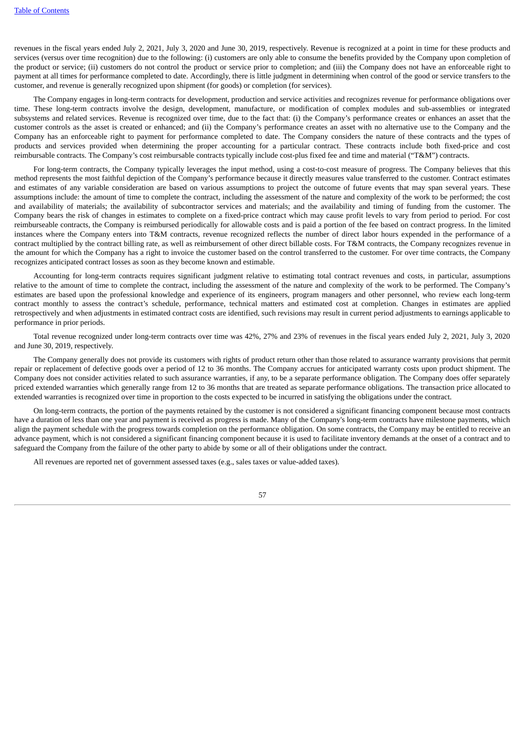revenues in the fiscal years ended July 2, 2021, July 3, 2020 and June 30, 2019, respectively. Revenue is recognized at a point in time for these products and services (versus over time recognition) due to the following: (i) customers are only able to consume the benefits provided by the Company upon completion of the product or service; (ii) customers do not control the product or service prior to completion; and (iii) the Company does not have an enforceable right to payment at all times for performance completed to date. Accordingly, there is little judgment in determining when control of the good or service transfers to the customer, and revenue is generally recognized upon shipment (for goods) or completion (for services).

The Company engages in long-term contracts for development, production and service activities and recognizes revenue for performance obligations over time. These long-term contracts involve the design, development, manufacture, or modification of complex modules and sub-assemblies or integrated subsystems and related services. Revenue is recognized over time, due to the fact that: (i) the Company's performance creates or enhances an asset that the customer controls as the asset is created or enhanced; and (ii) the Company's performance creates an asset with no alternative use to the Company and the Company has an enforceable right to payment for performance completed to date. The Company considers the nature of these contracts and the types of products and services provided when determining the proper accounting for a particular contract. These contracts include both fixed-price and cost reimbursable contracts. The Company's cost reimbursable contracts typically include cost-plus fixed fee and time and material ("T&M") contracts.

For long-term contracts, the Company typically leverages the input method, using a cost-to-cost measure of progress. The Company believes that this method represents the most faithful depiction of the Company's performance because it directly measures value transferred to the customer. Contract estimates and estimates of any variable consideration are based on various assumptions to project the outcome of future events that may span several years. These assumptions include: the amount of time to complete the contract, including the assessment of the nature and complexity of the work to be performed; the cost and availability of materials; the availability of subcontractor services and materials; and the availability and timing of funding from the customer. The Company bears the risk of changes in estimates to complete on a fixed-price contract which may cause profit levels to vary from period to period. For cost reimburseable contracts, the Company is reimbursed periodically for allowable costs and is paid a portion of the fee based on contract progress. In the limited instances where the Company enters into T&M contracts, revenue recognized reflects the number of direct labor hours expended in the performance of a contract multiplied by the contract billing rate, as well as reimbursement of other direct billable costs. For T&M contracts, the Company recognizes revenue in the amount for which the Company has a right to invoice the customer based on the control transferred to the customer. For over time contracts, the Company recognizes anticipated contract losses as soon as they become known and estimable.

Accounting for long-term contracts requires significant judgment relative to estimating total contract revenues and costs, in particular, assumptions relative to the amount of time to complete the contract, including the assessment of the nature and complexity of the work to be performed. The Company's estimates are based upon the professional knowledge and experience of its engineers, program managers and other personnel, who review each long-term contract monthly to assess the contract's schedule, performance, technical matters and estimated cost at completion. Changes in estimates are applied retrospectively and when adjustments in estimated contract costs are identified, such revisions may result in current period adjustments to earnings applicable to performance in prior periods.

Total revenue recognized under long-term contracts over time was 42%, 27% and 23% of revenues in the fiscal years ended July 2, 2021, July 3, 2020 and June 30, 2019, respectively.

The Company generally does not provide its customers with rights of product return other than those related to assurance warranty provisions that permit repair or replacement of defective goods over a period of 12 to 36 months. The Company accrues for anticipated warranty costs upon product shipment. The Company does not consider activities related to such assurance warranties, if any, to be a separate performance obligation. The Company does offer separately priced extended warranties which generally range from 12 to 36 months that are treated as separate performance obligations. The transaction price allocated to extended warranties is recognized over time in proportion to the costs expected to be incurred in satisfying the obligations under the contract.

On long-term contracts, the portion of the payments retained by the customer is not considered a significant financing component because most contracts have a duration of less than one year and payment is received as progress is made. Many of the Company's long-term contracts have milestone payments, which align the payment schedule with the progress towards completion on the performance obligation. On some contracts, the Company may be entitled to receive an advance payment, which is not considered a significant financing component because it is used to facilitate inventory demands at the onset of a contract and to safeguard the Company from the failure of the other party to abide by some or all of their obligations under the contract.

All revenues are reported net of government assessed taxes (e.g., sales taxes or value-added taxes).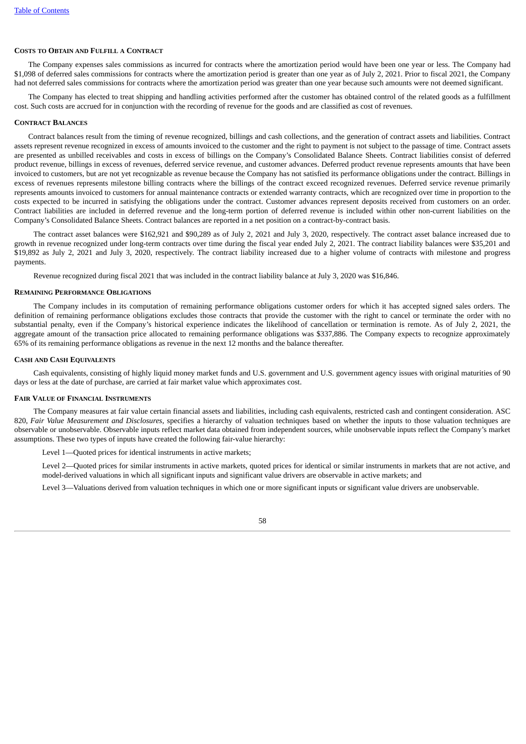### **COSTS TO OBTAIN AND FULFILL A CONTRACT**

The Company expenses sales commissions as incurred for contracts where the amortization period would have been one year or less. The Company had \$1,098 of deferred sales commissions for contracts where the amortization period is greater than one year as of July 2, 2021. Prior to fiscal 2021, the Company had not deferred sales commissions for contracts where the amortization period was greater than one year because such amounts were not deemed significant.

The Company has elected to treat shipping and handling activities performed after the customer has obtained control of the related goods as a fulfillment cost. Such costs are accrued for in conjunction with the recording of revenue for the goods and are classified as cost of revenues.

#### **CONTRACT BALANCES**

Contract balances result from the timing of revenue recognized, billings and cash collections, and the generation of contract assets and liabilities. Contract assets represent revenue recognized in excess of amounts invoiced to the customer and the right to payment is not subject to the passage of time. Contract assets are presented as unbilled receivables and costs in excess of billings on the Company's Consolidated Balance Sheets. Contract liabilities consist of deferred product revenue, billings in excess of revenues, deferred service revenue, and customer advances. Deferred product revenue represents amounts that have been invoiced to customers, but are not yet recognizable as revenue because the Company has not satisfied its performance obligations under the contract. Billings in excess of revenues represents milestone billing contracts where the billings of the contract exceed recognized revenues. Deferred service revenue primarily represents amounts invoiced to customers for annual maintenance contracts or extended warranty contracts, which are recognized over time in proportion to the costs expected to be incurred in satisfying the obligations under the contract. Customer advances represent deposits received from customers on an order. Contract liabilities are included in deferred revenue and the long-term portion of deferred revenue is included within other non-current liabilities on the Company's Consolidated Balance Sheets. Contract balances are reported in a net position on a contract-by-contract basis.

The contract asset balances were \$162,921 and \$90,289 as of July 2, 2021 and July 3, 2020, respectively. The contract asset balance increased due to growth in revenue recognized under long-term contracts over time during the fiscal year ended July 2, 2021. The contract liability balances were \$35,201 and \$19,892 as July 2, 2021 and July 3, 2020, respectively. The contract liability increased due to a higher volume of contracts with milestone and progress payments.

Revenue recognized during fiscal 2021 that was included in the contract liability balance at July 3, 2020 was \$16,846.

#### **REMAINING PERFORMANCE OBLIGATIONS**

The Company includes in its computation of remaining performance obligations customer orders for which it has accepted signed sales orders. The definition of remaining performance obligations excludes those contracts that provide the customer with the right to cancel or terminate the order with no substantial penalty, even if the Company's historical experience indicates the likelihood of cancellation or termination is remote. As of July 2, 2021, the aggregate amount of the transaction price allocated to remaining performance obligations was \$337,886. The Company expects to recognize approximately 65% of its remaining performance obligations as revenue in the next 12 months and the balance thereafter.

#### **CASH AND CASH EQUIVALENTS**

Cash equivalents, consisting of highly liquid money market funds and U.S. government and U.S. government agency issues with original maturities of 90 days or less at the date of purchase, are carried at fair market value which approximates cost.

#### **FAIR VALUE OF FINANCIAL INSTRUMENTS**

The Company measures at fair value certain financial assets and liabilities, including cash equivalents, restricted cash and contingent consideration. ASC 820, *Fair Value Measurement and Disclosures*, specifies a hierarchy of valuation techniques based on whether the inputs to those valuation techniques are observable or unobservable. Observable inputs reflect market data obtained from independent sources, while unobservable inputs reflect the Company's market assumptions. These two types of inputs have created the following fair-value hierarchy:

Level 1—Quoted prices for identical instruments in active markets;

Level 2—Quoted prices for similar instruments in active markets, quoted prices for identical or similar instruments in markets that are not active, and model-derived valuations in which all significant inputs and significant value drivers are observable in active markets; and

Level 3—Valuations derived from valuation techniques in which one or more significant inputs or significant value drivers are unobservable.

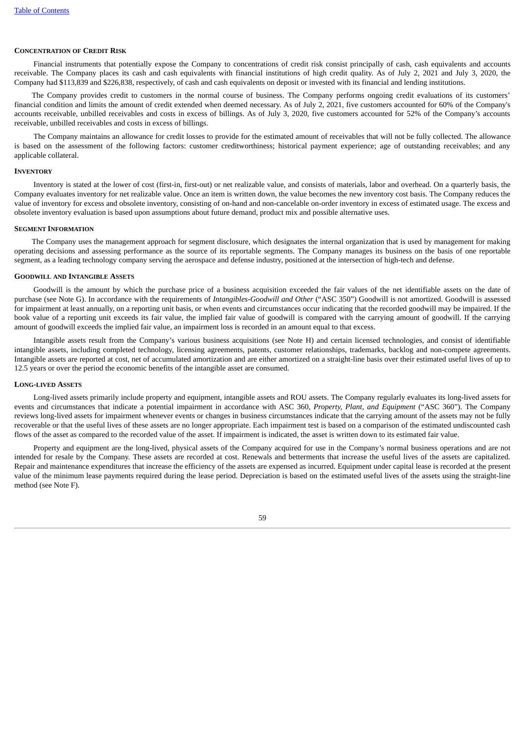#### **CONCENTRATION OF CREDIT RISK**

Financial instruments that potentially expose the Company to concentrations of credit risk consist principally of cash, cash equivalents and accounts receivable. The Company places its cash and cash equivalents with financial institutions of high credit quality. As of July 2, 2021 and July 3, 2020, the Company had \$113,839 and \$226,838, respectively, of cash and cash equivalents on deposit or invested with its financial and lending institutions.

The Company provides credit to customers in the normal course of business. The Company performs ongoing credit evaluations of its customers' financial condition and limits the amount of credit extended when deemed necessary. As of July 2, 2021, five customers accounted for 60% of the Company's accounts receivable, unbilled receivables and costs in excess of billings. As of July 3, 2020, five customers accounted for 52% of the Company's accounts receivable, unbilled receivables and costs in excess of billings.

The Company maintains an allowance for credit losses to provide for the estimated amount of receivables that will not be fully collected. The allowance is based on the assessment of the following factors: customer creditworthiness; historical payment experience; age of outstanding receivables; and any applicable collateral.

### **INVENTORY**

Inventory is stated at the lower of cost (first-in, first-out) or net realizable value, and consists of materials, labor and overhead. On a quarterly basis, the Company evaluates inventory for net realizable value. Once an item is written down, the value becomes the new inventory cost basis. The Company reduces the value of inventory for excess and obsolete inventory, consisting of on-hand and non-cancelable on-order inventory in excess of estimated usage. The excess and obsolete inventory evaluation is based upon assumptions about future demand, product mix and possible alternative uses.

## **SEGMENT INFORMATION**

The Company uses the management approach for segment disclosure, which designates the internal organization that is used by management for making operating decisions and assessing performance as the source of its reportable segments. The Company manages its business on the basis of one reportable segment, as a leading technology company serving the aerospace and defense industry, positioned at the intersection of high-tech and defense.

#### **GOODWILL AND INTANGIBLE ASSETS**

Goodwill is the amount by which the purchase price of a business acquisition exceeded the fair values of the net identifiable assets on the date of purchase (see Note G). In accordance with the requirements of *Intangibles-Goodwill and Other* ("ASC 350") Goodwill is not amortized. Goodwill is assessed for impairment at least annually, on a reporting unit basis, or when events and circumstances occur indicating that the recorded goodwill may be impaired. If the book value of a reporting unit exceeds its fair value, the implied fair value of goodwill is compared with the carrying amount of goodwill. If the carrying amount of goodwill exceeds the implied fair value, an impairment loss is recorded in an amount equal to that excess.

Intangible assets result from the Company's various business acquisitions (see Note H) and certain licensed technologies, and consist of identifiable intangible assets, including completed technology, licensing agreements, patents, customer relationships, trademarks, backlog and non-compete agreements. Intangible assets are reported at cost, net of accumulated amortization and are either amortized on a straight-line basis over their estimated useful lives of up to 12.5 years or over the period the economic benefits of the intangible asset are consumed.

#### **LONG-LIVED ASSETS**

Long-lived assets primarily include property and equipment, intangible assets and ROU assets. The Company regularly evaluates its long-lived assets for events and circumstances that indicate a potential impairment in accordance with ASC 360, *Property, Plant, and Equipment* ("ASC 360"). The Company reviews long-lived assets for impairment whenever events or changes in business circumstances indicate that the carrying amount of the assets may not be fully recoverable or that the useful lives of these assets are no longer appropriate. Each impairment test is based on a comparison of the estimated undiscounted cash flows of the asset as compared to the recorded value of the asset. If impairment is indicated, the asset is written down to its estimated fair value.

Property and equipment are the long-lived, physical assets of the Company acquired for use in the Company's normal business operations and are not intended for resale by the Company. These assets are recorded at cost. Renewals and betterments that increase the useful lives of the assets are capitalized. Repair and maintenance expenditures that increase the efficiency of the assets are expensed as incurred. Equipment under capital lease is recorded at the present value of the minimum lease payments required during the lease period. Depreciation is based on the estimated useful lives of the assets using the straight-line method (see Note F).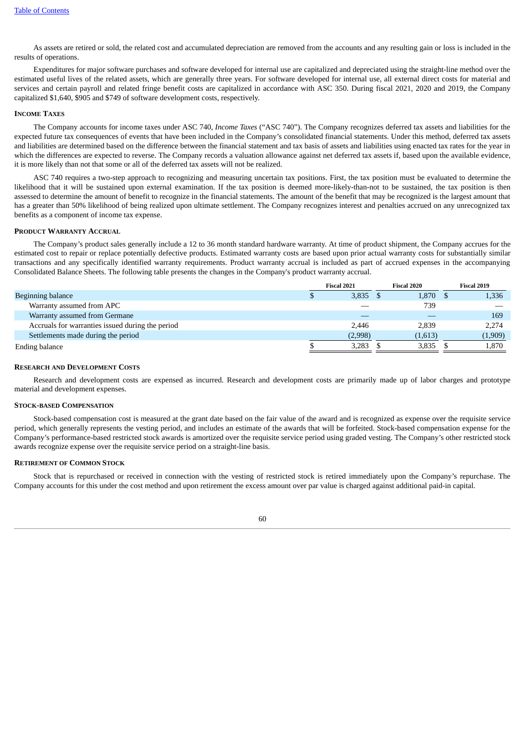As assets are retired or sold, the related cost and accumulated depreciation are removed from the accounts and any resulting gain or loss is included in the results of operations.

Expenditures for major software purchases and software developed for internal use are capitalized and depreciated using the straight-line method over the estimated useful lives of the related assets, which are generally three years. For software developed for internal use, all external direct costs for material and services and certain payroll and related fringe benefit costs are capitalized in accordance with ASC 350. During fiscal 2021, 2020 and 2019, the Company capitalized \$1,640, \$905 and \$749 of software development costs, respectively.

#### **INCOME TAXES**

The Company accounts for income taxes under ASC 740, *Income Taxes* ("ASC 740"). The Company recognizes deferred tax assets and liabilities for the expected future tax consequences of events that have been included in the Company's consolidated financial statements. Under this method, deferred tax assets and liabilities are determined based on the difference between the financial statement and tax basis of assets and liabilities using enacted tax rates for the year in which the differences are expected to reverse. The Company records a valuation allowance against net deferred tax assets if, based upon the available evidence, it is more likely than not that some or all of the deferred tax assets will not be realized.

ASC 740 requires a two-step approach to recognizing and measuring uncertain tax positions. First, the tax position must be evaluated to determine the likelihood that it will be sustained upon external examination. If the tax position is deemed more-likely-than-not to be sustained, the tax position is then assessed to determine the amount of benefit to recognize in the financial statements. The amount of the benefit that may be recognized is the largest amount that has a greater than 50% likelihood of being realized upon ultimate settlement. The Company recognizes interest and penalties accrued on any unrecognized tax benefits as a component of income tax expense.

#### **PRODUCT WARRANTY ACCRUAL**

The Company's product sales generally include a 12 to 36 month standard hardware warranty. At time of product shipment, the Company accrues for the estimated cost to repair or replace potentially defective products. Estimated warranty costs are based upon prior actual warranty costs for substantially similar transactions and any specifically identified warranty requirements. Product warranty accrual is included as part of accrued expenses in the accompanying Consolidated Balance Sheets. The following table presents the changes in the Company's product warranty accrual.

|                                                  | <b>Fiscal 2021</b> | <b>Fiscal 2020</b> | Fiscal 2019 |
|--------------------------------------------------|--------------------|--------------------|-------------|
| Beginning balance                                | 3,835              | 1,870              | 1,336       |
| Warranty assumed from APC                        |                    | 739                |             |
| Warranty assumed from Germane                    |                    |                    | 169         |
| Accruals for warranties issued during the period | 2,446              | 2,839              | 2,274       |
| Settlements made during the period               | (2,998)            | (1,613)            | (1,909)     |
| Ending balance                                   | 3.283              | 3,835              | 1,870       |

#### **RESEARCH AND DEVELOPMENT COSTS**

Research and development costs are expensed as incurred. Research and development costs are primarily made up of labor charges and prototype material and development expenses.

#### **STOCK-BASED COMPENSATION**

Stock-based compensation cost is measured at the grant date based on the fair value of the award and is recognized as expense over the requisite service period, which generally represents the vesting period, and includes an estimate of the awards that will be forfeited. Stock-based compensation expense for the Company's performance-based restricted stock awards is amortized over the requisite service period using graded vesting. The Company's other restricted stock awards recognize expense over the requisite service period on a straight-line basis.

#### **RETIREMENT OF COMMON STOCK**

Stock that is repurchased or received in connection with the vesting of restricted stock is retired immediately upon the Company's repurchase. The Company accounts for this under the cost method and upon retirement the excess amount over par value is charged against additional paid-in capital.

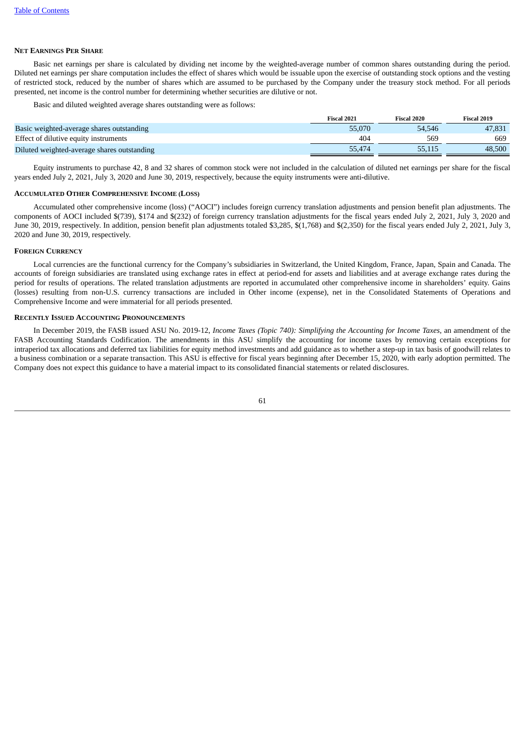#### **NET EARNINGS PER SHARE**

Basic net earnings per share is calculated by dividing net income by the weighted-average number of common shares outstanding during the period. Diluted net earnings per share computation includes the effect of shares which would be issuable upon the exercise of outstanding stock options and the vesting of restricted stock, reduced by the number of shares which are assumed to be purchased by the Company under the treasury stock method. For all periods presented, net income is the control number for determining whether securities are dilutive or not.

Basic and diluted weighted average shares outstanding were as follows:

|                                             | <b>Fiscal 2021</b> | <b>Fiscal 2020</b> | Fiscal 2019 |
|---------------------------------------------|--------------------|--------------------|-------------|
| Basic weighted-average shares outstanding   | 55,070             | 54,546             | 47,831      |
| Effect of dilutive equity instruments       | 404                | 569                | 669         |
| Diluted weighted-average shares outstanding | 55.474             | 55,115             | 48,500      |

Equity instruments to purchase 42, 8 and 32 shares of common stock were not included in the calculation of diluted net earnings per share for the fiscal years ended July 2, 2021, July 3, 2020 and June 30, 2019, respectively, because the equity instruments were anti-dilutive.

#### **ACCUMULATED OTHER COMPREHENSIVE INCOME (LOSS)**

Accumulated other comprehensive income (loss) ("AOCI") includes foreign currency translation adjustments and pension benefit plan adjustments. The components of AOCI included \$(739), \$174 and \$(232) of foreign currency translation adjustments for the fiscal years ended July 2, 2021, July 3, 2020 and June 30, 2019, respectively. In addition, pension benefit plan adjustments totaled \$3,285, \$(1,768) and \$(2,350) for the fiscal years ended July 2, 2021, July 3, 2020 and June 30, 2019, respectively.

## **FOREIGN CURRENCY**

Local currencies are the functional currency for the Company's subsidiaries in Switzerland, the United Kingdom, France, Japan, Spain and Canada. The accounts of foreign subsidiaries are translated using exchange rates in effect at period-end for assets and liabilities and at average exchange rates during the period for results of operations. The related translation adjustments are reported in accumulated other comprehensive income in shareholders' equity. Gains (losses) resulting from non-U.S. currency transactions are included in Other income (expense), net in the Consolidated Statements of Operations and Comprehensive Income and were immaterial for all periods presented.

### **RECENTLY ISSUED ACCOUNTING PRONOUNCEMENTS**

In December 2019, the FASB issued ASU No. 2019-12, *Income Taxes (Topic 740): Simplifying the Accounting for Income Taxes,* an amendment of the FASB Accounting Standards Codification. The amendments in this ASU simplify the accounting for income taxes by removing certain exceptions for intraperiod tax allocations and deferred tax liabilities for equity method investments and add guidance as to whether a step-up in tax basis of goodwill relates to a business combination or a separate transaction. This ASU is effective for fiscal years beginning after December 15, 2020, with early adoption permitted. The Company does not expect this guidance to have a material impact to its consolidated financial statements or related disclosures.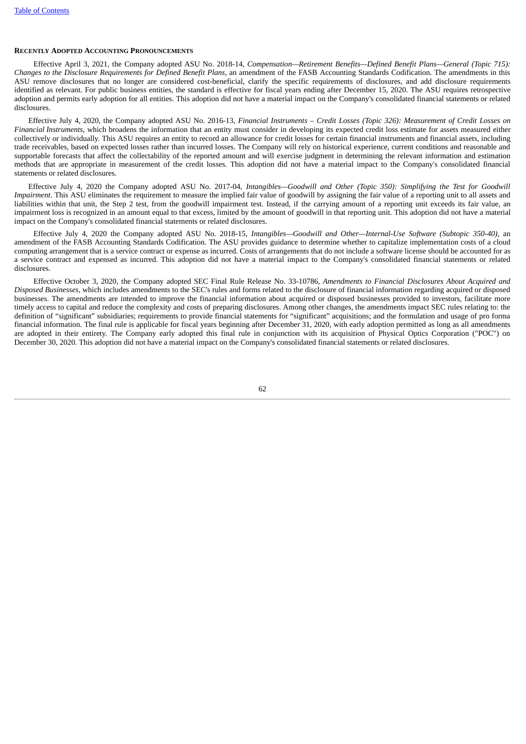## **RECENTLY ADOPTED ACCOUNTING PRONOUNCEMENTS**

Effective April 3, 2021, the Company adopted ASU No. 2018-14, *Compensation—Retirement Benefits—Defined Benefit Plans—General (Topic 715): Changes to the Disclosure Requirements for Defined Benefit Plans*, an amendment of the FASB Accounting Standards Codification. The amendments in this ASU remove disclosures that no longer are considered cost-beneficial, clarify the specific requirements of disclosures, and add disclosure requirements identified as relevant. For public business entities, the standard is effective for fiscal years ending after December 15, 2020. The ASU requires retrospective adoption and permits early adoption for all entities. This adoption did not have a material impact on the Company's consolidated financial statements or related disclosures.

Effective July 4, 2020, the Company adopted ASU No. 2016-13, Financial Instruments - Credit Losses (Topic 326): Measurement of Credit Losses on *Financial Instruments*, which broadens the information that an entity must consider in developing its expected credit loss estimate for assets measured either collectively or individually. This ASU requires an entity to record an allowance for credit losses for certain financial instruments and financial assets, including trade receivables, based on expected losses rather than incurred losses. The Company will rely on historical experience, current conditions and reasonable and supportable forecasts that affect the collectability of the reported amount and will exercise judgment in determining the relevant information and estimation methods that are appropriate in measurement of the credit losses. This adoption did not have a material impact to the Company's consolidated financial statements or related disclosures.

Effective July 4, 2020 the Company adopted ASU No. 2017-04, *Intangibles—Goodwill and Other (Topic 350): Simplifying the Test for Goodwill Impairment*. This ASU eliminates the requirement to measure the implied fair value of goodwill by assigning the fair value of a reporting unit to all assets and liabilities within that unit, the Step 2 test, from the goodwill impairment test. Instead, if the carrying amount of a reporting unit exceeds its fair value, an impairment loss is recognized in an amount equal to that excess, limited by the amount of goodwill in that reporting unit. This adoption did not have a material impact on the Company's consolidated financial statements or related disclosures.

Effective July 4, 2020 the Company adopted ASU No. 2018-15, *Intangibles—Goodwill and Other—Internal-Use Software (Subtopic 350-40)*, an amendment of the FASB Accounting Standards Codification. The ASU provides guidance to determine whether to capitalize implementation costs of a cloud computing arrangement that is a service contract or expense as incurred. Costs of arrangements that do not include a software license should be accounted for as a service contract and expensed as incurred. This adoption did not have a material impact to the Company's consolidated financial statements or related disclosures.

Effective October 3, 2020, the Company adopted SEC Final Rule Release No. 33-10786, *Amendments to Financial Disclosures About Acquired and Disposed Businesses,* which includes amendments to the SEC's rules and forms related to the disclosure of financial information regarding acquired or disposed businesses. The amendments are intended to improve the financial information about acquired or disposed businesses provided to investors, facilitate more timely access to capital and reduce the complexity and costs of preparing disclosures. Among other changes, the amendments impact SEC rules relating to: the definition of "significant" subsidiaries; requirements to provide financial statements for "significant" acquisitions; and the formulation and usage of pro forma financial information. The final rule is applicable for fiscal years beginning after December 31, 2020, with early adoption permitted as long as all amendments are adopted in their entirety. The Company early adopted this final rule in conjunction with its acquisition of Physical Optics Corporation ("POC") on December 30, 2020. This adoption did not have a material impact on the Company's consolidated financial statements or related disclosures.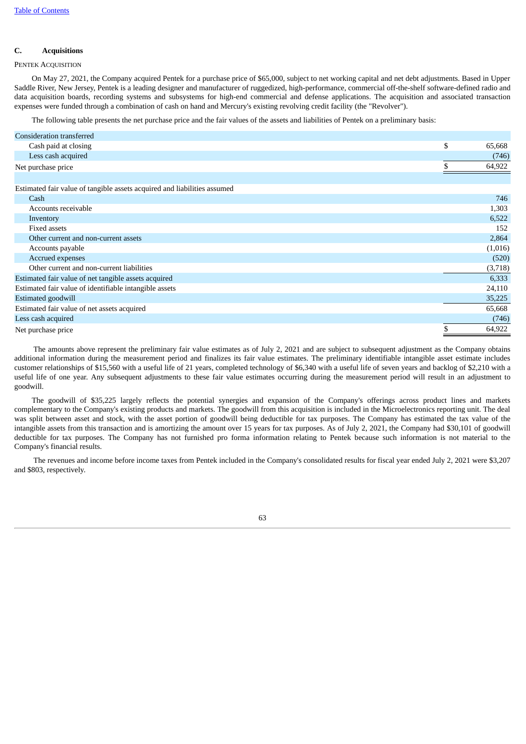# **C. Acquisitions**

## PENTEK ACQUISITION

On May 27, 2021, the Company acquired Pentek for a purchase price of \$65,000, subject to net working capital and net debt adjustments. Based in Upper Saddle River, New Jersey, Pentek is a leading designer and manufacturer of ruggedized, high-performance, commercial off-the-shelf software-defined radio and data acquisition boards, recording systems and subsystems for high-end commercial and defense applications. The acquisition and associated transaction expenses were funded through a combination of cash on hand and Mercury's existing revolving credit facility (the "Revolver").

The following table presents the net purchase price and the fair values of the assets and liabilities of Pentek on a preliminary basis:

| Consideration transferred                                                |              |
|--------------------------------------------------------------------------|--------------|
| Cash paid at closing                                                     | \$<br>65,668 |
| Less cash acquired                                                       | (746)        |
| Net purchase price                                                       | 64,922       |
|                                                                          |              |
| Estimated fair value of tangible assets acquired and liabilities assumed |              |
| Cash                                                                     | 746          |
| Accounts receivable                                                      | 1,303        |
| Inventory                                                                | 6,522        |
| Fixed assets                                                             | 152          |
| Other current and non-current assets                                     | 2,864        |
| Accounts payable                                                         | (1,016)      |
| Accrued expenses                                                         | (520)        |
| Other current and non-current liabilities                                | (3,718)      |
| Estimated fair value of net tangible assets acquired                     | 6,333        |
| Estimated fair value of identifiable intangible assets                   | 24,110       |
| <b>Estimated goodwill</b>                                                | 35,225       |
| Estimated fair value of net assets acquired                              | 65,668       |
| Less cash acquired                                                       | (746)        |
| Net purchase price                                                       | 64,922       |

The amounts above represent the preliminary fair value estimates as of July 2, 2021 and are subject to subsequent adjustment as the Company obtains additional information during the measurement period and finalizes its fair value estimates. The preliminary identifiable intangible asset estimate includes customer relationships of \$15,560 with a useful life of 21 years, completed technology of \$6,340 with a useful life of seven years and backlog of \$2,210 with a useful life of one year. Any subsequent adjustments to these fair value estimates occurring during the measurement period will result in an adjustment to goodwill.

The goodwill of \$35,225 largely reflects the potential synergies and expansion of the Company's offerings across product lines and markets complementary to the Company's existing products and markets. The goodwill from this acquisition is included in the Microelectronics reporting unit. The deal was split between asset and stock, with the asset portion of goodwill being deductible for tax purposes. The Company has estimated the tax value of the intangible assets from this transaction and is amortizing the amount over 15 years for tax purposes. As of July 2, 2021, the Company had \$30,101 of goodwill deductible for tax purposes. The Company has not furnished pro forma information relating to Pentek because such information is not material to the Company's financial results.

The revenues and income before income taxes from Pentek included in the Company's consolidated results for fiscal year ended July 2, 2021 were \$3,207 and \$803, respectively.

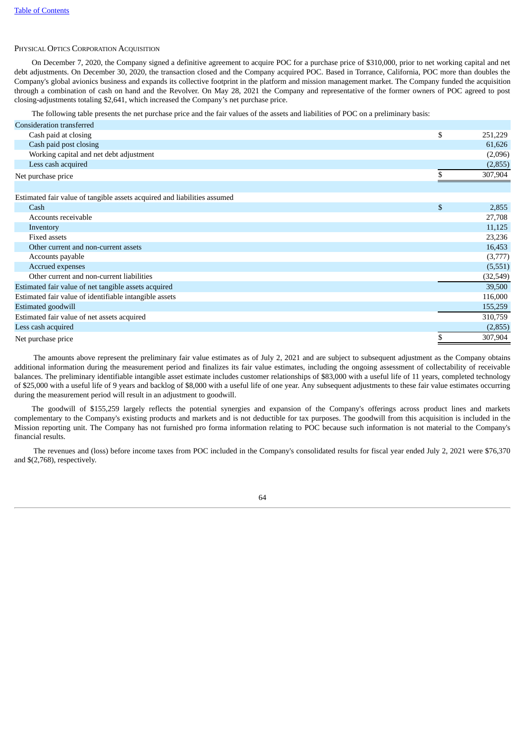# PHYSICAL OPTICS CORPORATION ACQUISITION

On December 7, 2020, the Company signed a definitive agreement to acquire POC for a purchase price of \$310,000, prior to net working capital and net debt adjustments. On December 30, 2020, the transaction closed and the Company acquired POC. Based in Torrance, California, POC more than doubles the Company's global avionics business and expands its collective footprint in the platform and mission management market. The Company funded the acquisition through a combination of cash on hand and the Revolver. On May 28, 2021 the Company and representative of the former owners of POC agreed to post closing-adjustments totaling \$2,641, which increased the Company's net purchase price.

The following table presents the net purchase price and the fair values of the assets and liabilities of POC on a preliminary basis:

| Consideration transferred                                                |               |
|--------------------------------------------------------------------------|---------------|
| Cash paid at closing                                                     | \$<br>251,229 |
| Cash paid post closing                                                   | 61,626        |
| Working capital and net debt adjustment                                  | (2,096)       |
| Less cash acquired                                                       | (2,855)       |
| Net purchase price                                                       | 307,904       |
|                                                                          |               |
| Estimated fair value of tangible assets acquired and liabilities assumed |               |
| Cash                                                                     | \$<br>2,855   |
| Accounts receivable                                                      | 27,708        |
| Inventory                                                                | 11,125        |
| <b>Fixed assets</b>                                                      | 23,236        |
| Other current and non-current assets                                     | 16,453        |
| Accounts payable                                                         | (3,777)       |
| Accrued expenses                                                         | (5, 551)      |
| Other current and non-current liabilities                                | (32, 549)     |
| Estimated fair value of net tangible assets acquired                     | 39,500        |
| Estimated fair value of identifiable intangible assets                   | 116,000       |
| Estimated goodwill                                                       | 155,259       |
| Estimated fair value of net assets acquired                              | 310,759       |
| Less cash acquired                                                       | (2,855)       |
| Net purchase price                                                       | \$<br>307,904 |

The amounts above represent the preliminary fair value estimates as of July 2, 2021 and are subject to subsequent adjustment as the Company obtains additional information during the measurement period and finalizes its fair value estimates, including the ongoing assessment of collectability of receivable balances. The preliminary identifiable intangible asset estimate includes customer relationships of \$83,000 with a useful life of 11 years, completed technology of \$25,000 with a useful life of 9 years and backlog of \$8,000 with a useful life of one year. Any subsequent adjustments to these fair value estimates occurring during the measurement period will result in an adjustment to goodwill.

The goodwill of \$155,259 largely reflects the potential synergies and expansion of the Company's offerings across product lines and markets complementary to the Company's existing products and markets and is not deductible for tax purposes. The goodwill from this acquisition is included in the Mission reporting unit. The Company has not furnished pro forma information relating to POC because such information is not material to the Company's financial results.

The revenues and (loss) before income taxes from POC included in the Company's consolidated results for fiscal year ended July 2, 2021 were \$76,370 and \$(2,768), respectively.

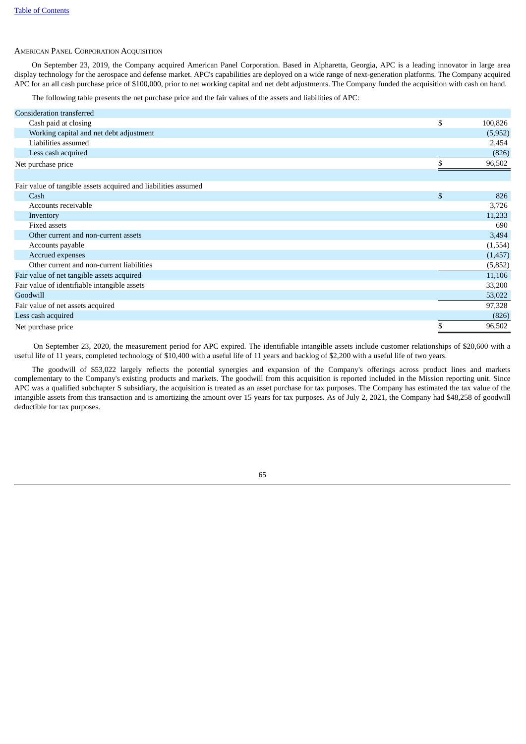### AMERICAN PANEL CORPORATION ACQUISITION

On September 23, 2019, the Company acquired American Panel Corporation. Based in Alpharetta, Georgia, APC is a leading innovator in large area display technology for the aerospace and defense market. APC's capabilities are deployed on a wide range of next-generation platforms. The Company acquired APC for an all cash purchase price of \$100,000, prior to net working capital and net debt adjustments. The Company funded the acquisition with cash on hand.

The following table presents the net purchase price and the fair values of the assets and liabilities of APC:

| Consideration transferred                                      |               |
|----------------------------------------------------------------|---------------|
| Cash paid at closing                                           | \$<br>100,826 |
| Working capital and net debt adjustment                        | (5,952)       |
| Liabilities assumed                                            | 2,454         |
| Less cash acquired                                             | (826)         |
| Net purchase price                                             | \$<br>96,502  |
|                                                                |               |
| Fair value of tangible assets acquired and liabilities assumed |               |
| Cash                                                           | \$<br>826     |
| Accounts receivable                                            | 3,726         |
| Inventory                                                      | 11,233        |
| <b>Fixed assets</b>                                            | 690           |
| Other current and non-current assets                           | 3,494         |
| Accounts payable                                               | (1,554)       |
| Accrued expenses                                               | (1, 457)      |
| Other current and non-current liabilities                      | (5,852)       |
| Fair value of net tangible assets acquired                     | 11,106        |
| Fair value of identifiable intangible assets                   | 33,200        |
| Goodwill                                                       | 53,022        |
| Fair value of net assets acquired                              | 97,328        |
| Less cash acquired                                             | (826)         |
| Net purchase price                                             | \$<br>96,502  |

On September 23, 2020, the measurement period for APC expired. The identifiable intangible assets include customer relationships of \$20,600 with a useful life of 11 years, completed technology of \$10,400 with a useful life of 11 years and backlog of \$2,200 with a useful life of two years.

The goodwill of \$53,022 largely reflects the potential synergies and expansion of the Company's offerings across product lines and markets complementary to the Company's existing products and markets. The goodwill from this acquisition is reported included in the Mission reporting unit. Since APC was a qualified subchapter S subsidiary, the acquisition is treated as an asset purchase for tax purposes. The Company has estimated the tax value of the intangible assets from this transaction and is amortizing the amount over 15 years for tax purposes. As of July 2, 2021, the Company had \$48,258 of goodwill deductible for tax purposes.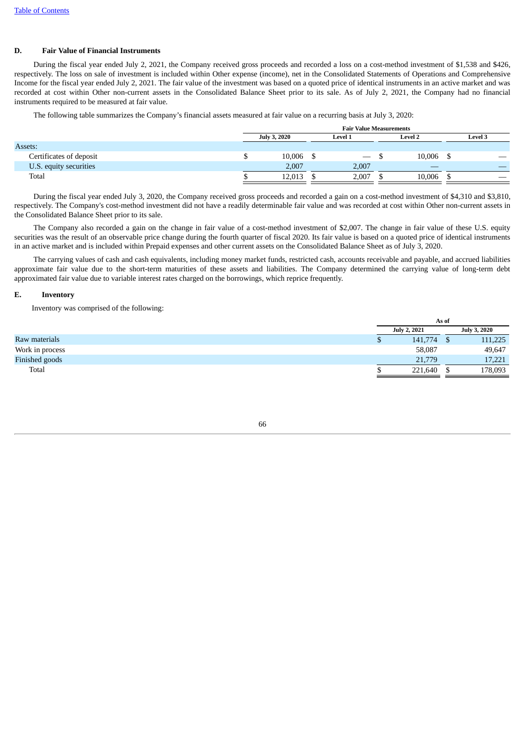# **D. Fair Value of Financial Instruments**

During the fiscal year ended July 2, 2021, the Company received gross proceeds and recorded a loss on a cost-method investment of \$1,538 and \$426, respectively. The loss on sale of investment is included within Other expense (income), net in the Consolidated Statements of Operations and Comprehensive Income for the fiscal year ended July 2, 2021. The fair value of the investment was based on a quoted price of identical instruments in an active market and was recorded at cost within Other non-current assets in the Consolidated Balance Sheet prior to its sale. As of July 2, 2021, the Company had no financial instruments required to be measured at fair value.

The following table summarizes the Company's financial assets measured at fair value on a recurring basis at July 3, 2020:

|                         | <b>Fair Value Measurements</b> |                                       |  |                                 |  |                |                |  |  |  |  |
|-------------------------|--------------------------------|---------------------------------------|--|---------------------------------|--|----------------|----------------|--|--|--|--|
|                         |                                | <b>July 3, 2020</b><br><b>Level 1</b> |  |                                 |  | <b>Level 2</b> | <b>Level 3</b> |  |  |  |  |
| Assets:                 |                                |                                       |  |                                 |  |                |                |  |  |  |  |
| Certificates of deposit |                                | 10,006                                |  | $\hspace{0.1mm}-\hspace{0.1mm}$ |  | 10,006         |                |  |  |  |  |
| U.S. equity securities  |                                | 2,007                                 |  | 2,007                           |  | __             |                |  |  |  |  |
| Total                   |                                | 12,013                                |  | 2,007                           |  | 10,006         |                |  |  |  |  |

During the fiscal year ended July 3, 2020, the Company received gross proceeds and recorded a gain on a cost-method investment of \$4,310 and \$3,810, respectively. The Company's cost-method investment did not have a readily determinable fair value and was recorded at cost within Other non-current assets in the Consolidated Balance Sheet prior to its sale.

The Company also recorded a gain on the change in fair value of a cost-method investment of \$2,007. The change in fair value of these U.S. equity securities was the result of an observable price change during the fourth quarter of fiscal 2020. Its fair value is based on a quoted price of identical instruments in an active market and is included within Prepaid expenses and other current assets on the Consolidated Balance Sheet as of July 3, 2020.

The carrying values of cash and cash equivalents, including money market funds, restricted cash, accounts receivable and payable, and accrued liabilities approximate fair value due to the short-term maturities of these assets and liabilities. The Company determined the carrying value of long-term debt approximated fair value due to variable interest rates charged on the borrowings, which reprice frequently.

## **E. Inventory**

Inventory was comprised of the following:

|                 |  |                     | AS 01 |                     |
|-----------------|--|---------------------|-------|---------------------|
|                 |  | <b>July 2, 2021</b> |       | <b>July 3, 2020</b> |
| Raw materials   |  | 141,774             | ъ     | 111,225             |
| Work in process |  | 58,087              |       | 49,647              |
| Finished goods  |  | 21,779              |       | 17,221              |
| Total           |  | 221.640             |       | 178,093             |
|                 |  |                     |       |                     |

**As of**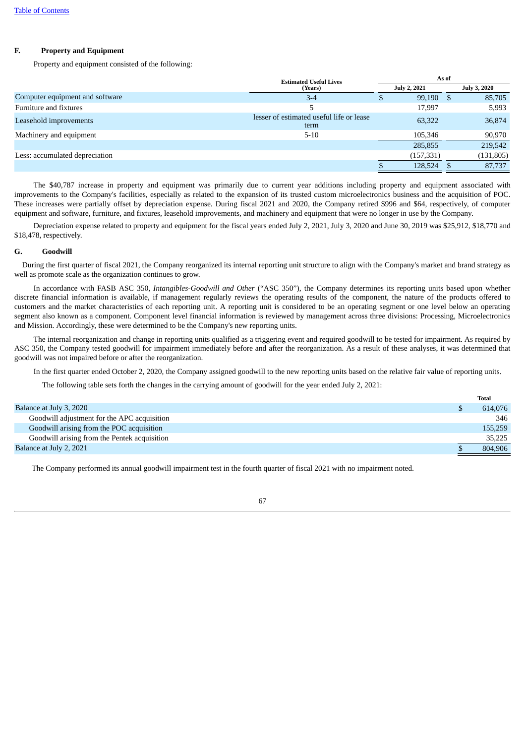# **F. Property and Equipment**

Property and equipment consisted of the following:

|                                 | <b>Estimated Useful Lives</b>                    |                     |            | As of |                     |  |  |
|---------------------------------|--------------------------------------------------|---------------------|------------|-------|---------------------|--|--|
|                                 | (Years)                                          | <b>July 2, 2021</b> |            |       | <b>July 3, 2020</b> |  |  |
| Computer equipment and software | $3 - 4$                                          |                     | 99,190     | - \$  | 85,705              |  |  |
| Furniture and fixtures          |                                                  |                     | 17.997     |       | 5,993               |  |  |
| Leasehold improvements          | lesser of estimated useful life or lease<br>term |                     | 63,322     |       | 36,874              |  |  |
| Machinery and equipment         | $5 - 10$                                         |                     | 105,346    |       | 90,970              |  |  |
|                                 |                                                  |                     | 285,855    |       | 219,542             |  |  |
| Less: accumulated depreciation  |                                                  |                     | (157, 331) |       | (131, 805)          |  |  |
|                                 |                                                  |                     | 128,524    |       | 87,737              |  |  |
|                                 |                                                  |                     |            |       |                     |  |  |

The \$40,787 increase in property and equipment was primarily due to current year additions including property and equipment associated with improvements to the Company's facilities, especially as related to the expansion of its trusted custom microelectronics business and the acquisition of POC. These increases were partially offset by depreciation expense. During fiscal 2021 and 2020, the Company retired \$996 and \$64, respectively, of computer equipment and software, furniture, and fixtures, leasehold improvements, and machinery and equipment that were no longer in use by the Company.

Depreciation expense related to property and equipment for the fiscal years ended July 2, 2021, July 3, 2020 and June 30, 2019 was \$25,912, \$18,770 and \$18,478, respectively.

## **G. Goodwill**

During the first quarter of fiscal 2021, the Company reorganized its internal reporting unit structure to align with the Company's market and brand strategy as well as promote scale as the organization continues to grow.

In accordance with FASB ASC 350, *Intangibles-Goodwill and Other* ("ASC 350"), the Company determines its reporting units based upon whether discrete financial information is available, if management regularly reviews the operating results of the component, the nature of the products offered to customers and the market characteristics of each reporting unit. A reporting unit is considered to be an operating segment or one level below an operating segment also known as a component. Component level financial information is reviewed by management across three divisions: Processing, Microelectronics and Mission. Accordingly, these were determined to be the Company's new reporting units.

The internal reorganization and change in reporting units qualified as a triggering event and required goodwill to be tested for impairment. As required by ASC 350, the Company tested goodwill for impairment immediately before and after the reorganization. As a result of these analyses, it was determined that goodwill was not impaired before or after the reorganization.

In the first quarter ended October 2, 2020, the Company assigned goodwill to the new reporting units based on the relative fair value of reporting units.

The following table sets forth the changes in the carrying amount of goodwill for the year ended July 2, 2021:

|                                              | <b>Total</b> |
|----------------------------------------------|--------------|
| Balance at July 3, 2020                      | 614.076      |
| Goodwill adjustment for the APC acquisition  | 346          |
| Goodwill arising from the POC acquisition    | 155,259      |
| Goodwill arising from the Pentek acquisition | 35.225       |
| Balance at July 2, 2021                      | 804,906      |

The Company performed its annual goodwill impairment test in the fourth quarter of fiscal 2021 with no impairment noted.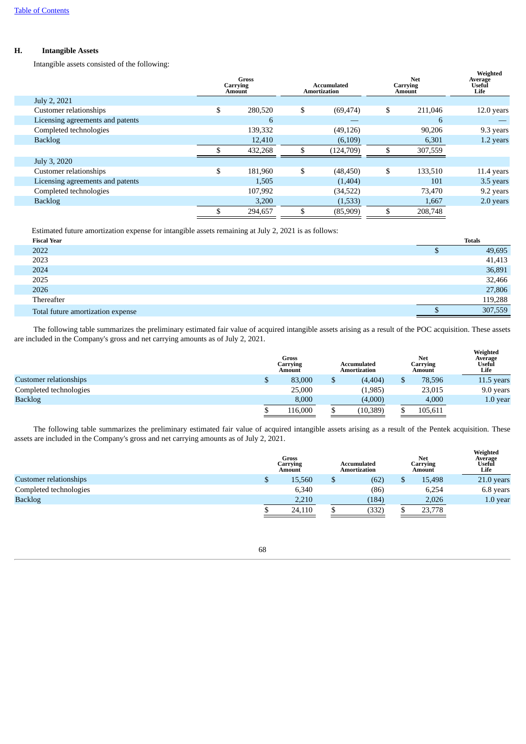# **H. Intangible Assets**

Intangible assets consisted of the following:

| ັ                                | <b>Gross</b><br>Carrying<br>Amount |         | Accumulated<br><b>Amortization</b> |            | <b>Net</b><br>Carrying<br>Amount | Weighted<br>Average<br>Useful<br>Life |
|----------------------------------|------------------------------------|---------|------------------------------------|------------|----------------------------------|---------------------------------------|
| July 2, 2021                     |                                    |         |                                    |            |                                  |                                       |
| Customer relationships           | \$                                 | 280,520 | \$                                 | (69, 474)  | \$<br>211,046                    | 12.0 years                            |
| Licensing agreements and patents |                                    | 6       |                                    |            | 6                                |                                       |
| Completed technologies           |                                    | 139,332 |                                    | (49, 126)  | 90,206                           | 9.3 years                             |
| <b>Backlog</b>                   |                                    | 12,410  |                                    | (6,109)    | 6,301                            | 1.2 years                             |
|                                  |                                    | 432,268 | \$                                 | (124, 709) | \$<br>307,559                    |                                       |
| July 3, 2020                     |                                    |         |                                    |            |                                  |                                       |
| Customer relationships           | \$                                 | 181,960 | \$                                 | (48, 450)  | \$<br>133,510                    | 11.4 years                            |
| Licensing agreements and patents |                                    | 1,505   |                                    | (1,404)    | 101                              | 3.5 years                             |
| Completed technologies           |                                    | 107,992 |                                    | (34,522)   | 73,470                           | 9.2 years                             |
| <b>Backlog</b>                   |                                    | 3,200   |                                    | (1,533)    | 1,667                            | 2.0 years                             |
|                                  |                                    | 294.657 | \$                                 | (85,909)   | \$<br>208,748                    |                                       |

Estimated future amortization expense for intangible assets remaining at July 2, 2021 is as follows:

| <b>Fiscal Year</b>                | <b>Totals</b> |         |
|-----------------------------------|---------------|---------|
| 2022                              |               | 49,695  |
| 2023                              |               | 41,413  |
| 2024                              |               | 36,891  |
| 2025                              |               | 32,466  |
| 2026                              |               | 27,806  |
| Thereafter                        |               | 119,288 |
| Total future amortization expense |               | 307,559 |

The following table summarizes the preliminary estimated fair value of acquired intangible assets arising as a result of the POC acquisition. These assets are included in the Company's gross and net carrying amounts as of July 2, 2021.

|                        | Gross<br>Carrying<br>Amount |   | Accumulated<br>Amortization |   | Net<br>Carrying<br>Amount | Weighted<br>Average<br>Useful<br>Life |
|------------------------|-----------------------------|---|-----------------------------|---|---------------------------|---------------------------------------|
| Customer relationships | 83,000                      | J | (4, 404)                    | Φ | 78,596                    | $11.5$ years                          |
| Completed technologies | 25,000                      |   | (1,985)                     |   | 23,015                    | 9.0 years                             |
| <b>Backlog</b>         | 8,000                       |   | (4,000)                     |   | 4,000                     | $1.0$ year                            |
|                        | 116,000                     |   | (10, 389)                   |   | 105,611                   |                                       |

The following table summarizes the preliminary estimated fair value of acquired intangible assets arising as a result of the Pentek acquisition. These assets are included in the Company's gross and net carrying amounts as of July 2, 2021.

|                        | Gross<br>Carrying<br>Amount |   | Accumulated<br><b>Amortization</b> |   | <b>Net</b><br>Carrying<br>Amount | Weighted<br>Average<br>Useful<br>Life |  |
|------------------------|-----------------------------|---|------------------------------------|---|----------------------------------|---------------------------------------|--|
| Customer relationships | 15,560                      | Φ | (62)                               | Ψ | 15,498                           | 21.0 years                            |  |
| Completed technologies | 6,340                       |   | (86)                               |   | 6,254                            | 6.8 years                             |  |
| <b>Backlog</b>         | 2,210                       |   | (184)                              |   | 2,026                            | 1.0 year                              |  |
|                        | 24,110                      |   | (332)                              |   | 23,778                           |                                       |  |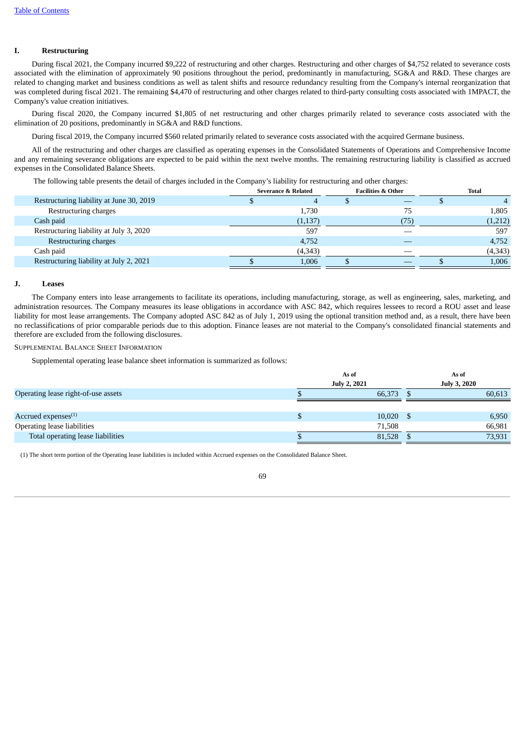# **I. Restructuring**

During fiscal 2021, the Company incurred \$9,222 of restructuring and other charges. Restructuring and other charges of \$4,752 related to severance costs associated with the elimination of approximately 90 positions throughout the period, predominantly in manufacturing, SG&A and R&D. These charges are related to changing market and business conditions as well as talent shifts and resource redundancy resulting from the Company's internal reorganization that was completed during fiscal 2021. The remaining \$4,470 of restructuring and other charges related to third-party consulting costs associated with 1MPACT, the Company's value creation initiatives.

During fiscal 2020, the Company incurred \$1,805 of net restructuring and other charges primarily related to severance costs associated with the elimination of 20 positions, predominantly in SG&A and R&D functions.

During fiscal 2019, the Company incurred \$560 related primarily related to severance costs associated with the acquired Germane business.

All of the restructuring and other charges are classified as operating expenses in the Consolidated Statements of Operations and Comprehensive Income and any remaining severance obligations are expected to be paid within the next twelve months. The remaining restructuring liability is classified as accrued expenses in the Consolidated Balance Sheets.

The following table presents the detail of charges included in the Company's liability for restructuring and other charges:

|                                          | <b>Severance &amp; Related</b> |         | <b>Facilities &amp; Other</b> | <b>Total</b> |
|------------------------------------------|--------------------------------|---------|-------------------------------|--------------|
| Restructuring liability at June 30, 2019 |                                |         |                               |              |
| Restructuring charges                    |                                | 1,730   | 75                            | 1,805        |
| Cash paid                                |                                | (1,137) | (75)                          | (1,212)      |
| Restructuring liability at July 3, 2020  |                                | 597     |                               | 597          |
| Restructuring charges                    |                                | 4,752   |                               | 4,752        |
| Cash paid                                |                                | (4,343) |                               | (4,343)      |
| Restructuring liability at July 2, 2021  |                                | 1.006   |                               | 1,006        |

#### **J. Leases**

The Company enters into lease arrangements to facilitate its operations, including manufacturing, storage, as well as engineering, sales, marketing, and administration resources. The Company measures its lease obligations in accordance with ASC 842, which requires lessees to record a ROU asset and lease liability for most lease arrangements. The Company adopted ASC 842 as of July 1, 2019 using the optional transition method and, as a result, there have been no reclassifications of prior comparable periods due to this adoption. Finance leases are not material to the Company's consolidated financial statements and therefore are excluded from the following disclosures.

## SUPPLEMENTAL BALANCE SHEET INFORMATION

Supplemental operating lease balance sheet information is summarized as follows:

|                                     | As of               | As of               |
|-------------------------------------|---------------------|---------------------|
|                                     | <b>July 2, 2021</b> | <b>July 3, 2020</b> |
| Operating lease right-of-use assets | 66,373              | 60,613              |
|                                     |                     |                     |
| Accrued expenses <sup>(1)</sup>     | 10,020              | 6,950<br>- S        |
| Operating lease liabilities         | 71.508              | 66,981              |
| Total operating lease liabilities   | 81,528              | 73,931              |
|                                     |                     |                     |

(1) The short term portion of the Operating lease liabilities is included within Accrued expenses on the Consolidated Balance Sheet.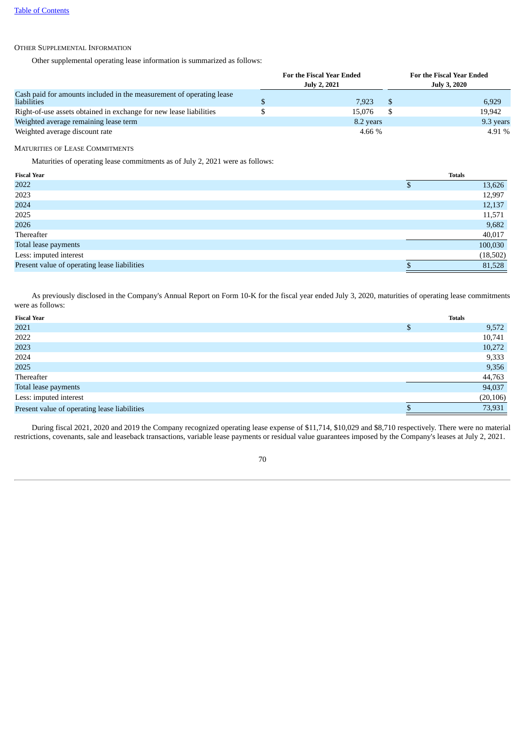# OTHER SUPPLEMENTAL INFORMATION

Other supplemental operating lease information is summarized as follows:

|                                                                                            | For the Fiscal Year Ended<br><b>July 2, 2021</b> |           |    | For the Fiscal Year Ended<br><b>July 3, 2020</b> |  |  |
|--------------------------------------------------------------------------------------------|--------------------------------------------------|-----------|----|--------------------------------------------------|--|--|
| Cash paid for amounts included in the measurement of operating lease<br><b>liabilities</b> |                                                  | 7.923     | -S | 6,929                                            |  |  |
| Right-of-use assets obtained in exchange for new lease liabilities                         |                                                  | 15.076    | -S | 19,942                                           |  |  |
| Weighted average remaining lease term                                                      |                                                  | 8.2 years |    | 9.3 years                                        |  |  |
| Weighted average discount rate                                                             |                                                  | 4.66%     |    | 4.91 %                                           |  |  |

## MATURITIES OF LEASE COMMITMENTS

Maturities of operating lease commitments as of July 2, 2021 were as follows:

| <b>Fiscal Year</b>                           | <b>Totals</b> |
|----------------------------------------------|---------------|
| 2022                                         | 13,626        |
| 2023                                         | 12,997        |
| 2024                                         | 12,137        |
| 2025                                         | 11,571        |
| 2026                                         | 9,682         |
| Thereafter                                   | 40,017        |
| Total lease payments                         | 100,030       |
| Less: imputed interest                       | (18, 502)     |
| Present value of operating lease liabilities | 81,528        |

As previously disclosed in the Company's Annual Report on Form 10-K for the fiscal year ended July 3, 2020, maturities of operating lease commitments were as follows:

| <b>Fiscal Year</b>                           |   | <b>Totals</b> |
|----------------------------------------------|---|---------------|
| 2021                                         | D | 9,572         |
| 2022                                         |   | 10,741        |
| 2023                                         |   | 10,272        |
| 2024                                         |   | 9,333         |
| 2025                                         |   | 9,356         |
| Thereafter                                   |   | 44,763        |
| Total lease payments                         |   | 94,037        |
| Less: imputed interest                       |   | (20, 106)     |
| Present value of operating lease liabilities |   | 73,931        |

During fiscal 2021, 2020 and 2019 the Company recognized operating lease expense of \$11,714, \$10,029 and \$8,710 respectively. There were no material restrictions, covenants, sale and leaseback transactions, variable lease payments or residual value guarantees imposed by the Company's leases at July 2, 2021.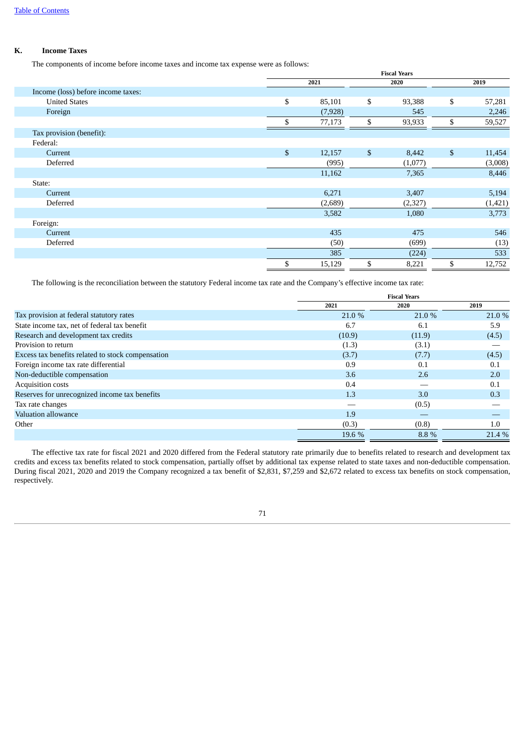# **K. Income Taxes**

The components of income before income taxes and income tax expense were as follows:

|                                    |              | <b>Fiscal Years</b> |    |         |              |          |
|------------------------------------|--------------|---------------------|----|---------|--------------|----------|
|                                    | 2021         |                     |    | 2020    |              | 2019     |
| Income (loss) before income taxes: |              |                     |    |         |              |          |
| <b>United States</b>               | \$           | 85,101              | \$ | 93,388  | \$           | 57,281   |
| Foreign                            |              | (7,928)             |    | 545     |              | 2,246    |
|                                    |              | 77,173              | \$ | 93,933  | \$           | 59,527   |
| Tax provision (benefit):           |              |                     |    |         |              |          |
| Federal:                           |              |                     |    |         |              |          |
| Current                            | $\mathbb{S}$ | 12,157              | \$ | 8,442   | $\mathbb{S}$ | 11,454   |
| Deferred                           |              | (995)               |    | (1,077) |              | (3,008)  |
|                                    |              | 11,162              |    | 7,365   |              | 8,446    |
| State:                             |              |                     |    |         |              |          |
| Current                            |              | 6,271               |    | 3,407   |              | 5,194    |
| Deferred                           |              | (2,689)             |    | (2,327) |              | (1, 421) |
|                                    |              | 3,582               |    | 1,080   |              | 3,773    |
| Foreign:                           |              |                     |    |         |              |          |
| Current                            |              | 435                 |    | 475     |              | 546      |
| Deferred                           |              | (50)                |    | (699)   |              | (13)     |
|                                    |              | 385                 |    | (224)   |              | 533      |
|                                    | \$           | 15,129              | \$ | 8,221   | \$           | 12,752   |

The following is the reconciliation between the statutory Federal income tax rate and the Company's effective income tax rate:

|                                                   |        | <b>Fiscal Years</b> |         |  |
|---------------------------------------------------|--------|---------------------|---------|--|
|                                                   | 2021   | 2020                | 2019    |  |
| Tax provision at federal statutory rates          | 21.0 % | 21.0 %              | 21.0 %  |  |
| State income tax, net of federal tax benefit      | 6.7    | 6.1                 | 5.9     |  |
| Research and development tax credits              | (10.9) | (11.9)              | (4.5)   |  |
| Provision to return                               | (1.3)  | (3.1)               |         |  |
| Excess tax benefits related to stock compensation | (3.7)  | (7.7)               | (4.5)   |  |
| Foreign income tax rate differential              | 0.9    | 0.1                 | 0.1     |  |
| Non-deductible compensation                       | 3.6    | 2.6                 | 2.0     |  |
| Acquisition costs                                 | 0.4    |                     | 0.1     |  |
| Reserves for unrecognized income tax benefits     | 1.3    | 3.0                 | 0.3     |  |
| Tax rate changes                                  |        | (0.5)               |         |  |
| Valuation allowance                               | 1.9    |                     |         |  |
| Other                                             | (0.3)  | (0.8)               | $1.0\,$ |  |
|                                                   | 19.6 % | 8.8 %               | 21.4 %  |  |

The effective tax rate for fiscal 2021 and 2020 differed from the Federal statutory rate primarily due to benefits related to research and development tax credits and excess tax benefits related to stock compensation, partially offset by additional tax expense related to state taxes and non-deductible compensation. During fiscal 2021, 2020 and 2019 the Company recognized a tax benefit of \$2,831, \$7,259 and \$2,672 related to excess tax benefits on stock compensation, respectively.

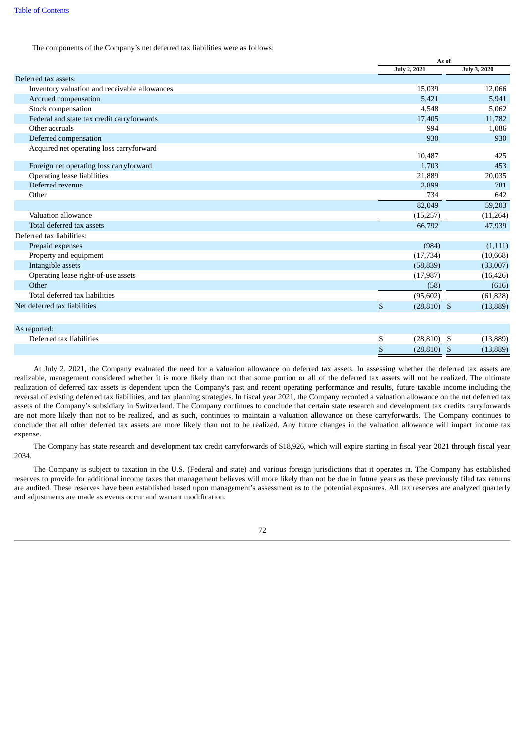The components of the Company's net deferred tax liabilities were as follows:

|                                               |                     | As of         |                     |  |
|-----------------------------------------------|---------------------|---------------|---------------------|--|
|                                               | <b>July 2, 2021</b> |               | <b>July 3, 2020</b> |  |
| Deferred tax assets:                          |                     |               |                     |  |
| Inventory valuation and receivable allowances | 15,039              |               | 12,066              |  |
| Accrued compensation                          | 5,421               |               | 5,941               |  |
| Stock compensation                            | 4,548               |               | 5,062               |  |
| Federal and state tax credit carryforwards    | 17,405              |               | 11,782              |  |
| Other accruals                                | 994                 |               | 1,086               |  |
| Deferred compensation                         | 930                 |               | 930                 |  |
| Acquired net operating loss carryforward      |                     |               |                     |  |
|                                               | 10,487              |               | 425                 |  |
| Foreign net operating loss carryforward       | 1,703               |               | 453                 |  |
| <b>Operating lease liabilities</b>            | 21,889              |               | 20,035              |  |
| Deferred revenue                              | 2,899               |               | 781                 |  |
| Other                                         | 734                 |               | 642                 |  |
|                                               | 82,049              |               | 59,203              |  |
| Valuation allowance                           | (15,257)            |               | (11,264)            |  |
| Total deferred tax assets                     | 66,792              |               | 47,939              |  |
| Deferred tax liabilities:                     |                     |               |                     |  |
| Prepaid expenses                              | (984)               |               | (1,111)             |  |
| Property and equipment                        | (17, 734)           |               | (10, 668)           |  |
| Intangible assets                             | (58, 839)           |               | (33,007)            |  |
| Operating lease right-of-use assets           | (17, 987)           |               | (16, 426)           |  |
| Other                                         | (58)                |               | (616)               |  |
| Total deferred tax liabilities                | (95,602)            |               | (61, 828)           |  |
| Net deferred tax liabilities                  | \$<br>(28, 810)     | $\mathcal{S}$ | (13, 889)           |  |
|                                               |                     |               |                     |  |
| As reported:                                  |                     |               |                     |  |
|                                               |                     |               |                     |  |

| $\cdots$<br>$\mathbf{H}$<br>. heterred '<br>tax<br>liabilities<br>. | $\sim$<br>, .<br>. | 0.889       |
|---------------------------------------------------------------------|--------------------|-------------|
|                                                                     | .                  | 0.00<br>OO. |

At July 2, 2021, the Company evaluated the need for a valuation allowance on deferred tax assets. In assessing whether the deferred tax assets are realizable, management considered whether it is more likely than not that some portion or all of the deferred tax assets will not be realized. The ultimate realization of deferred tax assets is dependent upon the Company's past and recent operating performance and results, future taxable income including the reversal of existing deferred tax liabilities, and tax planning strategies. In fiscal year 2021, the Company recorded a valuation allowance on the net deferred tax assets of the Company's subsidiary in Switzerland. The Company continues to conclude that certain state research and development tax credits carryforwards are not more likely than not to be realized, and as such, continues to maintain a valuation allowance on these carryforwards. The Company continues to conclude that all other deferred tax assets are more likely than not to be realized. Any future changes in the valuation allowance will impact income tax expense.

The Company has state research and development tax credit carryforwards of \$18,926, which will expire starting in fiscal year 2021 through fiscal year 2034.

The Company is subject to taxation in the U.S. (Federal and state) and various foreign jurisdictions that it operates in. The Company has established reserves to provide for additional income taxes that management believes will more likely than not be due in future years as these previously filed tax returns are audited. These reserves have been established based upon management's assessment as to the potential exposures. All tax reserves are analyzed quarterly and adjustments are made as events occur and warrant modification.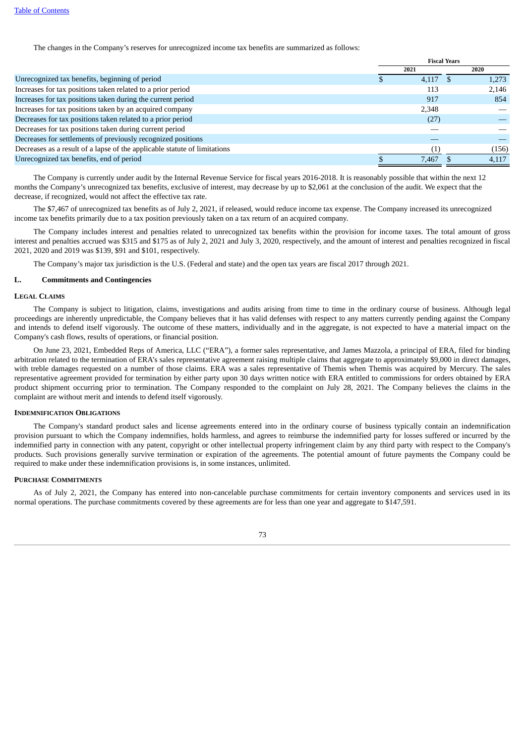The changes in the Company's reserves for unrecognized income tax benefits are summarized as follows:

|                                                                           | <b>Fiscal Years</b> |  |       |
|---------------------------------------------------------------------------|---------------------|--|-------|
|                                                                           | 2021                |  | 2020  |
| Unrecognized tax benefits, beginning of period                            | 4.117               |  | 1,273 |
| Increases for tax positions taken related to a prior period               | 113                 |  | 2,146 |
| Increases for tax positions taken during the current period               | 917                 |  | 854   |
| Increases for tax positions taken by an acquired company                  | 2,348               |  |       |
| Decreases for tax positions taken related to a prior period               | (27)                |  |       |
| Decreases for tax positions taken during current period                   |                     |  |       |
| Decreases for settlements of previously recognized positions              |                     |  |       |
| Decreases as a result of a lapse of the applicable statute of limitations | (1)                 |  | (156) |
| Unrecognized tax benefits, end of period                                  | 7,467               |  | 4,117 |

The Company is currently under audit by the Internal Revenue Service for fiscal years 2016-2018. It is reasonably possible that within the next 12 months the Company's unrecognized tax benefits, exclusive of interest, may decrease by up to \$2,061 at the conclusion of the audit. We expect that the decrease, if recognized, would not affect the effective tax rate.

The \$7,467 of unrecognized tax benefits as of July 2, 2021, if released, would reduce income tax expense. The Company increased its unrecognized income tax benefits primarily due to a tax position previously taken on a tax return of an acquired company.

The Company includes interest and penalties related to unrecognized tax benefits within the provision for income taxes. The total amount of gross interest and penalties accrued was \$315 and \$175 as of July 2, 2021 and July 3, 2020, respectively, and the amount of interest and penalties recognized in fiscal 2021, 2020 and 2019 was \$139, \$91 and \$101, respectively.

The Company's major tax jurisdiction is the U.S. (Federal and state) and the open tax years are fiscal 2017 through 2021.

## **L. Commitments and Contingencies**

### **LEGAL CLAIMS**

The Company is subject to litigation, claims, investigations and audits arising from time to time in the ordinary course of business. Although legal proceedings are inherently unpredictable, the Company believes that it has valid defenses with respect to any matters currently pending against the Company and intends to defend itself vigorously. The outcome of these matters, individually and in the aggregate, is not expected to have a material impact on the Company's cash flows, results of operations, or financial position.

On June 23, 2021, Embedded Reps of America, LLC ("ERA"), a former sales representative, and James Mazzola, a principal of ERA, filed for binding arbitration related to the termination of ERA's sales representative agreement raising multiple claims that aggregate to approximately \$9,000 in direct damages, with treble damages requested on a number of those claims. ERA was a sales representative of Themis when Themis was acquired by Mercury. The sales representative agreement provided for termination by either party upon 30 days written notice with ERA entitled to commissions for orders obtained by ERA product shipment occurring prior to termination. The Company responded to the complaint on July 28, 2021. The Company believes the claims in the complaint are without merit and intends to defend itself vigorously.

#### **INDEMNIFICATION OBLIGATIONS**

The Company's standard product sales and license agreements entered into in the ordinary course of business typically contain an indemnification provision pursuant to which the Company indemnifies, holds harmless, and agrees to reimburse the indemnified party for losses suffered or incurred by the indemnified party in connection with any patent, copyright or other intellectual property infringement claim by any third party with respect to the Company's products. Such provisions generally survive termination or expiration of the agreements. The potential amount of future payments the Company could be required to make under these indemnification provisions is, in some instances, unlimited.

### **PURCHASE COMMITMENTS**

As of July 2, 2021, the Company has entered into non-cancelable purchase commitments for certain inventory components and services used in its normal operations. The purchase commitments covered by these agreements are for less than one year and aggregate to \$147,591.

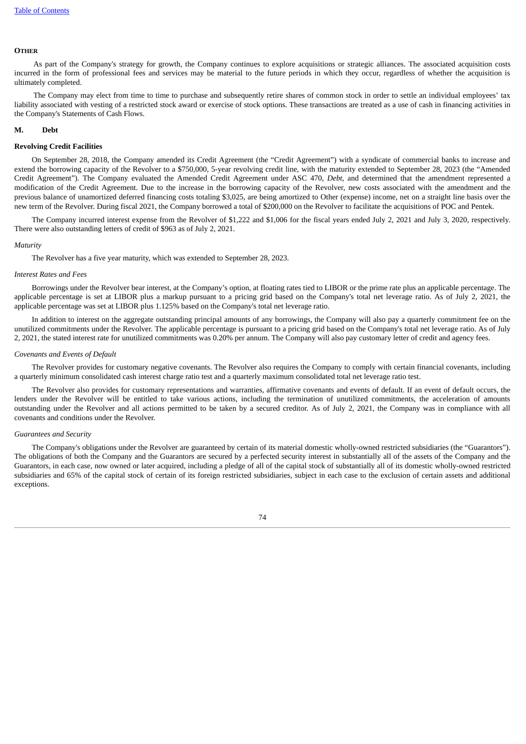### **OTHER**

As part of the Company's strategy for growth, the Company continues to explore acquisitions or strategic alliances. The associated acquisition costs incurred in the form of professional fees and services may be material to the future periods in which they occur, regardless of whether the acquisition is ultimately completed.

The Company may elect from time to time to purchase and subsequently retire shares of common stock in order to settle an individual employees' tax liability associated with vesting of a restricted stock award or exercise of stock options. These transactions are treated as a use of cash in financing activities in the Company's Statements of Cash Flows.

### **M. Debt**

#### **Revolving Credit Facilities**

On September 28, 2018, the Company amended its Credit Agreement (the "Credit Agreement") with a syndicate of commercial banks to increase and extend the borrowing capacity of the Revolver to a \$750,000, 5-year revolving credit line, with the maturity extended to September 28, 2023 (the "Amended Credit Agreement"). The Company evaluated the Amended Credit Agreement under ASC 470, *Debt*, and determined that the amendment represented a modification of the Credit Agreement. Due to the increase in the borrowing capacity of the Revolver, new costs associated with the amendment and the previous balance of unamortized deferred financing costs totaling \$3,025, are being amortized to Other (expense) income, net on a straight line basis over the new term of the Revolver. During fiscal 2021, the Company borrowed a total of \$200,000 on the Revolver to facilitate the acquisitions of POC and Pentek.

The Company incurred interest expense from the Revolver of \$1,222 and \$1,006 for the fiscal years ended July 2, 2021 and July 3, 2020, respectively. There were also outstanding letters of credit of \$963 as of July 2, 2021.

#### *Maturity*

The Revolver has a five year maturity, which was extended to September 28, 2023.

#### *Interest Rates and Fees*

Borrowings under the Revolver bear interest, at the Company's option, at floating rates tied to LIBOR or the prime rate plus an applicable percentage. The applicable percentage is set at LIBOR plus a markup pursuant to a pricing grid based on the Company's total net leverage ratio. As of July 2, 2021, the applicable percentage was set at LIBOR plus 1.125% based on the Company's total net leverage ratio.

In addition to interest on the aggregate outstanding principal amounts of any borrowings, the Company will also pay a quarterly commitment fee on the unutilized commitments under the Revolver. The applicable percentage is pursuant to a pricing grid based on the Company's total net leverage ratio. As of July 2, 2021, the stated interest rate for unutilized commitments was 0.20% per annum. The Company will also pay customary letter of credit and agency fees.

#### *Covenants and Events of Default*

The Revolver provides for customary negative covenants. The Revolver also requires the Company to comply with certain financial covenants, including a quarterly minimum consolidated cash interest charge ratio test and a quarterly maximum consolidated total net leverage ratio test.

The Revolver also provides for customary representations and warranties, affirmative covenants and events of default. If an event of default occurs, the lenders under the Revolver will be entitled to take various actions, including the termination of unutilized commitments, the acceleration of amounts outstanding under the Revolver and all actions permitted to be taken by a secured creditor. As of July 2, 2021, the Company was in compliance with all covenants and conditions under the Revolver.

#### *Guarantees and Security*

The Company's obligations under the Revolver are guaranteed by certain of its material domestic wholly-owned restricted subsidiaries (the "Guarantors"). The obligations of both the Company and the Guarantors are secured by a perfected security interest in substantially all of the assets of the Company and the Guarantors, in each case, now owned or later acquired, including a pledge of all of the capital stock of substantially all of its domestic wholly-owned restricted subsidiaries and 65% of the capital stock of certain of its foreign restricted subsidiaries, subject in each case to the exclusion of certain assets and additional exceptions.

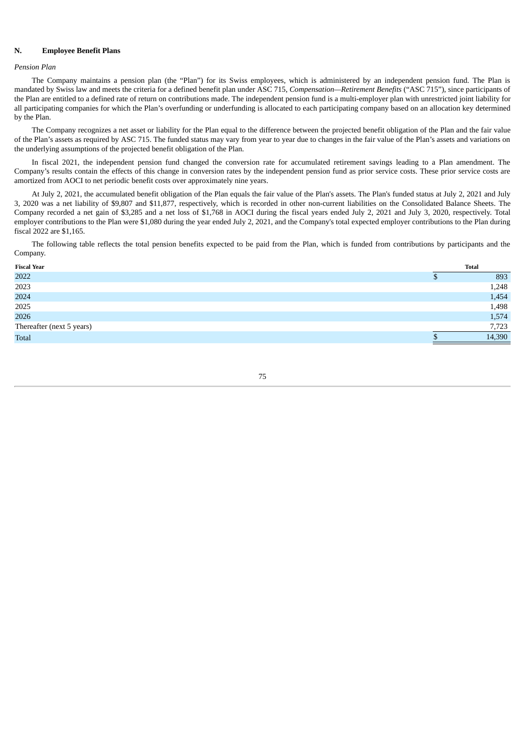## **N. Employee Benefit Plans**

#### *Pension Plan*

The Company maintains a pension plan (the "Plan") for its Swiss employees, which is administered by an independent pension fund. The Plan is mandated by Swiss law and meets the criteria for a defined benefit plan under ASC 715, *Compensation—Retirement Benefits* ("ASC 715"), since participants of the Plan are entitled to a defined rate of return on contributions made. The independent pension fund is a multi-employer plan with unrestricted joint liability for all participating companies for which the Plan's overfunding or underfunding is allocated to each participating company based on an allocation key determined by the Plan.

The Company recognizes a net asset or liability for the Plan equal to the difference between the projected benefit obligation of the Plan and the fair value of the Plan's assets as required by ASC 715. The funded status may vary from year to year due to changes in the fair value of the Plan's assets and variations on the underlying assumptions of the projected benefit obligation of the Plan.

In fiscal 2021, the independent pension fund changed the conversion rate for accumulated retirement savings leading to a Plan amendment. The Company's results contain the effects of this change in conversion rates by the independent pension fund as prior service costs. These prior service costs are amortized from AOCI to net periodic benefit costs over approximately nine years.

At July 2, 2021, the accumulated benefit obligation of the Plan equals the fair value of the Plan's assets. The Plan's funded status at July 2, 2021 and July 3, 2020 was a net liability of \$9,807 and \$11,877, respectively, which is recorded in other non-current liabilities on the Consolidated Balance Sheets. The Company recorded a net gain of \$3,285 and a net loss of \$1,768 in AOCI during the fiscal years ended July 2, 2021 and July 3, 2020, respectively. Total employer contributions to the Plan were \$1,080 during the year ended July 2, 2021, and the Company's total expected employer contributions to the Plan during fiscal 2022 are \$1,165.

The following table reflects the total pension benefits expected to be paid from the Plan, which is funded from contributions by participants and the Company.

| <b>Fiscal Year</b>        | <b>Total</b> |
|---------------------------|--------------|
| 2022                      | 893          |
| 2023                      | 1,248        |
| 2024                      | 1,454        |
| 2025                      | 1,498        |
| 2026                      | 1,574        |
| Thereafter (next 5 years) | 7,723        |
| <b>Total</b>              | 14,390       |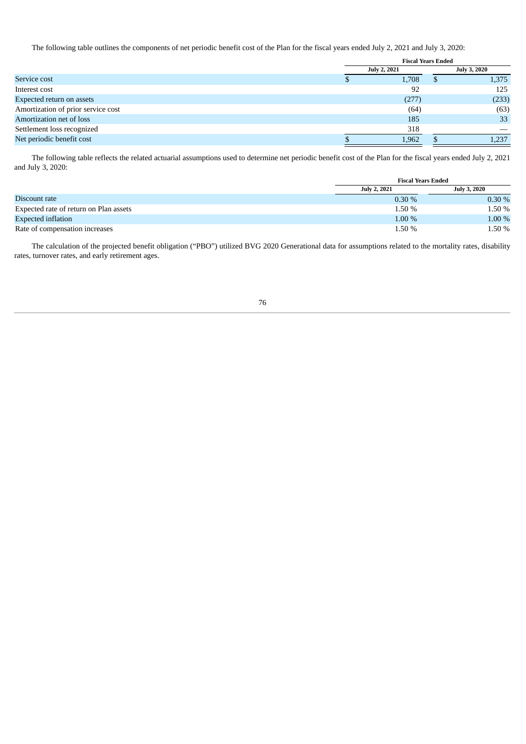The following table outlines the components of net periodic benefit cost of the Plan for the fiscal years ended July 2, 2021 and July 3, 2020:

|                                    | <b>Fiscal Years Ended</b> |       |  |                     |  |  |
|------------------------------------|---------------------------|-------|--|---------------------|--|--|
|                                    | <b>July 2, 2021</b>       |       |  | <b>July 3, 2020</b> |  |  |
| Service cost                       |                           | 1,708 |  | 1,375               |  |  |
| Interest cost                      |                           | 92    |  | 125                 |  |  |
| Expected return on assets          |                           | (277) |  | (233)               |  |  |
| Amortization of prior service cost |                           | (64)  |  | (63)                |  |  |
| Amortization net of loss           |                           | 185   |  | 33                  |  |  |
| Settlement loss recognized         |                           | 318   |  |                     |  |  |
| Net periodic benefit cost          |                           | 1,962 |  | 1,237               |  |  |

The following table reflects the related actuarial assumptions used to determine net periodic benefit cost of the Plan for the fiscal years ended July 2, 2021 and July 3, 2020:

|                                        |                     | <b>Fiscal Years Ended</b> |  |  |  |
|----------------------------------------|---------------------|---------------------------|--|--|--|
|                                        | <b>July 2, 2021</b> | <b>July 3, 2020</b>       |  |  |  |
| Discount rate                          | $0.30 \%$           | $0.30 \%$                 |  |  |  |
| Expected rate of return on Plan assets | 1.50 %              | 1.50 %                    |  |  |  |
| <b>Expected inflation</b>              | 1.00 %              | 1.00 %                    |  |  |  |
| Rate of compensation increases         | 1.50 %              | 1.50 %                    |  |  |  |

The calculation of the projected benefit obligation ("PBO") utilized BVG 2020 Generational data for assumptions related to the mortality rates, disability rates, turnover rates, and early retirement ages.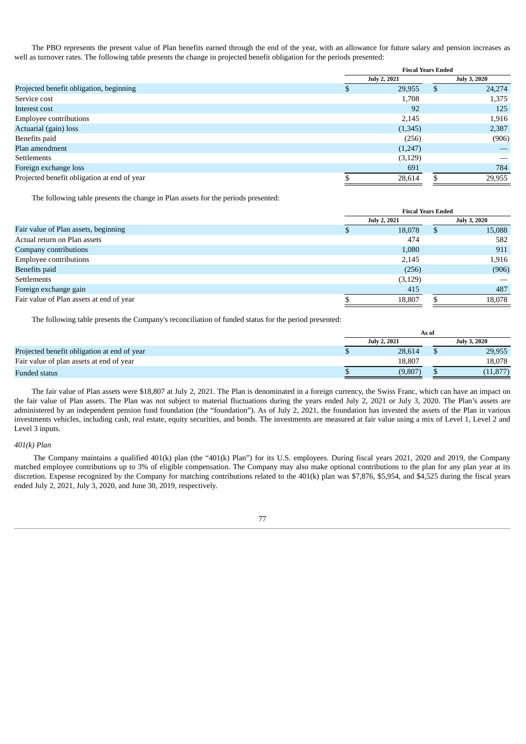The PBO represents the present value of Plan benefits earned through the end of the year, with an allowance for future salary and pension increases as well as turnover rates. The following table presents the change in projected benefit obligation for the periods presented:

|                                             | <b>Fiscal Years Ended</b> |   |        |  |
|---------------------------------------------|---------------------------|---|--------|--|
|                                             | <b>July 2, 2021</b>       |   |        |  |
| Projected benefit obligation, beginning     | 29,955                    | D | 24,274 |  |
| Service cost                                | 1,708                     |   | 1,375  |  |
| Interest cost                               | 92                        |   | 125    |  |
| <b>Employee contributions</b>               | 2,145                     |   | 1,916  |  |
| Actuarial (gain) loss                       | (1,345)                   |   | 2,387  |  |
| Benefits paid                               | (256)                     |   | (906)  |  |
| Plan amendment                              | (1,247)                   |   |        |  |
| Settlements                                 | (3, 129)                  |   |        |  |
| Foreign exchange loss                       | 691                       |   | 784    |  |
| Projected benefit obligation at end of year | 28,614                    |   | 29,955 |  |
|                                             |                           |   |        |  |

The following table presents the change in Plan assets for the periods presented:

| <b>Fiscal Years Ended</b> |          |  |                     |  |  |
|---------------------------|----------|--|---------------------|--|--|
| <b>July 2, 2021</b>       |          |  | <b>July 3, 2020</b> |  |  |
|                           | 18,078   |  | 15,088              |  |  |
|                           | 474      |  | 582                 |  |  |
|                           | 1,080    |  | 911                 |  |  |
|                           | 2,145    |  | 1,916               |  |  |
|                           | (256)    |  | (906)               |  |  |
|                           | (3, 129) |  |                     |  |  |
|                           | 415      |  | 487                 |  |  |
|                           | 18.807   |  | 18,078              |  |  |
|                           |          |  |                     |  |  |

The following table presents the Company's reconciliation of funded status for the period presented:

|                                             | As of               |  |                     |  |  |
|---------------------------------------------|---------------------|--|---------------------|--|--|
|                                             | <b>July 2, 2021</b> |  | <b>July 3, 2020</b> |  |  |
| Projected benefit obligation at end of year | 28.614              |  | 29,955              |  |  |
| Fair value of plan assets at end of year    | 18,807              |  | 18.078              |  |  |
| Funded status                               | (9,807)             |  | (11, 877)           |  |  |

The fair value of Plan assets were \$18,807 at July 2, 2021. The Plan is denominated in a foreign currency, the Swiss Franc, which can have an impact on the fair value of Plan assets. The Plan was not subject to material fluctuations during the years ended July 2, 2021 or July 3, 2020. The Plan's assets are administered by an independent pension fund foundation (the "foundation"). As of July 2, 2021, the foundation has invested the assets of the Plan in various investments vehicles, including cash, real estate, equity securities, and bonds. The investments are measured at fair value using a mix of Level 1, Level 2 and Level 3 inputs.

### *401(k) Plan*

The Company maintains a qualified 401(k) plan (the "401(k) Plan") for its U.S. employees. During fiscal years 2021, 2020 and 2019, the Company matched employee contributions up to 3% of eligible compensation. The Company may also make optional contributions to the plan for any plan year at its discretion. Expense recognized by the Company for matching contributions related to the 401(k) plan was \$7,876, \$5,954, and \$4,525 during the fiscal years ended July 2, 2021, July 3, 2020, and June 30, 2019, respectively.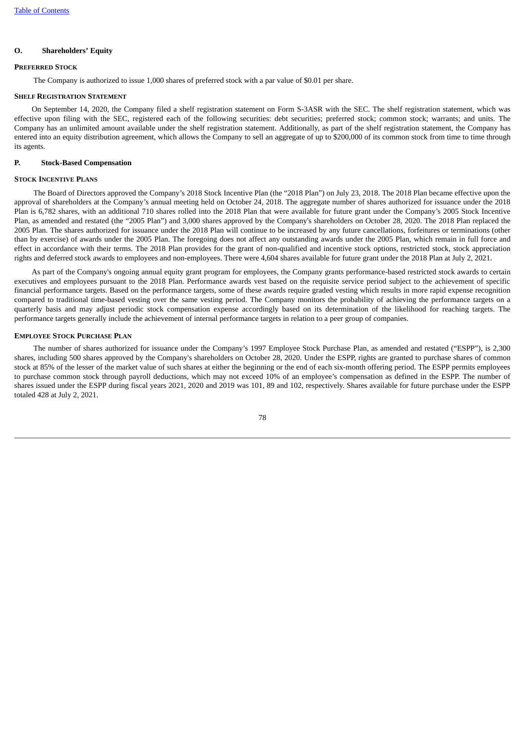## **O. Shareholders' Equity**

#### **PREFERRED STOCK**

The Company is authorized to issue 1,000 shares of preferred stock with a par value of \$0.01 per share.

#### **SHELF REGISTRATION STATEMENT**

On September 14, 2020, the Company filed a shelf registration statement on Form S-3ASR with the SEC. The shelf registration statement, which was effective upon filing with the SEC, registered each of the following securities: debt securities; preferred stock; common stock; warrants; and units. The Company has an unlimited amount available under the shelf registration statement. Additionally, as part of the shelf registration statement, the Company has entered into an equity distribution agreement, which allows the Company to sell an aggregate of up to \$200,000 of its common stock from time to time through its agents.

#### **P. Stock-Based Compensation**

### **STOCK INCENTIVE PLANS**

The Board of Directors approved the Company's 2018 Stock Incentive Plan (the "2018 Plan") on July 23, 2018. The 2018 Plan became effective upon the approval of shareholders at the Company's annual meeting held on October 24, 2018. The aggregate number of shares authorized for issuance under the 2018 Plan is 6,782 shares, with an additional 710 shares rolled into the 2018 Plan that were available for future grant under the Company's 2005 Stock Incentive Plan, as amended and restated (the "2005 Plan") and 3,000 shares approved by the Company's shareholders on October 28, 2020. The 2018 Plan replaced the 2005 Plan. The shares authorized for issuance under the 2018 Plan will continue to be increased by any future cancellations, forfeitures or terminations (other than by exercise) of awards under the 2005 Plan. The foregoing does not affect any outstanding awards under the 2005 Plan, which remain in full force and effect in accordance with their terms. The 2018 Plan provides for the grant of non-qualified and incentive stock options, restricted stock, stock appreciation rights and deferred stock awards to employees and non-employees. There were 4,604 shares available for future grant under the 2018 Plan at July 2, 2021.

As part of the Company's ongoing annual equity grant program for employees, the Company grants performance-based restricted stock awards to certain executives and employees pursuant to the 2018 Plan. Performance awards vest based on the requisite service period subject to the achievement of specific financial performance targets. Based on the performance targets, some of these awards require graded vesting which results in more rapid expense recognition compared to traditional time-based vesting over the same vesting period. The Company monitors the probability of achieving the performance targets on a quarterly basis and may adjust periodic stock compensation expense accordingly based on its determination of the likelihood for reaching targets. The performance targets generally include the achievement of internal performance targets in relation to a peer group of companies.

#### **EMPLOYEE STOCK PURCHASE PLAN**

The number of shares authorized for issuance under the Company's 1997 Employee Stock Purchase Plan, as amended and restated ("ESPP"), is 2,300 shares, including 500 shares approved by the Company's shareholders on October 28, 2020. Under the ESPP, rights are granted to purchase shares of common stock at 85% of the lesser of the market value of such shares at either the beginning or the end of each six-month offering period. The ESPP permits employees to purchase common stock through payroll deductions, which may not exceed 10% of an employee's compensation as defined in the ESPP. The number of shares issued under the ESPP during fiscal years 2021, 2020 and 2019 was 101, 89 and 102, respectively. Shares available for future purchase under the ESPP totaled 428 at July 2, 2021.

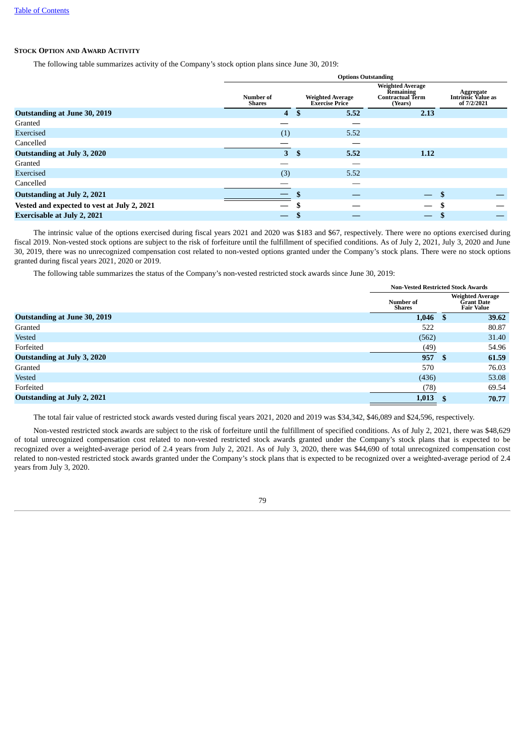# **STOCK OPTION AND AWARD ACTIVITY**

The following table summarizes activity of the Company's stock option plans since June 30, 2019:

|                                             |                     | <b>Options Outstanding</b> |                                           |                                                                            |                                                       |  |  |  |  |
|---------------------------------------------|---------------------|----------------------------|-------------------------------------------|----------------------------------------------------------------------------|-------------------------------------------------------|--|--|--|--|
|                                             | Number of<br>Shares |                            | <b>Weighted Average</b><br>Exercise Price | <b>Weighted Average</b><br>Remaining<br><b>Contractual Term</b><br>(Years) | Aggregate<br><b>Intrinsic Value as</b><br>of 7/2/2021 |  |  |  |  |
| Outstanding at June 30, 2019                | $\overline{4}$      | - \$                       | 5.52                                      | 2.13                                                                       |                                                       |  |  |  |  |
| Granted                                     |                     |                            |                                           |                                                                            |                                                       |  |  |  |  |
| Exercised                                   | (1)                 |                            | 5.52                                      |                                                                            |                                                       |  |  |  |  |
| Cancelled                                   |                     |                            |                                           |                                                                            |                                                       |  |  |  |  |
| Outstanding at July 3, 2020                 | 3                   | \$                         | 5.52                                      | 1.12                                                                       |                                                       |  |  |  |  |
| Granted                                     |                     |                            |                                           |                                                                            |                                                       |  |  |  |  |
| Exercised                                   | (3)                 |                            | 5.52                                      |                                                                            |                                                       |  |  |  |  |
| Cancelled                                   |                     |                            |                                           |                                                                            |                                                       |  |  |  |  |
| Outstanding at July 2, 2021                 |                     |                            |                                           | $\overline{\phantom{0}}$                                                   | - \$                                                  |  |  |  |  |
| Vested and expected to vest at July 2, 2021 |                     |                            |                                           |                                                                            |                                                       |  |  |  |  |
| <b>Exercisable at July 2, 2021</b>          |                     | D                          |                                           |                                                                            |                                                       |  |  |  |  |

The intrinsic value of the options exercised during fiscal years 2021 and 2020 was \$183 and \$67, respectively. There were no options exercised during fiscal 2019. Non-vested stock options are subject to the risk of forfeiture until the fulfillment of specified conditions. As of July 2, 2021, July 3, 2020 and June 30, 2019, there was no unrecognized compensation cost related to non-vested options granted under the Company's stock plans. There were no stock options granted during fiscal years 2021, 2020 or 2019.

The following table summarizes the status of the Company's non-vested restricted stock awards since June 30, 2019:

|                                     | <b>Non-Vested Restricted Stock Awards</b> |      |                                                                   |  |
|-------------------------------------|-------------------------------------------|------|-------------------------------------------------------------------|--|
|                                     | <b>Number of</b><br><b>Shares</b>         |      | <b>Weighted Average</b><br><b>Grant Date</b><br><b>Fair Value</b> |  |
| <b>Outstanding at June 30, 2019</b> | 1,046                                     | - \$ | 39.62                                                             |  |
| Granted                             | 522                                       |      | 80.87                                                             |  |
| Vested                              | (562)                                     |      | 31.40                                                             |  |
| Forfeited                           | (49)                                      |      | 54.96                                                             |  |
| <b>Outstanding at July 3, 2020</b>  | 957                                       | -S   | 61.59                                                             |  |
| Granted                             | 570                                       |      | 76.03                                                             |  |
| Vested                              | (436)                                     |      | 53.08                                                             |  |
| Forfeited                           | (78)                                      |      | 69.54                                                             |  |
| Outstanding at July 2, 2021         | 1,013                                     | \$   | 70.77                                                             |  |

The total fair value of restricted stock awards vested during fiscal years 2021, 2020 and 2019 was \$34,342, \$46,089 and \$24,596, respectively.

Non-vested restricted stock awards are subject to the risk of forfeiture until the fulfillment of specified conditions. As of July 2, 2021, there was \$48,629 of total unrecognized compensation cost related to non-vested restricted stock awards granted under the Company's stock plans that is expected to be recognized over a weighted-average period of 2.4 years from July 2, 2021. As of July 3, 2020, there was \$44,690 of total unrecognized compensation cost related to non-vested restricted stock awards granted under the Company's stock plans that is expected to be recognized over a weighted-average period of 2.4 years from July 3, 2020.

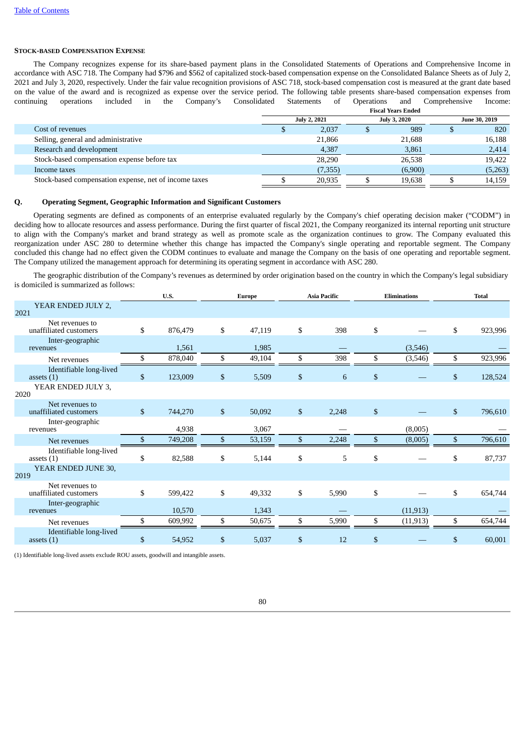### **STOCK-BASED COMPENSATION EXPENSE**

The Company recognizes expense for its share-based payment plans in the Consolidated Statements of Operations and Comprehensive Income in accordance with ASC 718. The Company had \$796 and \$562 of capitalized stock-based compensation expense on the Consolidated Balance Sheets as of July 2, 2021 and July 3, 2020, respectively. Under the fair value recognition provisions of ASC 718, stock-based compensation cost is measured at the grant date based on the value of the award and is recognized as expense over the service period. The following table presents share-based compensation expenses from continuing operations included in the Company's Consolidated Statements of Operations and Comprehensive Income:

|                                                       | <b>Fiscal Years Ended</b> |                     |                     |         |  |                      |  |
|-------------------------------------------------------|---------------------------|---------------------|---------------------|---------|--|----------------------|--|
|                                                       |                           | <b>July 2, 2021</b> | <b>July 3, 2020</b> |         |  | <b>June 30, 2019</b> |  |
| Cost of revenues                                      | Φ                         | 2,037               |                     | 989     |  | 820                  |  |
| Selling, general and administrative                   |                           | 21,866              |                     | 21,688  |  | 16,188               |  |
| Research and development                              |                           | 4,387               |                     | 3,861   |  | 2,414                |  |
| Stock-based compensation expense before tax           |                           | 28,290              |                     | 26,538  |  | 19,422               |  |
| Income taxes                                          |                           | (7,355)             |                     | (6,900) |  | (5,263)              |  |
| Stock-based compensation expense, net of income taxes |                           | 20.935              |                     | 19,638  |  | 14,159               |  |

### **Q. Operating Segment, Geographic Information and Significant Customers**

Operating segments are defined as components of an enterprise evaluated regularly by the Company's chief operating decision maker ("CODM") in deciding how to allocate resources and assess performance. During the first quarter of fiscal 2021, the Company reorganized its internal reporting unit structure to align with the Company's market and brand strategy as well as promote scale as the organization continues to grow. The Company evaluated this reorganization under ASC 280 to determine whether this change has impacted the Company's single operating and reportable segment. The Company concluded this change had no effect given the CODM continues to evaluate and manage the Company on the basis of one operating and reportable segment. The Company utilized the management approach for determining its operating segment in accordance with ASC 280.

The geographic distribution of the Company's revenues as determined by order origination based on the country in which the Company's legal subsidiary is domiciled is summarized as follows:

|                                           | U.S.          | <b>Europe</b> | <b>Asia Pacific</b> |      | <b>Eliminations</b> |      | <b>Total</b> |
|-------------------------------------------|---------------|---------------|---------------------|------|---------------------|------|--------------|
| YEAR ENDED JULY 2,<br>2021                |               |               |                     |      |                     |      |              |
| Net revenues to<br>unaffiliated customers | \$<br>876,479 | \$<br>47,119  | \$<br>398           | \$   |                     | \$   | 923,996      |
| Inter-geographic<br>revenues              | 1,561         | 1,985         |                     |      | (3,546)             |      |              |
| Net revenues                              | \$<br>878,040 | \$<br>49,104  | \$<br>398           | \$   | (3,546)             | \$   | 923,996      |
| Identifiable long-lived<br>assets $(1)$   | \$<br>123,009 | \$<br>5,509   | \$<br>6             | \$   |                     | $\$$ | 128,524      |
| YEAR ENDED JULY 3,<br>2020                |               |               |                     |      |                     |      |              |
| Net revenues to<br>unaffiliated customers | \$<br>744,270 | \$<br>50,092  | \$<br>2,248         | $\$$ |                     | $\$$ | 796,610      |
| Inter-geographic<br>revenues              | 4,938         | 3,067         |                     |      | (8,005)             |      |              |
| Net revenues                              | \$<br>749,208 | \$<br>53,159  | \$<br>2,248         | \$   | (8,005)             | \$   | 796,610      |
| Identifiable long-lived<br>assets $(1)$   | \$<br>82,588  | \$<br>5,144   | \$<br>5             | \$   |                     | \$   | 87,737       |
| YEAR ENDED JUNE 30,<br>2019               |               |               |                     |      |                     |      |              |
| Net revenues to<br>unaffiliated customers | \$<br>599,422 | \$<br>49,332  | \$<br>5,990         | \$   |                     | \$   | 654,744      |
| Inter-geographic<br>revenues              | 10,570        | 1,343         |                     |      | (11, 913)           |      |              |
| Net revenues                              | \$<br>609,992 | \$<br>50,675  | \$<br>5,990         | \$   | (11, 913)           | \$   | 654,744      |
| Identifiable long-lived<br>assets $(1)$   | \$<br>54,952  | \$<br>5,037   | \$<br>12            | \$   |                     | $\$$ | 60,001       |

(1) Identifiable long-lived assets exclude ROU assets, goodwill and intangible assets.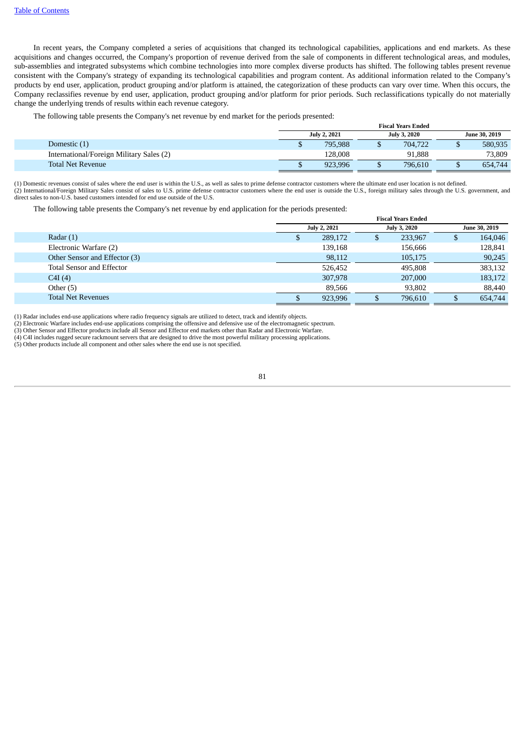In recent years, the Company completed a series of acquisitions that changed its technological capabilities, applications and end markets. As these acquisitions and changes occurred, the Company's proportion of revenue derived from the sale of components in different technological areas, and modules, sub-assemblies and integrated subsystems which combine technologies into more complex diverse products has shifted. The following tables present revenue consistent with the Company's strategy of expanding its technological capabilities and program content. As additional information related to the Company's products by end user, application, product grouping and/or platform is attained, the categorization of these products can vary over time. When this occurs, the Company reclassifies revenue by end user, application, product grouping and/or platform for prior periods. Such reclassifications typically do not materially change the underlying trends of results within each revenue category.

The following table presents the Company's net revenue by end market for the periods presented:

|                                          | <b>Fiscal Years Ended</b> |                     |  |                     |                      |         |
|------------------------------------------|---------------------------|---------------------|--|---------------------|----------------------|---------|
|                                          |                           | <b>July 2, 2021</b> |  | <b>July 3, 2020</b> | <b>June 30, 2019</b> |         |
| Domestic (1)                             | ω                         | 795.988             |  | 704.722             |                      | 580,935 |
| International/Foreign Military Sales (2) |                           | 128.008             |  | 91.888              |                      | 73,809  |
| <b>Total Net Revenue</b>                 | ω                         | 923.996             |  | 796.610             |                      | 654,744 |

(1) Domestic revenues consist of sales where the end user is within the U.S., as well as sales to prime defense contractor customers where the ultimate end user location is not defined. (2) International/Foreign Military Sales consist of sales to U.S. prime defense contractor customers where the end user is outside the U.S., foreign military sales through the U.S. government, and direct sales to non-U.S. based customers intended for end use outside of the U.S.

The following table presents the Company's net revenue by end application for the periods presented:

|                               | <b>Fiscal Years Ended</b>                  |  |         |  |                      |  |  |
|-------------------------------|--------------------------------------------|--|---------|--|----------------------|--|--|
|                               | <b>July 3, 2020</b><br><b>July 2, 2021</b> |  |         |  | <b>June 30, 2019</b> |  |  |
| Radar $(1)$                   | 289,172                                    |  | 233,967 |  | 164,046              |  |  |
| Electronic Warfare (2)        | 139,168                                    |  | 156,666 |  | 128,841              |  |  |
| Other Sensor and Effector (3) | 98,112                                     |  | 105,175 |  | 90,245               |  |  |
| Total Sensor and Effector     | 526,452                                    |  | 495,808 |  | 383,132              |  |  |
| C4I(4)                        | 307,978                                    |  | 207,000 |  | 183,172              |  |  |
| Other $(5)$                   | 89.566                                     |  | 93.802  |  | 88,440               |  |  |
| <b>Total Net Revenues</b>     | 923,996                                    |  | 796.610 |  | 654,744              |  |  |

(1) Radar includes end-use applications where radio frequency signals are utilized to detect, track and identify objects.

(2) Electronic Warfare includes end-use applications comprising the offensive and defensive use of the electromagnetic spectrum.

(3) Other Sensor and Effector products include all Sensor and Effector end markets other than Radar and Electronic Warfare.  $(4)$  C4I includes rugged secure rackmount servers that are designed to drive the most powerful military processing applications.

(5) Other products include all component and other sales where the end use is not specified.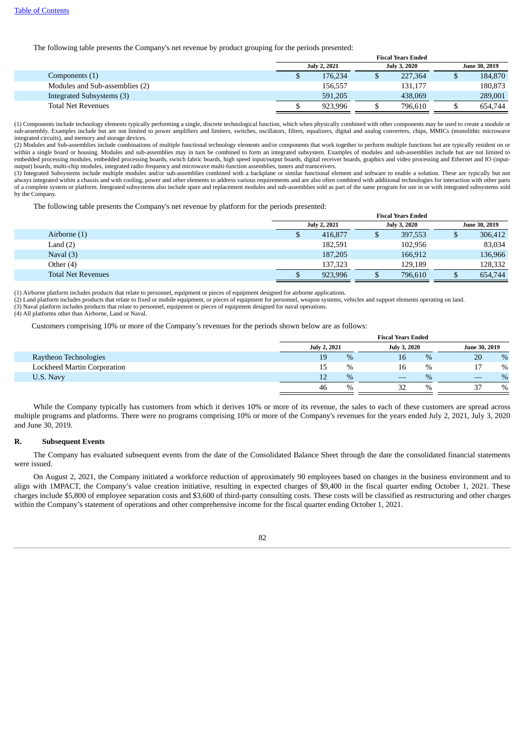The following table presents the Company's net revenue by product grouping for the periods presented:

|                                |                     | <b>Fiscal Years Ended</b> |                      |
|--------------------------------|---------------------|---------------------------|----------------------|
|                                | <b>July 2, 2021</b> | <b>July 3, 2020</b>       | <b>June 30, 2019</b> |
| Components (1)                 | 176.234             | 227,364                   | 184,870              |
| Modules and Sub-assemblies (2) | 156,557             | 131,177                   | 180,873              |
| Integrated Subsystems (3)      | 591,205             | 438,069                   | 289,001              |
| <b>Total Net Revenues</b>      | 923.996             | 796.610                   | 654,744              |

(1) Components include technology elements typically performing a single, discrete technological function, which when physically combined with other components may be used to create a module or examply. Examples include but are not limited to power amplifiers and limiters, switches, oscillators, filters, equalizers, digital and analog converters, chips, MMICs (monolithic microwave integrated circuits), and memory and storage devices.

(2) Modules and Sub-assemblies include combinations of multiple functional technology elements and/or components that work together to perform multiple functions but are typically resident on or within a single board or housing. Modules and sub-assemblies may in turn be combined to form an integrated subsystem. Examples of modules and sub-assemblies include but are not limited to embedded processing modules, embedded processing boards, switch fabric boards, high speed input/output boards, digital receiver boards, graphics and video processing and Ethernet and IO (inputoutput) boards, multi-chip modules, integrated radio frequency and microwave multi-function assemblies, tuners and transceivers.

(3) Integrated Subsystems include multiple modules and/or sub-assemblies combined with a backplane or similar functional element and software to enable a solution. These are typically but not always integrated within a chassis and with cooling, power and other elements to address various requirements and are also often combined with additional technologies for interaction with other parts of a complete system or platform. Integrated subsystems also include spare and replacement modules and sub-assemblies sold as part of the same program for use in or with integrated subsystems sold by the Company.

**Fiscal Years Ended**

The following table presents the Company's net revenue by platform for the periods presented:

|                    | Fiscal Years Ended |                     |  |                     |  |               |  |
|--------------------|--------------------|---------------------|--|---------------------|--|---------------|--|
|                    |                    | <b>July 2, 2021</b> |  | <b>July 3, 2020</b> |  | June 30, 2019 |  |
| Airborne (1)       |                    | 416,877             |  | 397,553             |  | 306,412       |  |
| Land $(2)$         |                    | 182,591             |  | 102,956             |  | 83,034        |  |
| Naval $(3)$        |                    | 187,205             |  | 166,912             |  | 136,966       |  |
| Other (4)          |                    | 137,323             |  | 129,189             |  | 128,332       |  |
| Total Net Revenues |                    | 923,996             |  | 796,610             |  | 654,744       |  |

(1) Airborne platform includes products that relate to personnel, equipment or pieces of equipment designed for airborne applications.

(2) Land platform includes products that relate to fixed or mobile equipment, or pieces of equipment for personnel, weapon systems, vehicles and support elements operating on land. (3) Naval platform includes products that relate to personnel, equipment or pieces of equipment designed for naval operations.

(4) All platforms other than Airborne, Land or Naval.

Customers comprising 10% or more of the Company's revenues for the periods shown below are as follows:

|                             |                     |      | <b>Fiscal Years Ended</b> |      |                          |      |
|-----------------------------|---------------------|------|---------------------------|------|--------------------------|------|
|                             | <b>July 2, 2021</b> |      | <b>July 3, 2020</b>       |      | June 30, 2019            |      |
| Raytheon Technologies       | 19                  | %    | 16                        | $\%$ | 20                       | $\%$ |
| Lockheed Martin Corporation | 15                  | $\%$ | 16                        | $\%$ | 1 <sub>7</sub><br>ᅩ      | $\%$ |
| U.S. Navv                   | 12                  | $\%$ |                           | $\%$ | $\overline{\phantom{m}}$ | $\%$ |
|                             | 46                  | $\%$ | つつ<br>ےر                  | $\%$ | ◡.                       | $\%$ |

While the Company typically has customers from which it derives 10% or more of its revenue, the sales to each of these customers are spread across multiple programs and platforms. There were no programs comprising 10% or more of the Company's revenues for the years ended July 2, 2021, July 3, 2020 and June 30, 2019.

### **R. Subsequent Events**

The Company has evaluated subsequent events from the date of the Consolidated Balance Sheet through the date the consolidated financial statements were issued.

On August 2, 2021, the Company initiated a workforce reduction of approximately 90 employees based on changes in the business environment and to align with 1MPACT, the Company's value creation initiative, resulting in expected charges of \$9,400 in the fiscal quarter ending October 1, 2021. These charges include \$5,800 of employee separation costs and \$3,600 of third-party consulting costs. These costs will be classified as restructuring and other charges within the Company's statement of operations and other comprehensive income for the fiscal quarter ending October 1, 2021.

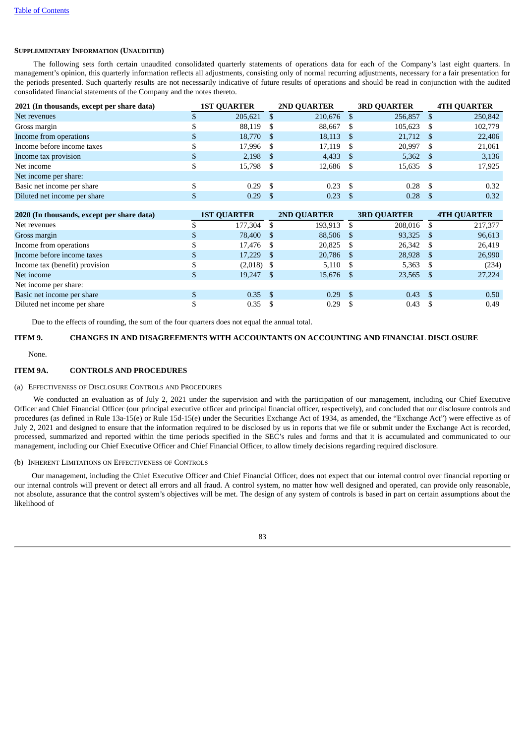### **SUPPLEMENTARY INFORMATION (UNAUDITED)**

The following sets forth certain unaudited consolidated quarterly statements of operations data for each of the Company's last eight quarters. In management's opinion, this quarterly information reflects all adjustments, consisting only of normal recurring adjustments, necessary for a fair presentation for the periods presented. Such quarterly results are not necessarily indicative of future results of operations and should be read in conjunction with the audited consolidated financial statements of the Company and the notes thereto.

| 2021 (In thousands, except per share data) |    | <b>1ST QUARTER</b> |    | <b>2ND QUARTER</b> |      | <b>3RD QUARTER</b> |      | <b>4TH QUARTER</b> |
|--------------------------------------------|----|--------------------|----|--------------------|------|--------------------|------|--------------------|
| Net revenues                               | ъ  | 205.621            | -S | 210.676            | -\$  | 256,857            | - \$ | 250,842            |
| Gross margin                               | Œ  | 88,119             | -S | 88,667             | S    | 105,623            | - \$ | 102,779            |
| Income from operations                     | \$ | 18,770             | -S | 18,113             | - \$ | 21,712 \$          |      | 22,406             |
| Income before income taxes                 | \$ | 17,996             | -S | 17,119             | - \$ | 20,997             | - \$ | 21,061             |
| Income tax provision                       | S  | 2,198              | -S | 4,433              | - \$ | 5,362              | - \$ | 3,136              |
| Net income                                 | \$ | 15,798             | -S | 12,686             | -S   | 15,635             | - \$ | 17,925             |
| Net income per share:                      |    |                    |    |                    |      |                    |      |                    |
| Basic net income per share                 |    | 0.29               | -S | 0.23               | \$   | 0.28               | - \$ | 0.32               |
| Diluted net income per share               | \$ | 0.29               | -S | 0.23               | -S   | 0.28               |      | 0.32               |

| 2020 (In thousands, except per share data) | <b>1ST QUARTER</b> |              |      | <b>2ND QUARTER</b> |      | <b>3RD QUARTER</b> |      | <b>4TH QUARTER</b> |
|--------------------------------------------|--------------------|--------------|------|--------------------|------|--------------------|------|--------------------|
| Net revenues                               |                    | 177,304      | S    | 193.913            |      | 208,016 \$         |      | 217,377            |
| Gross margin                               | D                  | 78,400       | - \$ | 88,506             | - \$ | 93,325             | - \$ | 96,613             |
| Income from operations                     |                    | 17,476       | - \$ | 20,825             | - S  | 26,342 \$          |      | 26,419             |
| Income before income taxes                 | D                  | 17,229       | - \$ | 20,786             | - \$ | 28,928 \$          |      | 26,990             |
| Income tax (benefit) provision             |                    | $(2,018)$ \$ |      | 5,110              | - \$ | 5,363              | - S  | (234)              |
| Net income                                 | S                  | 19,247       | - S  | 15,676 \$          |      | $23,565$ \$        |      | 27,224             |
| Net income per share:                      |                    |              |      |                    |      |                    |      |                    |
| Basic net income per share                 |                    | 0.35         | - \$ | 0.29               | - \$ | $0.43 \quad$ \$    |      | 0.50               |
| Diluted net income per share               |                    | 0.35         |      | 0.29               |      | 0.43               |      | 0.49               |

Due to the effects of rounding, the sum of the four quarters does not equal the annual total.

# **ITEM 9. CHANGES IN AND DISAGREEMENTS WITH ACCOUNTANTS ON ACCOUNTING AND FINANCIAL DISCLOSURE**

## None.

#### **ITEM 9A. CONTROLS AND PROCEDURES**

#### (a) EFFECTIVENESS OF DISCLOSURE CONTROLS AND PROCEDURES

We conducted an evaluation as of July 2, 2021 under the supervision and with the participation of our management, including our Chief Executive Officer and Chief Financial Officer (our principal executive officer and principal financial officer, respectively), and concluded that our disclosure controls and procedures (as defined in Rule 13a-15(e) or Rule 15d-15(e) under the Securities Exchange Act of 1934, as amended, the "Exchange Act") were effective as of July 2, 2021 and designed to ensure that the information required to be disclosed by us in reports that we file or submit under the Exchange Act is recorded, processed, summarized and reported within the time periods specified in the SEC's rules and forms and that it is accumulated and communicated to our management, including our Chief Executive Officer and Chief Financial Officer, to allow timely decisions regarding required disclosure.

#### (b) INHERENT LIMITATIONS ON EFFECTIVENESS OF CONTROLS

Our management, including the Chief Executive Officer and Chief Financial Officer, does not expect that our internal control over financial reporting or our internal controls will prevent or detect all errors and all fraud. A control system, no matter how well designed and operated, can provide only reasonable, not absolute, assurance that the control system's objectives will be met. The design of any system of controls is based in part on certain assumptions about the likelihood of

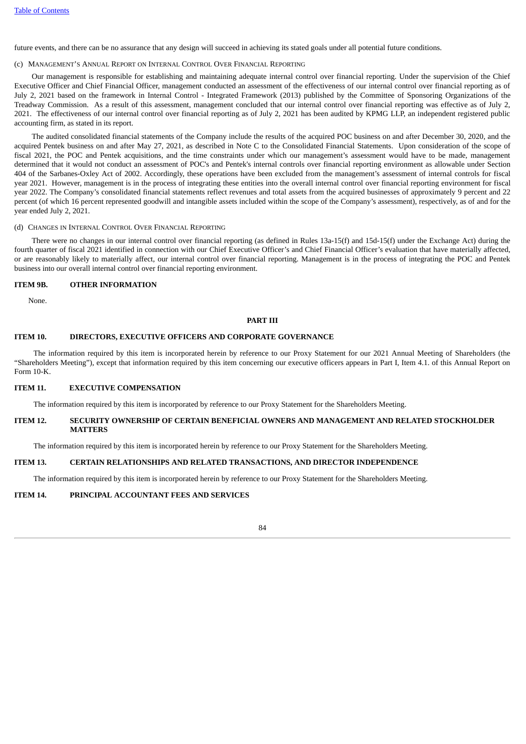future events, and there can be no assurance that any design will succeed in achieving its stated goals under all potential future conditions.

(c) MANAGEMENT'S ANNUAL REPORT ON INTERNAL CONTROL OVER FINANCIAL REPORTING

Our management is responsible for establishing and maintaining adequate internal control over financial reporting. Under the supervision of the Chief Executive Officer and Chief Financial Officer, management conducted an assessment of the effectiveness of our internal control over financial reporting as of July 2, 2021 based on the framework in Internal Control - Integrated Framework (2013) published by the Committee of Sponsoring Organizations of the Treadway Commission. As a result of this assessment, management concluded that our internal control over financial reporting was effective as of July 2, 2021. The effectiveness of our internal control over financial reporting as of July 2, 2021 has been audited by KPMG LLP, an independent registered public accounting firm, as stated in its report.

The audited consolidated financial statements of the Company include the results of the acquired POC business on and after December 30, 2020, and the acquired Pentek business on and after May 27, 2021, as described in Note C to the Consolidated Financial Statements. Upon consideration of the scope of fiscal 2021, the POC and Pentek acquisitions, and the time constraints under which our management's assessment would have to be made, management determined that it would not conduct an assessment of POC's and Pentek's internal controls over financial reporting environment as allowable under Section 404 of the Sarbanes-Oxley Act of 2002. Accordingly, these operations have been excluded from the management's assessment of internal controls for fiscal year 2021. However, management is in the process of integrating these entities into the overall internal control over financial reporting environment for fiscal year 2022. The Company's consolidated financial statements reflect revenues and total assets from the acquired businesses of approximately 9 percent and 22 percent (of which 16 percent represented goodwill and intangible assets included within the scope of the Company's assessment), respectively, as of and for the year ended July 2, 2021.

#### (d) CHANGES IN INTERNAL CONTROL OVER FINANCIAL REPORTING

There were no changes in our internal control over financial reporting (as defined in Rules 13a-15(f) and 15d-15(f) under the Exchange Act) during the fourth quarter of fiscal 2021 identified in connection with our Chief Executive Officer's and Chief Financial Officer's evaluation that have materially affected, or are reasonably likely to materially affect, our internal control over financial reporting. Management is in the process of integrating the POC and Pentek business into our overall internal control over financial reporting environment.

### **ITEM 9B. OTHER INFORMATION**

None.

## **PART III**

### **ITEM 10. DIRECTORS, EXECUTIVE OFFICERS AND CORPORATE GOVERNANCE**

The information required by this item is incorporated herein by reference to our Proxy Statement for our 2021 Annual Meeting of Shareholders (the "Shareholders Meeting"), except that information required by this item concerning our executive officers appears in Part I, Item 4.1. of this Annual Report on Form 10-K.

#### **ITEM 11. EXECUTIVE COMPENSATION**

The information required by this item is incorporated by reference to our Proxy Statement for the Shareholders Meeting.

## **ITEM 12. SECURITY OWNERSHIP OF CERTAIN BENEFICIAL OWNERS AND MANAGEMENT AND RELATED STOCKHOLDER MATTERS**

The information required by this item is incorporated herein by reference to our Proxy Statement for the Shareholders Meeting.

## **ITEM 13. CERTAIN RELATIONSHIPS AND RELATED TRANSACTIONS, AND DIRECTOR INDEPENDENCE**

The information required by this item is incorporated herein by reference to our Proxy Statement for the Shareholders Meeting.

**ITEM 14. PRINCIPAL ACCOUNTANT FEES AND SERVICES**

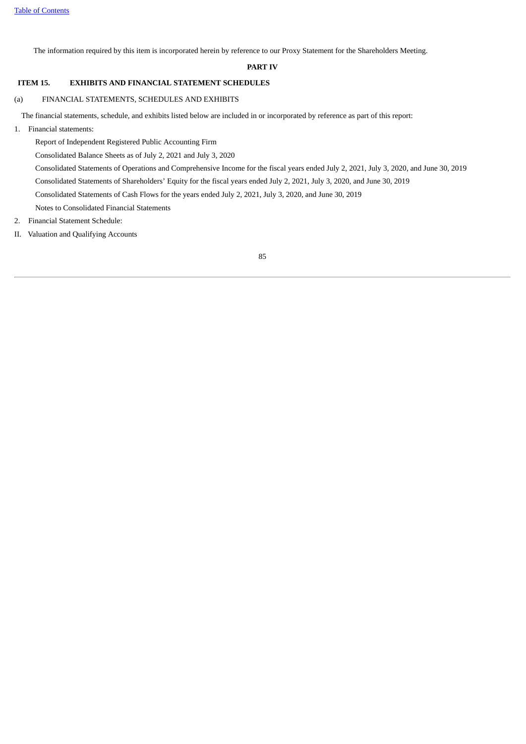The information required by this item is incorporated herein by reference to our Proxy Statement for the Shareholders Meeting.

## **PART IV**

# <span id="page-84-0"></span>**ITEM 15. EXHIBITS AND FINANCIAL STATEMENT SCHEDULES**

## (a) FINANCIAL STATEMENTS, SCHEDULES AND EXHIBITS

The financial statements, schedule, and exhibits listed below are included in or incorporated by reference as part of this report:

1. Financial statements:

Report of Independent Registered Public Accounting Firm

Consolidated Balance Sheets as of July 2, 2021 and July 3, 2020

Consolidated Statements of Operations and Comprehensive Income for the fiscal years ended July 2, 2021, July 3, 2020, and June 30, 2019 Consolidated Statements of Shareholders' Equity for the fiscal years ended July 2, 2021, July 3, 2020, and June 30, 2019

Consolidated Statements of Cash Flows for the years ended July 2, 2021, July 3, 2020, and June 30, 2019

Notes to Consolidated Financial Statements

- 2. Financial Statement Schedule:
- II. Valuation and Qualifying Accounts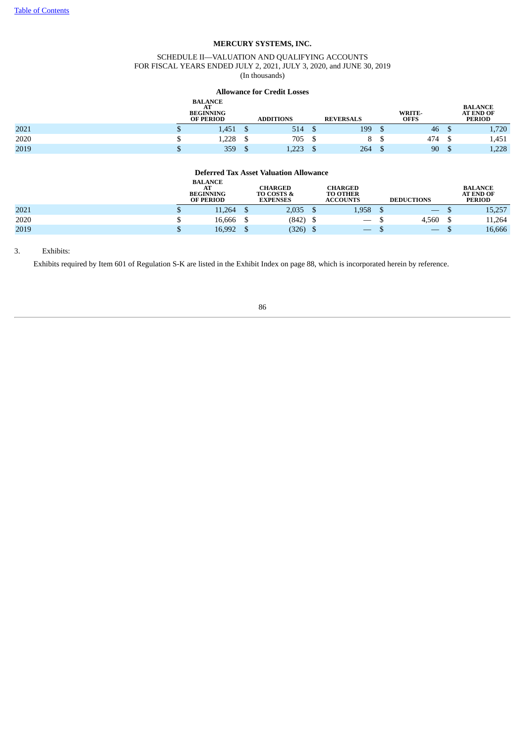## **MERCURY SYSTEMS, INC.**

## SCHEDULE II—VALUATION AND QUALIFYING ACCOUNTS FOR FISCAL YEARS ENDED JULY 2, 2021, JULY 3, 2020, and JUNE 30, 2019 (In thousands)

## **Allowance for Credit Losses**

|      | <b>BALANCE</b><br>AT<br><b>BEGINNING</b><br><b>OF PERIOD</b> | <b>ADDITIONS</b> | <b>REVERSALS</b> |    | WRITE-<br><b>OFFS</b> | <b>BALANCE</b><br><b>AT END OF</b><br><b>PERIOD</b> |
|------|--------------------------------------------------------------|------------------|------------------|----|-----------------------|-----------------------------------------------------|
| 2021 | 1,451                                                        | 514              | 199              | ۰υ | 46                    | 1,720                                               |
| 2020 | .228                                                         | 705              |                  |    | 474                   | 1,451                                               |
| 2019 | 359                                                          | כרר<br>ل22,4     | 264              |    | 90                    | 1,228                                               |

## **Deferred Tax Asset Valuation Allowance**

|      | <b>BALANCE</b><br>AT<br><b>BEGINNING</b><br><b>OF PERIOD</b> | <b>CHARGED</b><br><b>TO COSTS &amp;</b><br><b>EXPENSES</b> | <b>CHARGED</b><br><b>TO OTHER</b><br><b>ACCOUNTS</b> | <b>DEDUCTIONS</b> | <b>BALANCE</b><br><b>AT END OF</b><br><b>PERIOD</b> |
|------|--------------------------------------------------------------|------------------------------------------------------------|------------------------------------------------------|-------------------|-----------------------------------------------------|
| 2021 | 11,264                                                       | 2,035                                                      | 1,958                                                |                   | 15,257                                              |
| 2020 | 16,666                                                       | (842)                                                      |                                                      | 4.560             | 11.264                                              |
| 2019 | 16,992                                                       | (326)                                                      |                                                      |                   | 16,666                                              |

3. Exhibits:

Exhibits required by Item 601 of Regulation S-K are listed in the Exhibit Index on page 88, which is incorporated herein by reference.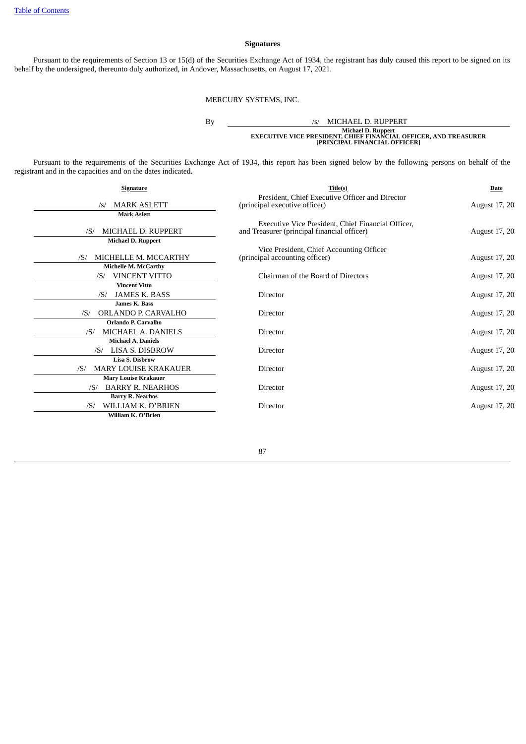### **Signatures**

Pursuant to the requirements of Section 13 or 15(d) of the Securities Exchange Act of 1934, the registrant has duly caused this report to be signed on its behalf by the undersigned, thereunto duly authorized, in Andover, Massachusetts, on August 17, 2021.

## MERCURY SYSTEMS, INC.

By /s/ MICHAEL D. RUPPERT **Michael D. Ruppert EXECUTIVE VICE PRESIDENT, CHIEF FINANCIAL OFFICER, AND TREASURER [PRINCIPAL FINANCIAL OFFICER]**

Pursuant to the requirements of the Securities Exchange Act of 1934, this report has been signed below by the following persons on behalf of the registrant and in the capacities and on the dates indicated.

| Signature                                                            | Title(s)                                                                                          | <b>Date</b>    |
|----------------------------------------------------------------------|---------------------------------------------------------------------------------------------------|----------------|
| <b>MARK ASLETT</b><br>$\sqrt{s}$<br><b>Mark Aslett</b>               | President, Chief Executive Officer and Director<br>(principal executive officer)                  | August 17, 20. |
| MICHAEL D. RUPPERT<br>/S/<br><b>Michael D. Ruppert</b>               | Executive Vice President, Chief Financial Officer,<br>and Treasurer (principal financial officer) | August 17, 20. |
| MICHELLE M. MCCARTHY<br>/S/                                          | Vice President, Chief Accounting Officer<br>(principal accounting officer)                        | August 17, 20. |
| <b>Michelle M. McCarthy</b><br>VINCENT VITTO<br>/S/                  | Chairman of the Board of Directors                                                                | August 17, 20. |
| <b>Vincent Vitto</b><br>JAMES K. BASS<br>/S/<br><b>James K. Bass</b> | Director                                                                                          | August 17, 20. |
| ORLANDO P. CARVALHO<br>/S/<br><b>Orlando P. Carvalho</b>             | Director                                                                                          | August 17, 20. |
| MICHAEL A. DANIELS<br>/S/<br><b>Michael A. Daniels</b>               | Director                                                                                          | August 17, 20. |
| LISA S. DISBROW<br>/S/<br>Lisa S. Disbrow                            | Director                                                                                          | August 17, 20. |
| <b>MARY LOUISE KRAKAUER</b><br>/S/<br><b>Mary Louise Krakauer</b>    | Director                                                                                          | August 17, 20. |
| <b>BARRY R. NEARHOS</b><br>/S/<br><b>Barry R. Nearhos</b>            | Director                                                                                          | August 17, 20. |
| WILLIAM K. O'BRIEN<br>/S/<br>William K. O'Brien                      | Director                                                                                          | August 17, 20. |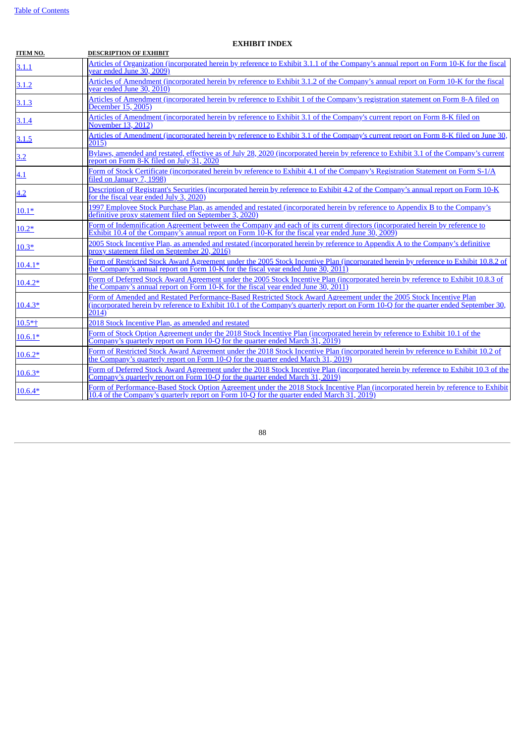## **EXHIBIT INDEX**

| <b>ITEM NO.</b> | <b>DESCRIPTION OF EXHIBIT</b>                                                                                                                                                                                                                                       |
|-----------------|---------------------------------------------------------------------------------------------------------------------------------------------------------------------------------------------------------------------------------------------------------------------|
| 3.1.1           | Articles of Organization (incorporated herein by reference to Exhibit 3.1.1 of the Company's annual report on Form 10-K for the fiscal<br>vear ended June 30, 2009)                                                                                                 |
| 3.1.2           | Articles of Amendment (incorporated herein by reference to Exhibit 3.1.2 of the Company's annual report on Form 10-K for the fiscal<br>vear ended June 30. 2010)                                                                                                    |
| 3.1.3           | Articles of Amendment (incorporated herein by reference to Exhibit 1 of the Company's registration statement on Form 8-A filed on<br>December 15, 2005)                                                                                                             |
| 3.1.4           | Articles of Amendment (incorporated herein by reference to Exhibit 3.1 of the Company's current report on Form 8-K filed on<br>November 13, 2012)                                                                                                                   |
| 3.1.5           | Articles of Amendment (incorporated herein by reference to Exhibit 3.1 of the Company's current report on Form 8-K filed on June 30,<br>2015)                                                                                                                       |
| 3.2             | Bylaws, amended and restated, effective as of July 28, 2020 (incorporated herein by reference to Exhibit 3.1 of the Company's current<br>report on Form 8-K filed on July 31, 2020                                                                                  |
| 4.1             | Form of Stock Certificate (incorporated herein by reference to Exhibit 4.1 of the Company's Registration Statement on Form S-1/A<br>filed on January 7, 1998)                                                                                                       |
| 4.2             | Description of Registrant's Securities (incorporated herein by reference to Exhibit 4.2 of the Company's annual report on Form 10-K<br>for the fiscal year ended July 3, 2020)                                                                                      |
| $10.1*$         | 1997 Employee Stock Purchase Plan, as amended and restated (incorporated herein by reference to Appendix B to the Company's<br>definitive proxy statement filed on September 3, 2020)                                                                               |
| $10.2*$         | Form of Indemnification Agreement between the Company and each of its current directors (incorporated herein by reference to<br>Exhibit 10.4 of the Company's annual report on Form 10-K for the fiscal year ended June 30, 2009)                                   |
| $10.3*$         | 2005 Stock Incentive Plan, as amended and restated (incorporated herein by reference to Appendix A to the Company's definitive<br>proxy statement filed on September 20, 2016)                                                                                      |
| $10.4.1*$       | Form of Restricted Stock Award Agreement under the 2005 Stock Incentive Plan (incorporated herein by reference to Exhibit 10.8.2 of<br>the Company's annual report on Form 10-K for the fiscal year ended June 30, 2011)                                            |
| $10.4.2*$       | Form of Deferred Stock Award Agreement under the 2005 Stock Incentive Plan (incorporated herein by reference to Exhibit 10.8.3 of<br>the Company's annual report on Form 10-K for the fiscal year ended June 30, 2011)                                              |
| $10.4.3*$       | Form of Amended and Restated Performance-Based Restricted Stock Award Agreement under the 2005 Stock Incentive Plan<br>(incorporated herein by reference to Exhibit 10.1 of the Company's quarterly report on Form 10-Q for the quarter ended September 30,<br>2014 |
| $10.5*+$        | 2018 Stock Incentive Plan, as amended and restated                                                                                                                                                                                                                  |
| $10.6.1*$       | Form of Stock Option Agreement under the 2018 Stock Incentive Plan (incorporated herein by reference to Exhibit 10.1 of the<br>Company's quarterly report on Form 10-O for the quarter ended March 31, 2019)                                                        |
| $10.6.2*$       | Form of Restricted Stock Award Agreement under the 2018 Stock Incentive Plan (incorporated herein by reference to Exhibit 10.2 of<br>the Company's quarterly report on Form 10-Q for the quarter ended March 31, 2019)                                              |
| $10.6.3*$       | Form of Deferred Stock Award Agreement under the 2018 Stock Incentive Plan (incorporated herein by reference to Exhibit 10.3 of the<br>Company's quarterly report on Form 10-Q for the quarter ended March 31, 2019)                                                |
| $10.6.4*$       | Form of Performance-Based Stock Option Agreement under the 2018 Stock Incentive Plan (incorporated herein by reference to Exhibit<br>10.4 of the Company's quarterly report on Form 10-Q for the quarter ended March 31, 2019)                                      |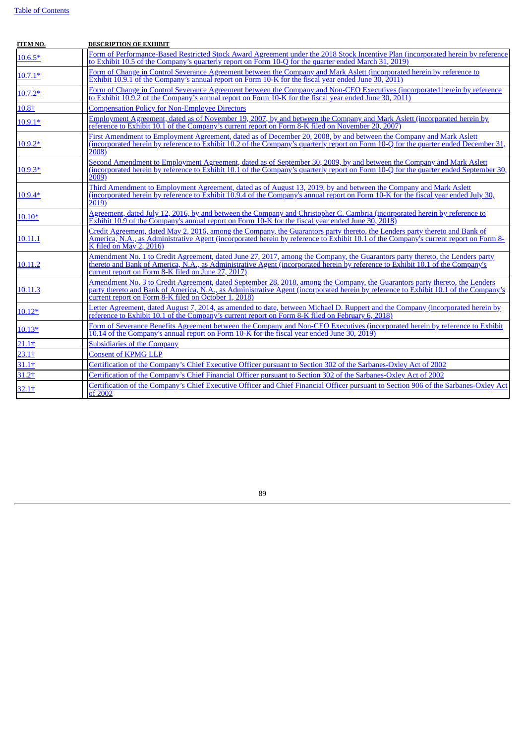| <b>ITEM NO.</b> | <b>DESCRIPTION OF EXHIBIT</b>                                                                                                                                                                                                                                                                                              |
|-----------------|----------------------------------------------------------------------------------------------------------------------------------------------------------------------------------------------------------------------------------------------------------------------------------------------------------------------------|
| $10.6.5*$       | Form of Performance-Based Restricted Stock Award Agreement under the 2018 Stock Incentive Plan (incorporated herein by reference<br>to Exhibit 10.5 of the Company's quarterly report on Form 10-Q for the quarter ended March 31, 2019)                                                                                   |
| $10.7.1*$       | Form of Change in Control Severance Agreement between the Company and Mark Aslett (incorporated herein by reference to<br>Exhibit 10.9.1 of the Company's annual report on Form 10-K for the fiscal year ended June 30, 2011)                                                                                              |
| $10.7.2*$       | Form of Change in Control Severance Agreement between the Company and Non-CEO Executives (incorporated herein by reference<br>to Exhibit 10.9.2 of the Company's annual report on Form 10-K for the fiscal year ended June 30, 2011)                                                                                       |
| 10.8+           | <b>Compensation Policy for Non-Employee Directors</b>                                                                                                                                                                                                                                                                      |
| $10.9.1*$       | Employment Agreement, dated as of November 19, 2007, by and between the Company and Mark Aslett (incorporated herein by<br>reference to Exhibit 10.1 of the Company's current report on Form 8-K filed on November 20, 2007)                                                                                               |
| $10.9.2*$       | First Amendment to Employment Agreement, dated as of December 20, 2008, by and between the Company and Mark Aslett<br>(incorporated herein by reference to Exhibit 10.2 of the Company's quarterly report on Form 10-Q for the quarter ended December 31.<br>$\frac{2008}{20000}$                                          |
| $10.9.3*$       | Second Amendment to Employment Agreement, dated as of September 30, 2009, by and between the Company and Mark Aslett<br>(incorporated herein by reference to Exhibit 10.1 of the Company's quarterly report on Form 10-Q for the quarter ended September 30,<br>2009                                                       |
| $10.9.4*$       | Third Amendment to Employment Agreement, dated as of August 13, 2019, by and between the Company and Mark Aslett<br>(incorporated herein by reference to Exhibit 10.9.4 of the Company's annual report on Form 10-K for the fiscal year ended July 30,<br>2019                                                             |
| $10.10*$        | Agreement, dated July 12, 2016, by and between the Company and Christopher C. Cambria (incorporated herein by reference to<br>Exhibit 10.9 of the Company's annual report on Form $10-\overline{K}$ for the fiscal year ended June 30, 2018)                                                                               |
| 10.11.1         | Credit Agreement, dated May 2, 2016, among the Company, the Guarantors party thereto, the Lenders party thereto and Bank of<br>America, N.A., as Administrative Agent (incorporated herein by reference to Exhibit 10.1 of the Company's current report on Form 8-<br>K filed on May 2, 2016)                              |
| 10.11.2         | Amendment No. 1 to Credit Agreement, dated June 27, 2017, among the Company, the Guarantors party thereto, the Lenders party<br>thereto and Bank of America, N.A., as Administrative Agent (incorporated herein by reference to Exhibit 10.1 of the Company's<br>current report on Form 8-K filed on June 27, 2017)        |
| 10.11.3         | Amendment No. 3 to Credit Agreement, dated September 28, 2018, among the Company, the Guarantors party thereto, the Lenders<br>party thereto and Bank of America, N.A., as Administrative Agent (incorporated herein by reference to Exhibit 10.1 of the Company's<br>current report on Form 8-K filed on October 1, 2018) |
| $10.12*$        | Letter Agreement, dated August 7, 2014, as amended to date, between Michael D. Ruppert and the Company (incorporated herein by<br>reference to Exhibit 10.1 of the Company's current report on Form 8-K filed on February 6, 2018)                                                                                         |
| $10.13*$        | Form of Severance Benefits Agreement between the Company and Non-CEO Executives (incorporated herein by reference to Exhibit<br>10.14 of the Company's annual report on Form 10-K for the fiscal year ended June 30, 2019)                                                                                                 |
| $21.1+$         | <b>Subsidiaries of the Company</b>                                                                                                                                                                                                                                                                                         |
| $23.1+$         | <b>Consent of KPMG LLP</b>                                                                                                                                                                                                                                                                                                 |
| $31.1+$         | Certification of the Company's Chief Executive Officer pursuant to Section 302 of the Sarbanes-Oxley Act of 2002                                                                                                                                                                                                           |
| $31.2+$         | Certification of the Company's Chief Financial Officer pursuant to Section 302 of the Sarbanes-Oxley Act of 2002                                                                                                                                                                                                           |
| $32.1+$         | Certification of the Company's Chief Executive Officer and Chief Financial Officer pursuant to Section 906 of the Sarbanes-Oxley Act<br>of 2002                                                                                                                                                                            |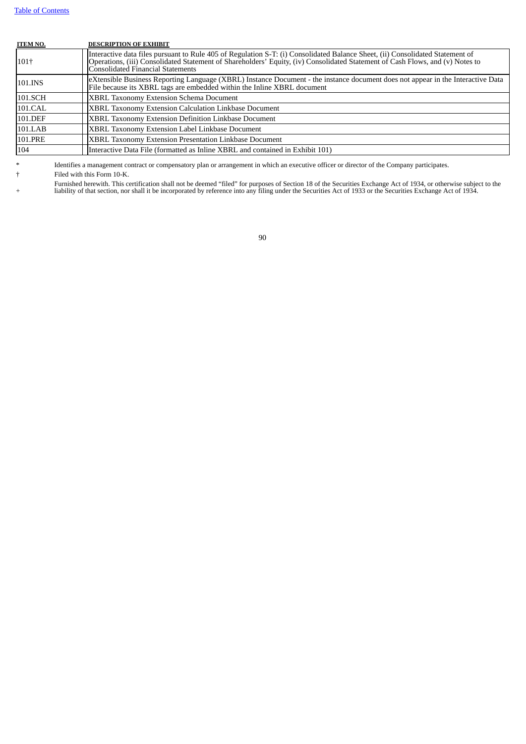| <b>ITEM NO.</b> | <b>DESCRIPTION OF EXHIBIT</b>                                                                                                                                                                                                                                                                       |
|-----------------|-----------------------------------------------------------------------------------------------------------------------------------------------------------------------------------------------------------------------------------------------------------------------------------------------------|
| 101+            | Interactive data files pursuant to Rule 405 of Regulation S-T: (i) Consolidated Balance Sheet, (ii) Consolidated Statement of<br>Operations, (iii) Consolidated Statement of Shareholders' Equity, (iv) Consolidated Statement of Cash Flows, and (v) Notes to<br>Consolidated Financial Statements |
| 101.INS         | eXtensible Business Reporting Language (XBRL) Instance Document - the instance document does not appear in the Interactive Data<br>File because its XBRL tags are embedded within the Inline XBRL document                                                                                          |
| 101.SCH         | XBRL Taxonomy Extension Schema Document                                                                                                                                                                                                                                                             |
| 101.CAL         | XBRL Taxonomy Extension Calculation Linkbase Document                                                                                                                                                                                                                                               |
| 101.DEF         | XBRL Taxonomy Extension Definition Linkbase Document                                                                                                                                                                                                                                                |
| 101.LAB         | XBRL Taxonomy Extension Label Linkbase Document                                                                                                                                                                                                                                                     |
| 101.PRE         | XBRL Taxonomy Extension Presentation Linkbase Document                                                                                                                                                                                                                                              |
| 104             | Interactive Data File (formatted as Inline XBRL and contained in Exhibit 101)                                                                                                                                                                                                                       |

\* Identifies a management contract or compensatory plan or arrangement in which an executive officer or director of the Company participates.

† Filed with this Form 10-K.

+ Furnished herewith. This certification shall not be deemed "filed" for purposes of Section 18 of the Securities Exchange Act of 1934, or otherwise subject to the<br>liability of that section, nor shall it be incorporated by r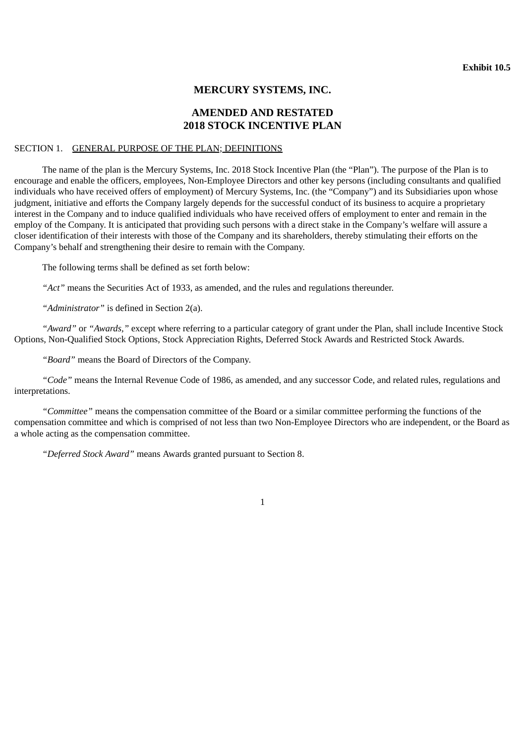# **MERCURY SYSTEMS, INC.**

# **AMENDED AND RESTATED 2018 STOCK INCENTIVE PLAN**

## <span id="page-90-0"></span>SECTION 1. GENERAL PURPOSE OF THE PLAN; DEFINITIONS

The name of the plan is the Mercury Systems, Inc. 2018 Stock Incentive Plan (the "Plan"). The purpose of the Plan is to encourage and enable the officers, employees, Non-Employee Directors and other key persons (including consultants and qualified individuals who have received offers of employment) of Mercury Systems, Inc. (the "Company") and its Subsidiaries upon whose judgment, initiative and efforts the Company largely depends for the successful conduct of its business to acquire a proprietary interest in the Company and to induce qualified individuals who have received offers of employment to enter and remain in the employ of the Company. It is anticipated that providing such persons with a direct stake in the Company's welfare will assure a closer identification of their interests with those of the Company and its shareholders, thereby stimulating their efforts on the Company's behalf and strengthening their desire to remain with the Company.

The following terms shall be defined as set forth below:

*"Act"* means the Securities Act of 1933, as amended, and the rules and regulations thereunder.

*"Administrator"* is defined in Section 2(a).

*"Award"* or *"Awards,"* except where referring to a particular category of grant under the Plan, shall include Incentive Stock Options, Non-Qualified Stock Options, Stock Appreciation Rights, Deferred Stock Awards and Restricted Stock Awards.

*"Board"* means the Board of Directors of the Company.

*"Code"* means the Internal Revenue Code of 1986, as amended, and any successor Code, and related rules, regulations and interpretations.

*"Committee"* means the compensation committee of the Board or a similar committee performing the functions of the compensation committee and which is comprised of not less than two Non‑Employee Directors who are independent, or the Board as a whole acting as the compensation committee.

*"Deferred Stock Award"* means Awards granted pursuant to Section 8.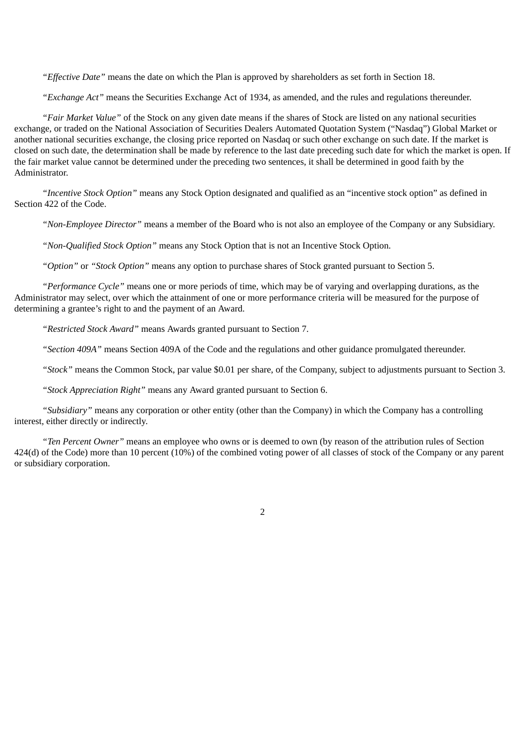*"Effective Date"* means the date on which the Plan is approved by shareholders as set forth in Section 18.

*"Exchange Act"* means the Securities Exchange Act of 1934, as amended, and the rules and regulations thereunder.

*"Fair Market Value"* of the Stock on any given date means if the shares of Stock are listed on any national securities exchange, or traded on the National Association of Securities Dealers Automated Quotation System ("Nasdaq") Global Market or another national securities exchange, the closing price reported on Nasdaq or such other exchange on such date. If the market is closed on such date, the determination shall be made by reference to the last date preceding such date for which the market is open. If the fair market value cannot be determined under the preceding two sentences, it shall be determined in good faith by the Administrator.

*"Incentive Stock Option"* means any Stock Option designated and qualified as an "incentive stock option" as defined in Section 422 of the Code.

*"Non-Employee Director"* means a member of the Board who is not also an employee of the Company or any Subsidiary.

*"Non-Qualified Stock Option"* means any Stock Option that is not an Incentive Stock Option.

*"Option"* or *"Stock Option"* means any option to purchase shares of Stock granted pursuant to Section 5.

*"Performance Cycle"* means one or more periods of time, which may be of varying and overlapping durations, as the Administrator may select, over which the attainment of one or more performance criteria will be measured for the purpose of determining a grantee's right to and the payment of an Award.

*"Restricted Stock Award"* means Awards granted pursuant to Section 7.

*"Section 409A"* means Section 409A of the Code and the regulations and other guidance promulgated thereunder.

*"Stock"* means the Common Stock, par value \$0.01 per share, of the Company, subject to adjustments pursuant to Section 3.

*"Stock Appreciation Right"* means any Award granted pursuant to Section 6.

*"Subsidiary"* means any corporation or other entity (other than the Company) in which the Company has a controlling interest, either directly or indirectly.

*"Ten Percent Owner"* means an employee who owns or is deemed to own (by reason of the attribution rules of Section 424(d) of the Code) more than 10 percent (10%) of the combined voting power of all classes of stock of the Company or any parent or subsidiary corporation.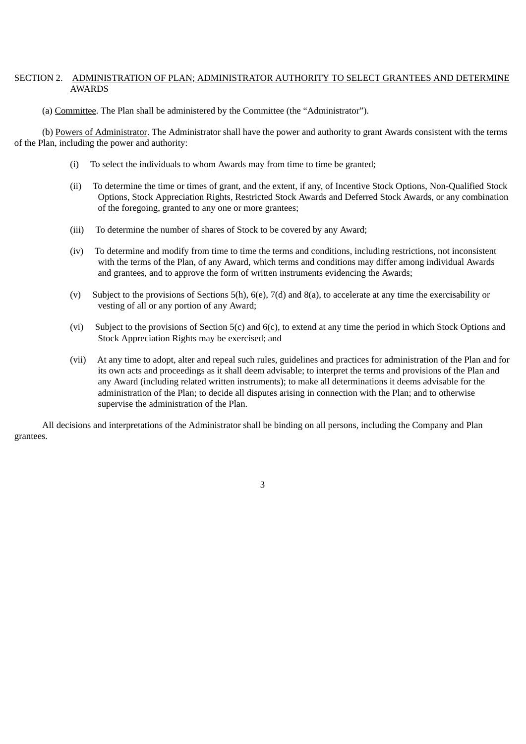# SECTION 2. ADMINISTRATION OF PLAN; ADMINISTRATOR AUTHORITY TO SELECT GRANTEES AND DETERMINE AWARDS

(a) Committee. The Plan shall be administered by the Committee (the "Administrator").

(b) Powers of Administrator. The Administrator shall have the power and authority to grant Awards consistent with the terms of the Plan, including the power and authority:

- (i) To select the individuals to whom Awards may from time to time be granted;
- (ii) To determine the time or times of grant, and the extent, if any, of Incentive Stock Options, Non-Qualified Stock Options, Stock Appreciation Rights, Restricted Stock Awards and Deferred Stock Awards, or any combination of the foregoing, granted to any one or more grantees;
- (iii) To determine the number of shares of Stock to be covered by any Award;
- (iv) To determine and modify from time to time the terms and conditions, including restrictions, not inconsistent with the terms of the Plan, of any Award, which terms and conditions may differ among individual Awards and grantees, and to approve the form of written instruments evidencing the Awards;
- (v) Subject to the provisions of Sections 5(h), 6(e), 7(d) and 8(a), to accelerate at any time the exercisability or vesting of all or any portion of any Award;
- (vi) Subject to the provisions of Section 5(c) and 6(c), to extend at any time the period in which Stock Options and Stock Appreciation Rights may be exercised; and
- (vii) At any time to adopt, alter and repeal such rules, guidelines and practices for administration of the Plan and for its own acts and proceedings as it shall deem advisable; to interpret the terms and provisions of the Plan and any Award (including related written instruments); to make all determinations it deems advisable for the administration of the Plan; to decide all disputes arising in connection with the Plan; and to otherwise supervise the administration of the Plan.

All decisions and interpretations of the Administrator shall be binding on all persons, including the Company and Plan grantees.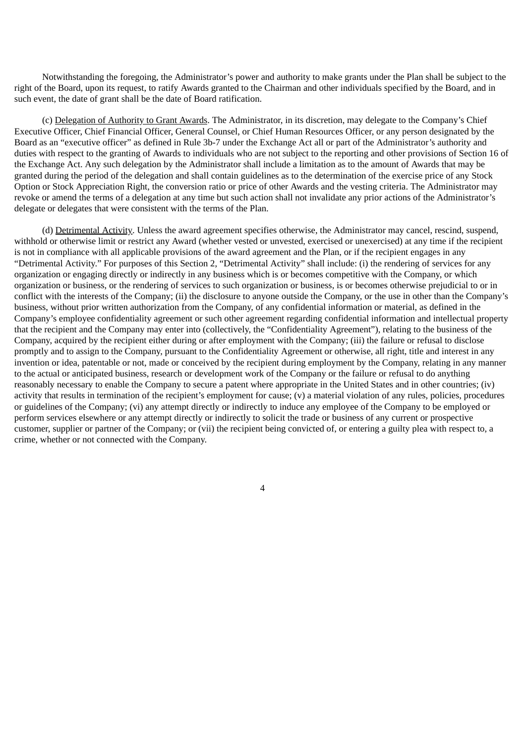Notwithstanding the foregoing, the Administrator's power and authority to make grants under the Plan shall be subject to the right of the Board, upon its request, to ratify Awards granted to the Chairman and other individuals specified by the Board, and in such event, the date of grant shall be the date of Board ratification.

(c) Delegation of Authority to Grant Awards. The Administrator, in its discretion, may delegate to the Company's Chief Executive Officer, Chief Financial Officer, General Counsel, or Chief Human Resources Officer, or any person designated by the Board as an "executive officer" as defined in Rule 3b-7 under the Exchange Act all or part of the Administrator's authority and duties with respect to the granting of Awards to individuals who are not subject to the reporting and other provisions of Section 16 of the Exchange Act. Any such delegation by the Administrator shall include a limitation as to the amount of Awards that may be granted during the period of the delegation and shall contain guidelines as to the determination of the exercise price of any Stock Option or Stock Appreciation Right, the conversion ratio or price of other Awards and the vesting criteria. The Administrator may revoke or amend the terms of a delegation at any time but such action shall not invalidate any prior actions of the Administrator's delegate or delegates that were consistent with the terms of the Plan.

(d) Detrimental Activity. Unless the award agreement specifies otherwise, the Administrator may cancel, rescind, suspend, withhold or otherwise limit or restrict any Award (whether vested or unvested, exercised or unexercised) at any time if the recipient is not in compliance with all applicable provisions of the award agreement and the Plan, or if the recipient engages in any "Detrimental Activity." For purposes of this Section 2, "Detrimental Activity" shall include: (i) the rendering of services for any organization or engaging directly or indirectly in any business which is or becomes competitive with the Company, or which organization or business, or the rendering of services to such organization or business, is or becomes otherwise prejudicial to or in conflict with the interests of the Company; (ii) the disclosure to anyone outside the Company, or the use in other than the Company's business, without prior written authorization from the Company, of any confidential information or material, as defined in the Company's employee confidentiality agreement or such other agreement regarding confidential information and intellectual property that the recipient and the Company may enter into (collectively, the "Confidentiality Agreement"), relating to the business of the Company, acquired by the recipient either during or after employment with the Company; (iii) the failure or refusal to disclose promptly and to assign to the Company, pursuant to the Confidentiality Agreement or otherwise, all right, title and interest in any invention or idea, patentable or not, made or conceived by the recipient during employment by the Company, relating in any manner to the actual or anticipated business, research or development work of the Company or the failure or refusal to do anything reasonably necessary to enable the Company to secure a patent where appropriate in the United States and in other countries; (iv) activity that results in termination of the recipient's employment for cause; (v) a material violation of any rules, policies, procedures or guidelines of the Company; (vi) any attempt directly or indirectly to induce any employee of the Company to be employed or perform services elsewhere or any attempt directly or indirectly to solicit the trade or business of any current or prospective customer, supplier or partner of the Company; or (vii) the recipient being convicted of, or entering a guilty plea with respect to, a crime, whether or not connected with the Company.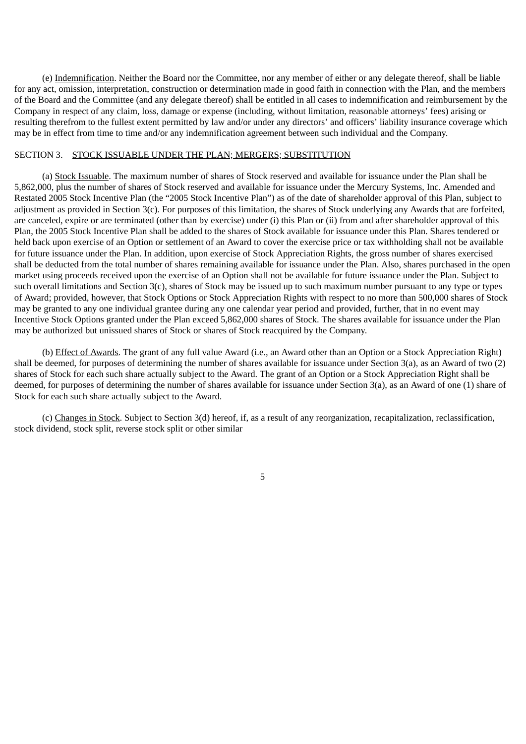(e) Indemnification. Neither the Board nor the Committee, nor any member of either or any delegate thereof, shall be liable for any act, omission, interpretation, construction or determination made in good faith in connection with the Plan, and the members of the Board and the Committee (and any delegate thereof) shall be entitled in all cases to indemnification and reimbursement by the Company in respect of any claim, loss, damage or expense (including, without limitation, reasonable attorneys' fees) arising or resulting therefrom to the fullest extent permitted by law and/or under any directors' and officers' liability insurance coverage which may be in effect from time to time and/or any indemnification agreement between such individual and the Company.

# SECTION 3. STOCK ISSUABLE UNDER THE PLAN; MERGERS; SUBSTITUTION

(a) Stock Issuable. The maximum number of shares of Stock reserved and available for issuance under the Plan shall be 5,862,000, plus the number of shares of Stock reserved and available for issuance under the Mercury Systems, Inc. Amended and Restated 2005 Stock Incentive Plan (the "2005 Stock Incentive Plan") as of the date of shareholder approval of this Plan, subject to adjustment as provided in Section 3(c). For purposes of this limitation, the shares of Stock underlying any Awards that are forfeited, are canceled, expire or are terminated (other than by exercise) under (i) this Plan or (ii) from and after shareholder approval of this Plan, the 2005 Stock Incentive Plan shall be added to the shares of Stock available for issuance under this Plan. Shares tendered or held back upon exercise of an Option or settlement of an Award to cover the exercise price or tax withholding shall not be available for future issuance under the Plan. In addition, upon exercise of Stock Appreciation Rights, the gross number of shares exercised shall be deducted from the total number of shares remaining available for issuance under the Plan. Also, shares purchased in the open market using proceeds received upon the exercise of an Option shall not be available for future issuance under the Plan. Subject to such overall limitations and Section 3(c), shares of Stock may be issued up to such maximum number pursuant to any type or types of Award; provided, however, that Stock Options or Stock Appreciation Rights with respect to no more than 500,000 shares of Stock may be granted to any one individual grantee during any one calendar year period and provided, further, that in no event may Incentive Stock Options granted under the Plan exceed 5,862,000 shares of Stock. The shares available for issuance under the Plan may be authorized but unissued shares of Stock or shares of Stock reacquired by the Company.

(b) Effect of Awards. The grant of any full value Award (i.e., an Award other than an Option or a Stock Appreciation Right) shall be deemed, for purposes of determining the number of shares available for issuance under Section 3(a), as an Award of two (2) shares of Stock for each such share actually subject to the Award. The grant of an Option or a Stock Appreciation Right shall be deemed, for purposes of determining the number of shares available for issuance under Section 3(a), as an Award of one (1) share of Stock for each such share actually subject to the Award.

(c) Changes in Stock. Subject to Section 3(d) hereof, if, as a result of any reorganization, recapitalization, reclassification, stock dividend, stock split, reverse stock split or other similar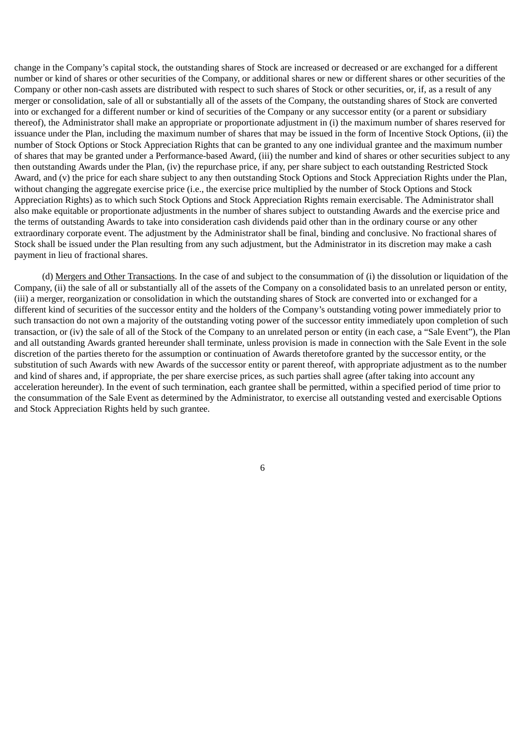change in the Company's capital stock, the outstanding shares of Stock are increased or decreased or are exchanged for a different number or kind of shares or other securities of the Company, or additional shares or new or different shares or other securities of the Company or other non-cash assets are distributed with respect to such shares of Stock or other securities, or, if, as a result of any merger or consolidation, sale of all or substantially all of the assets of the Company, the outstanding shares of Stock are converted into or exchanged for a different number or kind of securities of the Company or any successor entity (or a parent or subsidiary thereof), the Administrator shall make an appropriate or proportionate adjustment in (i) the maximum number of shares reserved for issuance under the Plan, including the maximum number of shares that may be issued in the form of Incentive Stock Options, (ii) the number of Stock Options or Stock Appreciation Rights that can be granted to any one individual grantee and the maximum number of shares that may be granted under a Performance-based Award, (iii) the number and kind of shares or other securities subject to any then outstanding Awards under the Plan, (iv) the repurchase price, if any, per share subject to each outstanding Restricted Stock Award, and (v) the price for each share subject to any then outstanding Stock Options and Stock Appreciation Rights under the Plan, without changing the aggregate exercise price (i.e., the exercise price multiplied by the number of Stock Options and Stock Appreciation Rights) as to which such Stock Options and Stock Appreciation Rights remain exercisable. The Administrator shall also make equitable or proportionate adjustments in the number of shares subject to outstanding Awards and the exercise price and the terms of outstanding Awards to take into consideration cash dividends paid other than in the ordinary course or any other extraordinary corporate event. The adjustment by the Administrator shall be final, binding and conclusive. No fractional shares of Stock shall be issued under the Plan resulting from any such adjustment, but the Administrator in its discretion may make a cash payment in lieu of fractional shares.

(d) Mergers and Other Transactions. In the case of and subject to the consummation of (i) the dissolution or liquidation of the Company, (ii) the sale of all or substantially all of the assets of the Company on a consolidated basis to an unrelated person or entity, (iii) a merger, reorganization or consolidation in which the outstanding shares of Stock are converted into or exchanged for a different kind of securities of the successor entity and the holders of the Company's outstanding voting power immediately prior to such transaction do not own a majority of the outstanding voting power of the successor entity immediately upon completion of such transaction, or (iv) the sale of all of the Stock of the Company to an unrelated person or entity (in each case, a "Sale Event"), the Plan and all outstanding Awards granted hereunder shall terminate, unless provision is made in connection with the Sale Event in the sole discretion of the parties thereto for the assumption or continuation of Awards theretofore granted by the successor entity, or the substitution of such Awards with new Awards of the successor entity or parent thereof, with appropriate adjustment as to the number and kind of shares and, if appropriate, the per share exercise prices, as such parties shall agree (after taking into account any acceleration hereunder). In the event of such termination, each grantee shall be permitted, within a specified period of time prior to the consummation of the Sale Event as determined by the Administrator, to exercise all outstanding vested and exercisable Options and Stock Appreciation Rights held by such grantee.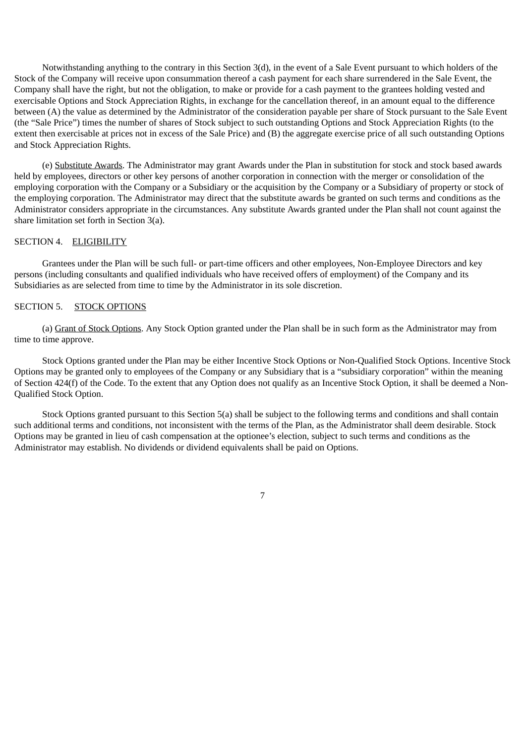Notwithstanding anything to the contrary in this Section 3(d), in the event of a Sale Event pursuant to which holders of the Stock of the Company will receive upon consummation thereof a cash payment for each share surrendered in the Sale Event, the Company shall have the right, but not the obligation, to make or provide for a cash payment to the grantees holding vested and exercisable Options and Stock Appreciation Rights, in exchange for the cancellation thereof, in an amount equal to the difference between (A) the value as determined by the Administrator of the consideration payable per share of Stock pursuant to the Sale Event (the "Sale Price") times the number of shares of Stock subject to such outstanding Options and Stock Appreciation Rights (to the extent then exercisable at prices not in excess of the Sale Price) and (B) the aggregate exercise price of all such outstanding Options and Stock Appreciation Rights.

(e) Substitute Awards. The Administrator may grant Awards under the Plan in substitution for stock and stock based awards held by employees, directors or other key persons of another corporation in connection with the merger or consolidation of the employing corporation with the Company or a Subsidiary or the acquisition by the Company or a Subsidiary of property or stock of the employing corporation. The Administrator may direct that the substitute awards be granted on such terms and conditions as the Administrator considers appropriate in the circumstances. Any substitute Awards granted under the Plan shall not count against the share limitation set forth in Section 3(a).

# SECTION 4. ELIGIBILITY

Grantees under the Plan will be such full- or part-time officers and other employees, Non-Employee Directors and key persons (including consultants and qualified individuals who have received offers of employment) of the Company and its Subsidiaries as are selected from time to time by the Administrator in its sole discretion.

# SECTION 5. STOCK OPTIONS

(a) Grant of Stock Options. Any Stock Option granted under the Plan shall be in such form as the Administrator may from time to time approve.

Stock Options granted under the Plan may be either Incentive Stock Options or Non-Qualified Stock Options. Incentive Stock Options may be granted only to employees of the Company or any Subsidiary that is a "subsidiary corporation" within the meaning of Section 424(f) of the Code. To the extent that any Option does not qualify as an Incentive Stock Option, it shall be deemed a Non-Qualified Stock Option.

Stock Options granted pursuant to this Section 5(a) shall be subject to the following terms and conditions and shall contain such additional terms and conditions, not inconsistent with the terms of the Plan, as the Administrator shall deem desirable. Stock Options may be granted in lieu of cash compensation at the optionee's election, subject to such terms and conditions as the Administrator may establish. No dividends or dividend equivalents shall be paid on Options.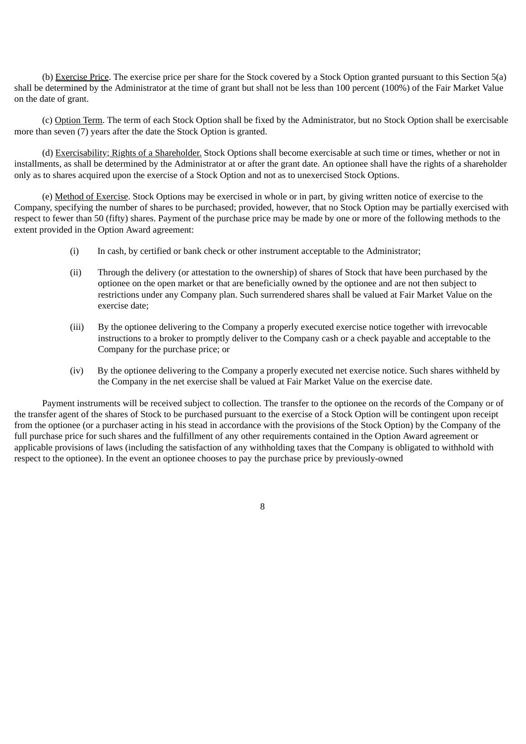(b) Exercise Price. The exercise price per share for the Stock covered by a Stock Option granted pursuant to this Section 5(a) shall be determined by the Administrator at the time of grant but shall not be less than 100 percent (100%) of the Fair Market Value on the date of grant.

(c) Option Term. The term of each Stock Option shall be fixed by the Administrator, but no Stock Option shall be exercisable more than seven (7) years after the date the Stock Option is granted.

(d) Exercisability; Rights of a Shareholder. Stock Options shall become exercisable at such time or times, whether or not in installments, as shall be determined by the Administrator at or after the grant date. An optionee shall have the rights of a shareholder only as to shares acquired upon the exercise of a Stock Option and not as to unexercised Stock Options.

(e) Method of Exercise. Stock Options may be exercised in whole or in part, by giving written notice of exercise to the Company, specifying the number of shares to be purchased; provided, however, that no Stock Option may be partially exercised with respect to fewer than 50 (fifty) shares. Payment of the purchase price may be made by one or more of the following methods to the extent provided in the Option Award agreement:

- (i) In cash, by certified or bank check or other instrument acceptable to the Administrator;
- (ii) Through the delivery (or attestation to the ownership) of shares of Stock that have been purchased by the optionee on the open market or that are beneficially owned by the optionee and are not then subject to restrictions under any Company plan. Such surrendered shares shall be valued at Fair Market Value on the exercise date;
- (iii) By the optionee delivering to the Company a properly executed exercise notice together with irrevocable instructions to a broker to promptly deliver to the Company cash or a check payable and acceptable to the Company for the purchase price; or
- (iv) By the optionee delivering to the Company a properly executed net exercise notice. Such shares withheld by the Company in the net exercise shall be valued at Fair Market Value on the exercise date.

Payment instruments will be received subject to collection. The transfer to the optionee on the records of the Company or of the transfer agent of the shares of Stock to be purchased pursuant to the exercise of a Stock Option will be contingent upon receipt from the optionee (or a purchaser acting in his stead in accordance with the provisions of the Stock Option) by the Company of the full purchase price for such shares and the fulfillment of any other requirements contained in the Option Award agreement or applicable provisions of laws (including the satisfaction of any withholding taxes that the Company is obligated to withhold with respect to the optionee). In the event an optionee chooses to pay the purchase price by previously-owned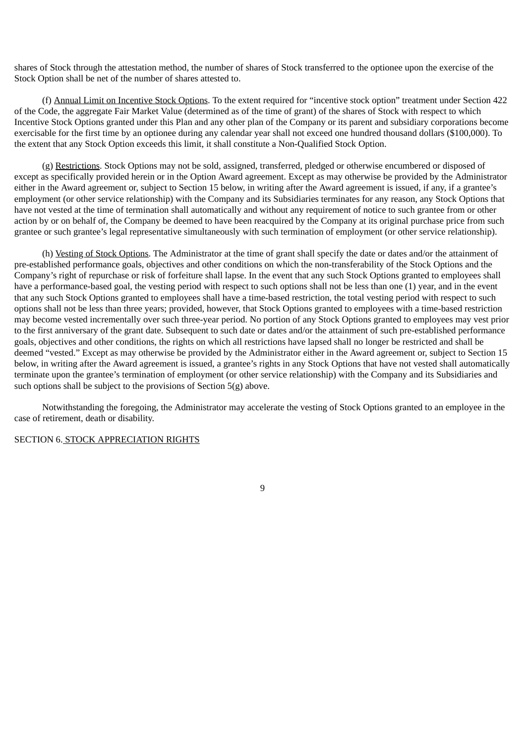shares of Stock through the attestation method, the number of shares of Stock transferred to the optionee upon the exercise of the Stock Option shall be net of the number of shares attested to.

(f) Annual Limit on Incentive Stock Options. To the extent required for "incentive stock option" treatment under Section 422 of the Code, the aggregate Fair Market Value (determined as of the time of grant) of the shares of Stock with respect to which Incentive Stock Options granted under this Plan and any other plan of the Company or its parent and subsidiary corporations become exercisable for the first time by an optionee during any calendar year shall not exceed one hundred thousand dollars (\$100,000). To the extent that any Stock Option exceeds this limit, it shall constitute a Non-Qualified Stock Option.

(g) Restrictions. Stock Options may not be sold, assigned, transferred, pledged or otherwise encumbered or disposed of except as specifically provided herein or in the Option Award agreement. Except as may otherwise be provided by the Administrator either in the Award agreement or, subject to Section 15 below, in writing after the Award agreement is issued, if any, if a grantee's employment (or other service relationship) with the Company and its Subsidiaries terminates for any reason, any Stock Options that have not vested at the time of termination shall automatically and without any requirement of notice to such grantee from or other action by or on behalf of, the Company be deemed to have been reacquired by the Company at its original purchase price from such grantee or such grantee's legal representative simultaneously with such termination of employment (or other service relationship).

(h) Vesting of Stock Options. The Administrator at the time of grant shall specify the date or dates and/or the attainment of pre-established performance goals, objectives and other conditions on which the non-transferability of the Stock Options and the Company's right of repurchase or risk of forfeiture shall lapse. In the event that any such Stock Options granted to employees shall have a performance-based goal, the vesting period with respect to such options shall not be less than one (1) year, and in the event that any such Stock Options granted to employees shall have a time-based restriction, the total vesting period with respect to such options shall not be less than three years; provided, however, that Stock Options granted to employees with a time-based restriction may become vested incrementally over such three-year period. No portion of any Stock Options granted to employees may vest prior to the first anniversary of the grant date. Subsequent to such date or dates and/or the attainment of such pre-established performance goals, objectives and other conditions, the rights on which all restrictions have lapsed shall no longer be restricted and shall be deemed "vested." Except as may otherwise be provided by the Administrator either in the Award agreement or, subject to Section 15 below, in writing after the Award agreement is issued, a grantee's rights in any Stock Options that have not vested shall automatically terminate upon the grantee's termination of employment (or other service relationship) with the Company and its Subsidiaries and such options shall be subject to the provisions of Section 5(g) above.

Notwithstanding the foregoing, the Administrator may accelerate the vesting of Stock Options granted to an employee in the case of retirement, death or disability.

9

# SECTION 6. STOCK APPRECIATION RIGHTS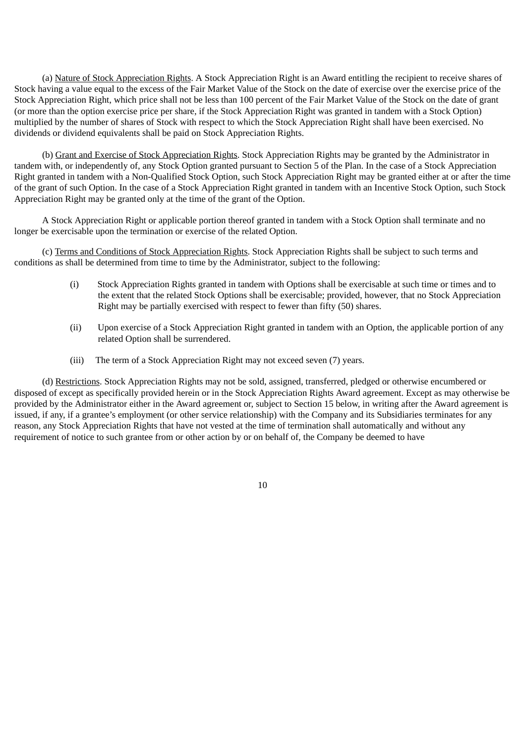(a) Nature of Stock Appreciation Rights. A Stock Appreciation Right is an Award entitling the recipient to receive shares of Stock having a value equal to the excess of the Fair Market Value of the Stock on the date of exercise over the exercise price of the Stock Appreciation Right, which price shall not be less than 100 percent of the Fair Market Value of the Stock on the date of grant (or more than the option exercise price per share, if the Stock Appreciation Right was granted in tandem with a Stock Option) multiplied by the number of shares of Stock with respect to which the Stock Appreciation Right shall have been exercised. No dividends or dividend equivalents shall be paid on Stock Appreciation Rights.

(b) Grant and Exercise of Stock Appreciation Rights. Stock Appreciation Rights may be granted by the Administrator in tandem with, or independently of, any Stock Option granted pursuant to Section 5 of the Plan. In the case of a Stock Appreciation Right granted in tandem with a Non-Qualified Stock Option, such Stock Appreciation Right may be granted either at or after the time of the grant of such Option. In the case of a Stock Appreciation Right granted in tandem with an Incentive Stock Option, such Stock Appreciation Right may be granted only at the time of the grant of the Option.

A Stock Appreciation Right or applicable portion thereof granted in tandem with a Stock Option shall terminate and no longer be exercisable upon the termination or exercise of the related Option.

(c) Terms and Conditions of Stock Appreciation Rights. Stock Appreciation Rights shall be subject to such terms and conditions as shall be determined from time to time by the Administrator, subject to the following:

- (i) Stock Appreciation Rights granted in tandem with Options shall be exercisable at such time or times and to the extent that the related Stock Options shall be exercisable; provided, however, that no Stock Appreciation Right may be partially exercised with respect to fewer than fifty (50) shares.
- (ii) Upon exercise of a Stock Appreciation Right granted in tandem with an Option, the applicable portion of any related Option shall be surrendered.
- (iii) The term of a Stock Appreciation Right may not exceed seven (7) years.

(d) Restrictions. Stock Appreciation Rights may not be sold, assigned, transferred, pledged or otherwise encumbered or disposed of except as specifically provided herein or in the Stock Appreciation Rights Award agreement. Except as may otherwise be provided by the Administrator either in the Award agreement or, subject to Section 15 below, in writing after the Award agreement is issued, if any, if a grantee's employment (or other service relationship) with the Company and its Subsidiaries terminates for any reason, any Stock Appreciation Rights that have not vested at the time of termination shall automatically and without any requirement of notice to such grantee from or other action by or on behalf of, the Company be deemed to have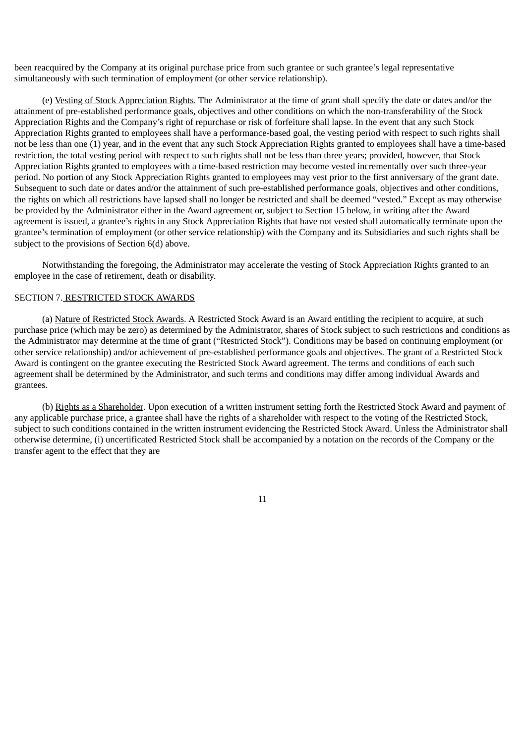been reacquired by the Company at its original purchase price from such grantee or such grantee's legal representative simultaneously with such termination of employment (or other service relationship).

(e) Vesting of Stock Appreciation Rights. The Administrator at the time of grant shall specify the date or dates and/or the attainment of pre-established performance goals, objectives and other conditions on which the non-transferability of the Stock Appreciation Rights and the Company's right of repurchase or risk of forfeiture shall lapse. In the event that any such Stock Appreciation Rights granted to employees shall have a performance-based goal, the vesting period with respect to such rights shall not be less than one (1) year, and in the event that any such Stock Appreciation Rights granted to employees shall have a time-based restriction, the total vesting period with respect to such rights shall not be less than three years; provided, however, that Stock Appreciation Rights granted to employees with a time-based restriction may become vested incrementally over such three-year period. No portion of any Stock Appreciation Rights granted to employees may vest prior to the first anniversary of the grant date. Subsequent to such date or dates and/or the attainment of such pre-established performance goals, objectives and other conditions, the rights on which all restrictions have lapsed shall no longer be restricted and shall be deemed "vested." Except as may otherwise be provided by the Administrator either in the Award agreement or, subject to Section 15 below, in writing after the Award agreement is issued, a grantee's rights in any Stock Appreciation Rights that have not vested shall automatically terminate upon the grantee's termination of employment (or other service relationship) with the Company and its Subsidiaries and such rights shall be subject to the provisions of Section 6(d) above.

Notwithstanding the foregoing, the Administrator may accelerate the vesting of Stock Appreciation Rights granted to an employee in the case of retirement, death or disability.

## SECTION 7. RESTRICTED STOCK AWARDS

(a) Nature of Restricted Stock Awards. A Restricted Stock Award is an Award entitling the recipient to acquire, at such purchase price (which may be zero) as determined by the Administrator, shares of Stock subject to such restrictions and conditions as the Administrator may determine at the time of grant ("Restricted Stock"). Conditions may be based on continuing employment (or other service relationship) and/or achievement of pre-established performance goals and objectives. The grant of a Restricted Stock Award is contingent on the grantee executing the Restricted Stock Award agreement. The terms and conditions of each such agreement shall be determined by the Administrator, and such terms and conditions may differ among individual Awards and grantees.

(b) Rights as a Shareholder. Upon execution of a written instrument setting forth the Restricted Stock Award and payment of any applicable purchase price, a grantee shall have the rights of a shareholder with respect to the voting of the Restricted Stock, subject to such conditions contained in the written instrument evidencing the Restricted Stock Award. Unless the Administrator shall otherwise determine, (i) uncertificated Restricted Stock shall be accompanied by a notation on the records of the Company or the transfer agent to the effect that they are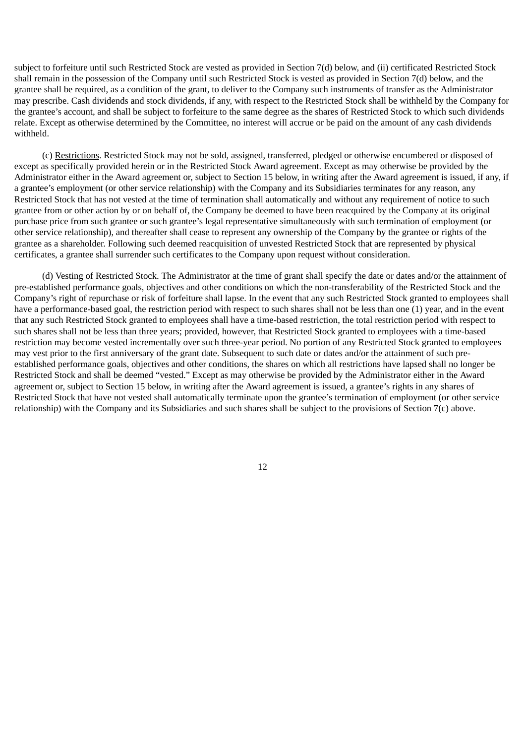subject to forfeiture until such Restricted Stock are vested as provided in Section 7(d) below, and (ii) certificated Restricted Stock shall remain in the possession of the Company until such Restricted Stock is vested as provided in Section 7(d) below, and the grantee shall be required, as a condition of the grant, to deliver to the Company such instruments of transfer as the Administrator may prescribe. Cash dividends and stock dividends, if any, with respect to the Restricted Stock shall be withheld by the Company for the grantee's account, and shall be subject to forfeiture to the same degree as the shares of Restricted Stock to which such dividends relate. Except as otherwise determined by the Committee, no interest will accrue or be paid on the amount of any cash dividends withheld.

(c) Restrictions. Restricted Stock may not be sold, assigned, transferred, pledged or otherwise encumbered or disposed of except as specifically provided herein or in the Restricted Stock Award agreement. Except as may otherwise be provided by the Administrator either in the Award agreement or, subject to Section 15 below, in writing after the Award agreement is issued, if any, if a grantee's employment (or other service relationship) with the Company and its Subsidiaries terminates for any reason, any Restricted Stock that has not vested at the time of termination shall automatically and without any requirement of notice to such grantee from or other action by or on behalf of, the Company be deemed to have been reacquired by the Company at its original purchase price from such grantee or such grantee's legal representative simultaneously with such termination of employment (or other service relationship), and thereafter shall cease to represent any ownership of the Company by the grantee or rights of the grantee as a shareholder. Following such deemed reacquisition of unvested Restricted Stock that are represented by physical certificates, a grantee shall surrender such certificates to the Company upon request without consideration.

(d) Vesting of Restricted Stock. The Administrator at the time of grant shall specify the date or dates and/or the attainment of pre-established performance goals, objectives and other conditions on which the non-transferability of the Restricted Stock and the Company's right of repurchase or risk of forfeiture shall lapse. In the event that any such Restricted Stock granted to employees shall have a performance-based goal, the restriction period with respect to such shares shall not be less than one (1) year, and in the event that any such Restricted Stock granted to employees shall have a time-based restriction, the total restriction period with respect to such shares shall not be less than three years; provided, however, that Restricted Stock granted to employees with a time-based restriction may become vested incrementally over such three-year period. No portion of any Restricted Stock granted to employees may vest prior to the first anniversary of the grant date. Subsequent to such date or dates and/or the attainment of such preestablished performance goals, objectives and other conditions, the shares on which all restrictions have lapsed shall no longer be Restricted Stock and shall be deemed "vested." Except as may otherwise be provided by the Administrator either in the Award agreement or, subject to Section 15 below, in writing after the Award agreement is issued, a grantee's rights in any shares of Restricted Stock that have not vested shall automatically terminate upon the grantee's termination of employment (or other service relationship) with the Company and its Subsidiaries and such shares shall be subject to the provisions of Section 7(c) above.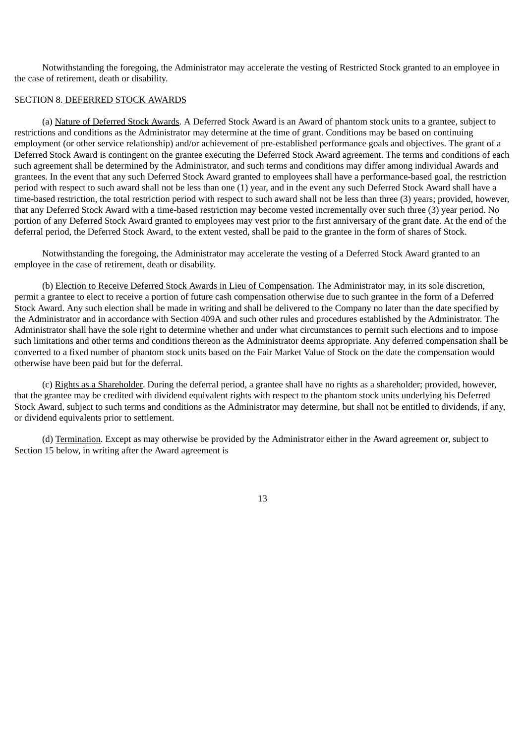Notwithstanding the foregoing, the Administrator may accelerate the vesting of Restricted Stock granted to an employee in the case of retirement, death or disability.

## SECTION 8. DEFERRED STOCK AWARDS

(a) Nature of Deferred Stock Awards. A Deferred Stock Award is an Award of phantom stock units to a grantee, subject to restrictions and conditions as the Administrator may determine at the time of grant. Conditions may be based on continuing employment (or other service relationship) and/or achievement of pre-established performance goals and objectives. The grant of a Deferred Stock Award is contingent on the grantee executing the Deferred Stock Award agreement. The terms and conditions of each such agreement shall be determined by the Administrator, and such terms and conditions may differ among individual Awards and grantees. In the event that any such Deferred Stock Award granted to employees shall have a performance-based goal, the restriction period with respect to such award shall not be less than one (1) year, and in the event any such Deferred Stock Award shall have a time-based restriction, the total restriction period with respect to such award shall not be less than three (3) years; provided, however, that any Deferred Stock Award with a time-based restriction may become vested incrementally over such three (3) year period. No portion of any Deferred Stock Award granted to employees may vest prior to the first anniversary of the grant date. At the end of the deferral period, the Deferred Stock Award, to the extent vested, shall be paid to the grantee in the form of shares of Stock.

Notwithstanding the foregoing, the Administrator may accelerate the vesting of a Deferred Stock Award granted to an employee in the case of retirement, death or disability.

(b) Election to Receive Deferred Stock Awards in Lieu of Compensation. The Administrator may, in its sole discretion, permit a grantee to elect to receive a portion of future cash compensation otherwise due to such grantee in the form of a Deferred Stock Award. Any such election shall be made in writing and shall be delivered to the Company no later than the date specified by the Administrator and in accordance with Section 409A and such other rules and procedures established by the Administrator. The Administrator shall have the sole right to determine whether and under what circumstances to permit such elections and to impose such limitations and other terms and conditions thereon as the Administrator deems appropriate. Any deferred compensation shall be converted to a fixed number of phantom stock units based on the Fair Market Value of Stock on the date the compensation would otherwise have been paid but for the deferral.

(c) Rights as a Shareholder. During the deferral period, a grantee shall have no rights as a shareholder; provided, however, that the grantee may be credited with dividend equivalent rights with respect to the phantom stock units underlying his Deferred Stock Award, subject to such terms and conditions as the Administrator may determine, but shall not be entitled to dividends, if any, or dividend equivalents prior to settlement.

(d) Termination. Except as may otherwise be provided by the Administrator either in the Award agreement or, subject to Section 15 below, in writing after the Award agreement is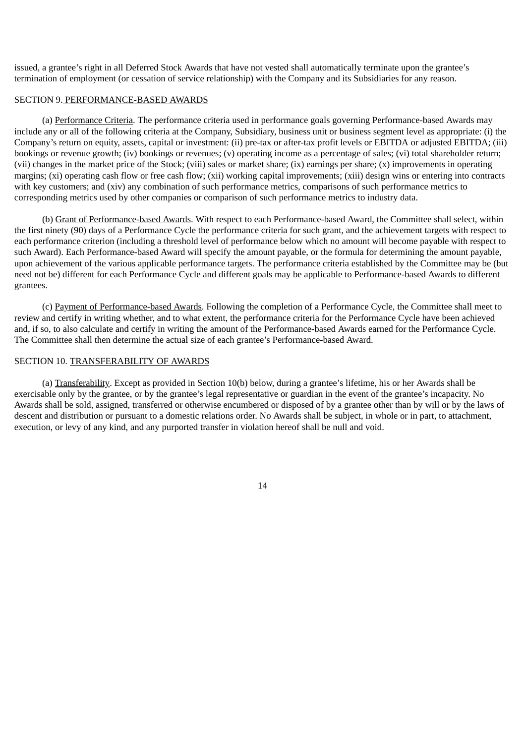issued, a grantee's right in all Deferred Stock Awards that have not vested shall automatically terminate upon the grantee's termination of employment (or cessation of service relationship) with the Company and its Subsidiaries for any reason.

## SECTION 9. PERFORMANCE-BASED AWARDS

(a) Performance Criteria. The performance criteria used in performance goals governing Performance-based Awards may include any or all of the following criteria at the Company, Subsidiary, business unit or business segment level as appropriate: (i) the Company's return on equity, assets, capital or investment: (ii) pre-tax or after-tax profit levels or EBITDA or adjusted EBITDA; (iii) bookings or revenue growth; (iv) bookings or revenues; (v) operating income as a percentage of sales; (vi) total shareholder return; (vii) changes in the market price of the Stock; (viii) sales or market share; (ix) earnings per share; (x) improvements in operating margins; (xi) operating cash flow or free cash flow; (xii) working capital improvements; (xiii) design wins or entering into contracts with key customers; and (xiv) any combination of such performance metrics, comparisons of such performance metrics to corresponding metrics used by other companies or comparison of such performance metrics to industry data.

(b) Grant of Performance-based Awards. With respect to each Performance-based Award, the Committee shall select, within the first ninety (90) days of a Performance Cycle the performance criteria for such grant, and the achievement targets with respect to each performance criterion (including a threshold level of performance below which no amount will become payable with respect to such Award). Each Performance-based Award will specify the amount payable, or the formula for determining the amount payable, upon achievement of the various applicable performance targets. The performance criteria established by the Committee may be (but need not be) different for each Performance Cycle and different goals may be applicable to Performance-based Awards to different grantees.

(c) Payment of Performance-based Awards. Following the completion of a Performance Cycle, the Committee shall meet to review and certify in writing whether, and to what extent, the performance criteria for the Performance Cycle have been achieved and, if so, to also calculate and certify in writing the amount of the Performance-based Awards earned for the Performance Cycle. The Committee shall then determine the actual size of each grantee's Performance-based Award.

## SECTION 10. TRANSFERABILITY OF AWARDS

(a) Transferability. Except as provided in Section 10(b) below, during a grantee's lifetime, his or her Awards shall be exercisable only by the grantee, or by the grantee's legal representative or guardian in the event of the grantee's incapacity. No Awards shall be sold, assigned, transferred or otherwise encumbered or disposed of by a grantee other than by will or by the laws of descent and distribution or pursuant to a domestic relations order. No Awards shall be subject, in whole or in part, to attachment, execution, or levy of any kind, and any purported transfer in violation hereof shall be null and void.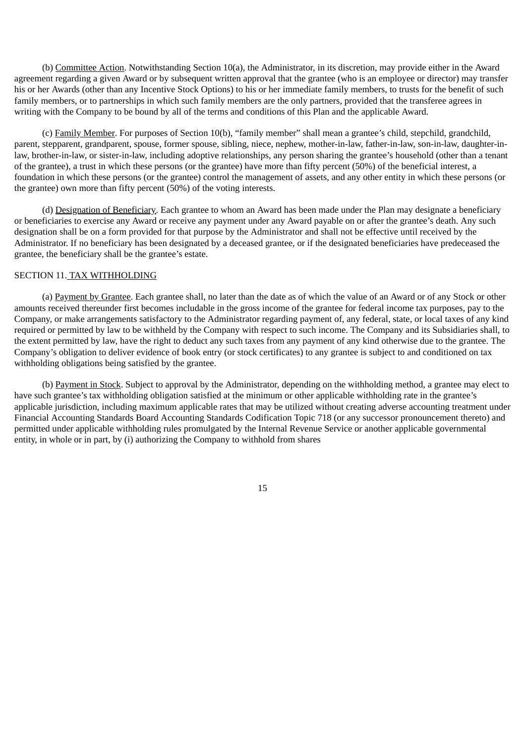(b) Committee Action. Notwithstanding Section 10(a), the Administrator, in its discretion, may provide either in the Award agreement regarding a given Award or by subsequent written approval that the grantee (who is an employee or director) may transfer his or her Awards (other than any Incentive Stock Options) to his or her immediate family members, to trusts for the benefit of such family members, or to partnerships in which such family members are the only partners, provided that the transferee agrees in writing with the Company to be bound by all of the terms and conditions of this Plan and the applicable Award.

(c) Family Member. For purposes of Section 10(b), "family member" shall mean a grantee's child, stepchild, grandchild, parent, stepparent, grandparent, spouse, former spouse, sibling, niece, nephew, mother-in-law, father-in-law, son-in-law, daughter-inlaw, brother-in-law, or sister-in-law, including adoptive relationships, any person sharing the grantee's household (other than a tenant of the grantee), a trust in which these persons (or the grantee) have more than fifty percent (50%) of the beneficial interest, a foundation in which these persons (or the grantee) control the management of assets, and any other entity in which these persons (or the grantee) own more than fifty percent (50%) of the voting interests.

(d) Designation of Beneficiary. Each grantee to whom an Award has been made under the Plan may designate a beneficiary or beneficiaries to exercise any Award or receive any payment under any Award payable on or after the grantee's death. Any such designation shall be on a form provided for that purpose by the Administrator and shall not be effective until received by the Administrator. If no beneficiary has been designated by a deceased grantee, or if the designated beneficiaries have predeceased the grantee, the beneficiary shall be the grantee's estate.

# SECTION 11. TAX WITHHOLDING

(a) Payment by Grantee. Each grantee shall, no later than the date as of which the value of an Award or of any Stock or other amounts received thereunder first becomes includable in the gross income of the grantee for federal income tax purposes, pay to the Company, or make arrangements satisfactory to the Administrator regarding payment of, any federal, state, or local taxes of any kind required or permitted by law to be withheld by the Company with respect to such income. The Company and its Subsidiaries shall, to the extent permitted by law, have the right to deduct any such taxes from any payment of any kind otherwise due to the grantee. The Company's obligation to deliver evidence of book entry (or stock certificates) to any grantee is subject to and conditioned on tax withholding obligations being satisfied by the grantee.

(b) Payment in Stock. Subject to approval by the Administrator, depending on the withholding method, a grantee may elect to have such grantee's tax withholding obligation satisfied at the minimum or other applicable withholding rate in the grantee's applicable jurisdiction, including maximum applicable rates that may be utilized without creating adverse accounting treatment under Financial Accounting Standards Board Accounting Standards Codification Topic 718 (or any successor pronouncement thereto) and permitted under applicable withholding rules promulgated by the Internal Revenue Service or another applicable governmental entity, in whole or in part, by (i) authorizing the Company to withhold from shares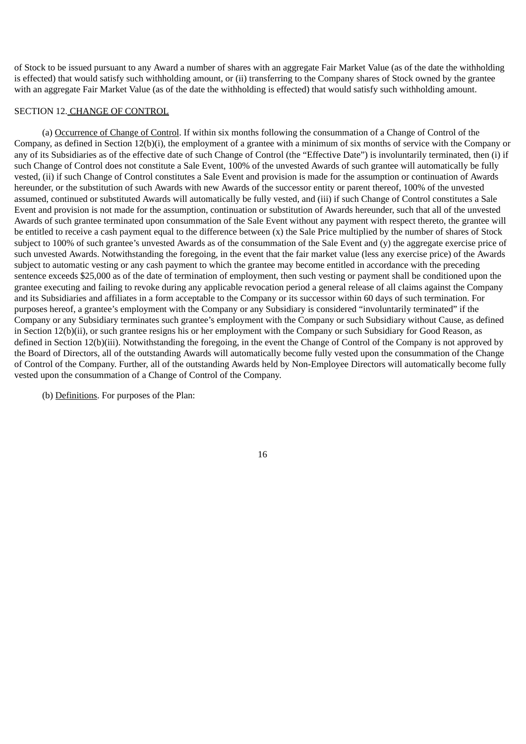of Stock to be issued pursuant to any Award a number of shares with an aggregate Fair Market Value (as of the date the withholding is effected) that would satisfy such withholding amount, or (ii) transferring to the Company shares of Stock owned by the grantee with an aggregate Fair Market Value (as of the date the withholding is effected) that would satisfy such withholding amount.

## SECTION 12. CHANGE OF CONTROL

(a) Occurrence of Change of Control. If within six months following the consummation of a Change of Control of the Company, as defined in Section 12(b)(i), the employment of a grantee with a minimum of six months of service with the Company or any of its Subsidiaries as of the effective date of such Change of Control (the "Effective Date") is involuntarily terminated, then (i) if such Change of Control does not constitute a Sale Event, 100% of the unvested Awards of such grantee will automatically be fully vested, (ii) if such Change of Control constitutes a Sale Event and provision is made for the assumption or continuation of Awards hereunder, or the substitution of such Awards with new Awards of the successor entity or parent thereof, 100% of the unvested assumed, continued or substituted Awards will automatically be fully vested, and (iii) if such Change of Control constitutes a Sale Event and provision is not made for the assumption, continuation or substitution of Awards hereunder, such that all of the unvested Awards of such grantee terminated upon consummation of the Sale Event without any payment with respect thereto, the grantee will be entitled to receive a cash payment equal to the difference between (x) the Sale Price multiplied by the number of shares of Stock subject to 100% of such grantee's unvested Awards as of the consummation of the Sale Event and (y) the aggregate exercise price of such unvested Awards. Notwithstanding the foregoing, in the event that the fair market value (less any exercise price) of the Awards subject to automatic vesting or any cash payment to which the grantee may become entitled in accordance with the preceding sentence exceeds \$25,000 as of the date of termination of employment, then such vesting or payment shall be conditioned upon the grantee executing and failing to revoke during any applicable revocation period a general release of all claims against the Company and its Subsidiaries and affiliates in a form acceptable to the Company or its successor within 60 days of such termination. For purposes hereof, a grantee's employment with the Company or any Subsidiary is considered "involuntarily terminated" if the Company or any Subsidiary terminates such grantee's employment with the Company or such Subsidiary without Cause, as defined in Section 12(b)(ii), or such grantee resigns his or her employment with the Company or such Subsidiary for Good Reason, as defined in Section 12(b)(iii). Notwithstanding the foregoing, in the event the Change of Control of the Company is not approved by the Board of Directors, all of the outstanding Awards will automatically become fully vested upon the consummation of the Change of Control of the Company. Further, all of the outstanding Awards held by Non-Employee Directors will automatically become fully vested upon the consummation of a Change of Control of the Company.

(b) Definitions. For purposes of the Plan: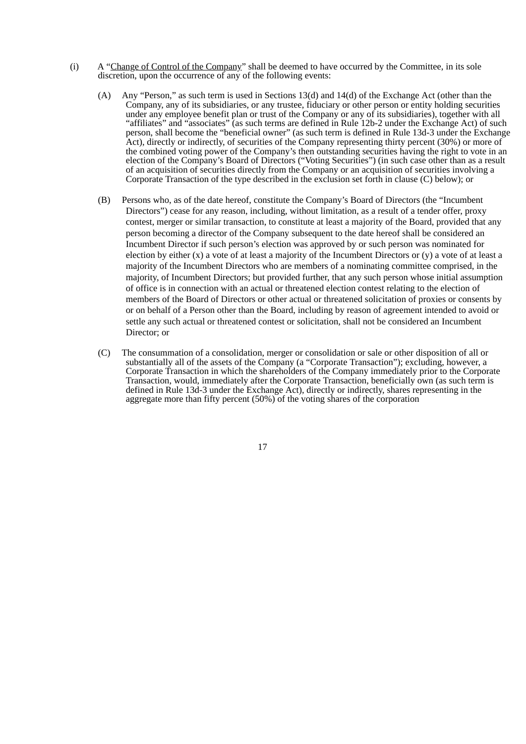- (i) A "Change of Control of the Company" shall be deemed to have occurred by the Committee, in its sole discretion, upon the occurrence of any of the following events:
	- (A) Any "Person," as such term is used in Sections 13(d) and 14(d) of the Exchange Act (other than the Company, any of its subsidiaries, or any trustee, fiduciary or other person or entity holding securities under any employee benefit plan or trust of the Company or any of its subsidiaries), together with all "affiliates" and "associates" (as such terms are defined in Rule 12b-2 under the Exchange Act) of such person, shall become the "beneficial owner" (as such term is defined in Rule 13d-3 under the Exchange Act), directly or indirectly, of securities of the Company representing thirty percent (30%) or more of the combined voting power of the Company's then outstanding securities having the right to vote in an election of the Company's Board of Directors ("Voting Securities") (in such case other than as a result of an acquisition of securities directly from the Company or an acquisition of securities involving a Corporate Transaction of the type described in the exclusion set forth in clause (C) below); or
	- (B) Persons who, as of the date hereof, constitute the Company's Board of Directors (the "Incumbent Directors") cease for any reason, including, without limitation, as a result of a tender offer, proxy contest, merger or similar transaction, to constitute at least a majority of the Board, provided that any person becoming a director of the Company subsequent to the date hereof shall be considered an Incumbent Director if such person's election was approved by or such person was nominated for election by either (x) a vote of at least a majority of the Incumbent Directors or (y) a vote of at least a majority of the Incumbent Directors who are members of a nominating committee comprised, in the majority, of Incumbent Directors; but provided further, that any such person whose initial assumption of office is in connection with an actual or threatened election contest relating to the election of members of the Board of Directors or other actual or threatened solicitation of proxies or consents by or on behalf of a Person other than the Board, including by reason of agreement intended to avoid or settle any such actual or threatened contest or solicitation, shall not be considered an Incumbent Director; or
	- (C) The consummation of a consolidation, merger or consolidation or sale or other disposition of all or substantially all of the assets of the Company (a "Corporate Transaction"); excluding, however, a Corporate Transaction in which the shareholders of the Company immediately prior to the Corporate Transaction, would, immediately after the Corporate Transaction, beneficially own (as such term is defined in Rule 13d-3 under the Exchange Act), directly or indirectly, shares representing in the aggregate more than fifty percent (50%) of the voting shares of the corporation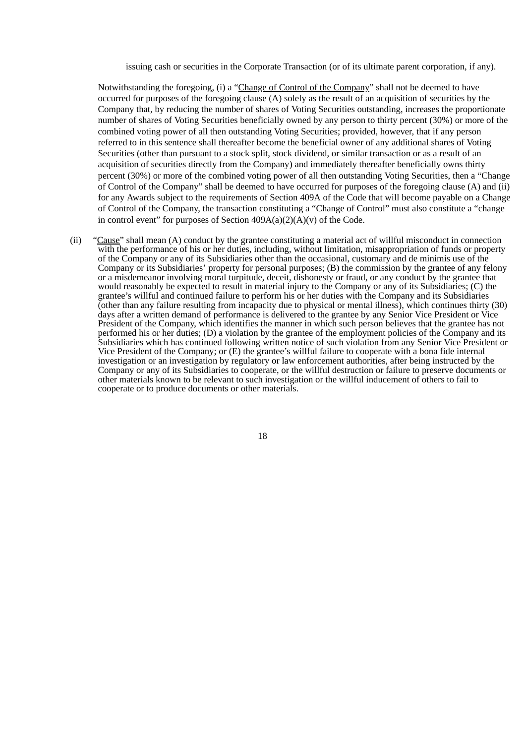issuing cash or securities in the Corporate Transaction (or of its ultimate parent corporation, if any).

Notwithstanding the foregoing, (i) a "Change of Control of the Company" shall not be deemed to have occurred for purposes of the foregoing clause (A) solely as the result of an acquisition of securities by the Company that, by reducing the number of shares of Voting Securities outstanding, increases the proportionate number of shares of Voting Securities beneficially owned by any person to thirty percent (30%) or more of the combined voting power of all then outstanding Voting Securities; provided, however, that if any person referred to in this sentence shall thereafter become the beneficial owner of any additional shares of Voting Securities (other than pursuant to a stock split, stock dividend, or similar transaction or as a result of an acquisition of securities directly from the Company) and immediately thereafter beneficially owns thirty percent (30%) or more of the combined voting power of all then outstanding Voting Securities, then a "Change of Control of the Company" shall be deemed to have occurred for purposes of the foregoing clause (A) and (ii) for any Awards subject to the requirements of Section 409A of the Code that will become payable on a Change of Control of the Company, the transaction constituting a "Change of Control" must also constitute a "change in control event" for purposes of Section  $409A(a)(2)(A)(v)$  of the Code.

(ii) "Cause" shall mean (A) conduct by the grantee constituting a material act of willful misconduct in connection with the performance of his or her duties, including, without limitation, misappropriation of funds or property of the Company or any of its Subsidiaries other than the occasional, customary and de minimis use of the Company or its Subsidiaries' property for personal purposes; (B) the commission by the grantee of any felony or a misdemeanor involving moral turpitude, deceit, dishonesty or fraud, or any conduct by the grantee that would reasonably be expected to result in material injury to the Company or any of its Subsidiaries; (C) the grantee's willful and continued failure to perform his or her duties with the Company and its Subsidiaries (other than any failure resulting from incapacity due to physical or mental illness), which continues thirty (30) days after a written demand of performance is delivered to the grantee by any Senior Vice President or Vice President of the Company, which identifies the manner in which such person believes that the grantee has not performed his or her duties; (D) a violation by the grantee of the employment policies of the Company and its Subsidiaries which has continued following written notice of such violation from any Senior Vice President or Vice President of the Company; or (E) the grantee's willful failure to cooperate with a bona fide internal investigation or an investigation by regulatory or law enforcement authorities, after being instructed by the Company or any of its Subsidiaries to cooperate, or the willful destruction or failure to preserve documents or other materials known to be relevant to such investigation or the willful inducement of others to fail to cooperate or to produce documents or other materials.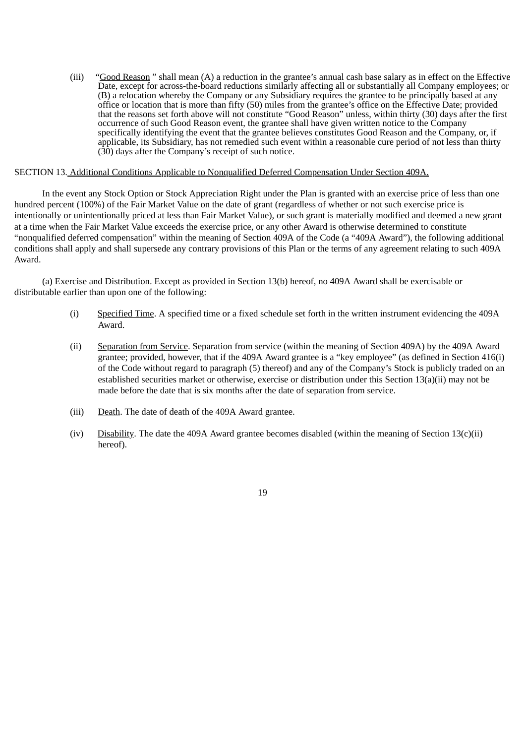(iii) "Good Reason" shall mean  $(A)$  a reduction in the grantee's annual cash base salary as in effect on the Effective Date, except for across-the-board reductions similarly affecting all or substantially all Company employees; or (B) a relocation whereby the Company or any Subsidiary requires the grantee to be principally based at any office or location that is more than fifty (50) miles from the grantee's office on the Effective Date; provided that the reasons set forth above will not constitute "Good Reason" unless, within thirty (30) days after the first occurrence of such Good Reason event, the grantee shall have given written notice to the Company specifically identifying the event that the grantee believes constitutes Good Reason and the Company, or, if applicable, its Subsidiary, has not remedied such event within a reasonable cure period of not less than thirty  $(30)$  days after the Company's receipt of such notice.

## SECTION 13. Additional Conditions Applicable to Nonqualified Deferred Compensation Under Section 409A.

In the event any Stock Option or Stock Appreciation Right under the Plan is granted with an exercise price of less than one hundred percent (100%) of the Fair Market Value on the date of grant (regardless of whether or not such exercise price is intentionally or unintentionally priced at less than Fair Market Value), or such grant is materially modified and deemed a new grant at a time when the Fair Market Value exceeds the exercise price, or any other Award is otherwise determined to constitute "nonqualified deferred compensation" within the meaning of Section 409A of the Code (a "409A Award"), the following additional conditions shall apply and shall supersede any contrary provisions of this Plan or the terms of any agreement relating to such 409A Award.

(a) Exercise and Distribution. Except as provided in Section 13(b) hereof, no 409A Award shall be exercisable or distributable earlier than upon one of the following:

- (i) Specified Time. A specified time or a fixed schedule set forth in the written instrument evidencing the 409A Award.
- (ii) Separation from Service. Separation from service (within the meaning of Section 409A) by the 409A Award grantee; provided, however, that if the 409A Award grantee is a "key employee" (as defined in Section 416(i) of the Code without regard to paragraph (5) thereof) and any of the Company's Stock is publicly traded on an established securities market or otherwise, exercise or distribution under this Section 13(a)(ii) may not be made before the date that is six months after the date of separation from service.
- (iii) Death. The date of death of the 409A Award grantee.
- (iv) Disability. The date the 409A Award grantee becomes disabled (within the meaning of Section 13(c)(ii) hereof).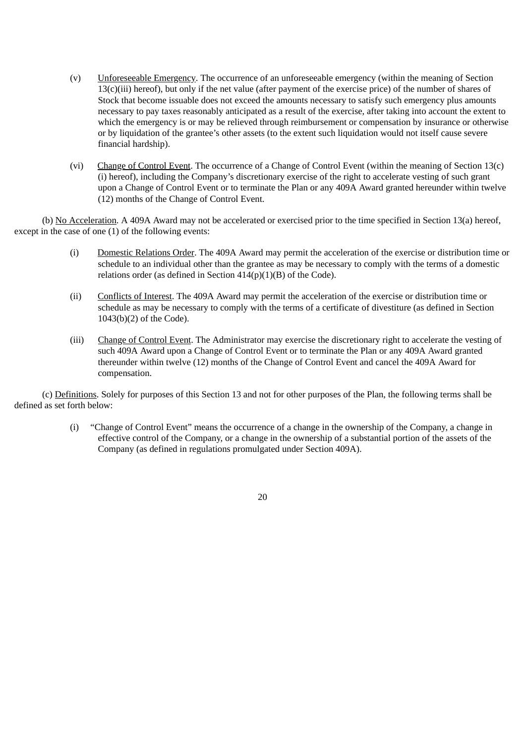- (v) Unforeseeable Emergency. The occurrence of an unforeseeable emergency (within the meaning of Section 13(c)(iii) hereof), but only if the net value (after payment of the exercise price) of the number of shares of Stock that become issuable does not exceed the amounts necessary to satisfy such emergency plus amounts necessary to pay taxes reasonably anticipated as a result of the exercise, after taking into account the extent to which the emergency is or may be relieved through reimbursement or compensation by insurance or otherwise or by liquidation of the grantee's other assets (to the extent such liquidation would not itself cause severe financial hardship).
- (vi) Change of Control Event. The occurrence of a Change of Control Event (within the meaning of Section 13(c) (i) hereof), including the Company's discretionary exercise of the right to accelerate vesting of such grant upon a Change of Control Event or to terminate the Plan or any 409A Award granted hereunder within twelve (12) months of the Change of Control Event.

(b) No Acceleration. A 409A Award may not be accelerated or exercised prior to the time specified in Section 13(a) hereof, except in the case of one (1) of the following events:

- (i) Domestic Relations Order. The 409A Award may permit the acceleration of the exercise or distribution time or schedule to an individual other than the grantee as may be necessary to comply with the terms of a domestic relations order (as defined in Section 414(p)(1)(B) of the Code).
- (ii) Conflicts of Interest. The 409A Award may permit the acceleration of the exercise or distribution time or schedule as may be necessary to comply with the terms of a certificate of divestiture (as defined in Section 1043(b)(2) of the Code).
- (iii) Change of Control Event. The Administrator may exercise the discretionary right to accelerate the vesting of such 409A Award upon a Change of Control Event or to terminate the Plan or any 409A Award granted thereunder within twelve (12) months of the Change of Control Event and cancel the 409A Award for compensation.

(c) Definitions. Solely for purposes of this Section 13 and not for other purposes of the Plan, the following terms shall be defined as set forth below:

> (i) "Change of Control Event" means the occurrence of a change in the ownership of the Company, a change in effective control of the Company, or a change in the ownership of a substantial portion of the assets of the Company (as defined in regulations promulgated under Section 409A).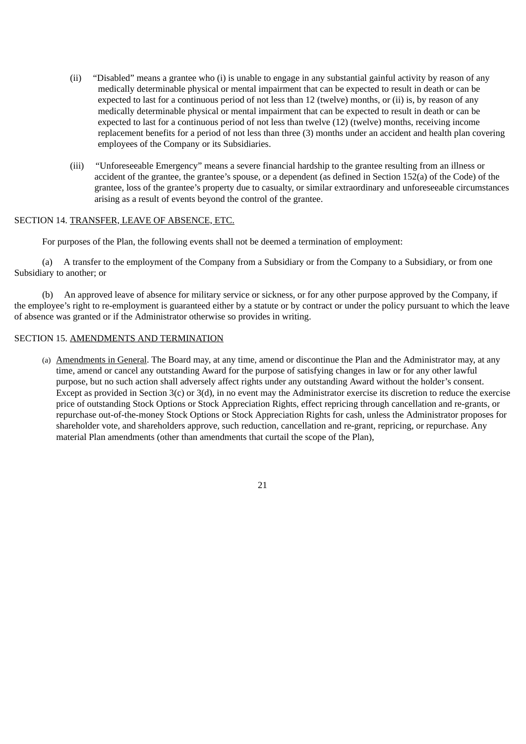- (ii) "Disabled" means a grantee who (i) is unable to engage in any substantial gainful activity by reason of any medically determinable physical or mental impairment that can be expected to result in death or can be expected to last for a continuous period of not less than 12 (twelve) months, or (ii) is, by reason of any medically determinable physical or mental impairment that can be expected to result in death or can be expected to last for a continuous period of not less than twelve (12) (twelve) months, receiving income replacement benefits for a period of not less than three (3) months under an accident and health plan covering employees of the Company or its Subsidiaries.
- (iii) "Unforeseeable Emergency" means a severe financial hardship to the grantee resulting from an illness or accident of the grantee, the grantee's spouse, or a dependent (as defined in Section 152(a) of the Code) of the grantee, loss of the grantee's property due to casualty, or similar extraordinary and unforeseeable circumstances arising as a result of events beyond the control of the grantee.

## SECTION 14. TRANSFER, LEAVE OF ABSENCE, ETC.

For purposes of the Plan, the following events shall not be deemed a termination of employment:

(a) A transfer to the employment of the Company from a Subsidiary or from the Company to a Subsidiary, or from one Subsidiary to another; or

(b) An approved leave of absence for military service or sickness, or for any other purpose approved by the Company, if the employee's right to re-employment is guaranteed either by a statute or by contract or under the policy pursuant to which the leave of absence was granted or if the Administrator otherwise so provides in writing.

## SECTION 15. AMENDMENTS AND TERMINATION

(a) Amendments in General. The Board may, at any time, amend or discontinue the Plan and the Administrator may, at any time, amend or cancel any outstanding Award for the purpose of satisfying changes in law or for any other lawful purpose, but no such action shall adversely affect rights under any outstanding Award without the holder's consent. Except as provided in Section 3(c) or 3(d), in no event may the Administrator exercise its discretion to reduce the exercise price of outstanding Stock Options or Stock Appreciation Rights, effect repricing through cancellation and re-grants, or repurchase out-of-the-money Stock Options or Stock Appreciation Rights for cash, unless the Administrator proposes for shareholder vote, and shareholders approve, such reduction, cancellation and re-grant, repricing, or repurchase. Any material Plan amendments (other than amendments that curtail the scope of the Plan),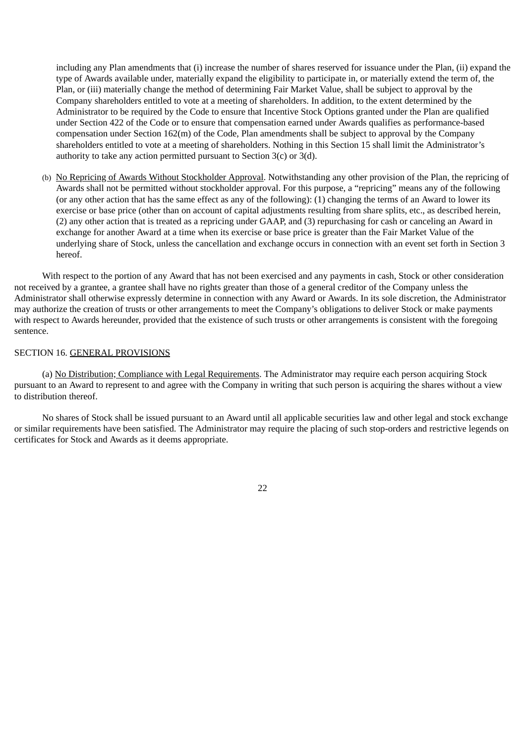including any Plan amendments that (i) increase the number of shares reserved for issuance under the Plan, (ii) expand the type of Awards available under, materially expand the eligibility to participate in, or materially extend the term of, the Plan, or (iii) materially change the method of determining Fair Market Value, shall be subject to approval by the Company shareholders entitled to vote at a meeting of shareholders. In addition, to the extent determined by the Administrator to be required by the Code to ensure that Incentive Stock Options granted under the Plan are qualified under Section 422 of the Code or to ensure that compensation earned under Awards qualifies as performance-based compensation under Section 162(m) of the Code, Plan amendments shall be subject to approval by the Company shareholders entitled to vote at a meeting of shareholders. Nothing in this Section 15 shall limit the Administrator's authority to take any action permitted pursuant to Section  $3(c)$  or  $3(d)$ .

(b) No Repricing of Awards Without Stockholder Approval. Notwithstanding any other provision of the Plan, the repricing of Awards shall not be permitted without stockholder approval. For this purpose, a "repricing" means any of the following (or any other action that has the same effect as any of the following): (1) changing the terms of an Award to lower its exercise or base price (other than on account of capital adjustments resulting from share splits, etc., as described herein, (2) any other action that is treated as a repricing under GAAP, and (3) repurchasing for cash or canceling an Award in exchange for another Award at a time when its exercise or base price is greater than the Fair Market Value of the underlying share of Stock, unless the cancellation and exchange occurs in connection with an event set forth in Section 3 hereof.

With respect to the portion of any Award that has not been exercised and any payments in cash, Stock or other consideration not received by a grantee, a grantee shall have no rights greater than those of a general creditor of the Company unless the Administrator shall otherwise expressly determine in connection with any Award or Awards. In its sole discretion, the Administrator may authorize the creation of trusts or other arrangements to meet the Company's obligations to deliver Stock or make payments with respect to Awards hereunder, provided that the existence of such trusts or other arrangements is consistent with the foregoing sentence.

# SECTION 16. GENERAL PROVISIONS

(a) No Distribution; Compliance with Legal Requirements. The Administrator may require each person acquiring Stock pursuant to an Award to represent to and agree with the Company in writing that such person is acquiring the shares without a view to distribution thereof.

No shares of Stock shall be issued pursuant to an Award until all applicable securities law and other legal and stock exchange or similar requirements have been satisfied. The Administrator may require the placing of such stop-orders and restrictive legends on certificates for Stock and Awards as it deems appropriate.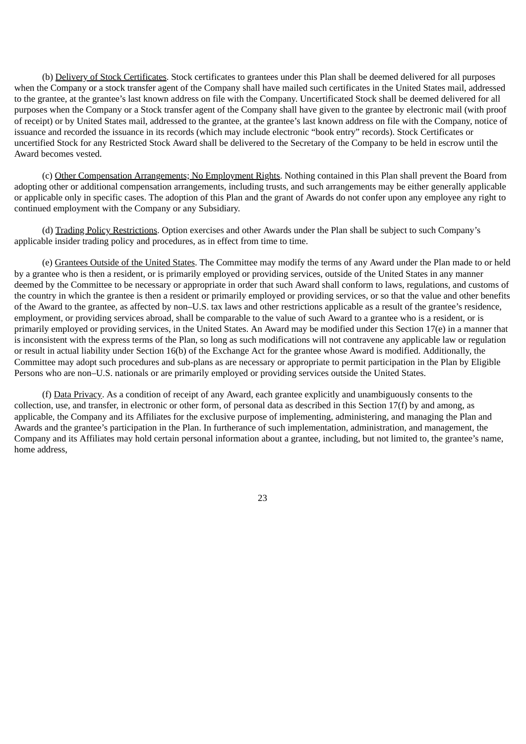(b) Delivery of Stock Certificates. Stock certificates to grantees under this Plan shall be deemed delivered for all purposes when the Company or a stock transfer agent of the Company shall have mailed such certificates in the United States mail, addressed to the grantee, at the grantee's last known address on file with the Company. Uncertificated Stock shall be deemed delivered for all purposes when the Company or a Stock transfer agent of the Company shall have given to the grantee by electronic mail (with proof of receipt) or by United States mail, addressed to the grantee, at the grantee's last known address on file with the Company, notice of issuance and recorded the issuance in its records (which may include electronic "book entry" records). Stock Certificates or uncertified Stock for any Restricted Stock Award shall be delivered to the Secretary of the Company to be held in escrow until the Award becomes vested.

(c) Other Compensation Arrangements; No Employment Rights. Nothing contained in this Plan shall prevent the Board from adopting other or additional compensation arrangements, including trusts, and such arrangements may be either generally applicable or applicable only in specific cases. The adoption of this Plan and the grant of Awards do not confer upon any employee any right to continued employment with the Company or any Subsidiary.

(d) Trading Policy Restrictions. Option exercises and other Awards under the Plan shall be subject to such Company's applicable insider trading policy and procedures, as in effect from time to time.

(e) Grantees Outside of the United States. The Committee may modify the terms of any Award under the Plan made to or held by a grantee who is then a resident, or is primarily employed or providing services, outside of the United States in any manner deemed by the Committee to be necessary or appropriate in order that such Award shall conform to laws, regulations, and customs of the country in which the grantee is then a resident or primarily employed or providing services, or so that the value and other benefits of the Award to the grantee, as affected by non–U.S. tax laws and other restrictions applicable as a result of the grantee's residence, employment, or providing services abroad, shall be comparable to the value of such Award to a grantee who is a resident, or is primarily employed or providing services, in the United States. An Award may be modified under this Section 17(e) in a manner that is inconsistent with the express terms of the Plan, so long as such modifications will not contravene any applicable law or regulation or result in actual liability under Section 16(b) of the Exchange Act for the grantee whose Award is modified. Additionally, the Committee may adopt such procedures and sub-plans as are necessary or appropriate to permit participation in the Plan by Eligible Persons who are non–U.S. nationals or are primarily employed or providing services outside the United States.

(f) Data Privacy. As a condition of receipt of any Award, each grantee explicitly and unambiguously consents to the collection, use, and transfer, in electronic or other form, of personal data as described in this Section 17(f) by and among, as applicable, the Company and its Affiliates for the exclusive purpose of implementing, administering, and managing the Plan and Awards and the grantee's participation in the Plan. In furtherance of such implementation, administration, and management, the Company and its Affiliates may hold certain personal information about a grantee, including, but not limited to, the grantee's name, home address,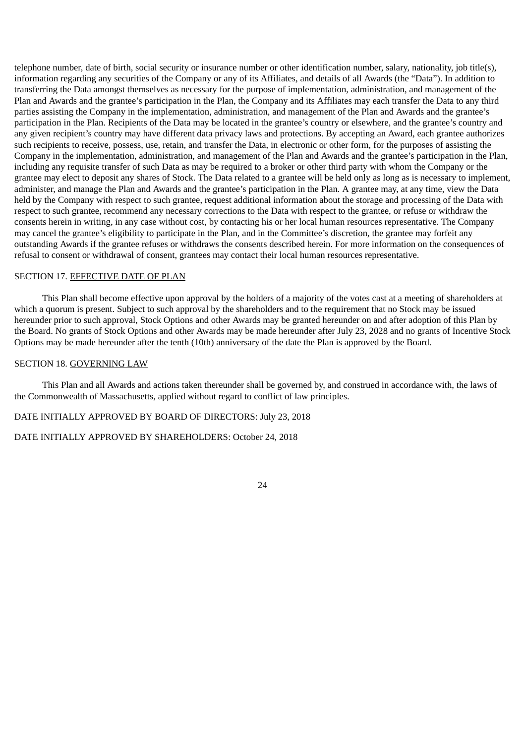telephone number, date of birth, social security or insurance number or other identification number, salary, nationality, job title(s), information regarding any securities of the Company or any of its Affiliates, and details of all Awards (the "Data"). In addition to transferring the Data amongst themselves as necessary for the purpose of implementation, administration, and management of the Plan and Awards and the grantee's participation in the Plan, the Company and its Affiliates may each transfer the Data to any third parties assisting the Company in the implementation, administration, and management of the Plan and Awards and the grantee's participation in the Plan. Recipients of the Data may be located in the grantee's country or elsewhere, and the grantee's country and any given recipient's country may have different data privacy laws and protections. By accepting an Award, each grantee authorizes such recipients to receive, possess, use, retain, and transfer the Data, in electronic or other form, for the purposes of assisting the Company in the implementation, administration, and management of the Plan and Awards and the grantee's participation in the Plan, including any requisite transfer of such Data as may be required to a broker or other third party with whom the Company or the grantee may elect to deposit any shares of Stock. The Data related to a grantee will be held only as long as is necessary to implement, administer, and manage the Plan and Awards and the grantee's participation in the Plan. A grantee may, at any time, view the Data held by the Company with respect to such grantee, request additional information about the storage and processing of the Data with respect to such grantee, recommend any necessary corrections to the Data with respect to the grantee, or refuse or withdraw the consents herein in writing, in any case without cost, by contacting his or her local human resources representative. The Company may cancel the grantee's eligibility to participate in the Plan, and in the Committee's discretion, the grantee may forfeit any outstanding Awards if the grantee refuses or withdraws the consents described herein. For more information on the consequences of refusal to consent or withdrawal of consent, grantees may contact their local human resources representative.

## SECTION 17. EFFECTIVE DATE OF PLAN

This Plan shall become effective upon approval by the holders of a majority of the votes cast at a meeting of shareholders at which a quorum is present. Subject to such approval by the shareholders and to the requirement that no Stock may be issued hereunder prior to such approval, Stock Options and other Awards may be granted hereunder on and after adoption of this Plan by the Board. No grants of Stock Options and other Awards may be made hereunder after July 23, 2028 and no grants of Incentive Stock Options may be made hereunder after the tenth (10th) anniversary of the date the Plan is approved by the Board.

## SECTION 18. GOVERNING LAW

This Plan and all Awards and actions taken thereunder shall be governed by, and construed in accordance with, the laws of the Commonwealth of Massachusetts, applied without regard to conflict of law principles.

DATE INITIALLY APPROVED BY BOARD OF DIRECTORS: July 23, 2018

DATE INITIALLY APPROVED BY SHAREHOLDERS: October 24, 2018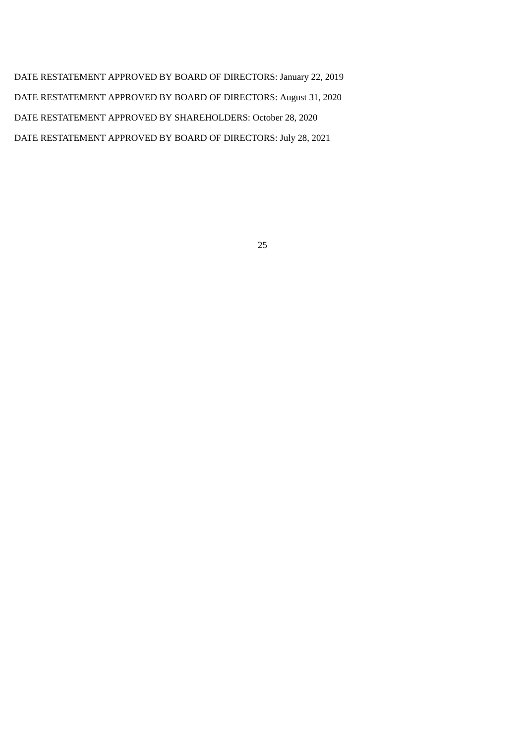DATE RESTATEMENT APPROVED BY BOARD OF DIRECTORS: January 22, 2019 DATE RESTATEMENT APPROVED BY BOARD OF DIRECTORS: August 31, 2020 DATE RESTATEMENT APPROVED BY SHAREHOLDERS: October 28, 2020 DATE RESTATEMENT APPROVED BY BOARD OF DIRECTORS: July 28, 2021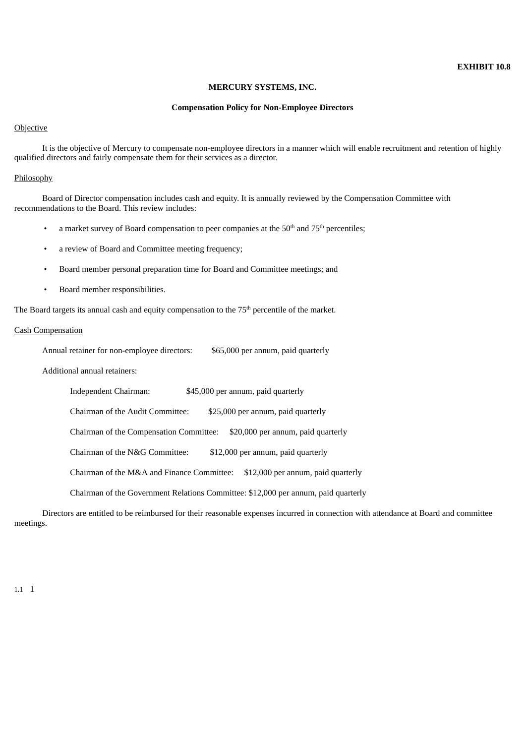## **MERCURY SYSTEMS, INC.**

#### **Compensation Policy for Non-Employee Directors**

## **Objective**

It is the objective of Mercury to compensate non-employee directors in a manner which will enable recruitment and retention of highly qualified directors and fairly compensate them for their services as a director.

### **Philosophy**

Board of Director compensation includes cash and equity. It is annually reviewed by the Compensation Committee with recommendations to the Board. This review includes:

- a market survey of Board compensation to peer companies at the  $50<sup>th</sup>$  and  $75<sup>th</sup>$  percentiles;
- a review of Board and Committee meeting frequency;
- Board member personal preparation time for Board and Committee meetings; and
- Board member responsibilities.

The Board targets its annual cash and equity compensation to the  $75<sup>th</sup>$  percentile of the market.

## Cash Compensation

Annual retainer for non-employee directors: \$65,000 per annum, paid quarterly

Additional annual retainers:

| Independent Chairman: | \$45,000 per annum, paid quarterly |  |
|-----------------------|------------------------------------|--|
|-----------------------|------------------------------------|--|

Chairman of the Audit Committee: \$25,000 per annum, paid quarterly

Chairman of the Compensation Committee: \$20,000 per annum, paid quarterly

Chairman of the N&G Committee: \$12,000 per annum, paid quarterly

Chairman of the M&A and Finance Committee: \$12,000 per annum, paid quarterly

Chairman of the Government Relations Committee: \$12,000 per annum, paid quarterly

Directors are entitled to be reimbursed for their reasonable expenses incurred in connection with attendance at Board and committee meetings.

1.1 1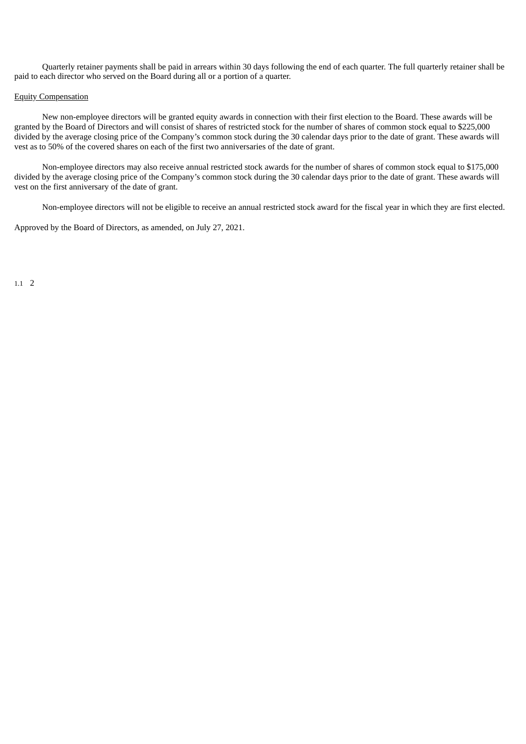Quarterly retainer payments shall be paid in arrears within 30 days following the end of each quarter. The full quarterly retainer shall be paid to each director who served on the Board during all or a portion of a quarter.

#### Equity Compensation

New non-employee directors will be granted equity awards in connection with their first election to the Board. These awards will be granted by the Board of Directors and will consist of shares of restricted stock for the number of shares of common stock equal to \$225,000 divided by the average closing price of the Company's common stock during the 30 calendar days prior to the date of grant. These awards will vest as to 50% of the covered shares on each of the first two anniversaries of the date of grant.

Non-employee directors may also receive annual restricted stock awards for the number of shares of common stock equal to \$175,000 divided by the average closing price of the Company's common stock during the 30 calendar days prior to the date of grant. These awards will vest on the first anniversary of the date of grant.

Non-employee directors will not be eligible to receive an annual restricted stock award for the fiscal year in which they are first elected.

Approved by the Board of Directors, as amended, on July 27, 2021.

1.1 2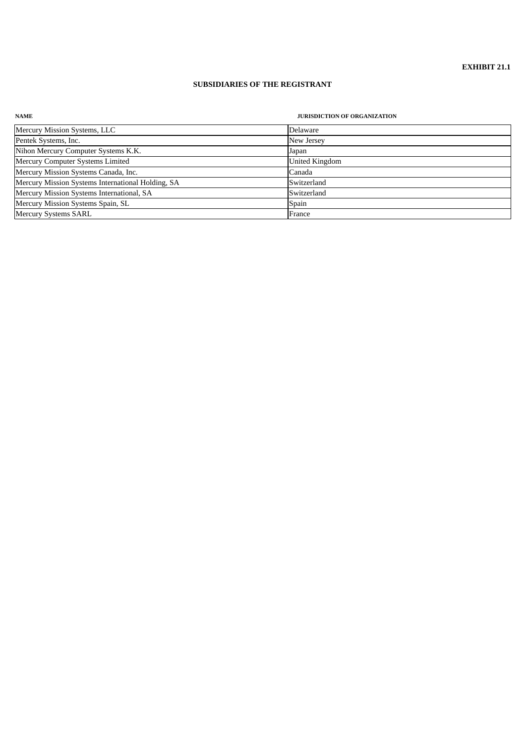# **SUBSIDIARIES OF THE REGISTRANT**

| <b>NAME</b>                                       | <b>JURISDICTION OF ORGANIZATION</b> |
|---------------------------------------------------|-------------------------------------|
| Mercury Mission Systems, LLC                      | Delaware                            |
| Pentek Systems, Inc.                              | New Jersey                          |
| Nihon Mercury Computer Systems K.K.               | Japan                               |
| Mercury Computer Systems Limited                  | <b>United Kingdom</b>               |
| Mercury Mission Systems Canada, Inc.              | Canada                              |
| Mercury Mission Systems International Holding, SA | Switzerland                         |
| Mercury Mission Systems International, SA         | Switzerland                         |
| Mercury Mission Systems Spain, SL                 | Spain                               |
| <b>Mercury Systems SARL</b>                       | France                              |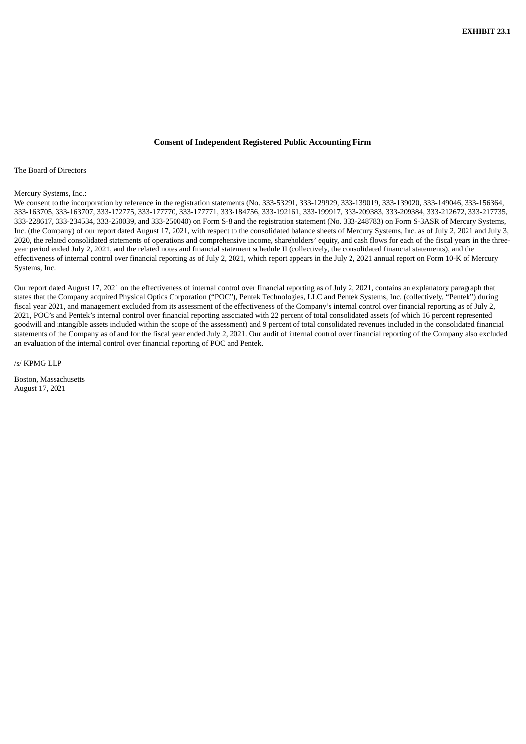#### **Consent of Independent Registered Public Accounting Firm**

#### The Board of Directors

#### Mercury Systems, Inc.:

We consent to the incorporation by reference in the registration statements (No. 333-53291, 333-129929, 333-139019, 333-139020, 333-149046, 333-156364, 333-163705, 333-163707, 333-172775, 333-177770, 333-177771, 333-184756, 333-192161, 333-199917, 333-209383, 333-209384, 333-212672, 333-217735, 333-228617, 333-234534, 333-250039, and 333-250040) on Form S-8 and the registration statement (No. 333-248783) on Form S-3ASR of Mercury Systems, Inc. (the Company) of our report dated August 17, 2021, with respect to the consolidated balance sheets of Mercury Systems, Inc. as of July 2, 2021 and July 3, 2020, the related consolidated statements of operations and comprehensive income, shareholders' equity, and cash flows for each of the fiscal years in the threeyear period ended July 2, 2021, and the related notes and financial statement schedule II (collectively, the consolidated financial statements), and the effectiveness of internal control over financial reporting as of July 2, 2021, which report appears in the July 2, 2021 annual report on Form 10‑K of Mercury Systems, Inc.

Our report dated August 17, 2021 on the effectiveness of internal control over financial reporting as of July 2, 2021, contains an explanatory paragraph that states that the Company acquired Physical Optics Corporation ("POC"), Pentek Technologies, LLC and Pentek Systems, Inc. (collectively, "Pentek") during fiscal year 2021, and management excluded from its assessment of the effectiveness of the Company's internal control over financial reporting as of July 2, 2021, POC's and Pentek's internal control over financial reporting associated with 22 percent of total consolidated assets (of which 16 percent represented goodwill and intangible assets included within the scope of the assessment) and 9 percent of total consolidated revenues included in the consolidated financial statements of the Company as of and for the fiscal year ended July 2, 2021. Our audit of internal control over financial reporting of the Company also excluded an evaluation of the internal control over financial reporting of POC and Pentek.

/s/ KPMG LLP

Boston, Massachusetts August 17, 2021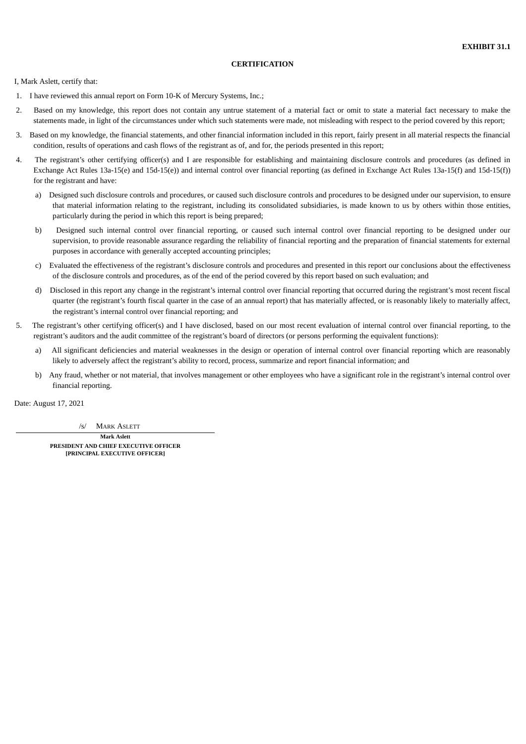#### **CERTIFICATION**

I, Mark Aslett, certify that:

- 1. I have reviewed this annual report on Form 10-K of Mercury Systems, Inc.;
- 2. Based on my knowledge, this report does not contain any untrue statement of a material fact or omit to state a material fact necessary to make the statements made, in light of the circumstances under which such statements were made, not misleading with respect to the period covered by this report;
- 3. Based on my knowledge, the financial statements, and other financial information included in this report, fairly present in all material respects the financial condition, results of operations and cash flows of the registrant as of, and for, the periods presented in this report;
- 4. The registrant's other certifying officer(s) and I are responsible for establishing and maintaining disclosure controls and procedures (as defined in Exchange Act Rules 13a-15(e) and 15d-15(e)) and internal control over financial reporting (as defined in Exchange Act Rules 13a-15(f) and 15d-15(f)) for the registrant and have:
	- a) Designed such disclosure controls and procedures, or caused such disclosure controls and procedures to be designed under our supervision, to ensure that material information relating to the registrant, including its consolidated subsidiaries, is made known to us by others within those entities, particularly during the period in which this report is being prepared;
	- b) Designed such internal control over financial reporting, or caused such internal control over financial reporting to be designed under our supervision, to provide reasonable assurance regarding the reliability of financial reporting and the preparation of financial statements for external purposes in accordance with generally accepted accounting principles;
	- c) Evaluated the effectiveness of the registrant's disclosure controls and procedures and presented in this report our conclusions about the effectiveness of the disclosure controls and procedures, as of the end of the period covered by this report based on such evaluation; and
	- d) Disclosed in this report any change in the registrant's internal control over financial reporting that occurred during the registrant's most recent fiscal quarter (the registrant's fourth fiscal quarter in the case of an annual report) that has materially affected, or is reasonably likely to materially affect, the registrant's internal control over financial reporting; and
- 5. The registrant's other certifying officer(s) and I have disclosed, based on our most recent evaluation of internal control over financial reporting, to the registrant's auditors and the audit committee of the registrant's board of directors (or persons performing the equivalent functions):
	- a) All significant deficiencies and material weaknesses in the design or operation of internal control over financial reporting which are reasonably likely to adversely affect the registrant's ability to record, process, summarize and report financial information; and
	- b) Any fraud, whether or not material, that involves management or other employees who have a significant role in the registrant's internal control over financial reporting.

Date: August 17, 2021

/s/ MARK ASLETT

**Mark Aslett PRESIDENT AND CHIEF EXECUTIVE OFFICER [PRINCIPAL EXECUTIVE OFFICER]**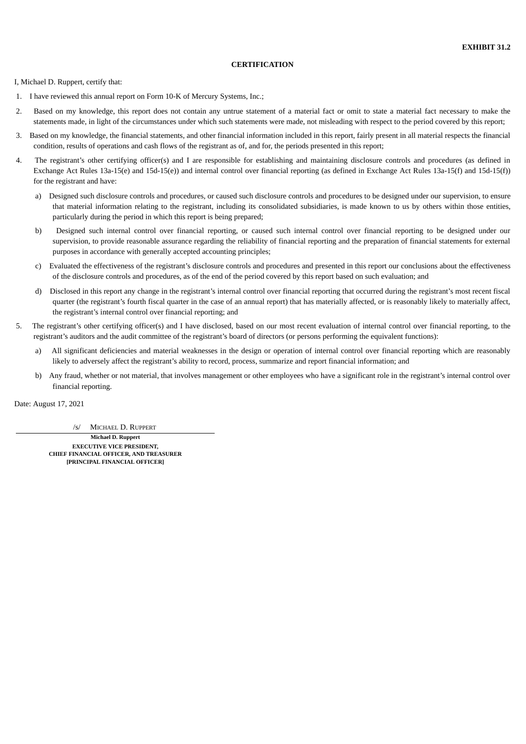#### **CERTIFICATION**

I, Michael D. Ruppert, certify that:

- 1. I have reviewed this annual report on Form 10-K of Mercury Systems, Inc.;
- 2. Based on my knowledge, this report does not contain any untrue statement of a material fact or omit to state a material fact necessary to make the statements made, in light of the circumstances under which such statements were made, not misleading with respect to the period covered by this report;
- 3. Based on my knowledge, the financial statements, and other financial information included in this report, fairly present in all material respects the financial condition, results of operations and cash flows of the registrant as of, and for, the periods presented in this report;
- 4. The registrant's other certifying officer(s) and I are responsible for establishing and maintaining disclosure controls and procedures (as defined in Exchange Act Rules 13a-15(e) and 15d-15(e)) and internal control over financial reporting (as defined in Exchange Act Rules 13a-15(f) and 15d-15(f)) for the registrant and have:
	- a) Designed such disclosure controls and procedures, or caused such disclosure controls and procedures to be designed under our supervision, to ensure that material information relating to the registrant, including its consolidated subsidiaries, is made known to us by others within those entities, particularly during the period in which this report is being prepared;
	- b) Designed such internal control over financial reporting, or caused such internal control over financial reporting to be designed under our supervision, to provide reasonable assurance regarding the reliability of financial reporting and the preparation of financial statements for external purposes in accordance with generally accepted accounting principles;
	- c) Evaluated the effectiveness of the registrant's disclosure controls and procedures and presented in this report our conclusions about the effectiveness of the disclosure controls and procedures, as of the end of the period covered by this report based on such evaluation; and
	- d) Disclosed in this report any change in the registrant's internal control over financial reporting that occurred during the registrant's most recent fiscal quarter (the registrant's fourth fiscal quarter in the case of an annual report) that has materially affected, or is reasonably likely to materially affect, the registrant's internal control over financial reporting; and
- 5. The registrant's other certifying officer(s) and I have disclosed, based on our most recent evaluation of internal control over financial reporting, to the registrant's auditors and the audit committee of the registrant's board of directors (or persons performing the equivalent functions):
	- a) All significant deficiencies and material weaknesses in the design or operation of internal control over financial reporting which are reasonably likely to adversely affect the registrant's ability to record, process, summarize and report financial information; and
	- b) Any fraud, whether or not material, that involves management or other employees who have a significant role in the registrant's internal control over financial reporting.

Date: August 17, 2021

/s/ MICHAEL D. RUPPERT

**Michael D. Ruppert EXECUTIVE VICE PRESIDENT, CHIEF FINANCIAL OFFICER, AND TREASURER [PRINCIPAL FINANCIAL OFFICER]**